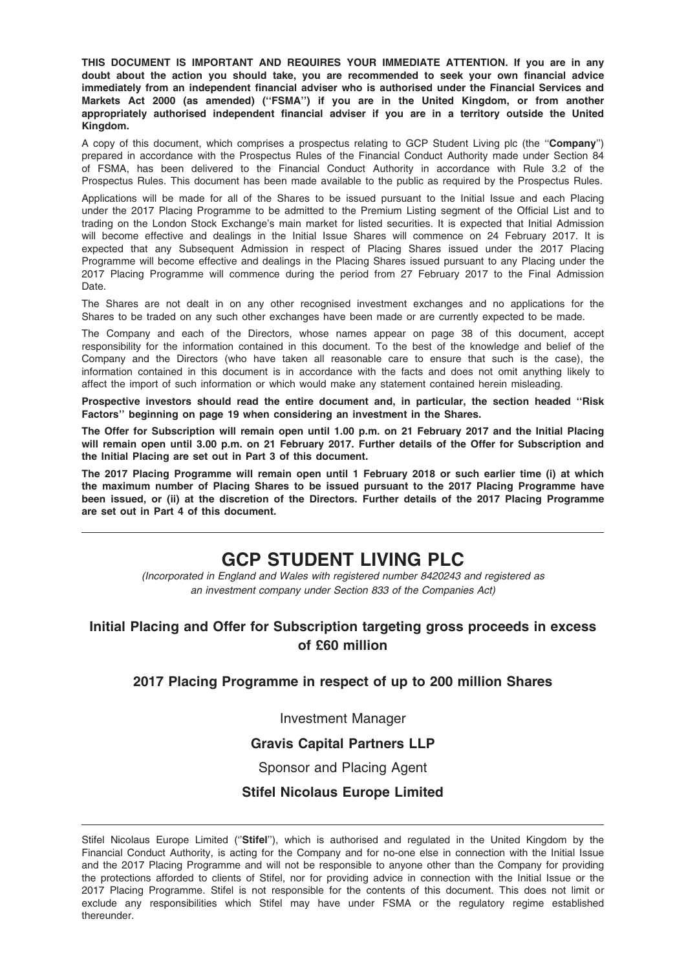THIS DOCUMENT IS IMPORTANT AND REQUIRES YOUR IMMEDIATE ATTENTION. If you are in any doubt about the action you should take, you are recommended to seek your own financial advice immediately from an independent financial adviser who is authorised under the Financial Services and Markets Act 2000 (as amended) (''FSMA'') if you are in the United Kingdom, or from another appropriately authorised independent financial adviser if you are in a territory outside the United Kingdom.

A copy of this document, which comprises a prospectus relating to GCP Student Living plc (the "Company") prepared in accordance with the Prospectus Rules of the Financial Conduct Authority made under Section 84 of FSMA, has been delivered to the Financial Conduct Authority in accordance with Rule 3.2 of the Prospectus Rules. This document has been made available to the public as required by the Prospectus Rules.

Applications will be made for all of the Shares to be issued pursuant to the Initial Issue and each Placing under the 2017 Placing Programme to be admitted to the Premium Listing segment of the Official List and to trading on the London Stock Exchange's main market for listed securities. It is expected that Initial Admission will become effective and dealings in the Initial Issue Shares will commence on 24 February 2017. It is expected that any Subsequent Admission in respect of Placing Shares issued under the 2017 Placing Programme will become effective and dealings in the Placing Shares issued pursuant to any Placing under the 2017 Placing Programme will commence during the period from 27 February 2017 to the Final Admission Date.

The Shares are not dealt in on any other recognised investment exchanges and no applications for the Shares to be traded on any such other exchanges have been made or are currently expected to be made.

The Company and each of the Directors, whose names appear on page 38 of this document, accept responsibility for the information contained in this document. To the best of the knowledge and belief of the Company and the Directors (who have taken all reasonable care to ensure that such is the case), the information contained in this document is in accordance with the facts and does not omit anything likely to affect the import of such information or which would make any statement contained herein misleading.

Prospective investors should read the entire document and, in particular, the section headed ''Risk Factors'' beginning on page 19 when considering an investment in the Shares.

The Offer for Subscription will remain open until 1.00 p.m. on 21 February 2017 and the Initial Placing will remain open until 3.00 p.m. on 21 February 2017. Further details of the Offer for Subscription and the Initial Placing are set out in Part 3 of this document.

The 2017 Placing Programme will remain open until 1 February 2018 or such earlier time (i) at which the maximum number of Placing Shares to be issued pursuant to the 2017 Placing Programme have been issued, or (ii) at the discretion of the Directors. Further details of the 2017 Placing Programme are set out in Part 4 of this document.

# GCP STUDENT LIVING PLC

(Incorporated in England and Wales with registered number 8420243 and registered as an investment company under Section 833 of the Companies Act)

# Initial Placing and Offer for Subscription targeting gross proceeds in excess of £60 million

## 2017 Placing Programme in respect of up to 200 million Shares

Investment Manager

# Gravis Capital Partners LLP

## Sponsor and Placing Agent

# Stifel Nicolaus Europe Limited

Stifel Nicolaus Europe Limited ("Stifel"), which is authorised and regulated in the United Kingdom by the Financial Conduct Authority, is acting for the Company and for no-one else in connection with the Initial Issue and the 2017 Placing Programme and will not be responsible to anyone other than the Company for providing the protections afforded to clients of Stifel, nor for providing advice in connection with the Initial Issue or the 2017 Placing Programme. Stifel is not responsible for the contents of this document. This does not limit or exclude any responsibilities which Stifel may have under FSMA or the regulatory regime established thereunder.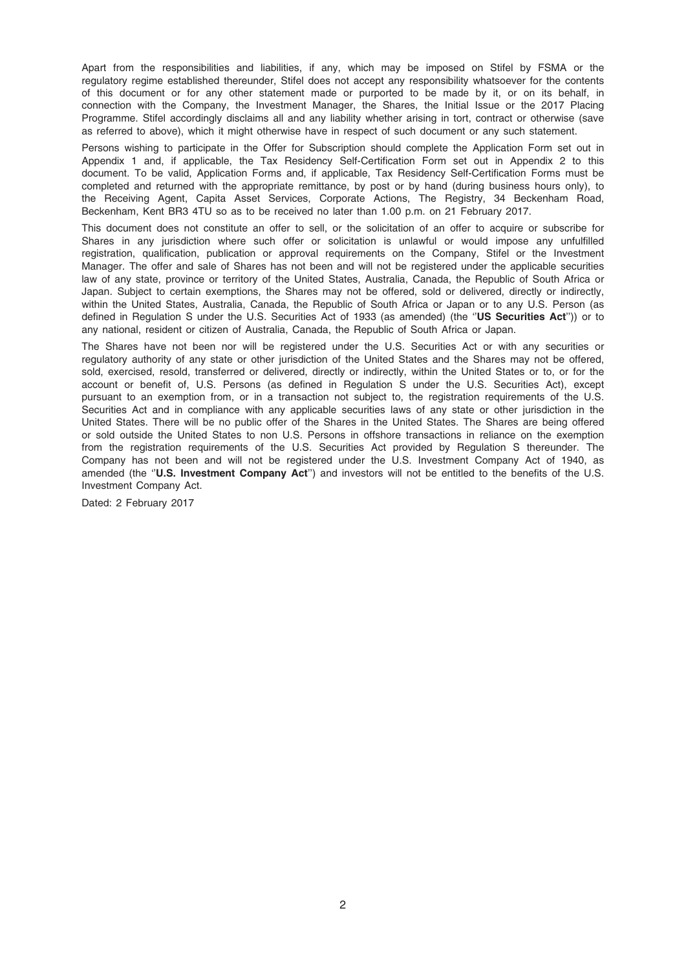Apart from the responsibilities and liabilities, if any, which may be imposed on Stifel by FSMA or the regulatory regime established thereunder, Stifel does not accept any responsibility whatsoever for the contents of this document or for any other statement made or purported to be made by it, or on its behalf, in connection with the Company, the Investment Manager, the Shares, the Initial Issue or the 2017 Placing Programme. Stifel accordingly disclaims all and any liability whether arising in tort, contract or otherwise (save as referred to above), which it might otherwise have in respect of such document or any such statement.

Persons wishing to participate in the Offer for Subscription should complete the Application Form set out in Appendix 1 and, if applicable, the Tax Residency Self-Certification Form set out in Appendix 2 to this document. To be valid, Application Forms and, if applicable, Tax Residency Self-Certification Forms must be completed and returned with the appropriate remittance, by post or by hand (during business hours only), to the Receiving Agent, Capita Asset Services, Corporate Actions, The Registry, 34 Beckenham Road, Beckenham, Kent BR3 4TU so as to be received no later than 1.00 p.m. on 21 February 2017.

This document does not constitute an offer to sell, or the solicitation of an offer to acquire or subscribe for Shares in any jurisdiction where such offer or solicitation is unlawful or would impose any unfulfilled registration, qualification, publication or approval requirements on the Company, Stifel or the Investment Manager. The offer and sale of Shares has not been and will not be registered under the applicable securities law of any state, province or territory of the United States, Australia, Canada, the Republic of South Africa or Japan. Subject to certain exemptions, the Shares may not be offered, sold or delivered, directly or indirectly, within the United States, Australia, Canada, the Republic of South Africa or Japan or to any U.S. Person (as defined in Regulation S under the U.S. Securities Act of 1933 (as amended) (the "US Securities Act")) or to any national, resident or citizen of Australia, Canada, the Republic of South Africa or Japan.

The Shares have not been nor will be registered under the U.S. Securities Act or with any securities or regulatory authority of any state or other jurisdiction of the United States and the Shares may not be offered, sold, exercised, resold, transferred or delivered, directly or indirectly, within the United States or to, or for the account or benefit of, U.S. Persons (as defined in Regulation S under the U.S. Securities Act), except pursuant to an exemption from, or in a transaction not subject to, the registration requirements of the U.S. Securities Act and in compliance with any applicable securities laws of any state or other jurisdiction in the United States. There will be no public offer of the Shares in the United States. The Shares are being offered or sold outside the United States to non U.S. Persons in offshore transactions in reliance on the exemption from the registration requirements of the U.S. Securities Act provided by Regulation S thereunder. The Company has not been and will not be registered under the U.S. Investment Company Act of 1940, as amended (the "U.S. Investment Company Act") and investors will not be entitled to the benefits of the U.S. Investment Company Act.

Dated: 2 February 2017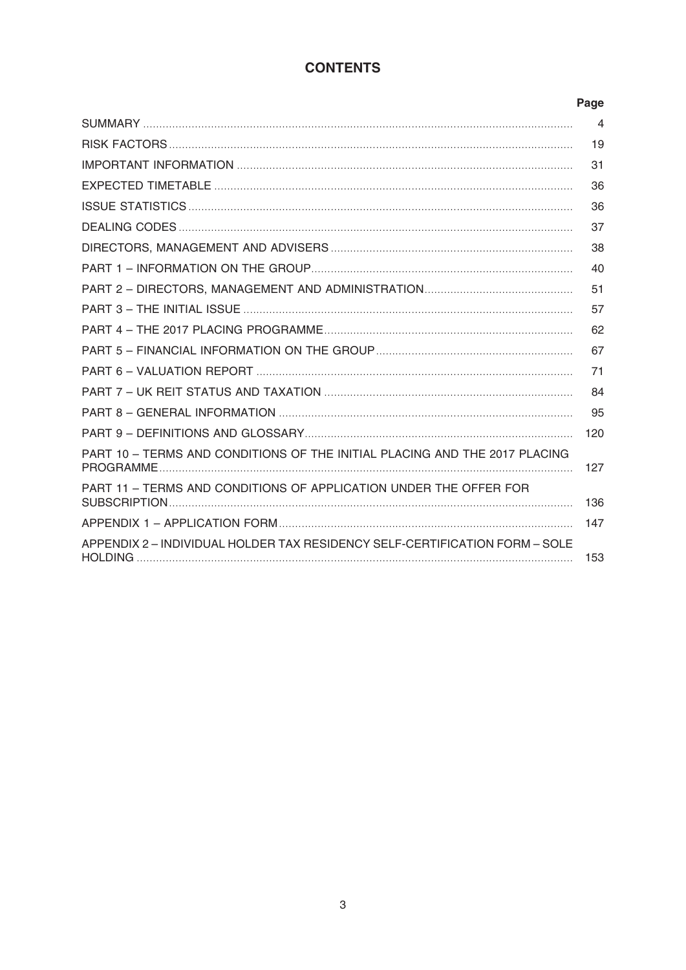# **CONTENTS**

|                                                                             | Page           |
|-----------------------------------------------------------------------------|----------------|
|                                                                             | $\overline{4}$ |
|                                                                             | 19             |
|                                                                             | 31             |
|                                                                             | 36             |
|                                                                             | 36             |
|                                                                             | 37             |
|                                                                             | 38             |
|                                                                             | 40             |
|                                                                             | 51             |
|                                                                             | 57             |
|                                                                             | 62             |
|                                                                             | 67             |
|                                                                             | 71             |
|                                                                             | 84             |
|                                                                             | 95             |
|                                                                             | 120            |
| PART 10 - TERMS AND CONDITIONS OF THE INITIAL PLACING AND THE 2017 PLACING  | 127            |
| PART 11 - TERMS AND CONDITIONS OF APPLICATION UNDER THE OFFER FOR           | 136            |
|                                                                             | 147            |
| APPENDIX 2 - INDIVIDUAL HOLDER TAX RESIDENCY SELF-CERTIFICATION FORM - SOLE | 153            |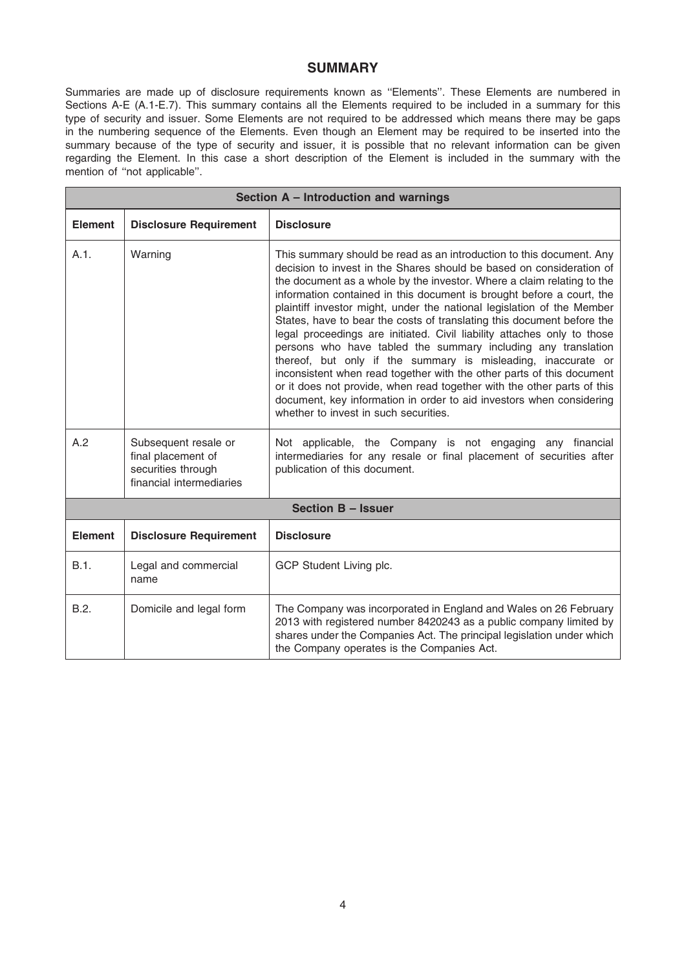# **SUMMARY**

Summaries are made up of disclosure requirements known as ''Elements''. These Elements are numbered in Sections A-E (A.1-E.7). This summary contains all the Elements required to be included in a summary for this type of security and issuer. Some Elements are not required to be addressed which means there may be gaps in the numbering sequence of the Elements. Even though an Element may be required to be inserted into the summary because of the type of security and issuer, it is possible that no relevant information can be given regarding the Element. In this case a short description of the Element is included in the summary with the mention of "not applicable".

| Section A - Introduction and warnings |                                                                                              |                                                                                                                                                                                                                                                                                                                                                                                                                                                                                                                                                                                                                                                                                                                                                                                                                                                                                                                                       |  |
|---------------------------------------|----------------------------------------------------------------------------------------------|---------------------------------------------------------------------------------------------------------------------------------------------------------------------------------------------------------------------------------------------------------------------------------------------------------------------------------------------------------------------------------------------------------------------------------------------------------------------------------------------------------------------------------------------------------------------------------------------------------------------------------------------------------------------------------------------------------------------------------------------------------------------------------------------------------------------------------------------------------------------------------------------------------------------------------------|--|
| <b>Element</b>                        | <b>Disclosure Requirement</b>                                                                | <b>Disclosure</b>                                                                                                                                                                                                                                                                                                                                                                                                                                                                                                                                                                                                                                                                                                                                                                                                                                                                                                                     |  |
| A.1.                                  | Warning                                                                                      | This summary should be read as an introduction to this document. Any<br>decision to invest in the Shares should be based on consideration of<br>the document as a whole by the investor. Where a claim relating to the<br>information contained in this document is brought before a court, the<br>plaintiff investor might, under the national legislation of the Member<br>States, have to bear the costs of translating this document before the<br>legal proceedings are initiated. Civil liability attaches only to those<br>persons who have tabled the summary including any translation<br>thereof, but only if the summary is misleading, inaccurate or<br>inconsistent when read together with the other parts of this document<br>or it does not provide, when read together with the other parts of this<br>document, key information in order to aid investors when considering<br>whether to invest in such securities. |  |
| A.2                                   | Subsequent resale or<br>final placement of<br>securities through<br>financial intermediaries | Not applicable, the Company is not engaging any financial<br>intermediaries for any resale or final placement of securities after<br>publication of this document.                                                                                                                                                                                                                                                                                                                                                                                                                                                                                                                                                                                                                                                                                                                                                                    |  |
|                                       |                                                                                              | <b>Section B - Issuer</b>                                                                                                                                                                                                                                                                                                                                                                                                                                                                                                                                                                                                                                                                                                                                                                                                                                                                                                             |  |
| <b>Element</b>                        | <b>Disclosure Requirement</b>                                                                | <b>Disclosure</b>                                                                                                                                                                                                                                                                                                                                                                                                                                                                                                                                                                                                                                                                                                                                                                                                                                                                                                                     |  |
| B.1.                                  | Legal and commercial<br>name                                                                 | GCP Student Living plc.                                                                                                                                                                                                                                                                                                                                                                                                                                                                                                                                                                                                                                                                                                                                                                                                                                                                                                               |  |
| B.2.                                  | Domicile and legal form                                                                      | The Company was incorporated in England and Wales on 26 February<br>2013 with registered number 8420243 as a public company limited by<br>shares under the Companies Act. The principal legislation under which<br>the Company operates is the Companies Act.                                                                                                                                                                                                                                                                                                                                                                                                                                                                                                                                                                                                                                                                         |  |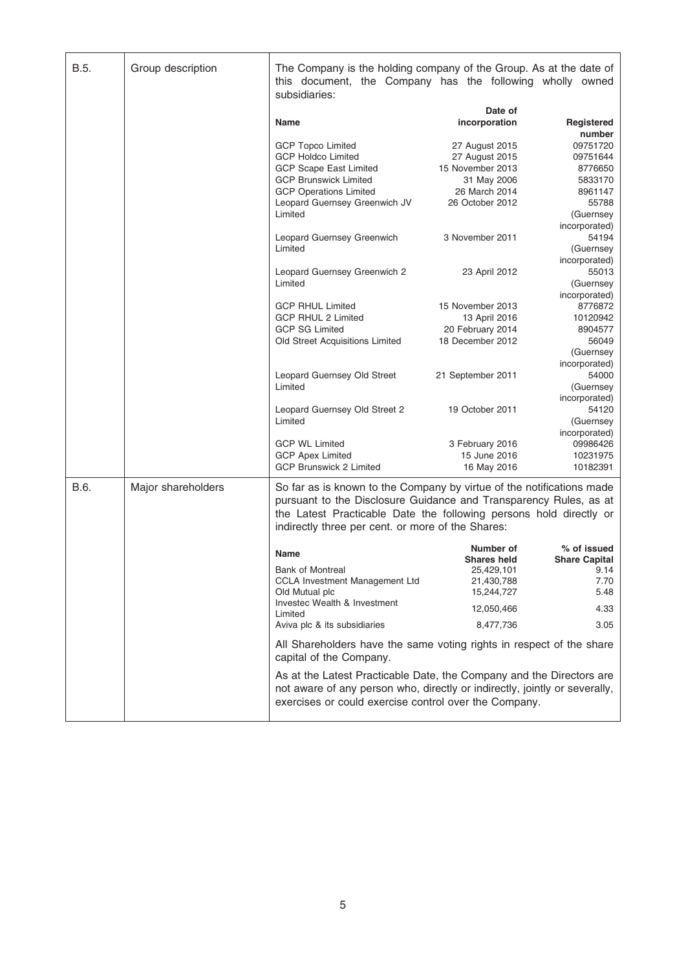| B.5. | Group description  | The Company is the holding company of the Group. As at the date of<br>this document, the Company has the following wholly owned<br>subsidiaries:                                                                                                                      |                                      |                            |
|------|--------------------|-----------------------------------------------------------------------------------------------------------------------------------------------------------------------------------------------------------------------------------------------------------------------|--------------------------------------|----------------------------|
|      |                    |                                                                                                                                                                                                                                                                       | Date of                              |                            |
|      |                    | Name                                                                                                                                                                                                                                                                  | incorporation                        | Registered<br>number       |
|      |                    | <b>GCP Topco Limited</b>                                                                                                                                                                                                                                              | 27 August 2015                       | 09751720                   |
|      |                    | <b>GCP Holdco Limited</b>                                                                                                                                                                                                                                             | 27 August 2015                       | 09751644                   |
|      |                    | <b>GCP Scape East Limited</b>                                                                                                                                                                                                                                         | 15 November 2013                     | 8776650                    |
|      |                    | <b>GCP Brunswick Limited</b>                                                                                                                                                                                                                                          | 31 May 2006                          | 5833170                    |
|      |                    | <b>GCP Operations Limited</b>                                                                                                                                                                                                                                         | 26 March 2014                        | 8961147                    |
|      |                    | Leopard Guernsey Greenwich JV                                                                                                                                                                                                                                         | 26 October 2012                      | 55788                      |
|      |                    | Limited                                                                                                                                                                                                                                                               |                                      | (Guernsey                  |
|      |                    | Leopard Guernsey Greenwich                                                                                                                                                                                                                                            | 3 November 2011                      | incorporated)<br>54194     |
|      |                    | Limited                                                                                                                                                                                                                                                               |                                      | (Guernsey                  |
|      |                    |                                                                                                                                                                                                                                                                       |                                      | incorporated)              |
|      |                    | Leopard Guernsey Greenwich 2                                                                                                                                                                                                                                          | 23 April 2012                        | 55013                      |
|      |                    | Limited                                                                                                                                                                                                                                                               |                                      | (Guernsey<br>incorporated) |
|      |                    | <b>GCP RHUL Limited</b>                                                                                                                                                                                                                                               | 15 November 2013                     | 8776872                    |
|      |                    | GCP RHUL 2 Limited                                                                                                                                                                                                                                                    | 13 April 2016                        | 10120942                   |
|      |                    | <b>GCP SG Limited</b><br>Old Street Acquisitions Limited                                                                                                                                                                                                              | 20 February 2014<br>18 December 2012 | 8904577<br>56049           |
|      |                    |                                                                                                                                                                                                                                                                       |                                      | (Guernsey                  |
|      |                    |                                                                                                                                                                                                                                                                       |                                      | incorporated)              |
|      |                    | Leopard Guernsey Old Street                                                                                                                                                                                                                                           | 21 September 2011                    | 54000                      |
|      |                    | Limited                                                                                                                                                                                                                                                               |                                      | (Guernsey                  |
|      |                    |                                                                                                                                                                                                                                                                       |                                      | incorporated)              |
|      |                    | Leopard Guernsey Old Street 2                                                                                                                                                                                                                                         | 19 October 2011                      | 54120                      |
|      |                    | Limited                                                                                                                                                                                                                                                               |                                      | (Guernsey                  |
|      |                    |                                                                                                                                                                                                                                                                       |                                      | incorporated)              |
|      |                    | <b>GCP WL Limited</b>                                                                                                                                                                                                                                                 | 3 February 2016<br>15 June 2016      | 09986426<br>10231975       |
|      |                    | <b>GCP Apex Limited</b><br><b>GCP Brunswick 2 Limited</b>                                                                                                                                                                                                             | 16 May 2016                          | 10182391                   |
|      |                    |                                                                                                                                                                                                                                                                       |                                      |                            |
| B.6. | Major shareholders | So far as is known to the Company by virtue of the notifications made<br>pursuant to the Disclosure Guidance and Transparency Rules, as at<br>the Latest Practicable Date the following persons hold directly or<br>indirectly three per cent. or more of the Shares: |                                      |                            |
|      |                    |                                                                                                                                                                                                                                                                       | Number of                            | % of issued                |
|      |                    | Name                                                                                                                                                                                                                                                                  | <b>Shares held</b>                   | <b>Share Capital</b>       |
|      |                    | <b>Bank of Montreal</b>                                                                                                                                                                                                                                               | 25.429.101                           | 9.14                       |
|      |                    | CCLA Investment Management Ltd                                                                                                                                                                                                                                        | 21,430,788                           | 7.70                       |
|      |                    | Old Mutual plc                                                                                                                                                                                                                                                        | 15,244,727                           | 5.48                       |
|      |                    | Investec Wealth & Investment<br>Limited                                                                                                                                                                                                                               | 12,050,466                           | 4.33                       |
|      |                    | Aviva plc & its subsidiaries                                                                                                                                                                                                                                          | 8,477,736                            | 3.05                       |
|      |                    | All Shareholders have the same voting rights in respect of the share<br>capital of the Company.                                                                                                                                                                       |                                      |                            |
|      |                    | As at the Latest Practicable Date, the Company and the Directors are<br>not aware of any person who, directly or indirectly, jointly or severally,<br>exercises or could exercise control over the Company.                                                           |                                      |                            |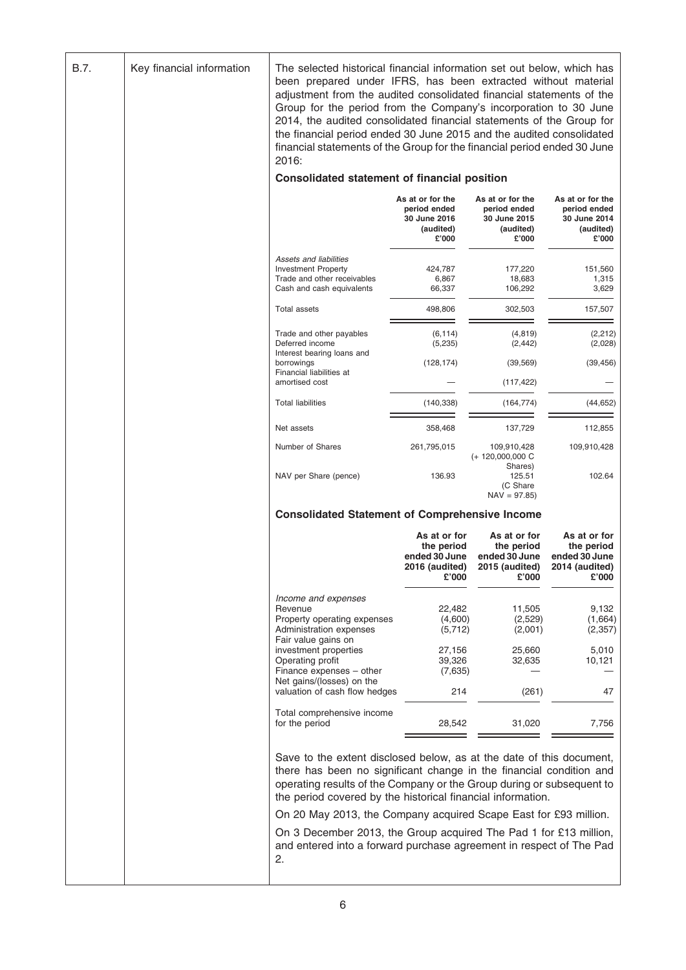| B.7. | Key financial information | The selected historical financial information set out below, which has<br>been prepared under IFRS, has been extracted without material<br>adjustment from the audited consolidated financial statements of the<br>Group for the period from the Company's incorporation to 30 June<br>2014, the audited consolidated financial statements of the Group for<br>the financial period ended 30 June 2015 and the audited consolidated<br>financial statements of the Group for the financial period ended 30 June<br>2016: |                                                                               |                                                                        |                                                                        |
|------|---------------------------|--------------------------------------------------------------------------------------------------------------------------------------------------------------------------------------------------------------------------------------------------------------------------------------------------------------------------------------------------------------------------------------------------------------------------------------------------------------------------------------------------------------------------|-------------------------------------------------------------------------------|------------------------------------------------------------------------|------------------------------------------------------------------------|
|      |                           | Consolidated statement of financial position                                                                                                                                                                                                                                                                                                                                                                                                                                                                             |                                                                               |                                                                        |                                                                        |
|      |                           |                                                                                                                                                                                                                                                                                                                                                                                                                                                                                                                          | As at or for the<br>period ended<br><b>30 June 2016</b><br>(audited)<br>£'000 | As at or for the<br>period ended<br>30 June 2015<br>(audited)<br>£'000 | As at or for the<br>period ended<br>30 June 2014<br>(audited)<br>£'000 |
|      |                           | Assets and liabilities<br><b>Investment Property</b><br>Trade and other receivables<br>Cash and cash equivalents                                                                                                                                                                                                                                                                                                                                                                                                         | 424,787<br>6,867<br>66,337                                                    | 177,220<br>18,683<br>106,292                                           | 151,560<br>1,315<br>3,629                                              |
|      |                           | <b>Total assets</b>                                                                                                                                                                                                                                                                                                                                                                                                                                                                                                      | 498,806                                                                       | 302,503                                                                | 157,507                                                                |
|      |                           | Trade and other payables<br>Deferred income<br>Interest bearing loans and                                                                                                                                                                                                                                                                                                                                                                                                                                                | (6, 114)<br>(5,235)                                                           | (4, 819)<br>(2, 442)                                                   | (2,212)<br>(2,028)                                                     |
|      |                           | borrowings<br>Financial liabilities at                                                                                                                                                                                                                                                                                                                                                                                                                                                                                   | (128, 174)                                                                    | (39, 569)                                                              | (39, 456)                                                              |
|      |                           | amortised cost                                                                                                                                                                                                                                                                                                                                                                                                                                                                                                           |                                                                               | (117, 422)                                                             |                                                                        |
|      |                           | <b>Total liabilities</b>                                                                                                                                                                                                                                                                                                                                                                                                                                                                                                 | (140, 338)                                                                    | (164, 774)                                                             | (44, 652)                                                              |
|      |                           | Net assets                                                                                                                                                                                                                                                                                                                                                                                                                                                                                                               | 358,468                                                                       | 137,729                                                                | 112,855                                                                |
|      |                           | Number of Shares                                                                                                                                                                                                                                                                                                                                                                                                                                                                                                         | 261,795,015                                                                   | 109,910,428<br>$(+ 120,000,000 C)$<br>Shares)                          | 109,910,428                                                            |
|      |                           | NAV per Share (pence)                                                                                                                                                                                                                                                                                                                                                                                                                                                                                                    | 136.93                                                                        | 125.51<br>(C Share<br>$NAV = 97.85$                                    | 102.64                                                                 |
|      |                           | <b>Consolidated Statement of Comprehensive Income</b>                                                                                                                                                                                                                                                                                                                                                                                                                                                                    |                                                                               |                                                                        |                                                                        |
|      |                           |                                                                                                                                                                                                                                                                                                                                                                                                                                                                                                                          | As at or for<br>the period<br>ended 30 June<br>2016 (audited)<br>£'000        | As at or for<br>the period<br>ended 30 June<br>2015 (audited)<br>£'000 | As at or for<br>the period<br>ended 30 June<br>2014 (audited)<br>£'000 |
|      |                           | Income and expenses                                                                                                                                                                                                                                                                                                                                                                                                                                                                                                      |                                                                               |                                                                        |                                                                        |
|      |                           | Revenue<br>Property operating expenses<br>Administration expenses<br>Fair value gains on                                                                                                                                                                                                                                                                                                                                                                                                                                 | 22,482<br>(4,600)<br>(5,712)                                                  | 11,505<br>(2,529)<br>(2,001)                                           | 9,132<br>(1,664)<br>(2, 357)                                           |
|      |                           | investment properties<br>Operating profit<br>Finance expenses - other                                                                                                                                                                                                                                                                                                                                                                                                                                                    | 27,156<br>39,326<br>(7,635)                                                   | 25,660<br>32,635                                                       | 5,010<br>10,121                                                        |
|      |                           | Net gains/(losses) on the<br>valuation of cash flow hedges                                                                                                                                                                                                                                                                                                                                                                                                                                                               | 214                                                                           | (261)                                                                  | 47                                                                     |
|      |                           | Total comprehensive income<br>for the period                                                                                                                                                                                                                                                                                                                                                                                                                                                                             | 28,542                                                                        | 31,020                                                                 | 7,756                                                                  |
|      |                           | Save to the extent disclosed below, as at the date of this document,<br>there has been no significant change in the financial condition and<br>operating results of the Company or the Group during or subsequent to<br>the period covered by the historical financial information.<br>On 20 May 2013, the Company acquired Scape East for £93 million.                                                                                                                                                                  |                                                                               |                                                                        |                                                                        |
|      |                           | On 3 December 2013, the Group acquired The Pad 1 for £13 million,<br>and entered into a forward purchase agreement in respect of The Pad<br>2.                                                                                                                                                                                                                                                                                                                                                                           |                                                                               |                                                                        |                                                                        |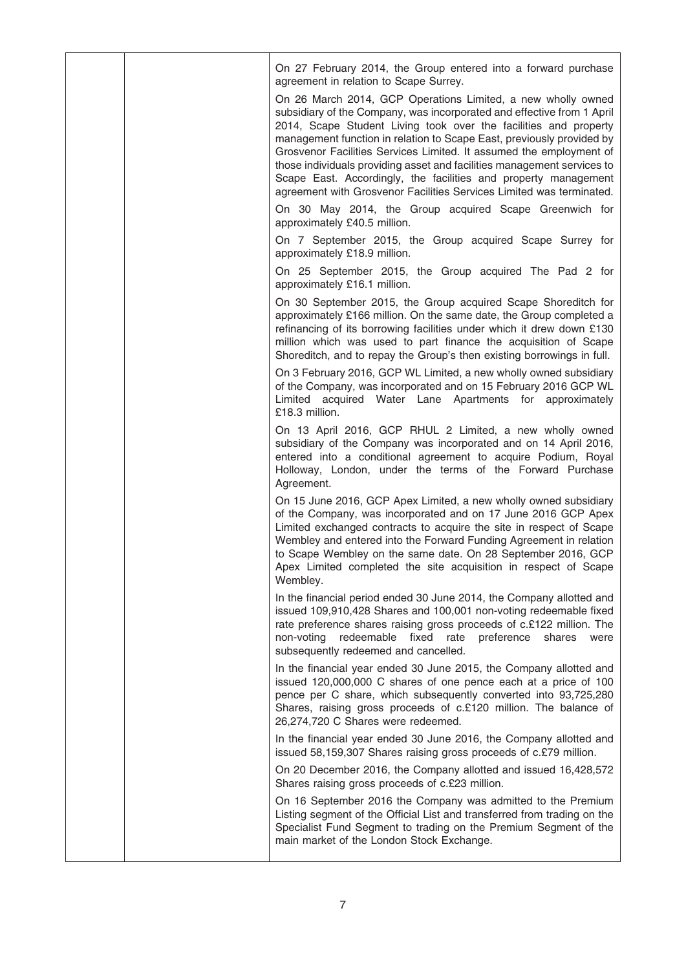|  | On 27 February 2014, the Group entered into a forward purchase<br>agreement in relation to Scape Surrey.                                                                                                                                                                                                                                                                                                                                                                                                                                                                         |
|--|----------------------------------------------------------------------------------------------------------------------------------------------------------------------------------------------------------------------------------------------------------------------------------------------------------------------------------------------------------------------------------------------------------------------------------------------------------------------------------------------------------------------------------------------------------------------------------|
|  | On 26 March 2014, GCP Operations Limited, a new wholly owned<br>subsidiary of the Company, was incorporated and effective from 1 April<br>2014, Scape Student Living took over the facilities and property<br>management function in relation to Scape East, previously provided by<br>Grosvenor Facilities Services Limited. It assumed the employment of<br>those individuals providing asset and facilities management services to<br>Scape East. Accordingly, the facilities and property management<br>agreement with Grosvenor Facilities Services Limited was terminated. |
|  | On 30 May 2014, the Group acquired Scape Greenwich for<br>approximately £40.5 million.                                                                                                                                                                                                                                                                                                                                                                                                                                                                                           |
|  | On 7 September 2015, the Group acquired Scape Surrey for<br>approximately £18.9 million.                                                                                                                                                                                                                                                                                                                                                                                                                                                                                         |
|  | On 25 September 2015, the Group acquired The Pad 2 for<br>approximately £16.1 million.                                                                                                                                                                                                                                                                                                                                                                                                                                                                                           |
|  | On 30 September 2015, the Group acquired Scape Shoreditch for<br>approximately £166 million. On the same date, the Group completed a<br>refinancing of its borrowing facilities under which it drew down £130<br>million which was used to part finance the acquisition of Scape<br>Shoreditch, and to repay the Group's then existing borrowings in full.                                                                                                                                                                                                                       |
|  | On 3 February 2016, GCP WL Limited, a new wholly owned subsidiary<br>of the Company, was incorporated and on 15 February 2016 GCP WL<br>Limited acquired Water Lane Apartments for approximately<br>£18.3 million.                                                                                                                                                                                                                                                                                                                                                               |
|  | On 13 April 2016, GCP RHUL 2 Limited, a new wholly owned<br>subsidiary of the Company was incorporated and on 14 April 2016,<br>entered into a conditional agreement to acquire Podium, Royal<br>Holloway, London, under the terms of the Forward Purchase<br>Agreement.                                                                                                                                                                                                                                                                                                         |
|  | On 15 June 2016, GCP Apex Limited, a new wholly owned subsidiary<br>of the Company, was incorporated and on 17 June 2016 GCP Apex<br>Limited exchanged contracts to acquire the site in respect of Scape<br>Wembley and entered into the Forward Funding Agreement in relation<br>to Scape Wembley on the same date. On 28 September 2016, GCP<br>Apex Limited completed the site acquisition in respect of Scape<br>Wembley.                                                                                                                                                    |
|  | In the financial period ended 30 June 2014, the Company allotted and<br>issued 109,910,428 Shares and 100,001 non-voting redeemable fixed<br>rate preference shares raising gross proceeds of c.£122 million. The<br>redeemable fixed rate<br>preference<br>non-voting<br>shares<br>were<br>subsequently redeemed and cancelled.                                                                                                                                                                                                                                                 |
|  | In the financial year ended 30 June 2015, the Company allotted and<br>issued 120,000,000 C shares of one pence each at a price of 100<br>pence per C share, which subsequently converted into 93,725,280<br>Shares, raising gross proceeds of c.£120 million. The balance of<br>26,274,720 C Shares were redeemed.                                                                                                                                                                                                                                                               |
|  | In the financial year ended 30 June 2016, the Company allotted and<br>issued 58,159,307 Shares raising gross proceeds of c.£79 million.                                                                                                                                                                                                                                                                                                                                                                                                                                          |
|  | On 20 December 2016, the Company allotted and issued 16,428,572<br>Shares raising gross proceeds of c.£23 million.                                                                                                                                                                                                                                                                                                                                                                                                                                                               |
|  | On 16 September 2016 the Company was admitted to the Premium<br>Listing segment of the Official List and transferred from trading on the<br>Specialist Fund Segment to trading on the Premium Segment of the<br>main market of the London Stock Exchange.                                                                                                                                                                                                                                                                                                                        |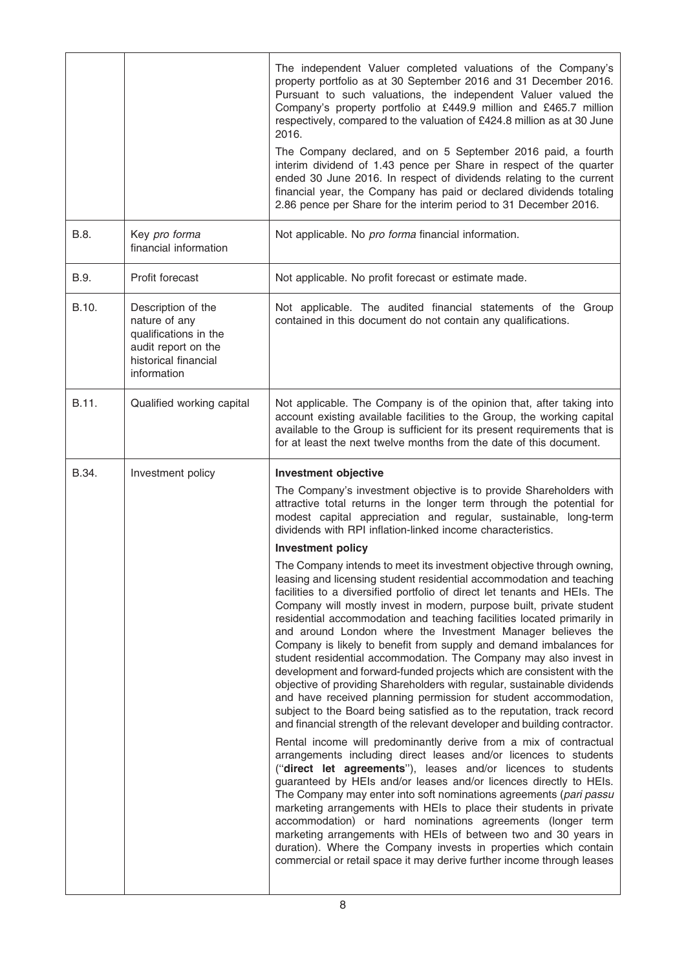|       |                                                                                                                            | The independent Valuer completed valuations of the Company's<br>property portfolio as at 30 September 2016 and 31 December 2016.<br>Pursuant to such valuations, the independent Valuer valued the<br>Company's property portfolio at £449.9 million and £465.7 million<br>respectively, compared to the valuation of £424.8 million as at 30 June<br>2016.<br>The Company declared, and on 5 September 2016 paid, a fourth<br>interim dividend of 1.43 pence per Share in respect of the quarter<br>ended 30 June 2016. In respect of dividends relating to the current<br>financial year, the Company has paid or declared dividends totaling<br>2.86 pence per Share for the interim period to 31 December 2016.                                                                                                                                                                                                                                                                                                                        |
|-------|----------------------------------------------------------------------------------------------------------------------------|--------------------------------------------------------------------------------------------------------------------------------------------------------------------------------------------------------------------------------------------------------------------------------------------------------------------------------------------------------------------------------------------------------------------------------------------------------------------------------------------------------------------------------------------------------------------------------------------------------------------------------------------------------------------------------------------------------------------------------------------------------------------------------------------------------------------------------------------------------------------------------------------------------------------------------------------------------------------------------------------------------------------------------------------|
| B.8.  | Key pro forma<br>financial information                                                                                     | Not applicable. No pro forma financial information.                                                                                                                                                                                                                                                                                                                                                                                                                                                                                                                                                                                                                                                                                                                                                                                                                                                                                                                                                                                        |
| B.9.  | Profit forecast                                                                                                            | Not applicable. No profit forecast or estimate made.                                                                                                                                                                                                                                                                                                                                                                                                                                                                                                                                                                                                                                                                                                                                                                                                                                                                                                                                                                                       |
| B.10. | Description of the<br>nature of any<br>qualifications in the<br>audit report on the<br>historical financial<br>information | Not applicable. The audited financial statements of the Group<br>contained in this document do not contain any qualifications.                                                                                                                                                                                                                                                                                                                                                                                                                                                                                                                                                                                                                                                                                                                                                                                                                                                                                                             |
| B.11. | Qualified working capital                                                                                                  | Not applicable. The Company is of the opinion that, after taking into<br>account existing available facilities to the Group, the working capital<br>available to the Group is sufficient for its present requirements that is<br>for at least the next twelve months from the date of this document.                                                                                                                                                                                                                                                                                                                                                                                                                                                                                                                                                                                                                                                                                                                                       |
| B.34. | Investment policy                                                                                                          | <b>Investment objective</b>                                                                                                                                                                                                                                                                                                                                                                                                                                                                                                                                                                                                                                                                                                                                                                                                                                                                                                                                                                                                                |
|       |                                                                                                                            | The Company's investment objective is to provide Shareholders with<br>attractive total returns in the longer term through the potential for<br>modest capital appreciation and regular, sustainable, long-term<br>dividends with RPI inflation-linked income characteristics.                                                                                                                                                                                                                                                                                                                                                                                                                                                                                                                                                                                                                                                                                                                                                              |
|       |                                                                                                                            | <b>Investment policy</b>                                                                                                                                                                                                                                                                                                                                                                                                                                                                                                                                                                                                                                                                                                                                                                                                                                                                                                                                                                                                                   |
|       |                                                                                                                            | The Company intends to meet its investment objective through owning,<br>leasing and licensing student residential accommodation and teaching<br>facilities to a diversified portfolio of direct let tenants and HEIs. The<br>Company will mostly invest in modern, purpose built, private student<br>residential accommodation and teaching facilities located primarily in<br>and around London where the Investment Manager believes the<br>Company is likely to benefit from supply and demand imbalances for<br>student residential accommodation. The Company may also invest in<br>development and forward-funded projects which are consistent with the<br>objective of providing Shareholders with regular, sustainable dividends<br>and have received planning permission for student accommodation,<br>subject to the Board being satisfied as to the reputation, track record<br>and financial strength of the relevant developer and building contractor.<br>Rental income will predominantly derive from a mix of contractual |
|       |                                                                                                                            | arrangements including direct leases and/or licences to students<br>("direct let agreements"), leases and/or licences to students<br>guaranteed by HEIs and/or leases and/or licences directly to HEIs.<br>The Company may enter into soft nominations agreements (pari passu<br>marketing arrangements with HEIs to place their students in private<br>accommodation) or hard nominations agreements (longer term<br>marketing arrangements with HEIs of between two and 30 years in<br>duration). Where the Company invests in properties which contain<br>commercial or retail space it may derive further income through leases                                                                                                                                                                                                                                                                                                                                                                                                        |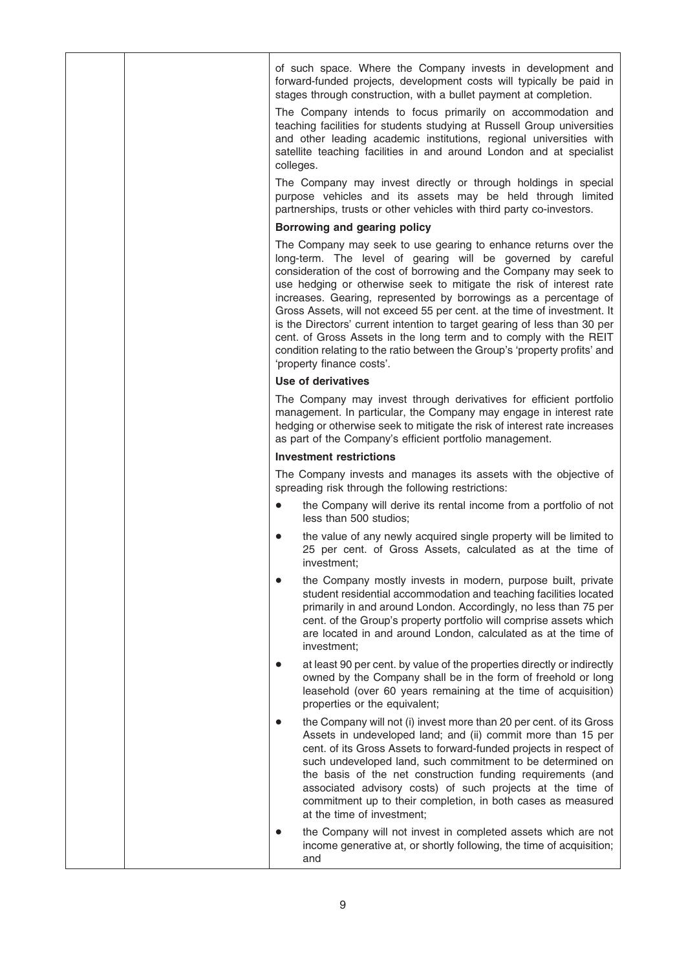|  |           | of such space. Where the Company invests in development and<br>forward-funded projects, development costs will typically be paid in<br>stages through construction, with a bullet payment at completion.                                                                                                                                                                                                                                                                                                                                                                                                                                                                                  |
|--|-----------|-------------------------------------------------------------------------------------------------------------------------------------------------------------------------------------------------------------------------------------------------------------------------------------------------------------------------------------------------------------------------------------------------------------------------------------------------------------------------------------------------------------------------------------------------------------------------------------------------------------------------------------------------------------------------------------------|
|  | colleges. | The Company intends to focus primarily on accommodation and<br>teaching facilities for students studying at Russell Group universities<br>and other leading academic institutions, regional universities with<br>satellite teaching facilities in and around London and at specialist                                                                                                                                                                                                                                                                                                                                                                                                     |
|  |           | The Company may invest directly or through holdings in special<br>purpose vehicles and its assets may be held through limited<br>partnerships, trusts or other vehicles with third party co-investors.                                                                                                                                                                                                                                                                                                                                                                                                                                                                                    |
|  |           | Borrowing and gearing policy                                                                                                                                                                                                                                                                                                                                                                                                                                                                                                                                                                                                                                                              |
|  |           | The Company may seek to use gearing to enhance returns over the<br>long-term. The level of gearing will be governed by careful<br>consideration of the cost of borrowing and the Company may seek to<br>use hedging or otherwise seek to mitigate the risk of interest rate<br>increases. Gearing, represented by borrowings as a percentage of<br>Gross Assets, will not exceed 55 per cent. at the time of investment. It<br>is the Directors' current intention to target gearing of less than 30 per<br>cent. of Gross Assets in the long term and to comply with the REIT<br>condition relating to the ratio between the Group's 'property profits' and<br>'property finance costs'. |
|  |           | <b>Use of derivatives</b>                                                                                                                                                                                                                                                                                                                                                                                                                                                                                                                                                                                                                                                                 |
|  |           | The Company may invest through derivatives for efficient portfolio<br>management. In particular, the Company may engage in interest rate<br>hedging or otherwise seek to mitigate the risk of interest rate increases<br>as part of the Company's efficient portfolio management.                                                                                                                                                                                                                                                                                                                                                                                                         |
|  |           | <b>Investment restrictions</b>                                                                                                                                                                                                                                                                                                                                                                                                                                                                                                                                                                                                                                                            |
|  |           | The Company invests and manages its assets with the objective of<br>spreading risk through the following restrictions:                                                                                                                                                                                                                                                                                                                                                                                                                                                                                                                                                                    |
|  | $\bullet$ | the Company will derive its rental income from a portfolio of not<br>less than 500 studios;                                                                                                                                                                                                                                                                                                                                                                                                                                                                                                                                                                                               |
|  | $\bullet$ | the value of any newly acquired single property will be limited to<br>25 per cent. of Gross Assets, calculated as at the time of<br>investment;                                                                                                                                                                                                                                                                                                                                                                                                                                                                                                                                           |
|  |           | the Company mostly invests in modern, purpose built, private<br>student residential accommodation and teaching facilities located<br>primarily in and around London. Accordingly, no less than 75 per<br>cent. of the Group's property portfolio will comprise assets which<br>are located in and around London, calculated as at the time of<br>investment;                                                                                                                                                                                                                                                                                                                              |
|  |           | at least 90 per cent. by value of the properties directly or indirectly<br>owned by the Company shall be in the form of freehold or long<br>leasehold (over 60 years remaining at the time of acquisition)<br>properties or the equivalent;                                                                                                                                                                                                                                                                                                                                                                                                                                               |
|  |           | the Company will not (i) invest more than 20 per cent. of its Gross<br>Assets in undeveloped land; and (ii) commit more than 15 per<br>cent. of its Gross Assets to forward-funded projects in respect of<br>such undeveloped land, such commitment to be determined on<br>the basis of the net construction funding requirements (and<br>associated advisory costs) of such projects at the time of<br>commitment up to their completion, in both cases as measured<br>at the time of investment;                                                                                                                                                                                        |
|  |           | the Company will not invest in completed assets which are not<br>income generative at, or shortly following, the time of acquisition;<br>and                                                                                                                                                                                                                                                                                                                                                                                                                                                                                                                                              |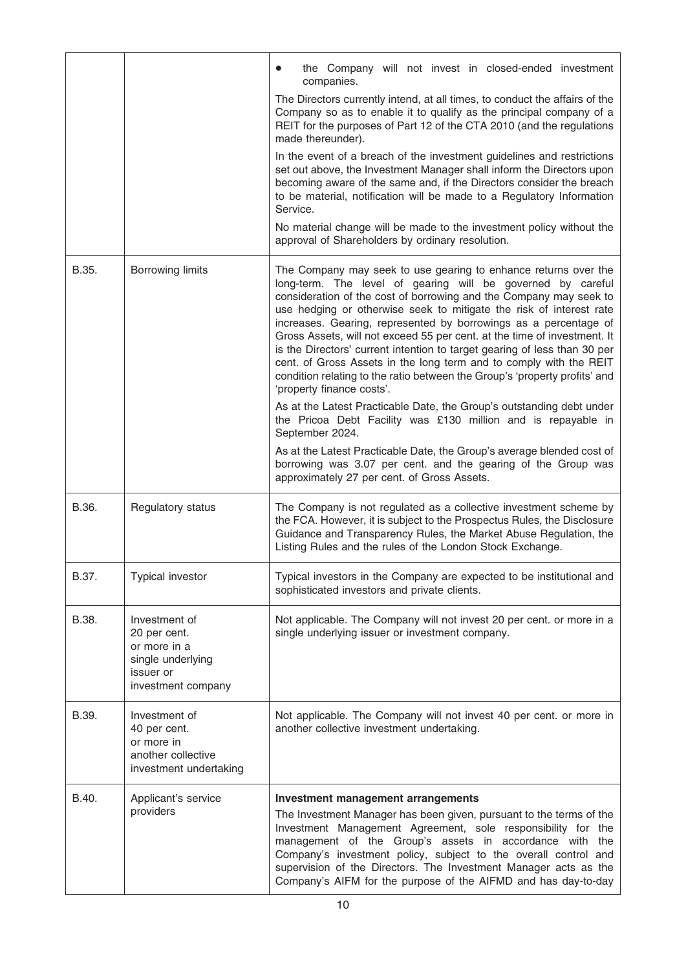|       |                                                                                                       | the Company will not invest in closed-ended investment<br>companies.                                                                                                                                                                                                                                                                                                                                                                                                                                                                                                                                                                                                                      |
|-------|-------------------------------------------------------------------------------------------------------|-------------------------------------------------------------------------------------------------------------------------------------------------------------------------------------------------------------------------------------------------------------------------------------------------------------------------------------------------------------------------------------------------------------------------------------------------------------------------------------------------------------------------------------------------------------------------------------------------------------------------------------------------------------------------------------------|
|       |                                                                                                       | The Directors currently intend, at all times, to conduct the affairs of the<br>Company so as to enable it to qualify as the principal company of a<br>REIT for the purposes of Part 12 of the CTA 2010 (and the regulations<br>made thereunder).                                                                                                                                                                                                                                                                                                                                                                                                                                          |
|       |                                                                                                       | In the event of a breach of the investment guidelines and restrictions<br>set out above, the Investment Manager shall inform the Directors upon<br>becoming aware of the same and, if the Directors consider the breach<br>to be material, notification will be made to a Regulatory Information<br>Service.                                                                                                                                                                                                                                                                                                                                                                              |
|       |                                                                                                       | No material change will be made to the investment policy without the<br>approval of Shareholders by ordinary resolution.                                                                                                                                                                                                                                                                                                                                                                                                                                                                                                                                                                  |
| B.35. | <b>Borrowing limits</b>                                                                               | The Company may seek to use gearing to enhance returns over the<br>long-term. The level of gearing will be governed by careful<br>consideration of the cost of borrowing and the Company may seek to<br>use hedging or otherwise seek to mitigate the risk of interest rate<br>increases. Gearing, represented by borrowings as a percentage of<br>Gross Assets, will not exceed 55 per cent. at the time of investment. It<br>is the Directors' current intention to target gearing of less than 30 per<br>cent. of Gross Assets in the long term and to comply with the REIT<br>condition relating to the ratio between the Group's 'property profits' and<br>'property finance costs'. |
|       |                                                                                                       | As at the Latest Practicable Date, the Group's outstanding debt under<br>the Pricoa Debt Facility was £130 million and is repayable in<br>September 2024.                                                                                                                                                                                                                                                                                                                                                                                                                                                                                                                                 |
|       |                                                                                                       | As at the Latest Practicable Date, the Group's average blended cost of<br>borrowing was 3.07 per cent. and the gearing of the Group was<br>approximately 27 per cent. of Gross Assets.                                                                                                                                                                                                                                                                                                                                                                                                                                                                                                    |
| B.36. | Regulatory status                                                                                     | The Company is not regulated as a collective investment scheme by<br>the FCA. However, it is subject to the Prospectus Rules, the Disclosure<br>Guidance and Transparency Rules, the Market Abuse Regulation, the<br>Listing Rules and the rules of the London Stock Exchange.                                                                                                                                                                                                                                                                                                                                                                                                            |
| B.37. | <b>Typical investor</b>                                                                               | Typical investors in the Company are expected to be institutional and<br>sophisticated investors and private clients.                                                                                                                                                                                                                                                                                                                                                                                                                                                                                                                                                                     |
| B.38. | Investment of<br>20 per cent.<br>or more in a<br>single underlying<br>issuer or<br>investment company | Not applicable. The Company will not invest 20 per cent. or more in a<br>single underlying issuer or investment company.                                                                                                                                                                                                                                                                                                                                                                                                                                                                                                                                                                  |
| B.39. | Investment of<br>40 per cent.<br>or more in<br>another collective<br>investment undertaking           | Not applicable. The Company will not invest 40 per cent. or more in<br>another collective investment undertaking.                                                                                                                                                                                                                                                                                                                                                                                                                                                                                                                                                                         |
| B.40. | Applicant's service<br>providers                                                                      | Investment management arrangements<br>The Investment Manager has been given, pursuant to the terms of the<br>Investment Management Agreement, sole responsibility for the<br>management of the Group's assets in accordance with the<br>Company's investment policy, subject to the overall control and<br>supervision of the Directors. The Investment Manager acts as the<br>Company's AIFM for the purpose of the AIFMD and has day-to-day                                                                                                                                                                                                                                             |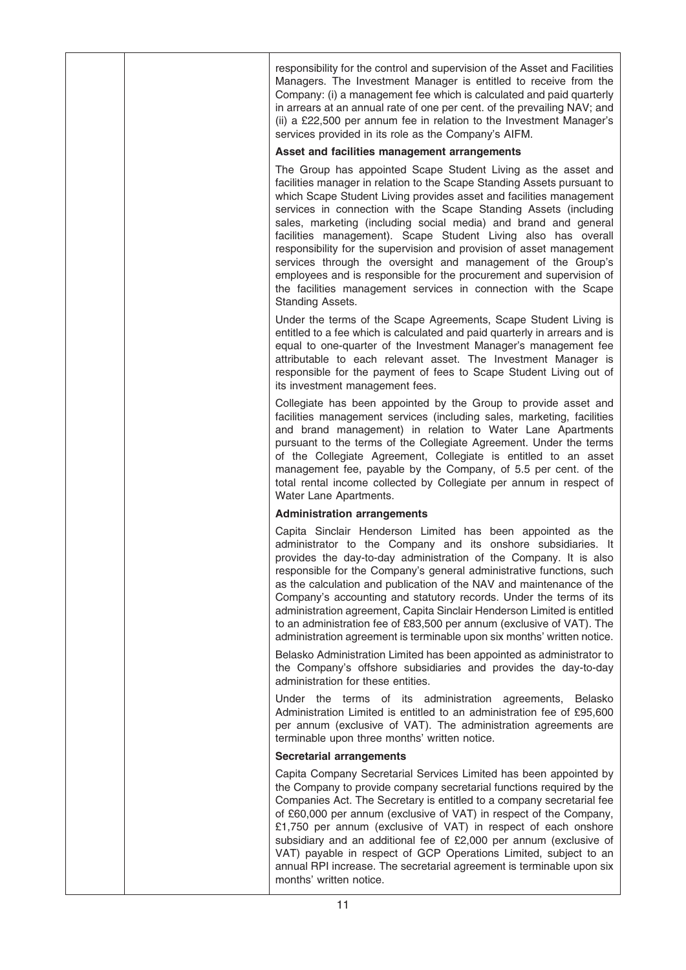responsibility for the control and supervision of the Asset and Facilities Managers. The Investment Manager is entitled to receive from the Company: (i) a management fee which is calculated and paid quarterly in arrears at an annual rate of one per cent. of the prevailing NAV; and (ii) a £22,500 per annum fee in relation to the Investment Manager's services provided in its role as the Company's AIFM.

### Asset and facilities management arrangements

The Group has appointed Scape Student Living as the asset and facilities manager in relation to the Scape Standing Assets pursuant to which Scape Student Living provides asset and facilities management services in connection with the Scape Standing Assets (including sales, marketing (including social media) and brand and general facilities management). Scape Student Living also has overall responsibility for the supervision and provision of asset management services through the oversight and management of the Group's employees and is responsible for the procurement and supervision of the facilities management services in connection with the Scape Standing Assets.

Under the terms of the Scape Agreements, Scape Student Living is entitled to a fee which is calculated and paid quarterly in arrears and is equal to one-quarter of the Investment Manager's management fee attributable to each relevant asset. The Investment Manager is responsible for the payment of fees to Scape Student Living out of its investment management fees.

Collegiate has been appointed by the Group to provide asset and facilities management services (including sales, marketing, facilities and brand management) in relation to Water Lane Apartments pursuant to the terms of the Collegiate Agreement. Under the terms of the Collegiate Agreement, Collegiate is entitled to an asset management fee, payable by the Company, of 5.5 per cent. of the total rental income collected by Collegiate per annum in respect of Water Lane Apartments.

## Administration arrangements

Capita Sinclair Henderson Limited has been appointed as the administrator to the Company and its onshore subsidiaries. It provides the day-to-day administration of the Company. It is also responsible for the Company's general administrative functions, such as the calculation and publication of the NAV and maintenance of the Company's accounting and statutory records. Under the terms of its administration agreement, Capita Sinclair Henderson Limited is entitled to an administration fee of £83,500 per annum (exclusive of VAT). The administration agreement is terminable upon six months' written notice.

Belasko Administration Limited has been appointed as administrator to the Company's offshore subsidiaries and provides the day-to-day administration for these entities.

Under the terms of its administration agreements, Belasko Administration Limited is entitled to an administration fee of £95,600 per annum (exclusive of VAT). The administration agreements are terminable upon three months' written notice.

#### Secretarial arrangements

Capita Company Secretarial Services Limited has been appointed by the Company to provide company secretarial functions required by the Companies Act. The Secretary is entitled to a company secretarial fee of £60,000 per annum (exclusive of VAT) in respect of the Company, £1,750 per annum (exclusive of VAT) in respect of each onshore subsidiary and an additional fee of £2,000 per annum (exclusive of VAT) payable in respect of GCP Operations Limited, subject to an annual RPI increase. The secretarial agreement is terminable upon six months' written notice.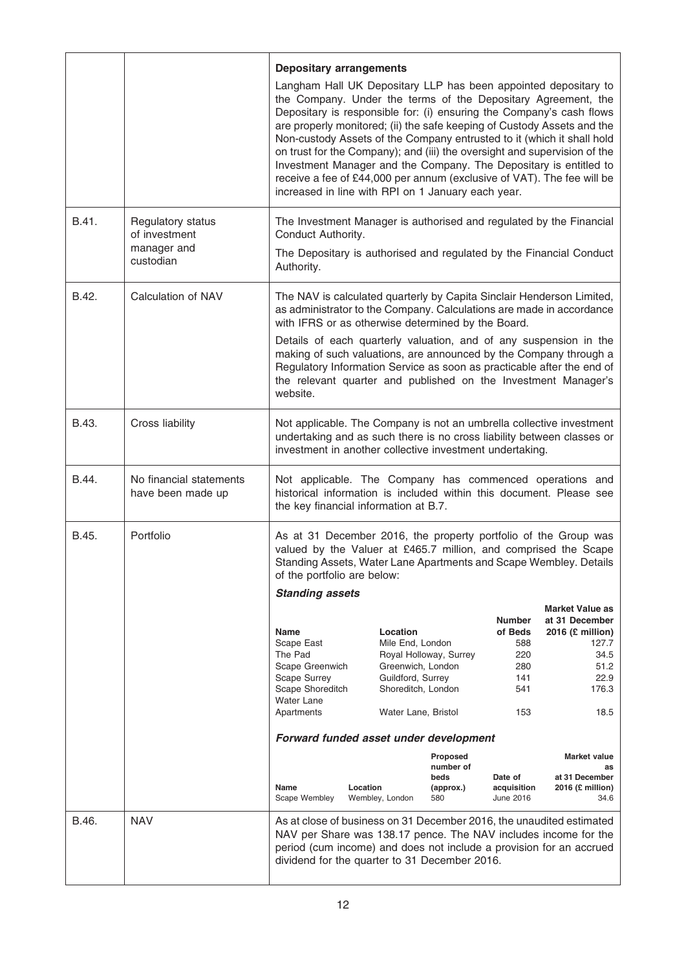|       |                                                                | <b>Depositary arrangements</b><br>increased in line with RPI on 1 January each year.                                                                                             |          |                                                                                              |                                                   |                                                             | Langham Hall UK Depositary LLP has been appointed depositary to<br>the Company. Under the terms of the Depositary Agreement, the<br>Depositary is responsible for: (i) ensuring the Company's cash flows<br>are properly monitored; (ii) the safe keeping of Custody Assets and the<br>Non-custody Assets of the Company entrusted to it (which it shall hold<br>on trust for the Company); and (iii) the oversight and supervision of the<br>Investment Manager and the Company. The Depositary is entitled to<br>receive a fee of £44,000 per annum (exclusive of VAT). The fee will be |
|-------|----------------------------------------------------------------|----------------------------------------------------------------------------------------------------------------------------------------------------------------------------------|----------|----------------------------------------------------------------------------------------------|---------------------------------------------------|-------------------------------------------------------------|-------------------------------------------------------------------------------------------------------------------------------------------------------------------------------------------------------------------------------------------------------------------------------------------------------------------------------------------------------------------------------------------------------------------------------------------------------------------------------------------------------------------------------------------------------------------------------------------|
| B.41. | Regulatory status<br>of investment<br>manager and<br>custodian | Conduct Authority.<br>Authority.                                                                                                                                                 |          |                                                                                              |                                                   |                                                             | The Investment Manager is authorised and regulated by the Financial<br>The Depositary is authorised and regulated by the Financial Conduct                                                                                                                                                                                                                                                                                                                                                                                                                                                |
| B.42. | Calculation of NAV                                             | with IFRS or as otherwise determined by the Board.<br>website.                                                                                                                   |          |                                                                                              |                                                   |                                                             | The NAV is calculated quarterly by Capita Sinclair Henderson Limited,<br>as administrator to the Company. Calculations are made in accordance<br>Details of each quarterly valuation, and of any suspension in the<br>making of such valuations, are announced by the Company through a<br>Regulatory Information Service as soon as practicable after the end of<br>the relevant quarter and published on the Investment Manager's                                                                                                                                                       |
| B.43. | Cross liability                                                | investment in another collective investment undertaking.                                                                                                                         |          |                                                                                              |                                                   |                                                             | Not applicable. The Company is not an umbrella collective investment<br>undertaking and as such there is no cross liability between classes or                                                                                                                                                                                                                                                                                                                                                                                                                                            |
| B.44. | No financial statements<br>have been made up                   | the key financial information at B.7.                                                                                                                                            |          |                                                                                              |                                                   |                                                             | Not applicable. The Company has commenced operations and<br>historical information is included within this document. Please see                                                                                                                                                                                                                                                                                                                                                                                                                                                           |
| B.45. | Portfolio                                                      | of the portfolio are below:<br><b>Standing assets</b><br><b>Name</b><br>Scape East<br>The Pad<br>Scape Greenwich<br><b>Scape Surrey</b><br>Scape Shoreditch<br><b>Water Lane</b> |          | Location<br>Mile End, London<br>Greenwich, London<br>Guildford, Surrey<br>Shoreditch, London | Royal Holloway, Surrey                            | <b>Number</b><br>of Beds<br>588<br>220<br>280<br>141<br>541 | As at 31 December 2016, the property portfolio of the Group was<br>valued by the Valuer at £465.7 million, and comprised the Scape<br>Standing Assets, Water Lane Apartments and Scape Wembley. Details<br><b>Market Value as</b><br>at 31 December<br>2016 (£ million)<br>127.7<br>34.5<br>51.2<br>22.9<br>176.3                                                                                                                                                                                                                                                                         |
|       |                                                                | Apartments<br>Forward funded asset under development                                                                                                                             |          | Water Lane, Bristol                                                                          |                                                   | 153                                                         | 18.5                                                                                                                                                                                                                                                                                                                                                                                                                                                                                                                                                                                      |
|       |                                                                | Name<br>Scape Wembley                                                                                                                                                            | Location | Wembley, London                                                                              | Proposed<br>number of<br>beds<br>(approx.)<br>580 | Date of<br>acquisition<br>June 2016                         | <b>Market value</b><br>as<br>at 31 December<br>2016 (£ million)<br>34.6                                                                                                                                                                                                                                                                                                                                                                                                                                                                                                                   |
| B.46. | <b>NAV</b>                                                     | dividend for the quarter to 31 December 2016.                                                                                                                                    |          |                                                                                              |                                                   |                                                             | As at close of business on 31 December 2016, the unaudited estimated<br>NAV per Share was 138.17 pence. The NAV includes income for the<br>period (cum income) and does not include a provision for an accrued                                                                                                                                                                                                                                                                                                                                                                            |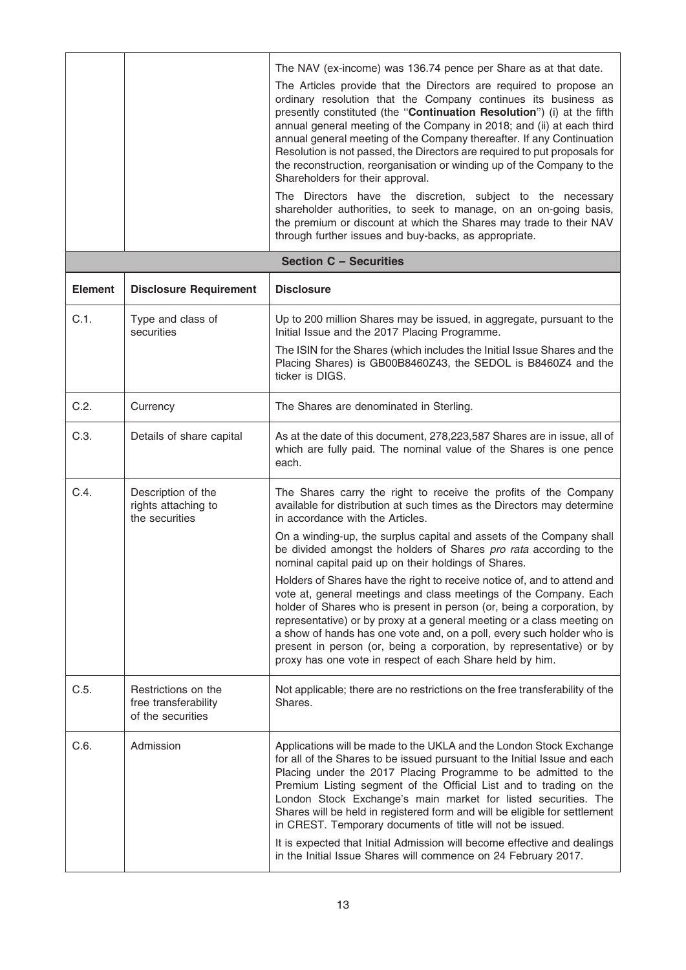|                |                                                                  | The NAV (ex-income) was 136.74 pence per Share as at that date.<br>The Articles provide that the Directors are required to propose an<br>ordinary resolution that the Company continues its business as<br>presently constituted (the "Continuation Resolution") (i) at the fifth<br>annual general meeting of the Company in 2018; and (ii) at each third<br>annual general meeting of the Company thereafter. If any Continuation<br>Resolution is not passed, the Directors are required to put proposals for<br>the reconstruction, reorganisation or winding up of the Company to the<br>Shareholders for their approval.<br>The Directors have the discretion, subject to the necessary<br>shareholder authorities, to seek to manage, on an on-going basis,<br>the premium or discount at which the Shares may trade to their NAV<br>through further issues and buy-backs, as appropriate. |
|----------------|------------------------------------------------------------------|---------------------------------------------------------------------------------------------------------------------------------------------------------------------------------------------------------------------------------------------------------------------------------------------------------------------------------------------------------------------------------------------------------------------------------------------------------------------------------------------------------------------------------------------------------------------------------------------------------------------------------------------------------------------------------------------------------------------------------------------------------------------------------------------------------------------------------------------------------------------------------------------------|
|                |                                                                  | <b>Section C - Securities</b>                                                                                                                                                                                                                                                                                                                                                                                                                                                                                                                                                                                                                                                                                                                                                                                                                                                                     |
| <b>Element</b> | <b>Disclosure Requirement</b>                                    | <b>Disclosure</b>                                                                                                                                                                                                                                                                                                                                                                                                                                                                                                                                                                                                                                                                                                                                                                                                                                                                                 |
| C.1.           | Type and class of<br>securities                                  | Up to 200 million Shares may be issued, in aggregate, pursuant to the<br>Initial Issue and the 2017 Placing Programme.<br>The ISIN for the Shares (which includes the Initial Issue Shares and the<br>Placing Shares) is GB00B8460Z43, the SEDOL is B8460Z4 and the                                                                                                                                                                                                                                                                                                                                                                                                                                                                                                                                                                                                                               |
|                |                                                                  | ticker is DIGS.                                                                                                                                                                                                                                                                                                                                                                                                                                                                                                                                                                                                                                                                                                                                                                                                                                                                                   |
| C.2.           | Currency                                                         | The Shares are denominated in Sterling.                                                                                                                                                                                                                                                                                                                                                                                                                                                                                                                                                                                                                                                                                                                                                                                                                                                           |
| C.3.           | Details of share capital                                         | As at the date of this document, 278,223,587 Shares are in issue, all of<br>which are fully paid. The nominal value of the Shares is one pence<br>each.                                                                                                                                                                                                                                                                                                                                                                                                                                                                                                                                                                                                                                                                                                                                           |
| C.4.           | Description of the<br>rights attaching to<br>the securities      | The Shares carry the right to receive the profits of the Company<br>available for distribution at such times as the Directors may determine<br>in accordance with the Articles.<br>On a winding-up, the surplus capital and assets of the Company shall<br>be divided amongst the holders of Shares pro rata according to the                                                                                                                                                                                                                                                                                                                                                                                                                                                                                                                                                                     |
|                |                                                                  | nominal capital paid up on their holdings of Shares.<br>Holders of Shares have the right to receive notice of, and to attend and<br>vote at, general meetings and class meetings of the Company. Each<br>holder of Shares who is present in person (or, being a corporation, by<br>representative) or by proxy at a general meeting or a class meeting on<br>a show of hands has one vote and, on a poll, every such holder who is<br>present in person (or, being a corporation, by representative) or by<br>proxy has one vote in respect of each Share held by him.                                                                                                                                                                                                                                                                                                                            |
| C.5.           | Restrictions on the<br>free transferability<br>of the securities | Not applicable; there are no restrictions on the free transferability of the<br>Shares.                                                                                                                                                                                                                                                                                                                                                                                                                                                                                                                                                                                                                                                                                                                                                                                                           |
| C.6.           | Admission                                                        | Applications will be made to the UKLA and the London Stock Exchange<br>for all of the Shares to be issued pursuant to the Initial Issue and each<br>Placing under the 2017 Placing Programme to be admitted to the<br>Premium Listing segment of the Official List and to trading on the<br>London Stock Exchange's main market for listed securities. The<br>Shares will be held in registered form and will be eligible for settlement<br>in CREST. Temporary documents of title will not be issued.<br>It is expected that Initial Admission will become effective and dealings<br>in the Initial Issue Shares will commence on 24 February 2017.                                                                                                                                                                                                                                              |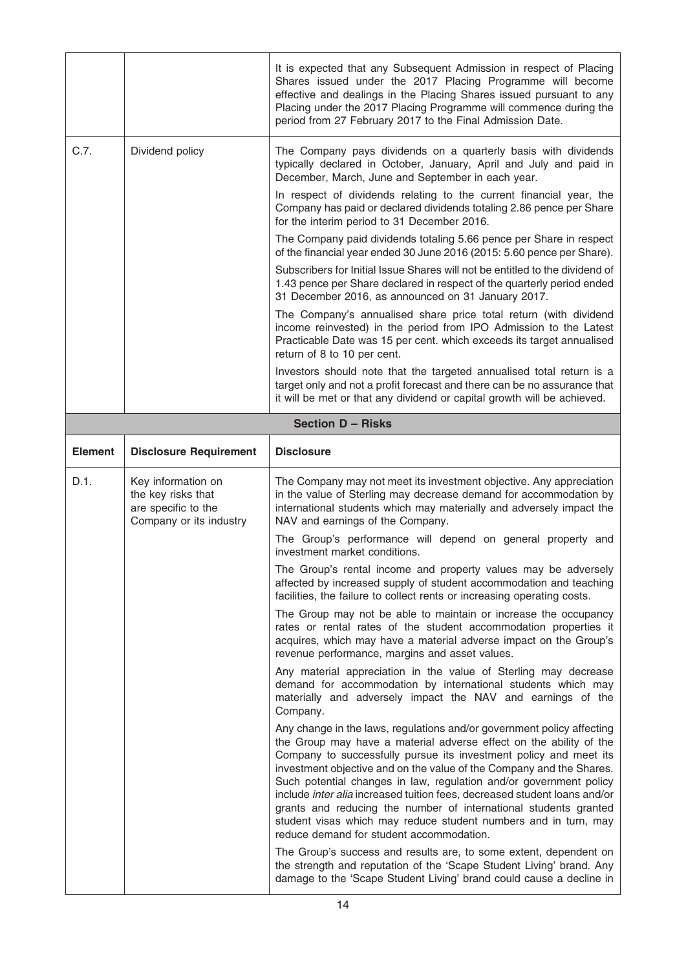|                |                                                                                            | It is expected that any Subsequent Admission in respect of Placing<br>Shares issued under the 2017 Placing Programme will become<br>effective and dealings in the Placing Shares issued pursuant to any<br>Placing under the 2017 Placing Programme will commence during the<br>period from 27 February 2017 to the Final Admission Date.                                                                                                                                                                                                                                                                                                                                                            |
|----------------|--------------------------------------------------------------------------------------------|------------------------------------------------------------------------------------------------------------------------------------------------------------------------------------------------------------------------------------------------------------------------------------------------------------------------------------------------------------------------------------------------------------------------------------------------------------------------------------------------------------------------------------------------------------------------------------------------------------------------------------------------------------------------------------------------------|
| C.7.           | Dividend policy                                                                            | The Company pays dividends on a quarterly basis with dividends<br>typically declared in October, January, April and July and paid in<br>December, March, June and September in each year.                                                                                                                                                                                                                                                                                                                                                                                                                                                                                                            |
|                |                                                                                            | In respect of dividends relating to the current financial year, the<br>Company has paid or declared dividends totaling 2.86 pence per Share<br>for the interim period to 31 December 2016.                                                                                                                                                                                                                                                                                                                                                                                                                                                                                                           |
|                |                                                                                            | The Company paid dividends totaling 5.66 pence per Share in respect<br>of the financial year ended 30 June 2016 (2015: 5.60 pence per Share).                                                                                                                                                                                                                                                                                                                                                                                                                                                                                                                                                        |
|                |                                                                                            | Subscribers for Initial Issue Shares will not be entitled to the dividend of<br>1.43 pence per Share declared in respect of the quarterly period ended<br>31 December 2016, as announced on 31 January 2017.                                                                                                                                                                                                                                                                                                                                                                                                                                                                                         |
|                |                                                                                            | The Company's annualised share price total return (with dividend<br>income reinvested) in the period from IPO Admission to the Latest<br>Practicable Date was 15 per cent. which exceeds its target annualised<br>return of 8 to 10 per cent.                                                                                                                                                                                                                                                                                                                                                                                                                                                        |
|                |                                                                                            | Investors should note that the targeted annualised total return is a<br>target only and not a profit forecast and there can be no assurance that<br>it will be met or that any dividend or capital growth will be achieved.                                                                                                                                                                                                                                                                                                                                                                                                                                                                          |
|                |                                                                                            | <b>Section D - Risks</b>                                                                                                                                                                                                                                                                                                                                                                                                                                                                                                                                                                                                                                                                             |
| <b>Element</b> | <b>Disclosure Requirement</b>                                                              | <b>Disclosure</b>                                                                                                                                                                                                                                                                                                                                                                                                                                                                                                                                                                                                                                                                                    |
|                |                                                                                            |                                                                                                                                                                                                                                                                                                                                                                                                                                                                                                                                                                                                                                                                                                      |
| D.1.           | Key information on<br>the key risks that<br>are specific to the<br>Company or its industry | The Company may not meet its investment objective. Any appreciation<br>in the value of Sterling may decrease demand for accommodation by<br>international students which may materially and adversely impact the<br>NAV and earnings of the Company.                                                                                                                                                                                                                                                                                                                                                                                                                                                 |
|                |                                                                                            | The Group's performance will depend on general property and<br>investment market conditions.                                                                                                                                                                                                                                                                                                                                                                                                                                                                                                                                                                                                         |
|                |                                                                                            | The Group's rental income and property values may be adversely<br>affected by increased supply of student accommodation and teaching<br>facilities, the failure to collect rents or increasing operating costs.                                                                                                                                                                                                                                                                                                                                                                                                                                                                                      |
|                |                                                                                            | The Group may not be able to maintain or increase the occupancy<br>rates or rental rates of the student accommodation properties it<br>acquires, which may have a material adverse impact on the Group's<br>revenue performance, margins and asset values.                                                                                                                                                                                                                                                                                                                                                                                                                                           |
|                |                                                                                            | Any material appreciation in the value of Sterling may decrease<br>demand for accommodation by international students which may<br>materially and adversely impact the NAV and earnings of the<br>Company.                                                                                                                                                                                                                                                                                                                                                                                                                                                                                           |
|                |                                                                                            | Any change in the laws, regulations and/or government policy affecting<br>the Group may have a material adverse effect on the ability of the<br>Company to successfully pursue its investment policy and meet its<br>investment objective and on the value of the Company and the Shares.<br>Such potential changes in law, regulation and/or government policy<br>include inter alia increased tuition fees, decreased student loans and/or<br>grants and reducing the number of international students granted<br>student visas which may reduce student numbers and in turn, may<br>reduce demand for student accommodation.<br>The Group's success and results are, to some extent, dependent on |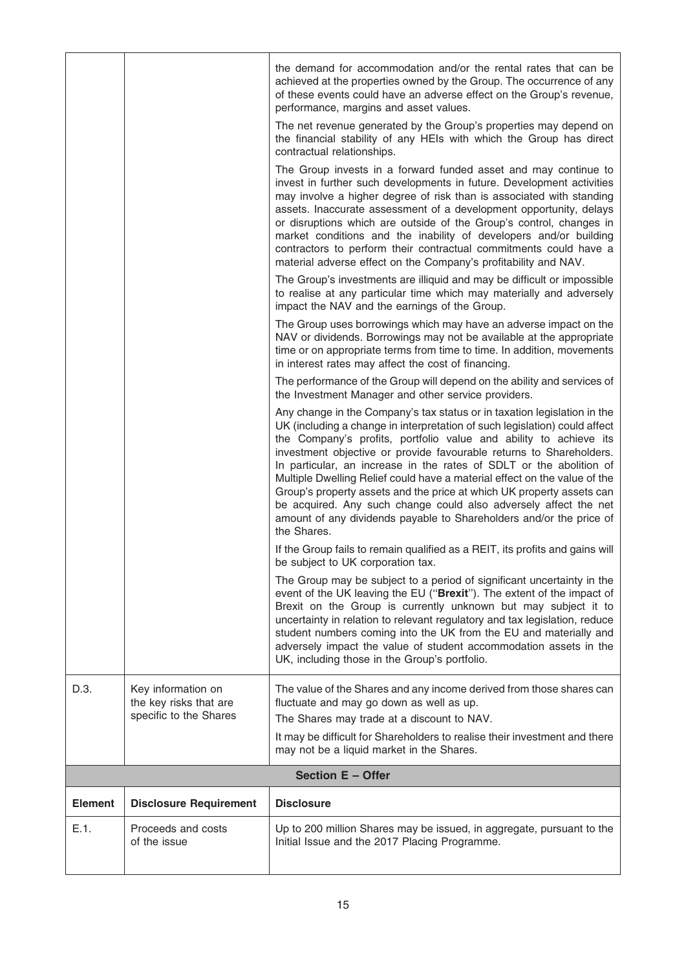| E.1.           | Proceeds and costs<br>of the issue                                     | Up to 200 million Shares may be issued, in aggregate, pursuant to the<br>Initial Issue and the 2017 Placing Programme.                                                                                                                                                                                                                                                                                                                                                                                                                                                                                                                                                                    |
|----------------|------------------------------------------------------------------------|-------------------------------------------------------------------------------------------------------------------------------------------------------------------------------------------------------------------------------------------------------------------------------------------------------------------------------------------------------------------------------------------------------------------------------------------------------------------------------------------------------------------------------------------------------------------------------------------------------------------------------------------------------------------------------------------|
| <b>Element</b> | <b>Disclosure Requirement</b>                                          | <b>Disclosure</b>                                                                                                                                                                                                                                                                                                                                                                                                                                                                                                                                                                                                                                                                         |
|                |                                                                        | Section E - Offer                                                                                                                                                                                                                                                                                                                                                                                                                                                                                                                                                                                                                                                                         |
| D.3.           | Key information on<br>the key risks that are<br>specific to the Shares | The value of the Shares and any income derived from those shares can<br>fluctuate and may go down as well as up.<br>The Shares may trade at a discount to NAV.<br>It may be difficult for Shareholders to realise their investment and there<br>may not be a liquid market in the Shares.                                                                                                                                                                                                                                                                                                                                                                                                 |
|                |                                                                        | The Group may be subject to a period of significant uncertainty in the<br>event of the UK leaving the EU ("Brexit"). The extent of the impact of<br>Brexit on the Group is currently unknown but may subject it to<br>uncertainty in relation to relevant regulatory and tax legislation, reduce<br>student numbers coming into the UK from the EU and materially and<br>adversely impact the value of student accommodation assets in the<br>UK, including those in the Group's portfolio.                                                                                                                                                                                               |
|                |                                                                        | If the Group fails to remain qualified as a REIT, its profits and gains will<br>be subject to UK corporation tax.                                                                                                                                                                                                                                                                                                                                                                                                                                                                                                                                                                         |
|                |                                                                        | Any change in the Company's tax status or in taxation legislation in the<br>UK (including a change in interpretation of such legislation) could affect<br>the Company's profits, portfolio value and ability to achieve its<br>investment objective or provide favourable returns to Shareholders.<br>In particular, an increase in the rates of SDLT or the abolition of<br>Multiple Dwelling Relief could have a material effect on the value of the<br>Group's property assets and the price at which UK property assets can<br>be acquired. Any such change could also adversely affect the net<br>amount of any dividends payable to Shareholders and/or the price of<br>the Shares. |
|                |                                                                        | The performance of the Group will depend on the ability and services of<br>the Investment Manager and other service providers.                                                                                                                                                                                                                                                                                                                                                                                                                                                                                                                                                            |
|                |                                                                        | The Group uses borrowings which may have an adverse impact on the<br>NAV or dividends. Borrowings may not be available at the appropriate<br>time or on appropriate terms from time to time. In addition, movements<br>in interest rates may affect the cost of financing.                                                                                                                                                                                                                                                                                                                                                                                                                |
|                |                                                                        | The Group's investments are illiquid and may be difficult or impossible<br>to realise at any particular time which may materially and adversely<br>impact the NAV and the earnings of the Group.                                                                                                                                                                                                                                                                                                                                                                                                                                                                                          |
|                |                                                                        | The Group invests in a forward funded asset and may continue to<br>invest in further such developments in future. Development activities<br>may involve a higher degree of risk than is associated with standing<br>assets. Inaccurate assessment of a development opportunity, delays<br>or disruptions which are outside of the Group's control, changes in<br>market conditions and the inability of developers and/or building<br>contractors to perform their contractual commitments could have a<br>material adverse effect on the Company's profitability and NAV.                                                                                                                |
|                |                                                                        | The net revenue generated by the Group's properties may depend on<br>the financial stability of any HEIs with which the Group has direct<br>contractual relationships.                                                                                                                                                                                                                                                                                                                                                                                                                                                                                                                    |
|                |                                                                        | the demand for accommodation and/or the rental rates that can be<br>achieved at the properties owned by the Group. The occurrence of any<br>of these events could have an adverse effect on the Group's revenue,<br>performance, margins and asset values.                                                                                                                                                                                                                                                                                                                                                                                                                                |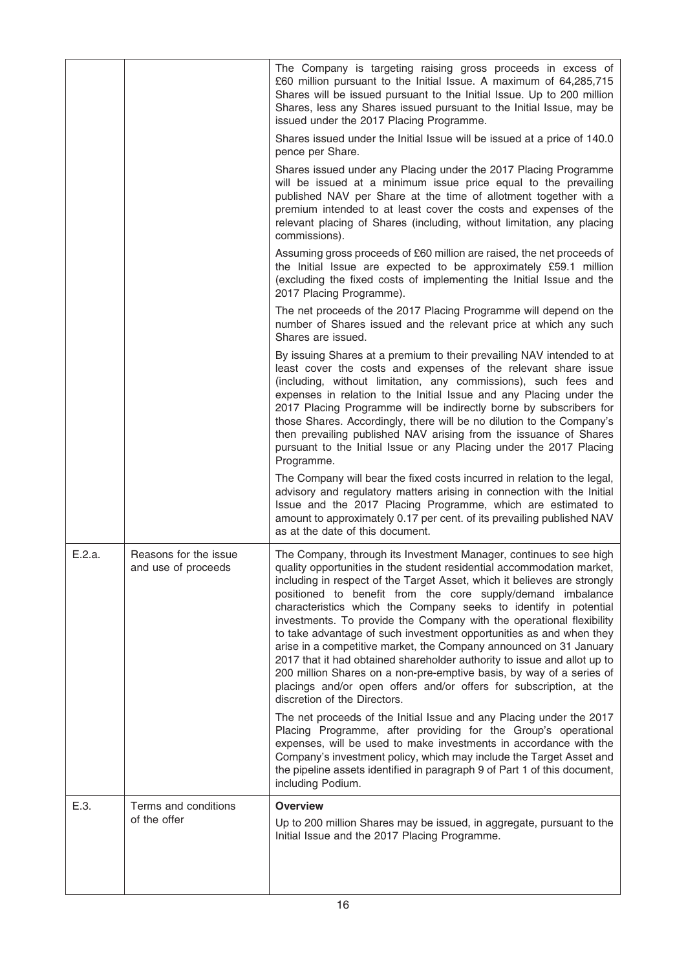|        |                                              | The Company is targeting raising gross proceeds in excess of<br>£60 million pursuant to the Initial Issue. A maximum of 64,285,715<br>Shares will be issued pursuant to the Initial Issue. Up to 200 million<br>Shares, less any Shares issued pursuant to the Initial Issue, may be<br>issued under the 2017 Placing Programme.                                                                                                                                                                                                                                                                                                                                                                                                                                                                                                           |
|--------|----------------------------------------------|--------------------------------------------------------------------------------------------------------------------------------------------------------------------------------------------------------------------------------------------------------------------------------------------------------------------------------------------------------------------------------------------------------------------------------------------------------------------------------------------------------------------------------------------------------------------------------------------------------------------------------------------------------------------------------------------------------------------------------------------------------------------------------------------------------------------------------------------|
|        |                                              | Shares issued under the Initial Issue will be issued at a price of 140.0<br>pence per Share.                                                                                                                                                                                                                                                                                                                                                                                                                                                                                                                                                                                                                                                                                                                                               |
|        |                                              | Shares issued under any Placing under the 2017 Placing Programme<br>will be issued at a minimum issue price equal to the prevailing<br>published NAV per Share at the time of allotment together with a<br>premium intended to at least cover the costs and expenses of the<br>relevant placing of Shares (including, without limitation, any placing<br>commissions).                                                                                                                                                                                                                                                                                                                                                                                                                                                                     |
|        |                                              | Assuming gross proceeds of £60 million are raised, the net proceeds of<br>the Initial Issue are expected to be approximately £59.1 million<br>(excluding the fixed costs of implementing the Initial Issue and the<br>2017 Placing Programme).                                                                                                                                                                                                                                                                                                                                                                                                                                                                                                                                                                                             |
|        |                                              | The net proceeds of the 2017 Placing Programme will depend on the<br>number of Shares issued and the relevant price at which any such<br>Shares are issued.                                                                                                                                                                                                                                                                                                                                                                                                                                                                                                                                                                                                                                                                                |
|        |                                              | By issuing Shares at a premium to their prevailing NAV intended to at<br>least cover the costs and expenses of the relevant share issue<br>(including, without limitation, any commissions), such fees and<br>expenses in relation to the Initial Issue and any Placing under the<br>2017 Placing Programme will be indirectly borne by subscribers for<br>those Shares. Accordingly, there will be no dilution to the Company's<br>then prevailing published NAV arising from the issuance of Shares<br>pursuant to the Initial Issue or any Placing under the 2017 Placing<br>Programme.                                                                                                                                                                                                                                                 |
|        |                                              | The Company will bear the fixed costs incurred in relation to the legal,<br>advisory and regulatory matters arising in connection with the Initial<br>Issue and the 2017 Placing Programme, which are estimated to<br>amount to approximately 0.17 per cent. of its prevailing published NAV<br>as at the date of this document.                                                                                                                                                                                                                                                                                                                                                                                                                                                                                                           |
| E.2.a. | Reasons for the issue<br>and use of proceeds | The Company, through its Investment Manager, continues to see high<br>quality opportunities in the student residential accommodation market,<br>including in respect of the Target Asset, which it believes are strongly<br>positioned to benefit from the core supply/demand imbalance<br>characteristics which the Company seeks to identify in potential<br>investments. To provide the Company with the operational flexibility<br>to take advantage of such investment opportunities as and when they<br>arise in a competitive market, the Company announced on 31 January<br>2017 that it had obtained shareholder authority to issue and allot up to<br>200 million Shares on a non-pre-emptive basis, by way of a series of<br>placings and/or open offers and/or offers for subscription, at the<br>discretion of the Directors. |
|        |                                              | The net proceeds of the Initial Issue and any Placing under the 2017<br>Placing Programme, after providing for the Group's operational<br>expenses, will be used to make investments in accordance with the<br>Company's investment policy, which may include the Target Asset and<br>the pipeline assets identified in paragraph 9 of Part 1 of this document,<br>including Podium.                                                                                                                                                                                                                                                                                                                                                                                                                                                       |
| E.3.   | Terms and conditions<br>of the offer         | <b>Overview</b><br>Up to 200 million Shares may be issued, in aggregate, pursuant to the<br>Initial Issue and the 2017 Placing Programme.                                                                                                                                                                                                                                                                                                                                                                                                                                                                                                                                                                                                                                                                                                  |
|        |                                              |                                                                                                                                                                                                                                                                                                                                                                                                                                                                                                                                                                                                                                                                                                                                                                                                                                            |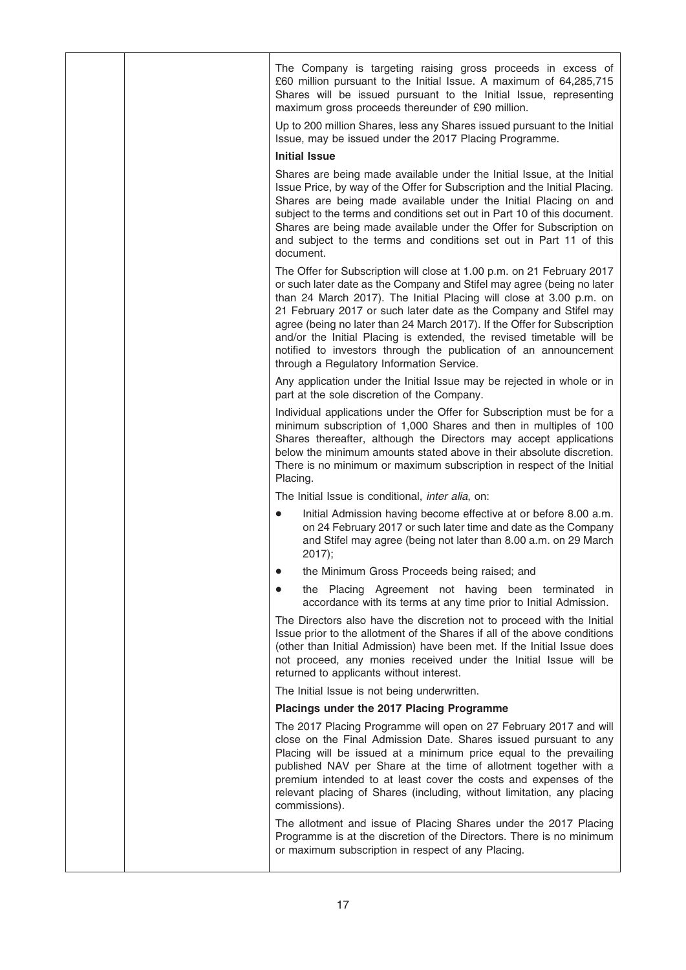|  | The Company is targeting raising gross proceeds in excess of<br>£60 million pursuant to the Initial Issue. A maximum of 64,285,715<br>Shares will be issued pursuant to the Initial Issue, representing<br>maximum gross proceeds thereunder of £90 million.                                                                                                                                                                                                                                                                                                       |
|--|--------------------------------------------------------------------------------------------------------------------------------------------------------------------------------------------------------------------------------------------------------------------------------------------------------------------------------------------------------------------------------------------------------------------------------------------------------------------------------------------------------------------------------------------------------------------|
|  | Up to 200 million Shares, less any Shares issued pursuant to the Initial<br>Issue, may be issued under the 2017 Placing Programme.                                                                                                                                                                                                                                                                                                                                                                                                                                 |
|  | <b>Initial Issue</b>                                                                                                                                                                                                                                                                                                                                                                                                                                                                                                                                               |
|  | Shares are being made available under the Initial Issue, at the Initial<br>Issue Price, by way of the Offer for Subscription and the Initial Placing.<br>Shares are being made available under the Initial Placing on and<br>subject to the terms and conditions set out in Part 10 of this document.<br>Shares are being made available under the Offer for Subscription on<br>and subject to the terms and conditions set out in Part 11 of this<br>document.                                                                                                    |
|  | The Offer for Subscription will close at 1.00 p.m. on 21 February 2017<br>or such later date as the Company and Stifel may agree (being no later<br>than 24 March 2017). The Initial Placing will close at 3.00 p.m. on<br>21 February 2017 or such later date as the Company and Stifel may<br>agree (being no later than 24 March 2017). If the Offer for Subscription<br>and/or the Initial Placing is extended, the revised timetable will be<br>notified to investors through the publication of an announcement<br>through a Regulatory Information Service. |
|  | Any application under the Initial Issue may be rejected in whole or in<br>part at the sole discretion of the Company.                                                                                                                                                                                                                                                                                                                                                                                                                                              |
|  | Individual applications under the Offer for Subscription must be for a<br>minimum subscription of 1,000 Shares and then in multiples of 100<br>Shares thereafter, although the Directors may accept applications<br>below the minimum amounts stated above in their absolute discretion.<br>There is no minimum or maximum subscription in respect of the Initial<br>Placing.                                                                                                                                                                                      |
|  | The Initial Issue is conditional, <i>inter alia</i> , on:                                                                                                                                                                                                                                                                                                                                                                                                                                                                                                          |
|  | Initial Admission having become effective at or before 8.00 a.m.<br>$\bullet$<br>on 24 February 2017 or such later time and date as the Company<br>and Stifel may agree (being not later than 8.00 a.m. on 29 March<br>2017);                                                                                                                                                                                                                                                                                                                                      |
|  | the Minimum Gross Proceeds being raised; and                                                                                                                                                                                                                                                                                                                                                                                                                                                                                                                       |
|  | the Placing Agreement not having been terminated in<br>accordance with its terms at any time prior to Initial Admission.                                                                                                                                                                                                                                                                                                                                                                                                                                           |
|  | The Directors also have the discretion not to proceed with the Initial<br>Issue prior to the allotment of the Shares if all of the above conditions<br>(other than Initial Admission) have been met. If the Initial Issue does<br>not proceed, any monies received under the Initial Issue will be<br>returned to applicants without interest.                                                                                                                                                                                                                     |
|  | The Initial Issue is not being underwritten.                                                                                                                                                                                                                                                                                                                                                                                                                                                                                                                       |
|  | Placings under the 2017 Placing Programme                                                                                                                                                                                                                                                                                                                                                                                                                                                                                                                          |
|  | The 2017 Placing Programme will open on 27 February 2017 and will<br>close on the Final Admission Date. Shares issued pursuant to any<br>Placing will be issued at a minimum price equal to the prevailing<br>published NAV per Share at the time of allotment together with a<br>premium intended to at least cover the costs and expenses of the<br>relevant placing of Shares (including, without limitation, any placing<br>commissions).                                                                                                                      |
|  | The allotment and issue of Placing Shares under the 2017 Placing<br>Programme is at the discretion of the Directors. There is no minimum<br>or maximum subscription in respect of any Placing.                                                                                                                                                                                                                                                                                                                                                                     |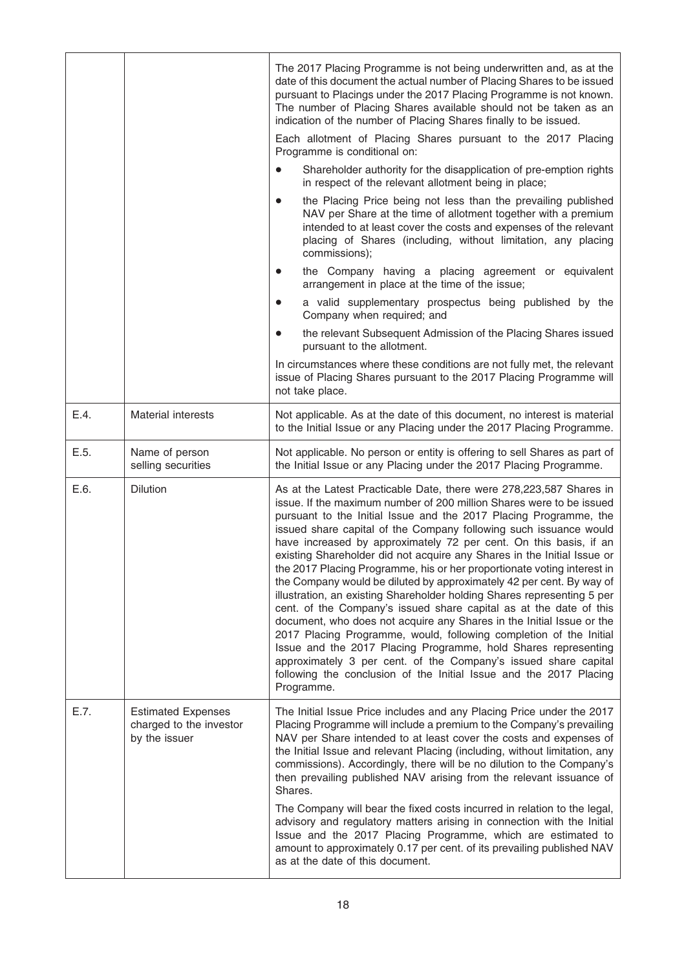|      |                                                                       | The 2017 Placing Programme is not being underwritten and, as at the<br>date of this document the actual number of Placing Shares to be issued<br>pursuant to Placings under the 2017 Placing Programme is not known.<br>The number of Placing Shares available should not be taken as an<br>indication of the number of Placing Shares finally to be issued.<br>Each allotment of Placing Shares pursuant to the 2017 Placing                                                                                                                                                                                                                                                                                                                                                                                                                                                                                                                                                                                                                                                                                     |
|------|-----------------------------------------------------------------------|-------------------------------------------------------------------------------------------------------------------------------------------------------------------------------------------------------------------------------------------------------------------------------------------------------------------------------------------------------------------------------------------------------------------------------------------------------------------------------------------------------------------------------------------------------------------------------------------------------------------------------------------------------------------------------------------------------------------------------------------------------------------------------------------------------------------------------------------------------------------------------------------------------------------------------------------------------------------------------------------------------------------------------------------------------------------------------------------------------------------|
|      |                                                                       | Programme is conditional on:<br>Shareholder authority for the disapplication of pre-emption rights<br>$\bullet$<br>in respect of the relevant allotment being in place;                                                                                                                                                                                                                                                                                                                                                                                                                                                                                                                                                                                                                                                                                                                                                                                                                                                                                                                                           |
|      |                                                                       | the Placing Price being not less than the prevailing published<br>$\bullet$<br>NAV per Share at the time of allotment together with a premium<br>intended to at least cover the costs and expenses of the relevant<br>placing of Shares (including, without limitation, any placing<br>commissions);                                                                                                                                                                                                                                                                                                                                                                                                                                                                                                                                                                                                                                                                                                                                                                                                              |
|      |                                                                       | the Company having a placing agreement or equivalent<br>$\bullet$<br>arrangement in place at the time of the issue;                                                                                                                                                                                                                                                                                                                                                                                                                                                                                                                                                                                                                                                                                                                                                                                                                                                                                                                                                                                               |
|      |                                                                       | a valid supplementary prospectus being published by the<br>$\bullet$<br>Company when required; and                                                                                                                                                                                                                                                                                                                                                                                                                                                                                                                                                                                                                                                                                                                                                                                                                                                                                                                                                                                                                |
|      |                                                                       | the relevant Subsequent Admission of the Placing Shares issued<br>$\bullet$<br>pursuant to the allotment.                                                                                                                                                                                                                                                                                                                                                                                                                                                                                                                                                                                                                                                                                                                                                                                                                                                                                                                                                                                                         |
|      |                                                                       | In circumstances where these conditions are not fully met, the relevant<br>issue of Placing Shares pursuant to the 2017 Placing Programme will<br>not take place.                                                                                                                                                                                                                                                                                                                                                                                                                                                                                                                                                                                                                                                                                                                                                                                                                                                                                                                                                 |
| E.4. | Material interests                                                    | Not applicable. As at the date of this document, no interest is material<br>to the Initial Issue or any Placing under the 2017 Placing Programme.                                                                                                                                                                                                                                                                                                                                                                                                                                                                                                                                                                                                                                                                                                                                                                                                                                                                                                                                                                 |
| E.5. | Name of person<br>selling securities                                  | Not applicable. No person or entity is offering to sell Shares as part of<br>the Initial Issue or any Placing under the 2017 Placing Programme.                                                                                                                                                                                                                                                                                                                                                                                                                                                                                                                                                                                                                                                                                                                                                                                                                                                                                                                                                                   |
| E.6. | <b>Dilution</b>                                                       | As at the Latest Practicable Date, there were 278,223,587 Shares in<br>issue. If the maximum number of 200 million Shares were to be issued<br>pursuant to the Initial Issue and the 2017 Placing Programme, the<br>issued share capital of the Company following such issuance would<br>have increased by approximately 72 per cent. On this basis, if an<br>existing Shareholder did not acquire any Shares in the Initial Issue or<br>the 2017 Placing Programme, his or her proportionate voting interest in<br>the Company would be diluted by approximately 42 per cent. By way of<br>illustration, an existing Shareholder holding Shares representing 5 per<br>cent. of the Company's issued share capital as at the date of this<br>document, who does not acquire any Shares in the Initial Issue or the<br>2017 Placing Programme, would, following completion of the Initial<br>Issue and the 2017 Placing Programme, hold Shares representing<br>approximately 3 per cent. of the Company's issued share capital<br>following the conclusion of the Initial Issue and the 2017 Placing<br>Programme. |
| E.7. | <b>Estimated Expenses</b><br>charged to the investor<br>by the issuer | The Initial Issue Price includes and any Placing Price under the 2017<br>Placing Programme will include a premium to the Company's prevailing<br>NAV per Share intended to at least cover the costs and expenses of<br>the Initial Issue and relevant Placing (including, without limitation, any<br>commissions). Accordingly, there will be no dilution to the Company's<br>then prevailing published NAV arising from the relevant issuance of<br>Shares.<br>The Company will bear the fixed costs incurred in relation to the legal,<br>advisory and regulatory matters arising in connection with the Initial<br>Issue and the 2017 Placing Programme, which are estimated to<br>amount to approximately 0.17 per cent. of its prevailing published NAV<br>as at the date of this document.                                                                                                                                                                                                                                                                                                                  |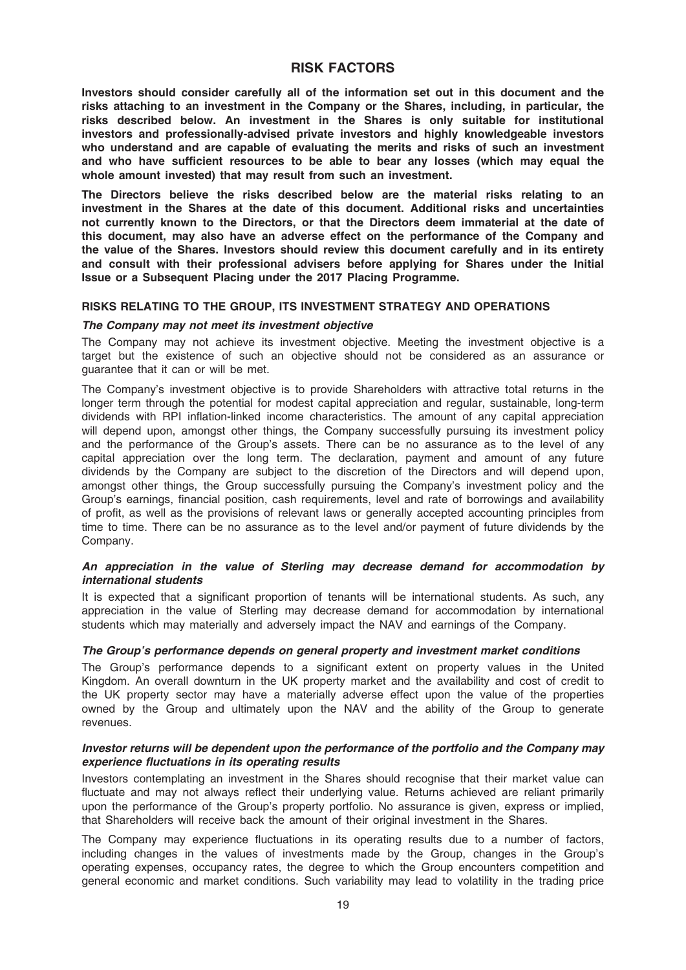# RISK FACTORS

Investors should consider carefully all of the information set out in this document and the risks attaching to an investment in the Company or the Shares, including, in particular, the risks described below. An investment in the Shares is only suitable for institutional investors and professionally-advised private investors and highly knowledgeable investors who understand and are capable of evaluating the merits and risks of such an investment and who have sufficient resources to be able to bear any losses (which may equal the whole amount invested) that may result from such an investment.

The Directors believe the risks described below are the material risks relating to an investment in the Shares at the date of this document. Additional risks and uncertainties not currently known to the Directors, or that the Directors deem immaterial at the date of this document, may also have an adverse effect on the performance of the Company and the value of the Shares. Investors should review this document carefully and in its entirety and consult with their professional advisers before applying for Shares under the Initial Issue or a Subsequent Placing under the 2017 Placing Programme.

## RISKS RELATING TO THE GROUP, ITS INVESTMENT STRATEGY AND OPERATIONS

## The Company may not meet its investment objective

The Company may not achieve its investment objective. Meeting the investment objective is a target but the existence of such an objective should not be considered as an assurance or guarantee that it can or will be met.

The Company's investment objective is to provide Shareholders with attractive total returns in the longer term through the potential for modest capital appreciation and regular, sustainable, long-term dividends with RPI inflation-linked income characteristics. The amount of any capital appreciation will depend upon, amongst other things, the Company successfully pursuing its investment policy and the performance of the Group's assets. There can be no assurance as to the level of any capital appreciation over the long term. The declaration, payment and amount of any future dividends by the Company are subject to the discretion of the Directors and will depend upon, amongst other things, the Group successfully pursuing the Company's investment policy and the Group's earnings, financial position, cash requirements, level and rate of borrowings and availability of profit, as well as the provisions of relevant laws or generally accepted accounting principles from time to time. There can be no assurance as to the level and/or payment of future dividends by the Company.

## An appreciation in the value of Sterling may decrease demand for accommodation by international students

It is expected that a significant proportion of tenants will be international students. As such, any appreciation in the value of Sterling may decrease demand for accommodation by international students which may materially and adversely impact the NAV and earnings of the Company.

#### The Group's performance depends on general property and investment market conditions

The Group's performance depends to a significant extent on property values in the United Kingdom. An overall downturn in the UK property market and the availability and cost of credit to the UK property sector may have a materially adverse effect upon the value of the properties owned by the Group and ultimately upon the NAV and the ability of the Group to generate revenues.

## Investor returns will be dependent upon the performance of the portfolio and the Company may experience fluctuations in its operating results

Investors contemplating an investment in the Shares should recognise that their market value can fluctuate and may not always reflect their underlying value. Returns achieved are reliant primarily upon the performance of the Group's property portfolio. No assurance is given, express or implied, that Shareholders will receive back the amount of their original investment in the Shares.

The Company may experience fluctuations in its operating results due to a number of factors, including changes in the values of investments made by the Group, changes in the Group's operating expenses, occupancy rates, the degree to which the Group encounters competition and general economic and market conditions. Such variability may lead to volatility in the trading price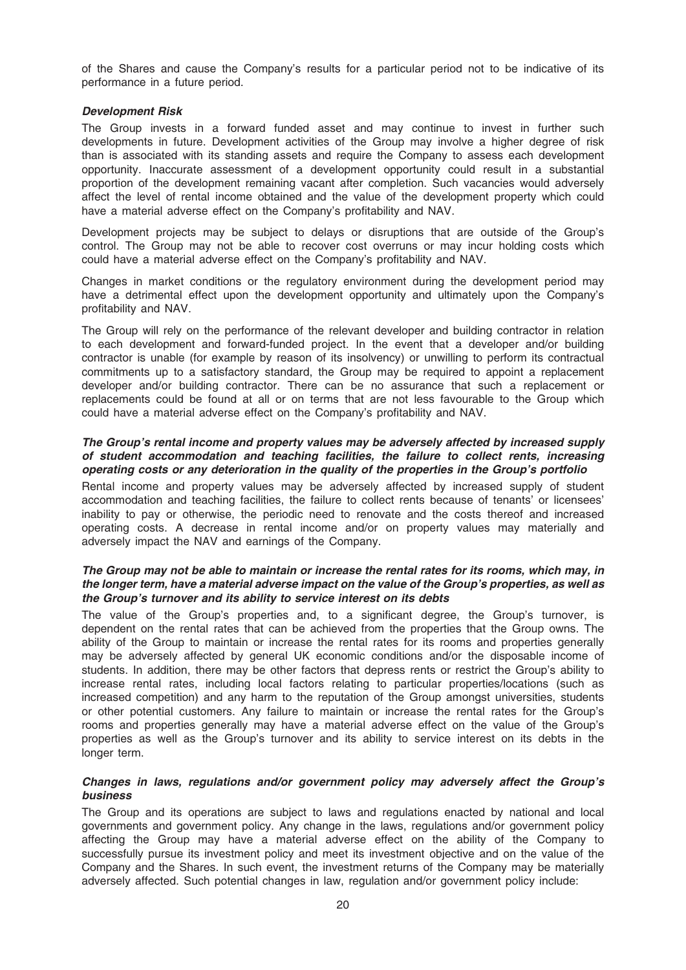of the Shares and cause the Company's results for a particular period not to be indicative of its performance in a future period.

## Development Risk

The Group invests in a forward funded asset and may continue to invest in further such developments in future. Development activities of the Group may involve a higher degree of risk than is associated with its standing assets and require the Company to assess each development opportunity. Inaccurate assessment of a development opportunity could result in a substantial proportion of the development remaining vacant after completion. Such vacancies would adversely affect the level of rental income obtained and the value of the development property which could have a material adverse effect on the Company's profitability and NAV.

Development projects may be subject to delays or disruptions that are outside of the Group's control. The Group may not be able to recover cost overruns or may incur holding costs which could have a material adverse effect on the Company's profitability and NAV.

Changes in market conditions or the regulatory environment during the development period may have a detrimental effect upon the development opportunity and ultimately upon the Company's profitability and NAV.

The Group will rely on the performance of the relevant developer and building contractor in relation to each development and forward-funded project. In the event that a developer and/or building contractor is unable (for example by reason of its insolvency) or unwilling to perform its contractual commitments up to a satisfactory standard, the Group may be required to appoint a replacement developer and/or building contractor. There can be no assurance that such a replacement or replacements could be found at all or on terms that are not less favourable to the Group which could have a material adverse effect on the Company's profitability and NAV.

#### The Group's rental income and property values may be adversely affected by increased supply of student accommodation and teaching facilities, the failure to collect rents, increasing operating costs or any deterioration in the quality of the properties in the Group's portfolio

Rental income and property values may be adversely affected by increased supply of student accommodation and teaching facilities, the failure to collect rents because of tenants' or licensees' inability to pay or otherwise, the periodic need to renovate and the costs thereof and increased operating costs. A decrease in rental income and/or on property values may materially and adversely impact the NAV and earnings of the Company.

## The Group may not be able to maintain or increase the rental rates for its rooms, which may, in the longer term, have a material adverse impact on the value of the Group's properties, as well as the Group's turnover and its ability to service interest on its debts

The value of the Group's properties and, to a significant degree, the Group's turnover, is dependent on the rental rates that can be achieved from the properties that the Group owns. The ability of the Group to maintain or increase the rental rates for its rooms and properties generally may be adversely affected by general UK economic conditions and/or the disposable income of students. In addition, there may be other factors that depress rents or restrict the Group's ability to increase rental rates, including local factors relating to particular properties/locations (such as increased competition) and any harm to the reputation of the Group amongst universities, students or other potential customers. Any failure to maintain or increase the rental rates for the Group's rooms and properties generally may have a material adverse effect on the value of the Group's properties as well as the Group's turnover and its ability to service interest on its debts in the longer term.

## Changes in laws, regulations and/or government policy may adversely affect the Group's business

The Group and its operations are subject to laws and regulations enacted by national and local governments and government policy. Any change in the laws, regulations and/or government policy affecting the Group may have a material adverse effect on the ability of the Company to successfully pursue its investment policy and meet its investment objective and on the value of the Company and the Shares. In such event, the investment returns of the Company may be materially adversely affected. Such potential changes in law, regulation and/or government policy include: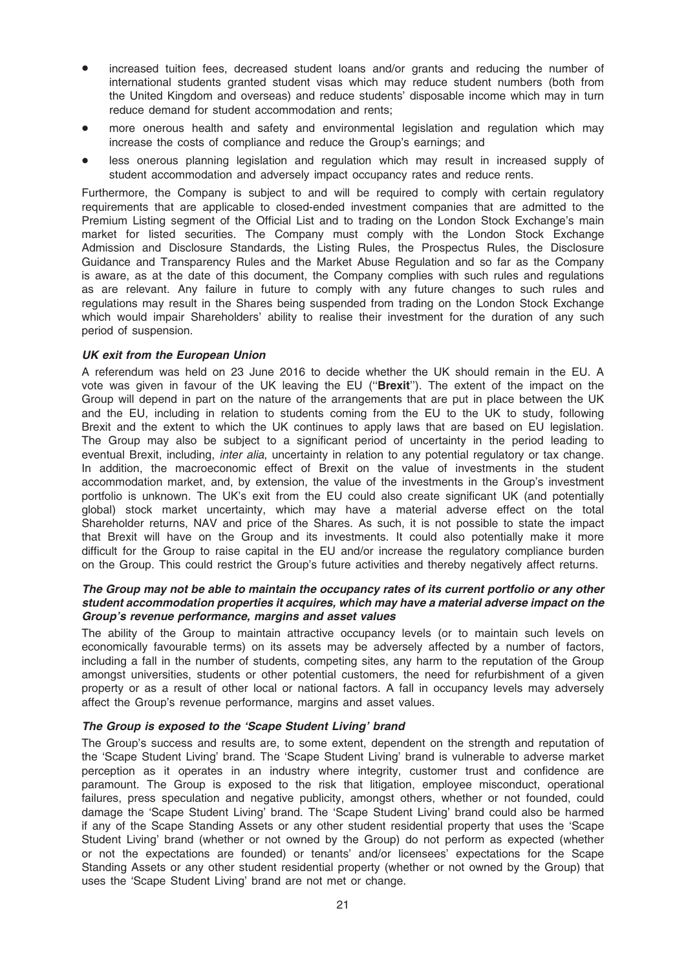- increased tuition fees, decreased student loans and/or grants and reducing the number of international students granted student visas which may reduce student numbers (both from the United Kingdom and overseas) and reduce students' disposable income which may in turn reduce demand for student accommodation and rents;
- more onerous health and safety and environmental legislation and regulation which may increase the costs of compliance and reduce the Group's earnings; and
- less onerous planning legislation and regulation which may result in increased supply of student accommodation and adversely impact occupancy rates and reduce rents.

Furthermore, the Company is subject to and will be required to comply with certain regulatory requirements that are applicable to closed-ended investment companies that are admitted to the Premium Listing segment of the Official List and to trading on the London Stock Exchange's main market for listed securities. The Company must comply with the London Stock Exchange Admission and Disclosure Standards, the Listing Rules, the Prospectus Rules, the Disclosure Guidance and Transparency Rules and the Market Abuse Regulation and so far as the Company is aware, as at the date of this document, the Company complies with such rules and regulations as are relevant. Any failure in future to comply with any future changes to such rules and regulations may result in the Shares being suspended from trading on the London Stock Exchange which would impair Shareholders' ability to realise their investment for the duration of any such period of suspension.

## UK exit from the European Union

A referendum was held on 23 June 2016 to decide whether the UK should remain in the EU. A vote was given in favour of the UK leaving the EU ("Brexit"). The extent of the impact on the Group will depend in part on the nature of the arrangements that are put in place between the UK and the EU, including in relation to students coming from the EU to the UK to study, following Brexit and the extent to which the UK continues to apply laws that are based on EU legislation. The Group may also be subject to a significant period of uncertainty in the period leading to eventual Brexit, including, *inter alia*, uncertainty in relation to any potential regulatory or tax change. In addition, the macroeconomic effect of Brexit on the value of investments in the student accommodation market, and, by extension, the value of the investments in the Group's investment portfolio is unknown. The UK's exit from the EU could also create significant UK (and potentially global) stock market uncertainty, which may have a material adverse effect on the total Shareholder returns, NAV and price of the Shares. As such, it is not possible to state the impact that Brexit will have on the Group and its investments. It could also potentially make it more difficult for the Group to raise capital in the EU and/or increase the regulatory compliance burden on the Group. This could restrict the Group's future activities and thereby negatively affect returns.

## The Group may not be able to maintain the occupancy rates of its current portfolio or any other student accommodation properties it acquires, which may have a material adverse impact on the Group's revenue performance, margins and asset values

The ability of the Group to maintain attractive occupancy levels (or to maintain such levels on economically favourable terms) on its assets may be adversely affected by a number of factors, including a fall in the number of students, competing sites, any harm to the reputation of the Group amongst universities, students or other potential customers, the need for refurbishment of a given property or as a result of other local or national factors. A fall in occupancy levels may adversely affect the Group's revenue performance, margins and asset values.

#### The Group is exposed to the 'Scape Student Living' brand

The Group's success and results are, to some extent, dependent on the strength and reputation of the 'Scape Student Living' brand. The 'Scape Student Living' brand is vulnerable to adverse market perception as it operates in an industry where integrity, customer trust and confidence are paramount. The Group is exposed to the risk that litigation, employee misconduct, operational failures, press speculation and negative publicity, amongst others, whether or not founded, could damage the 'Scape Student Living' brand. The 'Scape Student Living' brand could also be harmed if any of the Scape Standing Assets or any other student residential property that uses the 'Scape Student Living' brand (whether or not owned by the Group) do not perform as expected (whether or not the expectations are founded) or tenants' and/or licensees' expectations for the Scape Standing Assets or any other student residential property (whether or not owned by the Group) that uses the 'Scape Student Living' brand are not met or change.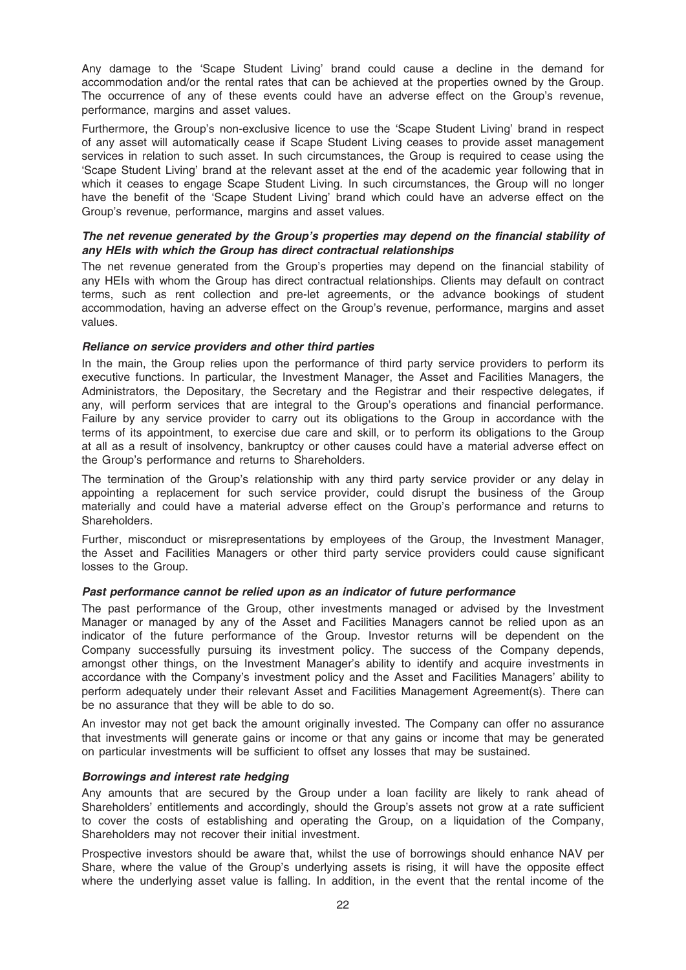Any damage to the 'Scape Student Living' brand could cause a decline in the demand for accommodation and/or the rental rates that can be achieved at the properties owned by the Group. The occurrence of any of these events could have an adverse effect on the Group's revenue, performance, margins and asset values.

Furthermore, the Group's non-exclusive licence to use the 'Scape Student Living' brand in respect of any asset will automatically cease if Scape Student Living ceases to provide asset management services in relation to such asset. In such circumstances, the Group is required to cease using the 'Scape Student Living' brand at the relevant asset at the end of the academic year following that in which it ceases to engage Scape Student Living. In such circumstances, the Group will no longer have the benefit of the 'Scape Student Living' brand which could have an adverse effect on the Group's revenue, performance, margins and asset values.

## The net revenue generated by the Group's properties may depend on the financial stability of any HEIs with which the Group has direct contractual relationships

The net revenue generated from the Group's properties may depend on the financial stability of any HEIs with whom the Group has direct contractual relationships. Clients may default on contract terms, such as rent collection and pre-let agreements, or the advance bookings of student accommodation, having an adverse effect on the Group's revenue, performance, margins and asset values.

## Reliance on service providers and other third parties

In the main, the Group relies upon the performance of third party service providers to perform its executive functions. In particular, the Investment Manager, the Asset and Facilities Managers, the Administrators, the Depositary, the Secretary and the Registrar and their respective delegates, if any, will perform services that are integral to the Group's operations and financial performance. Failure by any service provider to carry out its obligations to the Group in accordance with the terms of its appointment, to exercise due care and skill, or to perform its obligations to the Group at all as a result of insolvency, bankruptcy or other causes could have a material adverse effect on the Group's performance and returns to Shareholders.

The termination of the Group's relationship with any third party service provider or any delay in appointing a replacement for such service provider, could disrupt the business of the Group materially and could have a material adverse effect on the Group's performance and returns to Shareholders.

Further, misconduct or misrepresentations by employees of the Group, the Investment Manager, the Asset and Facilities Managers or other third party service providers could cause significant losses to the Group.

#### Past performance cannot be relied upon as an indicator of future performance

The past performance of the Group, other investments managed or advised by the Investment Manager or managed by any of the Asset and Facilities Managers cannot be relied upon as an indicator of the future performance of the Group. Investor returns will be dependent on the Company successfully pursuing its investment policy. The success of the Company depends, amongst other things, on the Investment Manager's ability to identify and acquire investments in accordance with the Company's investment policy and the Asset and Facilities Managers' ability to perform adequately under their relevant Asset and Facilities Management Agreement(s). There can be no assurance that they will be able to do so.

An investor may not get back the amount originally invested. The Company can offer no assurance that investments will generate gains or income or that any gains or income that may be generated on particular investments will be sufficient to offset any losses that may be sustained.

#### Borrowings and interest rate hedging

Any amounts that are secured by the Group under a loan facility are likely to rank ahead of Shareholders' entitlements and accordingly, should the Group's assets not grow at a rate sufficient to cover the costs of establishing and operating the Group, on a liquidation of the Company, Shareholders may not recover their initial investment.

Prospective investors should be aware that, whilst the use of borrowings should enhance NAV per Share, where the value of the Group's underlying assets is rising, it will have the opposite effect where the underlying asset value is falling. In addition, in the event that the rental income of the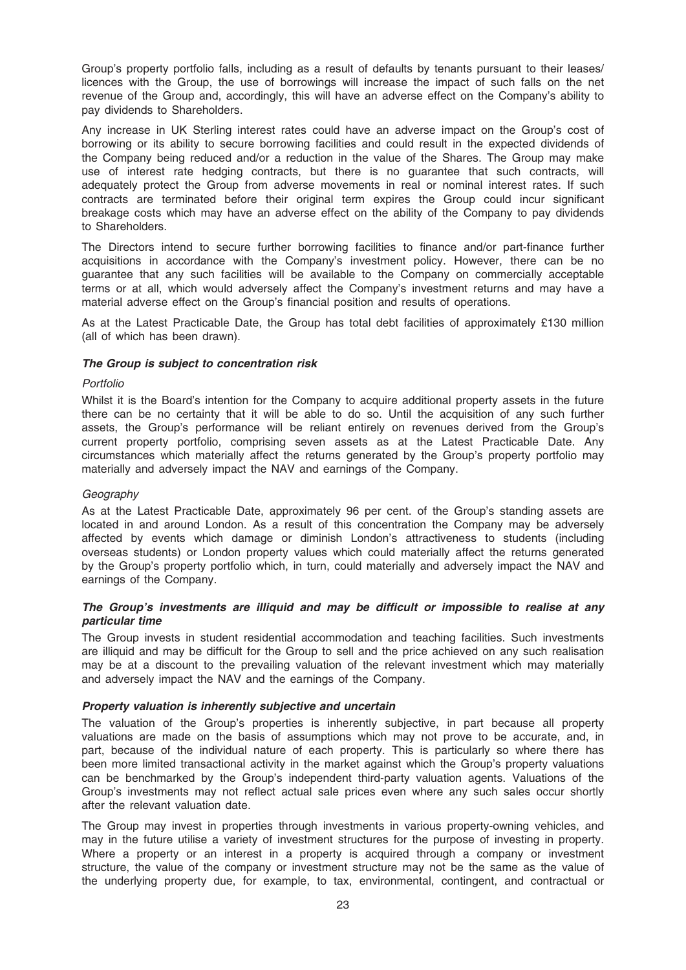Group's property portfolio falls, including as a result of defaults by tenants pursuant to their leases/ licences with the Group, the use of borrowings will increase the impact of such falls on the net revenue of the Group and, accordingly, this will have an adverse effect on the Company's ability to pay dividends to Shareholders.

Any increase in UK Sterling interest rates could have an adverse impact on the Group's cost of borrowing or its ability to secure borrowing facilities and could result in the expected dividends of the Company being reduced and/or a reduction in the value of the Shares. The Group may make use of interest rate hedging contracts, but there is no guarantee that such contracts, will adequately protect the Group from adverse movements in real or nominal interest rates. If such contracts are terminated before their original term expires the Group could incur significant breakage costs which may have an adverse effect on the ability of the Company to pay dividends to Shareholders.

The Directors intend to secure further borrowing facilities to finance and/or part-finance further acquisitions in accordance with the Company's investment policy. However, there can be no guarantee that any such facilities will be available to the Company on commercially acceptable terms or at all, which would adversely affect the Company's investment returns and may have a material adverse effect on the Group's financial position and results of operations.

As at the Latest Practicable Date, the Group has total debt facilities of approximately £130 million (all of which has been drawn).

#### The Group is subject to concentration risk

## Portfolio

Whilst it is the Board's intention for the Company to acquire additional property assets in the future there can be no certainty that it will be able to do so. Until the acquisition of any such further assets, the Group's performance will be reliant entirely on revenues derived from the Group's current property portfolio, comprising seven assets as at the Latest Practicable Date. Any circumstances which materially affect the returns generated by the Group's property portfolio may materially and adversely impact the NAV and earnings of the Company.

## **Geography**

As at the Latest Practicable Date, approximately 96 per cent. of the Group's standing assets are located in and around London. As a result of this concentration the Company may be adversely affected by events which damage or diminish London's attractiveness to students (including overseas students) or London property values which could materially affect the returns generated by the Group's property portfolio which, in turn, could materially and adversely impact the NAV and earnings of the Company.

## The Group's investments are illiquid and may be difficult or impossible to realise at any particular time

The Group invests in student residential accommodation and teaching facilities. Such investments are illiquid and may be difficult for the Group to sell and the price achieved on any such realisation may be at a discount to the prevailing valuation of the relevant investment which may materially and adversely impact the NAV and the earnings of the Company.

#### Property valuation is inherently subjective and uncertain

The valuation of the Group's properties is inherently subjective, in part because all property valuations are made on the basis of assumptions which may not prove to be accurate, and, in part, because of the individual nature of each property. This is particularly so where there has been more limited transactional activity in the market against which the Group's property valuations can be benchmarked by the Group's independent third-party valuation agents. Valuations of the Group's investments may not reflect actual sale prices even where any such sales occur shortly after the relevant valuation date.

The Group may invest in properties through investments in various property-owning vehicles, and may in the future utilise a variety of investment structures for the purpose of investing in property. Where a property or an interest in a property is acquired through a company or investment structure, the value of the company or investment structure may not be the same as the value of the underlying property due, for example, to tax, environmental, contingent, and contractual or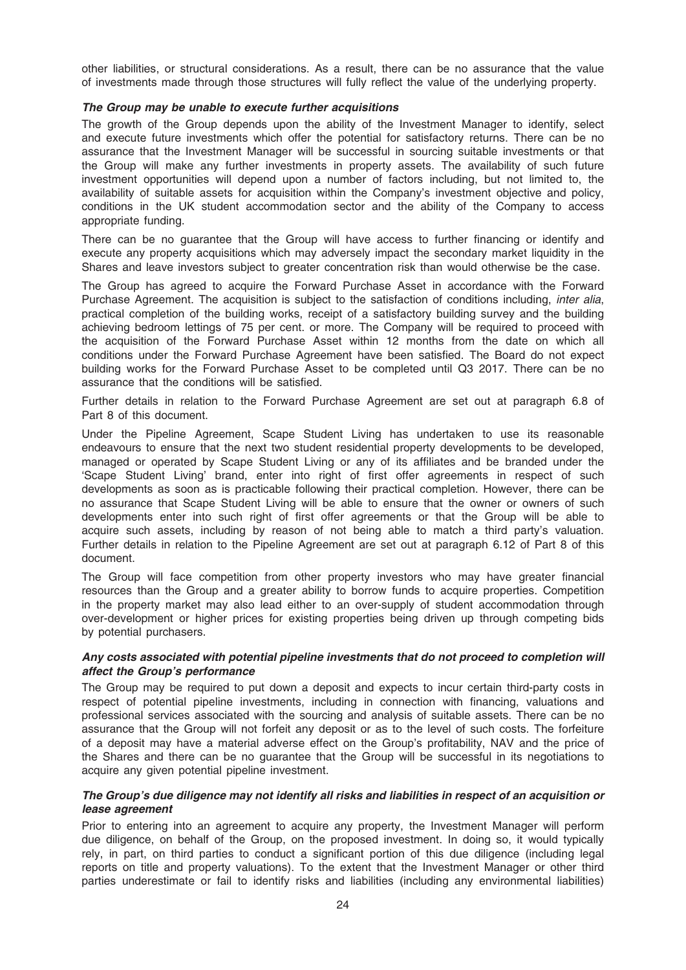other liabilities, or structural considerations. As a result, there can be no assurance that the value of investments made through those structures will fully reflect the value of the underlying property.

#### The Group may be unable to execute further acquisitions

The growth of the Group depends upon the ability of the Investment Manager to identify, select and execute future investments which offer the potential for satisfactory returns. There can be no assurance that the Investment Manager will be successful in sourcing suitable investments or that the Group will make any further investments in property assets. The availability of such future investment opportunities will depend upon a number of factors including, but not limited to, the availability of suitable assets for acquisition within the Company's investment objective and policy, conditions in the UK student accommodation sector and the ability of the Company to access appropriate funding.

There can be no guarantee that the Group will have access to further financing or identify and execute any property acquisitions which may adversely impact the secondary market liquidity in the Shares and leave investors subject to greater concentration risk than would otherwise be the case.

The Group has agreed to acquire the Forward Purchase Asset in accordance with the Forward Purchase Agreement. The acquisition is subject to the satisfaction of conditions including, *inter alia*, practical completion of the building works, receipt of a satisfactory building survey and the building achieving bedroom lettings of 75 per cent. or more. The Company will be required to proceed with the acquisition of the Forward Purchase Asset within 12 months from the date on which all conditions under the Forward Purchase Agreement have been satisfied. The Board do not expect building works for the Forward Purchase Asset to be completed until Q3 2017. There can be no assurance that the conditions will be satisfied.

Further details in relation to the Forward Purchase Agreement are set out at paragraph 6.8 of Part 8 of this document.

Under the Pipeline Agreement, Scape Student Living has undertaken to use its reasonable endeavours to ensure that the next two student residential property developments to be developed, managed or operated by Scape Student Living or any of its affiliates and be branded under the 'Scape Student Living' brand, enter into right of first offer agreements in respect of such developments as soon as is practicable following their practical completion. However, there can be no assurance that Scape Student Living will be able to ensure that the owner or owners of such developments enter into such right of first offer agreements or that the Group will be able to acquire such assets, including by reason of not being able to match a third party's valuation. Further details in relation to the Pipeline Agreement are set out at paragraph 6.12 of Part 8 of this document.

The Group will face competition from other property investors who may have greater financial resources than the Group and a greater ability to borrow funds to acquire properties. Competition in the property market may also lead either to an over-supply of student accommodation through over-development or higher prices for existing properties being driven up through competing bids by potential purchasers.

## Any costs associated with potential pipeline investments that do not proceed to completion will affect the Group's performance

The Group may be required to put down a deposit and expects to incur certain third-party costs in respect of potential pipeline investments, including in connection with financing, valuations and professional services associated with the sourcing and analysis of suitable assets. There can be no assurance that the Group will not forfeit any deposit or as to the level of such costs. The forfeiture of a deposit may have a material adverse effect on the Group's profitability, NAV and the price of the Shares and there can be no guarantee that the Group will be successful in its negotiations to acquire any given potential pipeline investment.

## The Group's due diligence may not identify all risks and liabilities in respect of an acquisition or lease agreement

Prior to entering into an agreement to acquire any property, the Investment Manager will perform due diligence, on behalf of the Group, on the proposed investment. In doing so, it would typically rely, in part, on third parties to conduct a significant portion of this due diligence (including legal reports on title and property valuations). To the extent that the Investment Manager or other third parties underestimate or fail to identify risks and liabilities (including any environmental liabilities)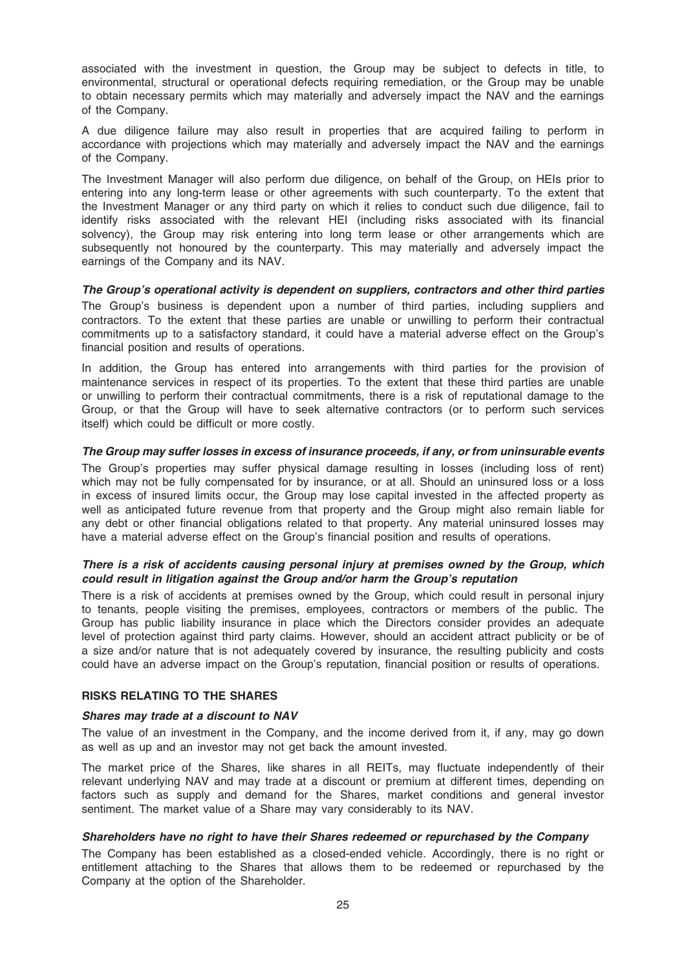associated with the investment in question, the Group may be subject to defects in title, to environmental, structural or operational defects requiring remediation, or the Group may be unable to obtain necessary permits which may materially and adversely impact the NAV and the earnings of the Company.

A due diligence failure may also result in properties that are acquired failing to perform in accordance with projections which may materially and adversely impact the NAV and the earnings of the Company.

The Investment Manager will also perform due diligence, on behalf of the Group, on HEIs prior to entering into any long-term lease or other agreements with such counterparty. To the extent that the Investment Manager or any third party on which it relies to conduct such due diligence, fail to identify risks associated with the relevant HEI (including risks associated with its financial solvency), the Group may risk entering into long term lease or other arrangements which are subsequently not honoured by the counterparty. This may materially and adversely impact the earnings of the Company and its NAV.

The Group's operational activity is dependent on suppliers, contractors and other third parties

The Group's business is dependent upon a number of third parties, including suppliers and contractors. To the extent that these parties are unable or unwilling to perform their contractual commitments up to a satisfactory standard, it could have a material adverse effect on the Group's financial position and results of operations.

In addition, the Group has entered into arrangements with third parties for the provision of maintenance services in respect of its properties. To the extent that these third parties are unable or unwilling to perform their contractual commitments, there is a risk of reputational damage to the Group, or that the Group will have to seek alternative contractors (or to perform such services itself) which could be difficult or more costly.

## The Group may suffer losses in excess of insurance proceeds, if any, or from uninsurable events

The Group's properties may suffer physical damage resulting in losses (including loss of rent) which may not be fully compensated for by insurance, or at all. Should an uninsured loss or a loss in excess of insured limits occur, the Group may lose capital invested in the affected property as well as anticipated future revenue from that property and the Group might also remain liable for any debt or other financial obligations related to that property. Any material uninsured losses may have a material adverse effect on the Group's financial position and results of operations.

## There is a risk of accidents causing personal injury at premises owned by the Group, which could result in litigation against the Group and/or harm the Group's reputation

There is a risk of accidents at premises owned by the Group, which could result in personal injury to tenants, people visiting the premises, employees, contractors or members of the public. The Group has public liability insurance in place which the Directors consider provides an adequate level of protection against third party claims. However, should an accident attract publicity or be of a size and/or nature that is not adequately covered by insurance, the resulting publicity and costs could have an adverse impact on the Group's reputation, financial position or results of operations.

## RISKS RELATING TO THE SHARES

#### Shares may trade at a discount to NAV

The value of an investment in the Company, and the income derived from it, if any, may go down as well as up and an investor may not get back the amount invested.

The market price of the Shares, like shares in all REITs, may fluctuate independently of their relevant underlying NAV and may trade at a discount or premium at different times, depending on factors such as supply and demand for the Shares, market conditions and general investor sentiment. The market value of a Share may vary considerably to its NAV.

#### Shareholders have no right to have their Shares redeemed or repurchased by the Company

The Company has been established as a closed-ended vehicle. Accordingly, there is no right or entitlement attaching to the Shares that allows them to be redeemed or repurchased by the Company at the option of the Shareholder.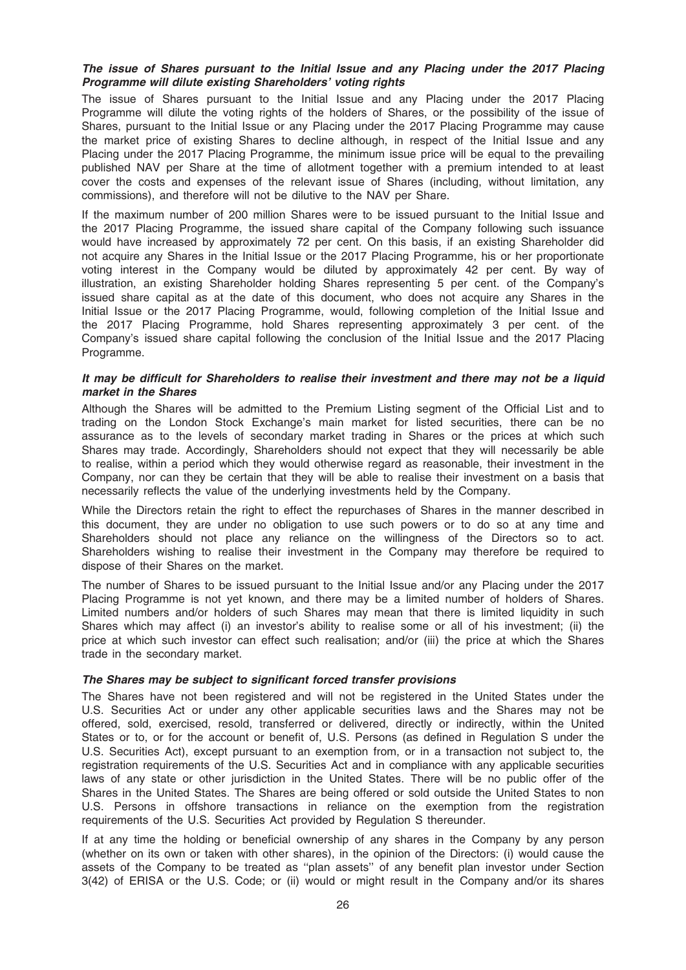## The issue of Shares pursuant to the Initial Issue and any Placing under the 2017 Placing Programme will dilute existing Shareholders' voting rights

The issue of Shares pursuant to the Initial Issue and any Placing under the 2017 Placing Programme will dilute the voting rights of the holders of Shares, or the possibility of the issue of Shares, pursuant to the Initial Issue or any Placing under the 2017 Placing Programme may cause the market price of existing Shares to decline although, in respect of the Initial Issue and any Placing under the 2017 Placing Programme, the minimum issue price will be equal to the prevailing published NAV per Share at the time of allotment together with a premium intended to at least cover the costs and expenses of the relevant issue of Shares (including, without limitation, any commissions), and therefore will not be dilutive to the NAV per Share.

If the maximum number of 200 million Shares were to be issued pursuant to the Initial Issue and the 2017 Placing Programme, the issued share capital of the Company following such issuance would have increased by approximately 72 per cent. On this basis, if an existing Shareholder did not acquire any Shares in the Initial Issue or the 2017 Placing Programme, his or her proportionate voting interest in the Company would be diluted by approximately 42 per cent. By way of illustration, an existing Shareholder holding Shares representing 5 per cent. of the Company's issued share capital as at the date of this document, who does not acquire any Shares in the Initial Issue or the 2017 Placing Programme, would, following completion of the Initial Issue and the 2017 Placing Programme, hold Shares representing approximately 3 per cent. of the Company's issued share capital following the conclusion of the Initial Issue and the 2017 Placing Programme.

#### It may be difficult for Shareholders to realise their investment and there may not be a liquid market in the Shares

Although the Shares will be admitted to the Premium Listing segment of the Official List and to trading on the London Stock Exchange's main market for listed securities, there can be no assurance as to the levels of secondary market trading in Shares or the prices at which such Shares may trade. Accordingly, Shareholders should not expect that they will necessarily be able to realise, within a period which they would otherwise regard as reasonable, their investment in the Company, nor can they be certain that they will be able to realise their investment on a basis that necessarily reflects the value of the underlying investments held by the Company.

While the Directors retain the right to effect the repurchases of Shares in the manner described in this document, they are under no obligation to use such powers or to do so at any time and Shareholders should not place any reliance on the willingness of the Directors so to act. Shareholders wishing to realise their investment in the Company may therefore be required to dispose of their Shares on the market.

The number of Shares to be issued pursuant to the Initial Issue and/or any Placing under the 2017 Placing Programme is not yet known, and there may be a limited number of holders of Shares. Limited numbers and/or holders of such Shares may mean that there is limited liquidity in such Shares which may affect (i) an investor's ability to realise some or all of his investment; (ii) the price at which such investor can effect such realisation; and/or (iii) the price at which the Shares trade in the secondary market.

#### The Shares may be subject to significant forced transfer provisions

The Shares have not been registered and will not be registered in the United States under the U.S. Securities Act or under any other applicable securities laws and the Shares may not be offered, sold, exercised, resold, transferred or delivered, directly or indirectly, within the United States or to, or for the account or benefit of, U.S. Persons (as defined in Regulation S under the U.S. Securities Act), except pursuant to an exemption from, or in a transaction not subject to, the registration requirements of the U.S. Securities Act and in compliance with any applicable securities laws of any state or other jurisdiction in the United States. There will be no public offer of the Shares in the United States. The Shares are being offered or sold outside the United States to non U.S. Persons in offshore transactions in reliance on the exemption from the registration requirements of the U.S. Securities Act provided by Regulation S thereunder.

If at any time the holding or beneficial ownership of any shares in the Company by any person (whether on its own or taken with other shares), in the opinion of the Directors: (i) would cause the assets of the Company to be treated as ''plan assets'' of any benefit plan investor under Section 3(42) of ERISA or the U.S. Code; or (ii) would or might result in the Company and/or its shares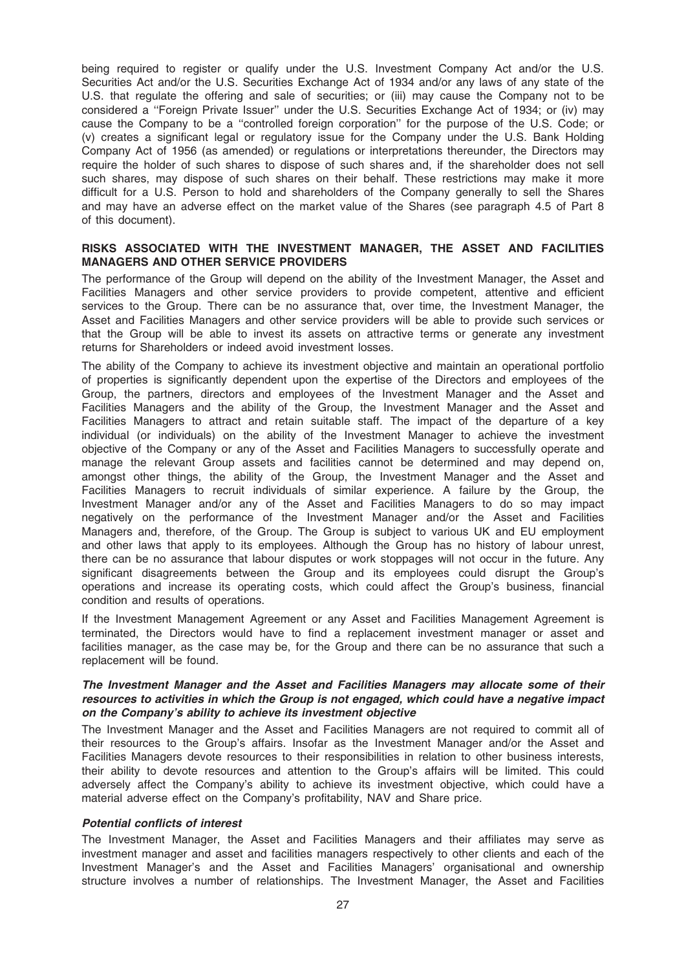being required to register or qualify under the U.S. Investment Company Act and/or the U.S. Securities Act and/or the U.S. Securities Exchange Act of 1934 and/or any laws of any state of the U.S. that regulate the offering and sale of securities; or (iii) may cause the Company not to be considered a ''Foreign Private Issuer'' under the U.S. Securities Exchange Act of 1934; or (iv) may cause the Company to be a ''controlled foreign corporation'' for the purpose of the U.S. Code; or (v) creates a significant legal or regulatory issue for the Company under the U.S. Bank Holding Company Act of 1956 (as amended) or regulations or interpretations thereunder, the Directors may require the holder of such shares to dispose of such shares and, if the shareholder does not sell such shares, may dispose of such shares on their behalf. These restrictions may make it more difficult for a U.S. Person to hold and shareholders of the Company generally to sell the Shares and may have an adverse effect on the market value of the Shares (see paragraph 4.5 of Part 8 of this document).

### RISKS ASSOCIATED WITH THE INVESTMENT MANAGER, THE ASSET AND FACILITIES MANAGERS AND OTHER SERVICE PROVIDERS

The performance of the Group will depend on the ability of the Investment Manager, the Asset and Facilities Managers and other service providers to provide competent, attentive and efficient services to the Group. There can be no assurance that, over time, the Investment Manager, the Asset and Facilities Managers and other service providers will be able to provide such services or that the Group will be able to invest its assets on attractive terms or generate any investment returns for Shareholders or indeed avoid investment losses.

The ability of the Company to achieve its investment objective and maintain an operational portfolio of properties is significantly dependent upon the expertise of the Directors and employees of the Group, the partners, directors and employees of the Investment Manager and the Asset and Facilities Managers and the ability of the Group, the Investment Manager and the Asset and Facilities Managers to attract and retain suitable staff. The impact of the departure of a key individual (or individuals) on the ability of the Investment Manager to achieve the investment objective of the Company or any of the Asset and Facilities Managers to successfully operate and manage the relevant Group assets and facilities cannot be determined and may depend on, amongst other things, the ability of the Group, the Investment Manager and the Asset and Facilities Managers to recruit individuals of similar experience. A failure by the Group, the Investment Manager and/or any of the Asset and Facilities Managers to do so may impact negatively on the performance of the Investment Manager and/or the Asset and Facilities Managers and, therefore, of the Group. The Group is subject to various UK and EU employment and other laws that apply to its employees. Although the Group has no history of labour unrest, there can be no assurance that labour disputes or work stoppages will not occur in the future. Any significant disagreements between the Group and its employees could disrupt the Group's operations and increase its operating costs, which could affect the Group's business, financial condition and results of operations.

If the Investment Management Agreement or any Asset and Facilities Management Agreement is terminated, the Directors would have to find a replacement investment manager or asset and facilities manager, as the case may be, for the Group and there can be no assurance that such a replacement will be found.

## The Investment Manager and the Asset and Facilities Managers may allocate some of their resources to activities in which the Group is not engaged, which could have a negative impact on the Company's ability to achieve its investment objective

The Investment Manager and the Asset and Facilities Managers are not required to commit all of their resources to the Group's affairs. Insofar as the Investment Manager and/or the Asset and Facilities Managers devote resources to their responsibilities in relation to other business interests, their ability to devote resources and attention to the Group's affairs will be limited. This could adversely affect the Company's ability to achieve its investment objective, which could have a material adverse effect on the Company's profitability, NAV and Share price.

#### Potential conflicts of interest

The Investment Manager, the Asset and Facilities Managers and their affiliates may serve as investment manager and asset and facilities managers respectively to other clients and each of the Investment Manager's and the Asset and Facilities Managers' organisational and ownership structure involves a number of relationships. The Investment Manager, the Asset and Facilities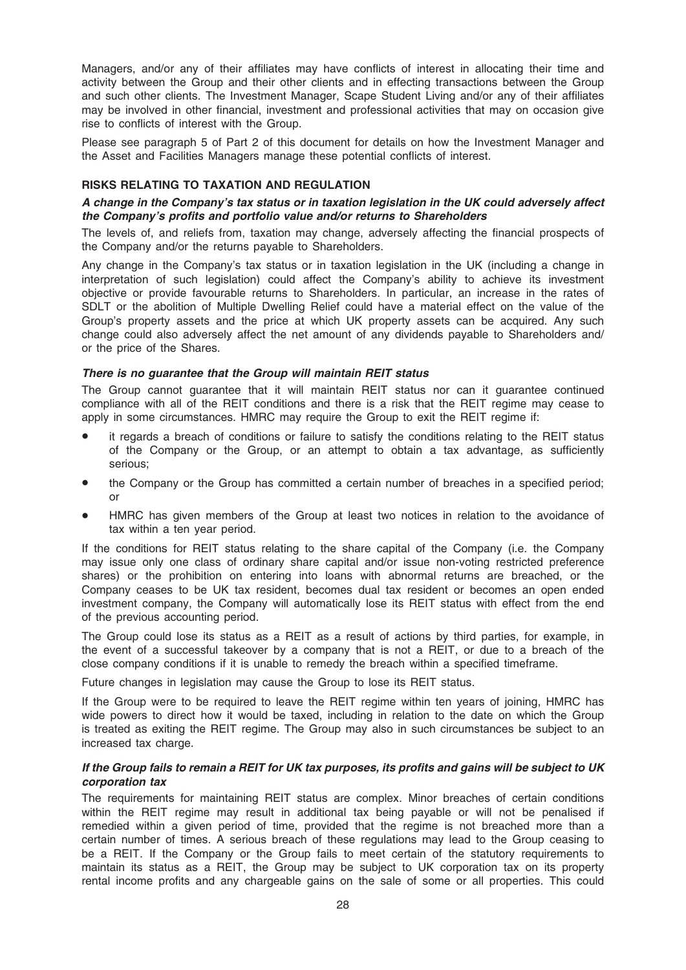Managers, and/or any of their affiliates may have conflicts of interest in allocating their time and activity between the Group and their other clients and in effecting transactions between the Group and such other clients. The Investment Manager, Scape Student Living and/or any of their affiliates may be involved in other financial, investment and professional activities that may on occasion give rise to conflicts of interest with the Group.

Please see paragraph 5 of Part 2 of this document for details on how the Investment Manager and the Asset and Facilities Managers manage these potential conflicts of interest.

## RISKS RELATING TO TAXATION AND REGULATION

## A change in the Company's tax status or in taxation legislation in the UK could adversely affect the Company's profits and portfolio value and/or returns to Shareholders

The levels of, and reliefs from, taxation may change, adversely affecting the financial prospects of the Company and/or the returns payable to Shareholders.

Any change in the Company's tax status or in taxation legislation in the UK (including a change in interpretation of such legislation) could affect the Company's ability to achieve its investment objective or provide favourable returns to Shareholders. In particular, an increase in the rates of SDLT or the abolition of Multiple Dwelling Relief could have a material effect on the value of the Group's property assets and the price at which UK property assets can be acquired. Any such change could also adversely affect the net amount of any dividends payable to Shareholders and/ or the price of the Shares.

#### There is no guarantee that the Group will maintain REIT status

The Group cannot guarantee that it will maintain REIT status nor can it guarantee continued compliance with all of the REIT conditions and there is a risk that the REIT regime may cease to apply in some circumstances. HMRC may require the Group to exit the REIT regime if:

- it regards a breach of conditions or failure to satisfy the conditions relating to the REIT status of the Company or the Group, or an attempt to obtain a tax advantage, as sufficiently serious;
- the Company or the Group has committed a certain number of breaches in a specified period; or
- HMRC has given members of the Group at least two notices in relation to the avoidance of tax within a ten year period.

If the conditions for REIT status relating to the share capital of the Company (i.e. the Company may issue only one class of ordinary share capital and/or issue non-voting restricted preference shares) or the prohibition on entering into loans with abnormal returns are breached, or the Company ceases to be UK tax resident, becomes dual tax resident or becomes an open ended investment company, the Company will automatically lose its REIT status with effect from the end of the previous accounting period.

The Group could lose its status as a REIT as a result of actions by third parties, for example, in the event of a successful takeover by a company that is not a REIT, or due to a breach of the close company conditions if it is unable to remedy the breach within a specified timeframe.

Future changes in legislation may cause the Group to lose its REIT status.

If the Group were to be required to leave the REIT regime within ten years of joining, HMRC has wide powers to direct how it would be taxed, including in relation to the date on which the Group is treated as exiting the REIT regime. The Group may also in such circumstances be subject to an increased tax charge.

#### If the Group fails to remain a REIT for UK tax purposes, its profits and gains will be subject to UK corporation tax

The requirements for maintaining REIT status are complex. Minor breaches of certain conditions within the REIT regime may result in additional tax being payable or will not be penalised if remedied within a given period of time, provided that the regime is not breached more than a certain number of times. A serious breach of these regulations may lead to the Group ceasing to be a REIT. If the Company or the Group fails to meet certain of the statutory requirements to maintain its status as a REIT, the Group may be subject to UK corporation tax on its property rental income profits and any chargeable gains on the sale of some or all properties. This could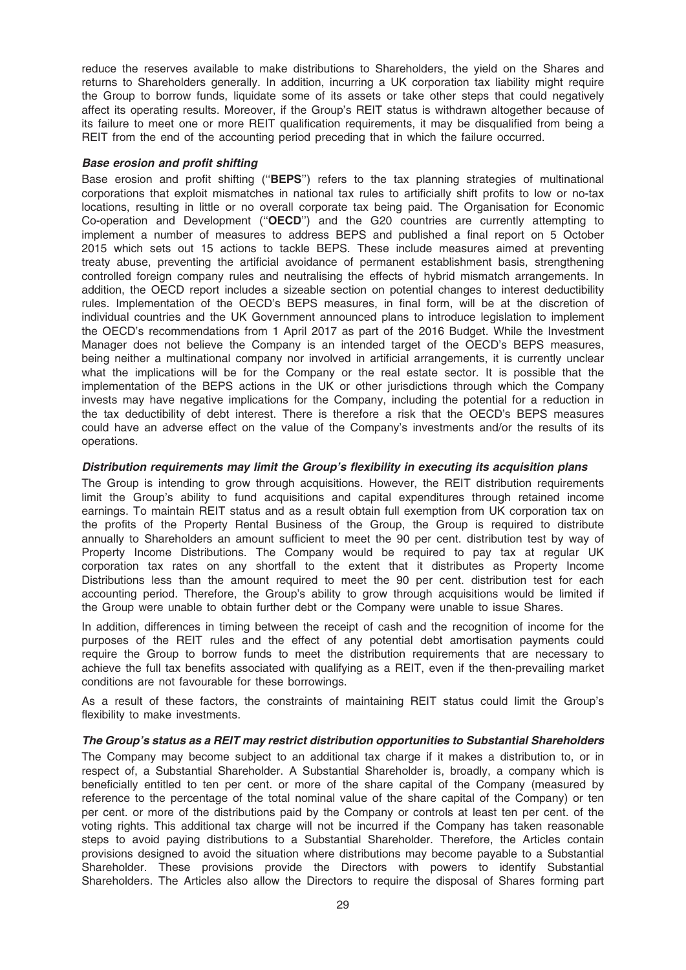reduce the reserves available to make distributions to Shareholders, the yield on the Shares and returns to Shareholders generally. In addition, incurring a UK corporation tax liability might require the Group to borrow funds, liquidate some of its assets or take other steps that could negatively affect its operating results. Moreover, if the Group's REIT status is withdrawn altogether because of its failure to meet one or more REIT qualification requirements, it may be disqualified from being a REIT from the end of the accounting period preceding that in which the failure occurred.

#### Base erosion and profit shifting

Base erosion and profit shifting ("BEPS") refers to the tax planning strategies of multinational corporations that exploit mismatches in national tax rules to artificially shift profits to low or no-tax locations, resulting in little or no overall corporate tax being paid. The Organisation for Economic Co-operation and Development (''OECD'') and the G20 countries are currently attempting to implement a number of measures to address BEPS and published a final report on 5 October 2015 which sets out 15 actions to tackle BEPS. These include measures aimed at preventing treaty abuse, preventing the artificial avoidance of permanent establishment basis, strengthening controlled foreign company rules and neutralising the effects of hybrid mismatch arrangements. In addition, the OECD report includes a sizeable section on potential changes to interest deductibility rules. Implementation of the OECD's BEPS measures, in final form, will be at the discretion of individual countries and the UK Government announced plans to introduce legislation to implement the OECD's recommendations from 1 April 2017 as part of the 2016 Budget. While the Investment Manager does not believe the Company is an intended target of the OECD's BEPS measures, being neither a multinational company nor involved in artificial arrangements, it is currently unclear what the implications will be for the Company or the real estate sector. It is possible that the implementation of the BEPS actions in the UK or other jurisdictions through which the Company invests may have negative implications for the Company, including the potential for a reduction in the tax deductibility of debt interest. There is therefore a risk that the OECD's BEPS measures could have an adverse effect on the value of the Company's investments and/or the results of its operations.

#### Distribution requirements may limit the Group's flexibility in executing its acquisition plans

The Group is intending to grow through acquisitions. However, the REIT distribution requirements limit the Group's ability to fund acquisitions and capital expenditures through retained income earnings. To maintain REIT status and as a result obtain full exemption from UK corporation tax on the profits of the Property Rental Business of the Group, the Group is required to distribute annually to Shareholders an amount sufficient to meet the 90 per cent. distribution test by way of Property Income Distributions. The Company would be required to pay tax at regular UK corporation tax rates on any shortfall to the extent that it distributes as Property Income Distributions less than the amount required to meet the 90 per cent. distribution test for each accounting period. Therefore, the Group's ability to grow through acquisitions would be limited if the Group were unable to obtain further debt or the Company were unable to issue Shares.

In addition, differences in timing between the receipt of cash and the recognition of income for the purposes of the REIT rules and the effect of any potential debt amortisation payments could require the Group to borrow funds to meet the distribution requirements that are necessary to achieve the full tax benefits associated with qualifying as a REIT, even if the then-prevailing market conditions are not favourable for these borrowings.

As a result of these factors, the constraints of maintaining REIT status could limit the Group's flexibility to make investments.

#### The Group's status as a REIT may restrict distribution opportunities to Substantial Shareholders

The Company may become subject to an additional tax charge if it makes a distribution to, or in respect of, a Substantial Shareholder. A Substantial Shareholder is, broadly, a company which is beneficially entitled to ten per cent. or more of the share capital of the Company (measured by reference to the percentage of the total nominal value of the share capital of the Company) or ten per cent. or more of the distributions paid by the Company or controls at least ten per cent. of the voting rights. This additional tax charge will not be incurred if the Company has taken reasonable steps to avoid paying distributions to a Substantial Shareholder. Therefore, the Articles contain provisions designed to avoid the situation where distributions may become payable to a Substantial Shareholder. These provisions provide the Directors with powers to identify Substantial Shareholders. The Articles also allow the Directors to require the disposal of Shares forming part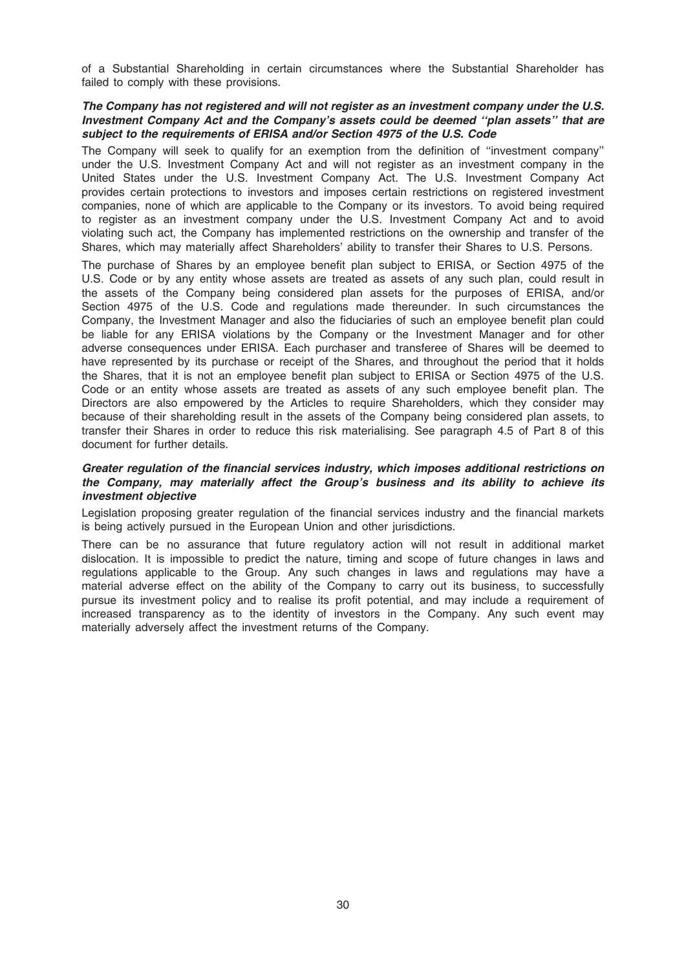of a Substantial Shareholding in certain circumstances where the Substantial Shareholder has failed to comply with these provisions.

## The Company has not registered and will not register as an investment company under the U.S. Investment Company Act and the Company's assets could be deemed ''plan assets'' that are subject to the requirements of ERISA and/or Section 4975 of the U.S. Code

The Company will seek to qualify for an exemption from the definition of ''investment company'' under the U.S. Investment Company Act and will not register as an investment company in the United States under the U.S. Investment Company Act. The U.S. Investment Company Act provides certain protections to investors and imposes certain restrictions on registered investment companies, none of which are applicable to the Company or its investors. To avoid being required to register as an investment company under the U.S. Investment Company Act and to avoid violating such act, the Company has implemented restrictions on the ownership and transfer of the Shares, which may materially affect Shareholders' ability to transfer their Shares to U.S. Persons.

The purchase of Shares by an employee benefit plan subject to ERISA, or Section 4975 of the U.S. Code or by any entity whose assets are treated as assets of any such plan, could result in the assets of the Company being considered plan assets for the purposes of ERISA, and/or Section 4975 of the U.S. Code and regulations made thereunder. In such circumstances the Company, the Investment Manager and also the fiduciaries of such an employee benefit plan could be liable for any ERISA violations by the Company or the Investment Manager and for other adverse consequences under ERISA. Each purchaser and transferee of Shares will be deemed to have represented by its purchase or receipt of the Shares, and throughout the period that it holds the Shares, that it is not an employee benefit plan subject to ERISA or Section 4975 of the U.S. Code or an entity whose assets are treated as assets of any such employee benefit plan. The Directors are also empowered by the Articles to require Shareholders, which they consider may because of their shareholding result in the assets of the Company being considered plan assets, to transfer their Shares in order to reduce this risk materialising. See paragraph 4.5 of Part 8 of this document for further details.

## Greater regulation of the financial services industry, which imposes additional restrictions on the Company, may materially affect the Group's business and its ability to achieve its investment objective

Legislation proposing greater regulation of the financial services industry and the financial markets is being actively pursued in the European Union and other jurisdictions.

There can be no assurance that future regulatory action will not result in additional market dislocation. It is impossible to predict the nature, timing and scope of future changes in laws and regulations applicable to the Group. Any such changes in laws and regulations may have a material adverse effect on the ability of the Company to carry out its business, to successfully pursue its investment policy and to realise its profit potential, and may include a requirement of increased transparency as to the identity of investors in the Company. Any such event may materially adversely affect the investment returns of the Company.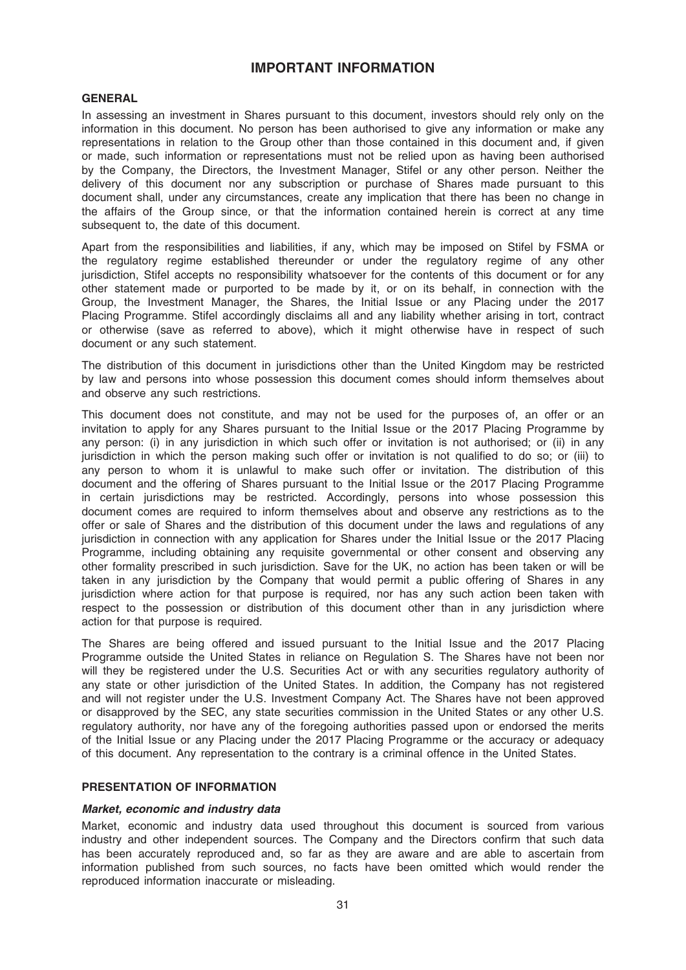## IMPORTANT INFORMATION

### GENERAL

In assessing an investment in Shares pursuant to this document, investors should rely only on the information in this document. No person has been authorised to give any information or make any representations in relation to the Group other than those contained in this document and, if given or made, such information or representations must not be relied upon as having been authorised by the Company, the Directors, the Investment Manager, Stifel or any other person. Neither the delivery of this document nor any subscription or purchase of Shares made pursuant to this document shall, under any circumstances, create any implication that there has been no change in the affairs of the Group since, or that the information contained herein is correct at any time subsequent to, the date of this document.

Apart from the responsibilities and liabilities, if any, which may be imposed on Stifel by FSMA or the regulatory regime established thereunder or under the regulatory regime of any other jurisdiction, Stifel accepts no responsibility whatsoever for the contents of this document or for any other statement made or purported to be made by it, or on its behalf, in connection with the Group, the Investment Manager, the Shares, the Initial Issue or any Placing under the 2017 Placing Programme. Stifel accordingly disclaims all and any liability whether arising in tort, contract or otherwise (save as referred to above), which it might otherwise have in respect of such document or any such statement.

The distribution of this document in jurisdictions other than the United Kingdom may be restricted by law and persons into whose possession this document comes should inform themselves about and observe any such restrictions.

This document does not constitute, and may not be used for the purposes of, an offer or an invitation to apply for any Shares pursuant to the Initial Issue or the 2017 Placing Programme by any person: (i) in any jurisdiction in which such offer or invitation is not authorised; or (ii) in any jurisdiction in which the person making such offer or invitation is not qualified to do so; or (iii) to any person to whom it is unlawful to make such offer or invitation. The distribution of this document and the offering of Shares pursuant to the Initial Issue or the 2017 Placing Programme in certain jurisdictions may be restricted. Accordingly, persons into whose possession this document comes are required to inform themselves about and observe any restrictions as to the offer or sale of Shares and the distribution of this document under the laws and regulations of any jurisdiction in connection with any application for Shares under the Initial Issue or the 2017 Placing Programme, including obtaining any requisite governmental or other consent and observing any other formality prescribed in such jurisdiction. Save for the UK, no action has been taken or will be taken in any jurisdiction by the Company that would permit a public offering of Shares in any jurisdiction where action for that purpose is required, nor has any such action been taken with respect to the possession or distribution of this document other than in any jurisdiction where action for that purpose is required.

The Shares are being offered and issued pursuant to the Initial Issue and the 2017 Placing Programme outside the United States in reliance on Regulation S. The Shares have not been nor will they be registered under the U.S. Securities Act or with any securities regulatory authority of any state or other jurisdiction of the United States. In addition, the Company has not registered and will not register under the U.S. Investment Company Act. The Shares have not been approved or disapproved by the SEC, any state securities commission in the United States or any other U.S. regulatory authority, nor have any of the foregoing authorities passed upon or endorsed the merits of the Initial Issue or any Placing under the 2017 Placing Programme or the accuracy or adequacy of this document. Any representation to the contrary is a criminal offence in the United States.

#### PRESENTATION OF INFORMATION

#### Market, economic and industry data

Market, economic and industry data used throughout this document is sourced from various industry and other independent sources. The Company and the Directors confirm that such data has been accurately reproduced and, so far as they are aware and are able to ascertain from information published from such sources, no facts have been omitted which would render the reproduced information inaccurate or misleading.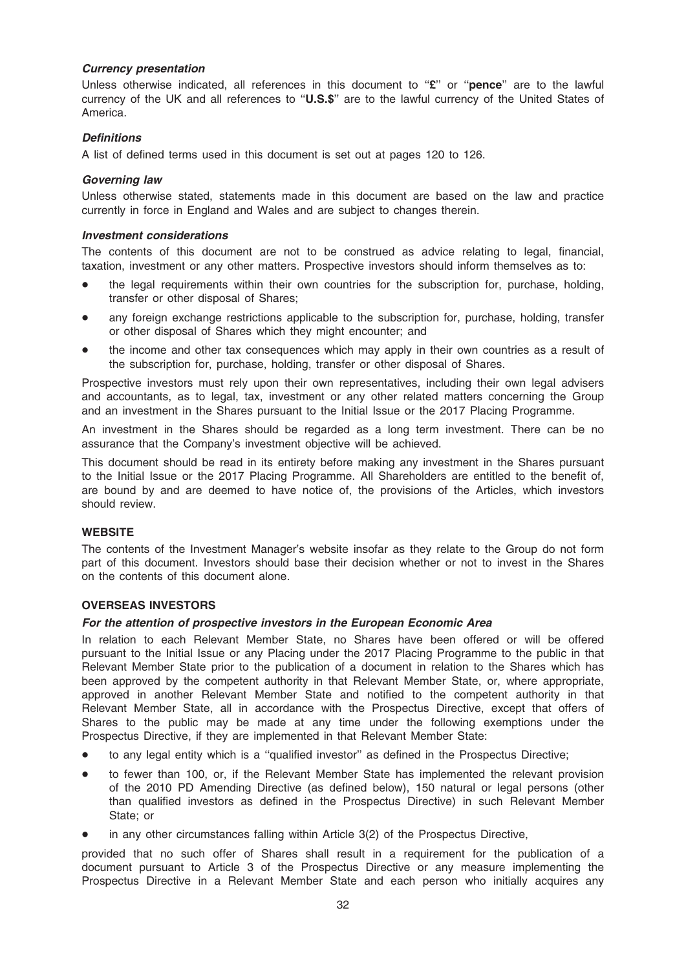## Currency presentation

Unless otherwise indicated, all references in this document to "£" or "pence" are to the lawful currency of the UK and all references to ''U.S.\$'' are to the lawful currency of the United States of America.

## **Definitions**

A list of defined terms used in this document is set out at pages 120 to 126.

### Governing law

Unless otherwise stated, statements made in this document are based on the law and practice currently in force in England and Wales and are subject to changes therein.

#### Investment considerations

The contents of this document are not to be construed as advice relating to legal, financial, taxation, investment or any other matters. Prospective investors should inform themselves as to:

- the legal requirements within their own countries for the subscription for, purchase, holding, transfer or other disposal of Shares;
- any foreign exchange restrictions applicable to the subscription for, purchase, holding, transfer or other disposal of Shares which they might encounter; and
- the income and other tax consequences which may apply in their own countries as a result of the subscription for, purchase, holding, transfer or other disposal of Shares.

Prospective investors must rely upon their own representatives, including their own legal advisers and accountants, as to legal, tax, investment or any other related matters concerning the Group and an investment in the Shares pursuant to the Initial Issue or the 2017 Placing Programme.

An investment in the Shares should be regarded as a long term investment. There can be no assurance that the Company's investment objective will be achieved.

This document should be read in its entirety before making any investment in the Shares pursuant to the Initial Issue or the 2017 Placing Programme. All Shareholders are entitled to the benefit of, are bound by and are deemed to have notice of, the provisions of the Articles, which investors should review.

#### **WEBSITE**

The contents of the Investment Manager's website insofar as they relate to the Group do not form part of this document. Investors should base their decision whether or not to invest in the Shares on the contents of this document alone.

#### OVERSEAS INVESTORS

#### For the attention of prospective investors in the European Economic Area

In relation to each Relevant Member State, no Shares have been offered or will be offered pursuant to the Initial Issue or any Placing under the 2017 Placing Programme to the public in that Relevant Member State prior to the publication of a document in relation to the Shares which has been approved by the competent authority in that Relevant Member State, or, where appropriate, approved in another Relevant Member State and notified to the competent authority in that Relevant Member State, all in accordance with the Prospectus Directive, except that offers of Shares to the public may be made at any time under the following exemptions under the Prospectus Directive, if they are implemented in that Relevant Member State:

- to any legal entity which is a "qualified investor" as defined in the Prospectus Directive;
- \* to fewer than 100, or, if the Relevant Member State has implemented the relevant provision of the 2010 PD Amending Directive (as defined below), 150 natural or legal persons (other than qualified investors as defined in the Prospectus Directive) in such Relevant Member State; or
- in any other circumstances falling within Article  $3(2)$  of the Prospectus Directive,

provided that no such offer of Shares shall result in a requirement for the publication of a document pursuant to Article 3 of the Prospectus Directive or any measure implementing the Prospectus Directive in a Relevant Member State and each person who initially acquires any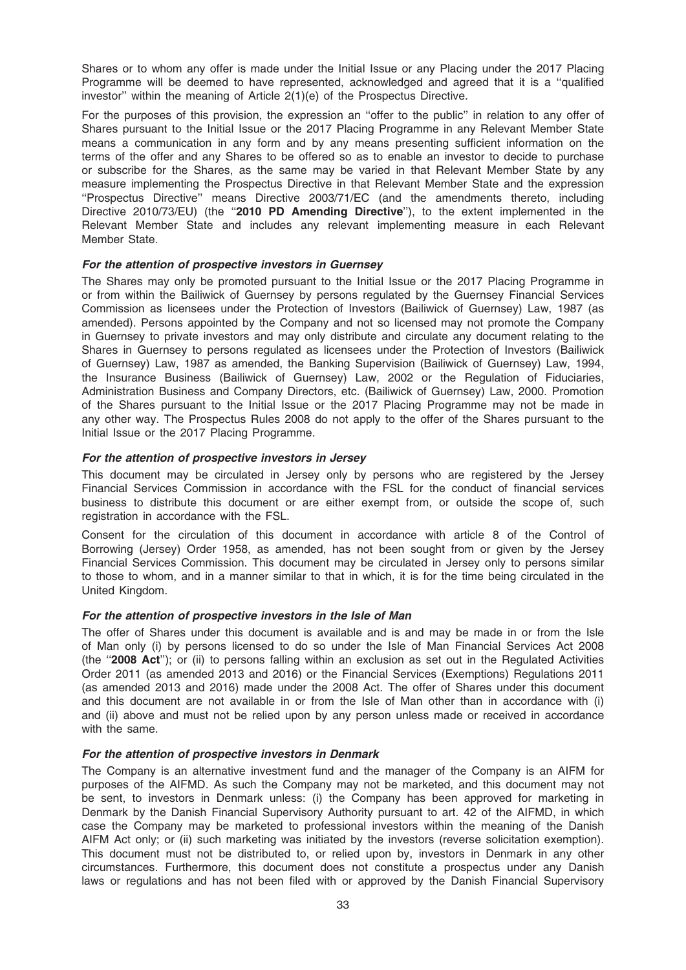Shares or to whom any offer is made under the Initial Issue or any Placing under the 2017 Placing Programme will be deemed to have represented, acknowledged and agreed that it is a ''qualified investor'' within the meaning of Article 2(1)(e) of the Prospectus Directive.

For the purposes of this provision, the expression an "offer to the public" in relation to any offer of Shares pursuant to the Initial Issue or the 2017 Placing Programme in any Relevant Member State means a communication in any form and by any means presenting sufficient information on the terms of the offer and any Shares to be offered so as to enable an investor to decide to purchase or subscribe for the Shares, as the same may be varied in that Relevant Member State by any measure implementing the Prospectus Directive in that Relevant Member State and the expression ''Prospectus Directive'' means Directive 2003/71/EC (and the amendments thereto, including Directive 2010/73/EU) (the "2010 PD Amending Directive"), to the extent implemented in the Relevant Member State and includes any relevant implementing measure in each Relevant Member State.

## For the attention of prospective investors in Guernsey

The Shares may only be promoted pursuant to the Initial Issue or the 2017 Placing Programme in or from within the Bailiwick of Guernsey by persons regulated by the Guernsey Financial Services Commission as licensees under the Protection of Investors (Bailiwick of Guernsey) Law, 1987 (as amended). Persons appointed by the Company and not so licensed may not promote the Company in Guernsey to private investors and may only distribute and circulate any document relating to the Shares in Guernsey to persons regulated as licensees under the Protection of Investors (Bailiwick of Guernsey) Law, 1987 as amended, the Banking Supervision (Bailiwick of Guernsey) Law, 1994, the Insurance Business (Bailiwick of Guernsey) Law, 2002 or the Regulation of Fiduciaries, Administration Business and Company Directors, etc. (Bailiwick of Guernsey) Law, 2000. Promotion of the Shares pursuant to the Initial Issue or the 2017 Placing Programme may not be made in any other way. The Prospectus Rules 2008 do not apply to the offer of the Shares pursuant to the Initial Issue or the 2017 Placing Programme.

#### For the attention of prospective investors in Jersey

This document may be circulated in Jersey only by persons who are registered by the Jersey Financial Services Commission in accordance with the FSL for the conduct of financial services business to distribute this document or are either exempt from, or outside the scope of, such registration in accordance with the FSL.

Consent for the circulation of this document in accordance with article 8 of the Control of Borrowing (Jersey) Order 1958, as amended, has not been sought from or given by the Jersey Financial Services Commission. This document may be circulated in Jersey only to persons similar to those to whom, and in a manner similar to that in which, it is for the time being circulated in the United Kingdom.

#### For the attention of prospective investors in the Isle of Man

The offer of Shares under this document is available and is and may be made in or from the Isle of Man only (i) by persons licensed to do so under the Isle of Man Financial Services Act 2008 (the ''2008 Act''); or (ii) to persons falling within an exclusion as set out in the Regulated Activities Order 2011 (as amended 2013 and 2016) or the Financial Services (Exemptions) Regulations 2011 (as amended 2013 and 2016) made under the 2008 Act. The offer of Shares under this document and this document are not available in or from the Isle of Man other than in accordance with (i) and (ii) above and must not be relied upon by any person unless made or received in accordance with the same.

## For the attention of prospective investors in Denmark

The Company is an alternative investment fund and the manager of the Company is an AIFM for purposes of the AIFMD. As such the Company may not be marketed, and this document may not be sent, to investors in Denmark unless: (i) the Company has been approved for marketing in Denmark by the Danish Financial Supervisory Authority pursuant to art. 42 of the AIFMD, in which case the Company may be marketed to professional investors within the meaning of the Danish AIFM Act only; or (ii) such marketing was initiated by the investors (reverse solicitation exemption). This document must not be distributed to, or relied upon by, investors in Denmark in any other circumstances. Furthermore, this document does not constitute a prospectus under any Danish laws or regulations and has not been filed with or approved by the Danish Financial Supervisory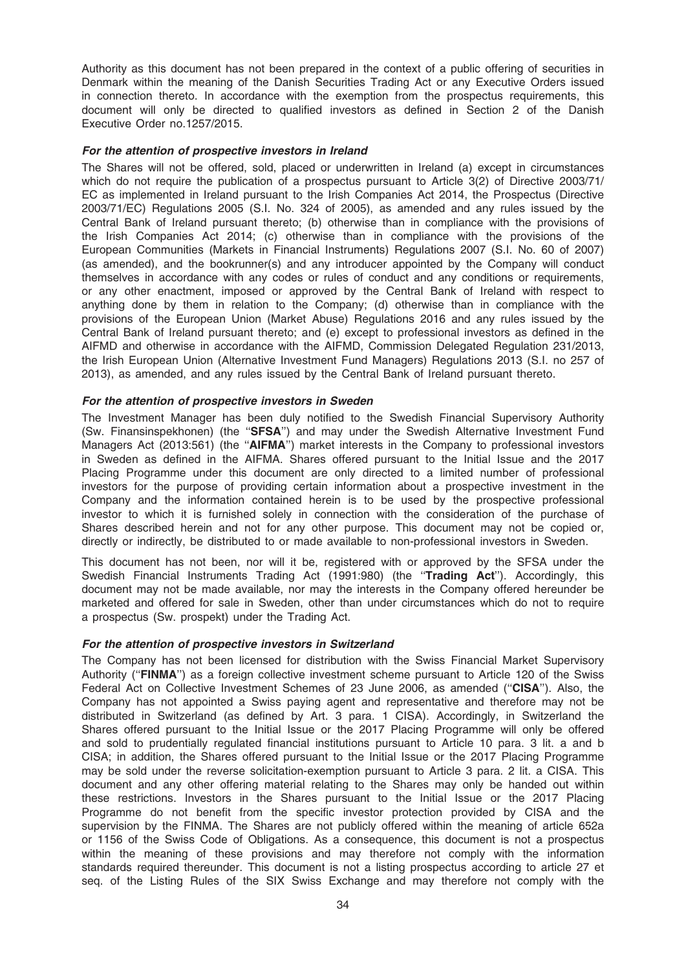Authority as this document has not been prepared in the context of a public offering of securities in Denmark within the meaning of the Danish Securities Trading Act or any Executive Orders issued in connection thereto. In accordance with the exemption from the prospectus requirements, this document will only be directed to qualified investors as defined in Section 2 of the Danish Executive Order no.1257/2015.

### For the attention of prospective investors in Ireland

The Shares will not be offered, sold, placed or underwritten in Ireland (a) except in circumstances which do not require the publication of a prospectus pursuant to Article 3(2) of Directive 2003/71/ EC as implemented in Ireland pursuant to the Irish Companies Act 2014, the Prospectus (Directive 2003/71/EC) Regulations 2005 (S.I. No. 324 of 2005), as amended and any rules issued by the Central Bank of Ireland pursuant thereto; (b) otherwise than in compliance with the provisions of the Irish Companies Act 2014; (c) otherwise than in compliance with the provisions of the European Communities (Markets in Financial Instruments) Regulations 2007 (S.I. No. 60 of 2007) (as amended), and the bookrunner(s) and any introducer appointed by the Company will conduct themselves in accordance with any codes or rules of conduct and any conditions or requirements, or any other enactment, imposed or approved by the Central Bank of Ireland with respect to anything done by them in relation to the Company; (d) otherwise than in compliance with the provisions of the European Union (Market Abuse) Regulations 2016 and any rules issued by the Central Bank of Ireland pursuant thereto; and (e) except to professional investors as defined in the AIFMD and otherwise in accordance with the AIFMD, Commission Delegated Regulation 231/2013, the Irish European Union (Alternative Investment Fund Managers) Regulations 2013 (S.I. no 257 of 2013), as amended, and any rules issued by the Central Bank of Ireland pursuant thereto.

## For the attention of prospective investors in Sweden

The Investment Manager has been duly notified to the Swedish Financial Supervisory Authority (Sw. Finansinspekhonen) (the ''SFSA'') and may under the Swedish Alternative Investment Fund Managers Act (2013:561) (the ''AIFMA'') market interests in the Company to professional investors in Sweden as defined in the AIFMA. Shares offered pursuant to the Initial Issue and the 2017 Placing Programme under this document are only directed to a limited number of professional investors for the purpose of providing certain information about a prospective investment in the Company and the information contained herein is to be used by the prospective professional investor to which it is furnished solely in connection with the consideration of the purchase of Shares described herein and not for any other purpose. This document may not be copied or, directly or indirectly, be distributed to or made available to non-professional investors in Sweden.

This document has not been, nor will it be, registered with or approved by the SFSA under the Swedish Financial Instruments Trading Act (1991:980) (the "Trading Act"). Accordingly, this document may not be made available, nor may the interests in the Company offered hereunder be marketed and offered for sale in Sweden, other than under circumstances which do not to require a prospectus (Sw. prospekt) under the Trading Act.

#### For the attention of prospective investors in Switzerland

The Company has not been licensed for distribution with the Swiss Financial Market Supervisory Authority ("FINMA") as a foreign collective investment scheme pursuant to Article 120 of the Swiss Federal Act on Collective Investment Schemes of 23 June 2006, as amended ("CISA"). Also, the Company has not appointed a Swiss paying agent and representative and therefore may not be distributed in Switzerland (as defined by Art. 3 para. 1 CISA). Accordingly, in Switzerland the Shares offered pursuant to the Initial Issue or the 2017 Placing Programme will only be offered and sold to prudentially regulated financial institutions pursuant to Article 10 para. 3 lit. a and b CISA; in addition, the Shares offered pursuant to the Initial Issue or the 2017 Placing Programme may be sold under the reverse solicitation-exemption pursuant to Article 3 para. 2 lit. a CISA. This document and any other offering material relating to the Shares may only be handed out within these restrictions. Investors in the Shares pursuant to the Initial Issue or the 2017 Placing Programme do not benefit from the specific investor protection provided by CISA and the supervision by the FINMA. The Shares are not publicly offered within the meaning of article 652a or 1156 of the Swiss Code of Obligations. As a consequence, this document is not a prospectus within the meaning of these provisions and may therefore not comply with the information standards required thereunder. This document is not a listing prospectus according to article 27 et seq. of the Listing Rules of the SIX Swiss Exchange and may therefore not comply with the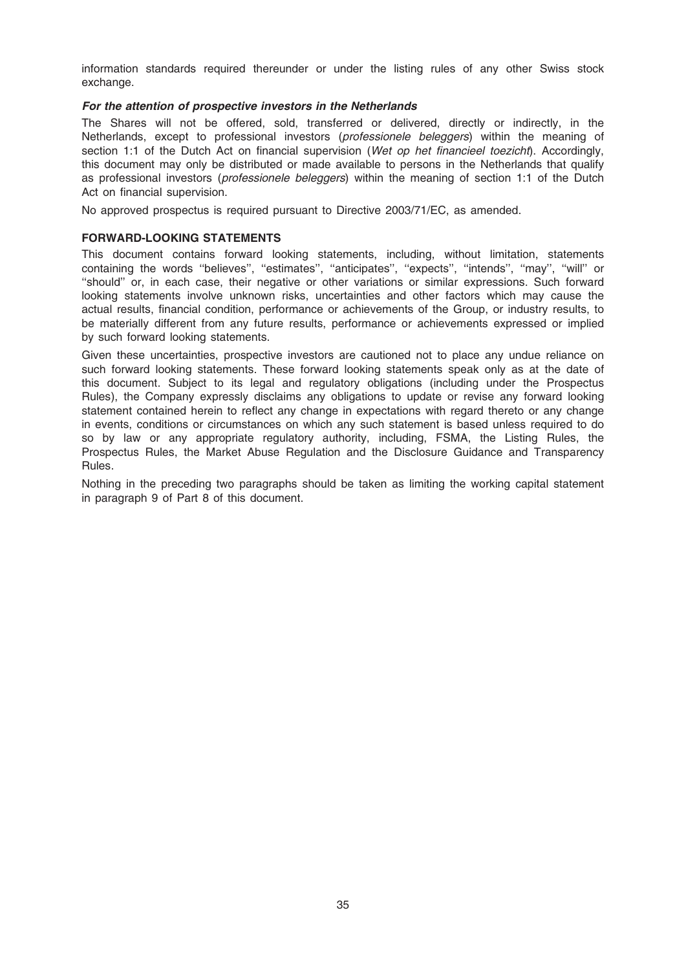information standards required thereunder or under the listing rules of any other Swiss stock exchange.

## For the attention of prospective investors in the Netherlands

The Shares will not be offered, sold, transferred or delivered, directly or indirectly, in the Netherlands, except to professional investors (professionele beleggers) within the meaning of section 1:1 of the Dutch Act on financial supervision (Wet op het financieel toezicht). Accordingly, this document may only be distributed or made available to persons in the Netherlands that qualify as professional investors (*professionele beleggers*) within the meaning of section 1:1 of the Dutch Act on financial supervision.

No approved prospectus is required pursuant to Directive 2003/71/EC, as amended.

## FORWARD-LOOKING STATEMENTS

This document contains forward looking statements, including, without limitation, statements containing the words ''believes'', ''estimates'', ''anticipates'', ''expects'', ''intends'', ''may'', ''will'' or ''should'' or, in each case, their negative or other variations or similar expressions. Such forward looking statements involve unknown risks, uncertainties and other factors which may cause the actual results, financial condition, performance or achievements of the Group, or industry results, to be materially different from any future results, performance or achievements expressed or implied by such forward looking statements.

Given these uncertainties, prospective investors are cautioned not to place any undue reliance on such forward looking statements. These forward looking statements speak only as at the date of this document. Subject to its legal and regulatory obligations (including under the Prospectus Rules), the Company expressly disclaims any obligations to update or revise any forward looking statement contained herein to reflect any change in expectations with regard thereto or any change in events, conditions or circumstances on which any such statement is based unless required to do so by law or any appropriate regulatory authority, including, FSMA, the Listing Rules, the Prospectus Rules, the Market Abuse Regulation and the Disclosure Guidance and Transparency Rules.

Nothing in the preceding two paragraphs should be taken as limiting the working capital statement in paragraph 9 of Part 8 of this document.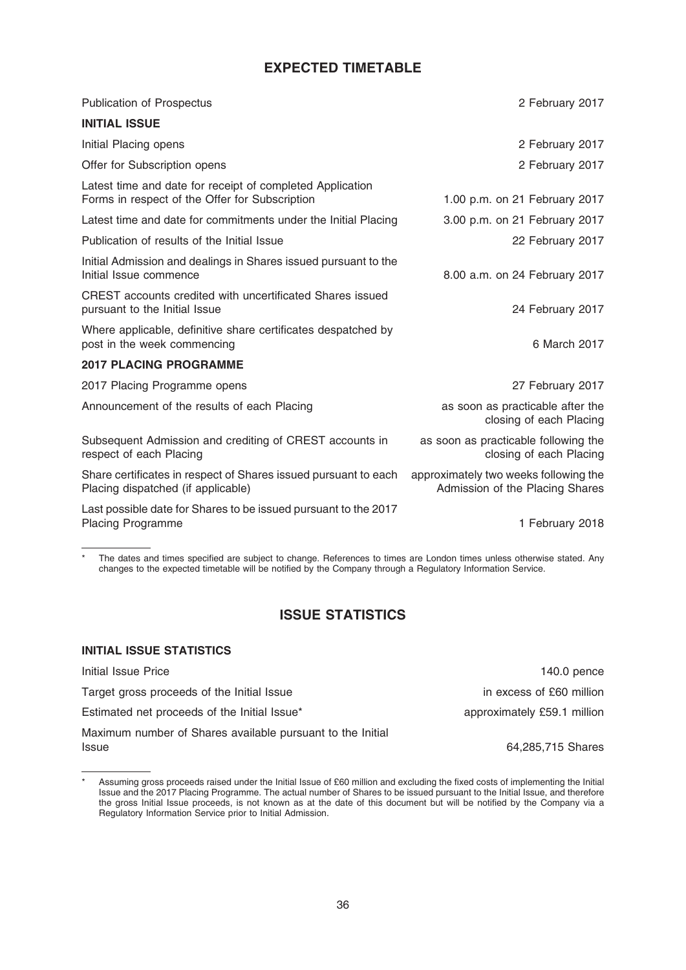# EXPECTED TIMETABLE

| <b>Publication of Prospectus</b>                                                                            | 2 February 2017                                                          |
|-------------------------------------------------------------------------------------------------------------|--------------------------------------------------------------------------|
| <b>INITIAL ISSUE</b>                                                                                        |                                                                          |
| Initial Placing opens                                                                                       | 2 February 2017                                                          |
| Offer for Subscription opens                                                                                | 2 February 2017                                                          |
| Latest time and date for receipt of completed Application<br>Forms in respect of the Offer for Subscription | 1.00 p.m. on 21 February 2017                                            |
| Latest time and date for commitments under the Initial Placing                                              | 3.00 p.m. on 21 February 2017                                            |
| Publication of results of the Initial Issue                                                                 | 22 February 2017                                                         |
| Initial Admission and dealings in Shares issued pursuant to the<br>Initial Issue commence                   | 8.00 a.m. on 24 February 2017                                            |
| CREST accounts credited with uncertificated Shares issued<br>pursuant to the Initial Issue                  | 24 February 2017                                                         |
| Where applicable, definitive share certificates despatched by<br>post in the week commencing                | 6 March 2017                                                             |
| <b>2017 PLACING PROGRAMME</b>                                                                               |                                                                          |
| 2017 Placing Programme opens                                                                                | 27 February 2017                                                         |
| Announcement of the results of each Placing                                                                 | as soon as practicable after the<br>closing of each Placing              |
| Subsequent Admission and crediting of CREST accounts in<br>respect of each Placing                          | as soon as practicable following the<br>closing of each Placing          |
| Share certificates in respect of Shares issued pursuant to each<br>Placing dispatched (if applicable)       | approximately two weeks following the<br>Admission of the Placing Shares |
| Last possible date for Shares to be issued pursuant to the 2017<br>Placing Programme                        | 1 February 2018                                                          |

\* The dates and times specified are subject to change. References to times are London times unless otherwise stated. Any changes to the expected timetable will be notified by the Company through a Regulatory Information Service.

# ISSUE STATISTICS

## INITIAL ISSUE STATISTICS

| Initial Issue Price                                        | 140.0 pence                 |
|------------------------------------------------------------|-----------------------------|
| Target gross proceeds of the Initial Issue                 | in excess of £60 million    |
| Estimated net proceeds of the Initial Issue*               | approximately £59.1 million |
| Maximum number of Shares available pursuant to the Initial |                             |
| <b>Issue</b>                                               | 64,285,715 Shares           |

Assuming gross proceeds raised under the Initial Issue of £60 million and excluding the fixed costs of implementing the Initial Issue and the 2017 Placing Programme. The actual number of Shares to be issued pursuant to the Initial Issue, and therefore the gross Initial Issue proceeds, is not known as at the date of this document but will be notified by the Company via a Regulatory Information Service prior to Initial Admission.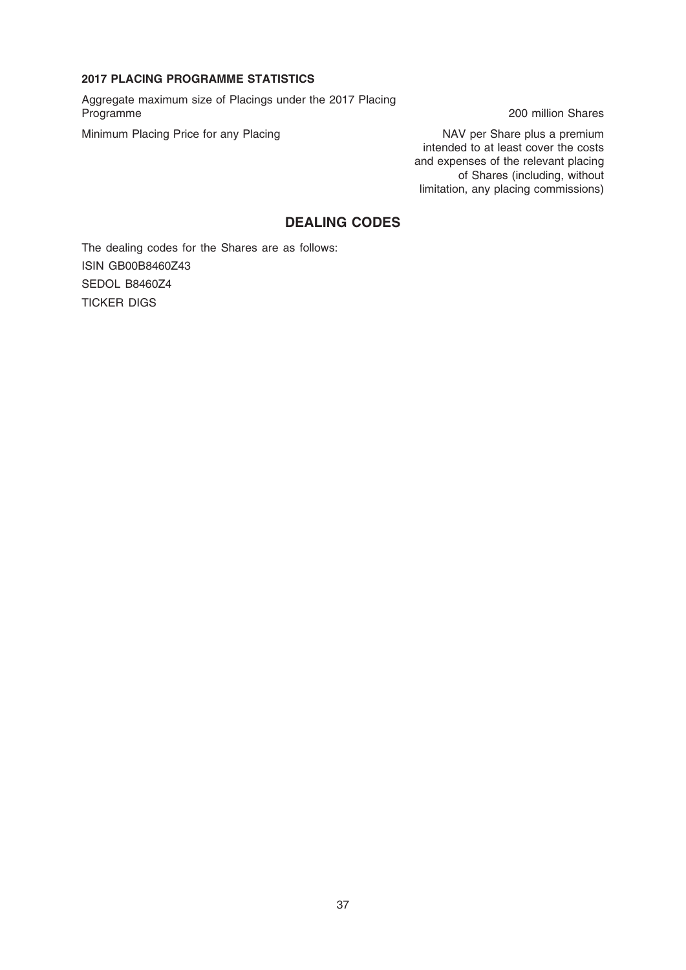### 2017 PLACING PROGRAMME STATISTICS

Aggregate maximum size of Placings under the 2017 Placing

Minimum Placing Price for any Placing NAV per Share plus a premium

200 million Shares

intended to at least cover the costs and expenses of the relevant placing of Shares (including, without limitation, any placing commissions)

# DEALING CODES

The dealing codes for the Shares are as follows: ISIN GB00B8460Z43 SEDOL B8460Z4 TICKER DIGS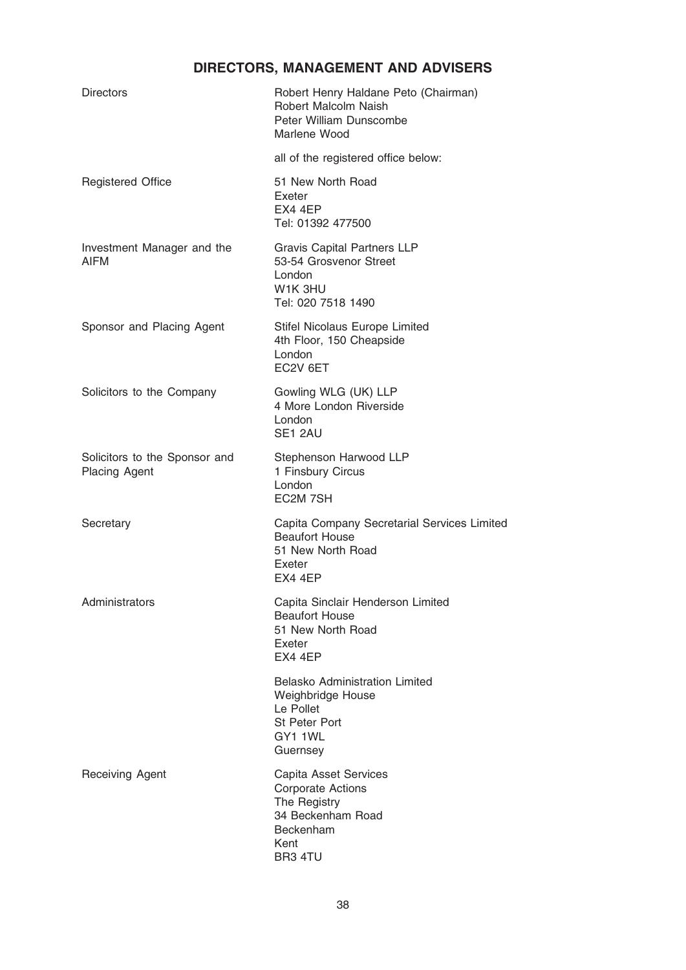# DIRECTORS, MANAGEMENT AND ADVISERS

| <b>Directors</b>                                      | Robert Henry Haldane Peto (Chairman)<br>Robert Malcolm Naish<br>Peter William Dunscombe<br>Marlene Wood                       |
|-------------------------------------------------------|-------------------------------------------------------------------------------------------------------------------------------|
|                                                       | all of the registered office below:                                                                                           |
| <b>Registered Office</b>                              | 51 New North Road<br>Exeter<br>EX4 4EP<br>Tel: 01392 477500                                                                   |
| Investment Manager and the<br>AIFM                    | <b>Gravis Capital Partners LLP</b><br>53-54 Grosvenor Street<br>London<br>W1K 3HU<br>Tel: 020 7518 1490                       |
| Sponsor and Placing Agent                             | Stifel Nicolaus Europe Limited<br>4th Floor, 150 Cheapside<br>London<br>EC2V 6ET                                              |
| Solicitors to the Company                             | Gowling WLG (UK) LLP<br>4 More London Riverside<br>London<br>SE1 2AU                                                          |
| Solicitors to the Sponsor and<br><b>Placing Agent</b> | Stephenson Harwood LLP<br>1 Finsbury Circus<br>London<br>EC2M 7SH                                                             |
| Secretary                                             | Capita Company Secretarial Services Limited<br><b>Beaufort House</b><br>51 New North Road<br>Exeter<br>EX4 4EP                |
| Administrators                                        | Capita Sinclair Henderson Limited<br><b>Beaufort House</b><br>51 New North Road<br>Exeter<br>EX4 4EP                          |
|                                                       | <b>Belasko Administration Limited</b><br>Weighbridge House<br>Le Pollet<br>St Peter Port<br>GY1 1WL<br>Guernsey               |
| <b>Receiving Agent</b>                                | Capita Asset Services<br><b>Corporate Actions</b><br>The Registry<br>34 Beckenham Road<br><b>Beckenham</b><br>Kent<br>BR3 4TU |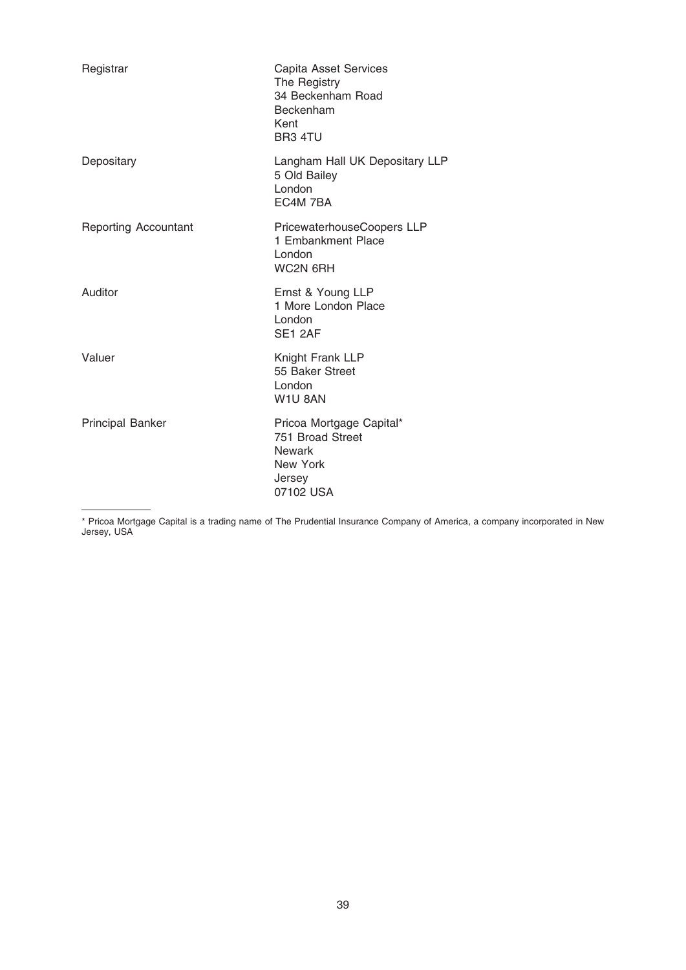| Registrar                   | Capita Asset Services<br>The Registry<br>34 Beckenham Road<br>Beckenham<br>Kent<br>BR3 4TU       |
|-----------------------------|--------------------------------------------------------------------------------------------------|
| Depositary                  | Langham Hall UK Depositary LLP<br>5 Old Bailey<br>London<br>EC4M 7BA                             |
| <b>Reporting Accountant</b> | PricewaterhouseCoopers LLP<br>1 Embankment Place<br>London<br>WC2N 6RH                           |
| Auditor                     | Ernst & Young LLP<br>1 More London Place<br>London<br>SE1 2AF                                    |
| Valuer                      | Knight Frank LLP<br>55 Baker Street<br>London<br>W1U 8AN                                         |
| <b>Principal Banker</b>     | Pricoa Mortgage Capital*<br>751 Broad Street<br><b>Newark</b><br>New York<br>Jersey<br>07102 USA |

\* Pricoa Mortgage Capital is a trading name of The Prudential Insurance Company of America, a company incorporated in New Jersey, USA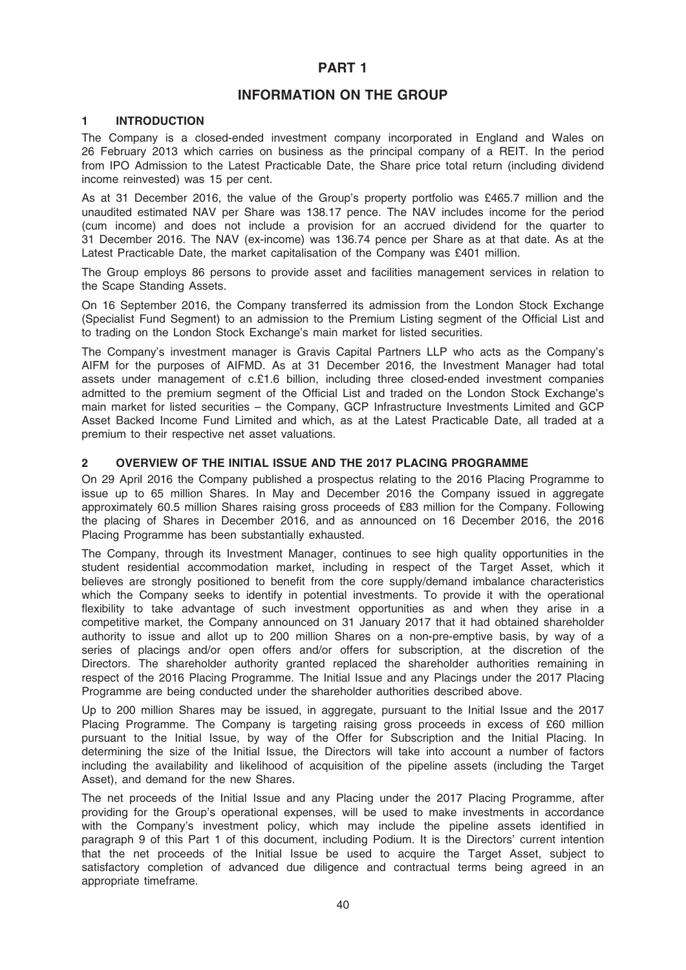### PART 1

### INFORMATION ON THE GROUP

### 1 INTRODUCTION

The Company is a closed-ended investment company incorporated in England and Wales on 26 February 2013 which carries on business as the principal company of a REIT. In the period from IPO Admission to the Latest Practicable Date, the Share price total return (including dividend income reinvested) was 15 per cent.

As at 31 December 2016, the value of the Group's property portfolio was £465.7 million and the unaudited estimated NAV per Share was 138.17 pence. The NAV includes income for the period (cum income) and does not include a provision for an accrued dividend for the quarter to 31 December 2016. The NAV (ex-income) was 136.74 pence per Share as at that date. As at the Latest Practicable Date, the market capitalisation of the Company was £401 million.

The Group employs 86 persons to provide asset and facilities management services in relation to the Scape Standing Assets.

On 16 September 2016, the Company transferred its admission from the London Stock Exchange (Specialist Fund Segment) to an admission to the Premium Listing segment of the Official List and to trading on the London Stock Exchange's main market for listed securities.

The Company's investment manager is Gravis Capital Partners LLP who acts as the Company's AIFM for the purposes of AIFMD. As at 31 December 2016, the Investment Manager had total assets under management of c.£1.6 billion, including three closed-ended investment companies admitted to the premium segment of the Official List and traded on the London Stock Exchange's main market for listed securities – the Company, GCP Infrastructure Investments Limited and GCP Asset Backed Income Fund Limited and which, as at the Latest Practicable Date, all traded at a premium to their respective net asset valuations.

### 2 OVERVIEW OF THE INITIAL ISSUE AND THE 2017 PLACING PROGRAMME

On 29 April 2016 the Company published a prospectus relating to the 2016 Placing Programme to issue up to 65 million Shares. In May and December 2016 the Company issued in aggregate approximately 60.5 million Shares raising gross proceeds of £83 million for the Company. Following the placing of Shares in December 2016, and as announced on 16 December 2016, the 2016 Placing Programme has been substantially exhausted.

The Company, through its Investment Manager, continues to see high quality opportunities in the student residential accommodation market, including in respect of the Target Asset, which it believes are strongly positioned to benefit from the core supply/demand imbalance characteristics which the Company seeks to identify in potential investments. To provide it with the operational flexibility to take advantage of such investment opportunities as and when they arise in a competitive market, the Company announced on 31 January 2017 that it had obtained shareholder authority to issue and allot up to 200 million Shares on a non-pre-emptive basis, by way of a series of placings and/or open offers and/or offers for subscription, at the discretion of the Directors. The shareholder authority granted replaced the shareholder authorities remaining in respect of the 2016 Placing Programme. The Initial Issue and any Placings under the 2017 Placing Programme are being conducted under the shareholder authorities described above.

Up to 200 million Shares may be issued, in aggregate, pursuant to the Initial Issue and the 2017 Placing Programme. The Company is targeting raising gross proceeds in excess of £60 million pursuant to the Initial Issue, by way of the Offer for Subscription and the Initial Placing. In determining the size of the Initial Issue, the Directors will take into account a number of factors including the availability and likelihood of acquisition of the pipeline assets (including the Target Asset), and demand for the new Shares.

The net proceeds of the Initial Issue and any Placing under the 2017 Placing Programme, after providing for the Group's operational expenses, will be used to make investments in accordance with the Company's investment policy, which may include the pipeline assets identified in paragraph 9 of this Part 1 of this document, including Podium. It is the Directors' current intention that the net proceeds of the Initial Issue be used to acquire the Target Asset, subject to satisfactory completion of advanced due diligence and contractual terms being agreed in an appropriate timeframe.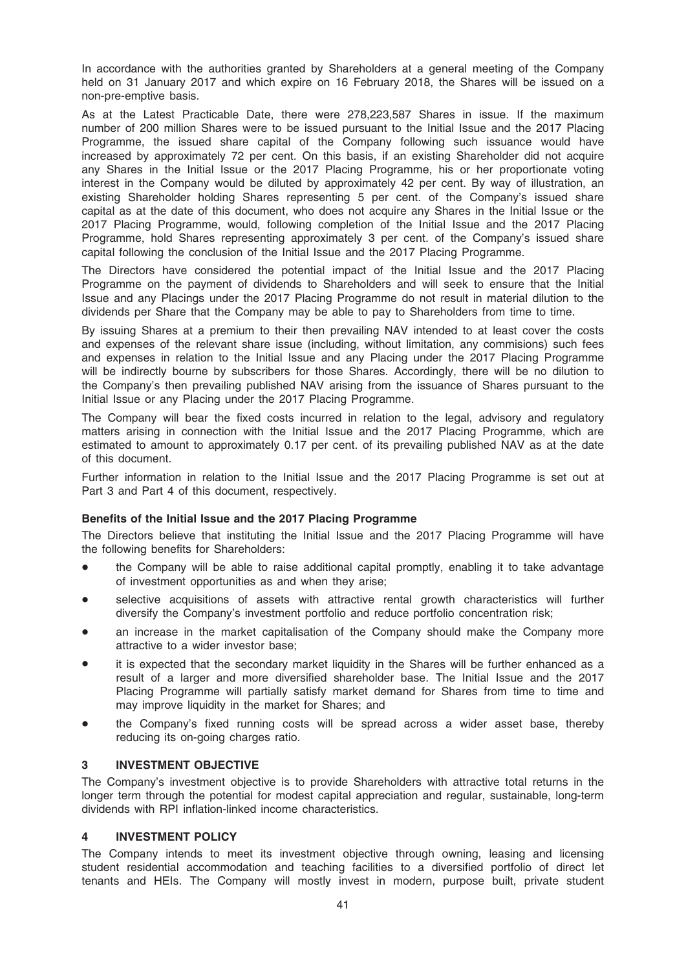In accordance with the authorities granted by Shareholders at a general meeting of the Company held on 31 January 2017 and which expire on 16 February 2018, the Shares will be issued on a non-pre-emptive basis.

As at the Latest Practicable Date, there were 278,223,587 Shares in issue. If the maximum number of 200 million Shares were to be issued pursuant to the Initial Issue and the 2017 Placing Programme, the issued share capital of the Company following such issuance would have increased by approximately 72 per cent. On this basis, if an existing Shareholder did not acquire any Shares in the Initial Issue or the 2017 Placing Programme, his or her proportionate voting interest in the Company would be diluted by approximately 42 per cent. By way of illustration, an existing Shareholder holding Shares representing 5 per cent. of the Company's issued share capital as at the date of this document, who does not acquire any Shares in the Initial Issue or the 2017 Placing Programme, would, following completion of the Initial Issue and the 2017 Placing Programme, hold Shares representing approximately 3 per cent. of the Company's issued share capital following the conclusion of the Initial Issue and the 2017 Placing Programme.

The Directors have considered the potential impact of the Initial Issue and the 2017 Placing Programme on the payment of dividends to Shareholders and will seek to ensure that the Initial Issue and any Placings under the 2017 Placing Programme do not result in material dilution to the dividends per Share that the Company may be able to pay to Shareholders from time to time.

By issuing Shares at a premium to their then prevailing NAV intended to at least cover the costs and expenses of the relevant share issue (including, without limitation, any commisions) such fees and expenses in relation to the Initial Issue and any Placing under the 2017 Placing Programme will be indirectly bourne by subscribers for those Shares. Accordingly, there will be no dilution to the Company's then prevailing published NAV arising from the issuance of Shares pursuant to the Initial Issue or any Placing under the 2017 Placing Programme.

The Company will bear the fixed costs incurred in relation to the legal, advisory and regulatory matters arising in connection with the Initial Issue and the 2017 Placing Programme, which are estimated to amount to approximately 0.17 per cent. of its prevailing published NAV as at the date of this document.

Further information in relation to the Initial Issue and the 2017 Placing Programme is set out at Part 3 and Part 4 of this document, respectively.

### Benefits of the Initial Issue and the 2017 Placing Programme

The Directors believe that instituting the Initial Issue and the 2017 Placing Programme will have the following benefits for Shareholders:

- the Company will be able to raise additional capital promptly, enabling it to take advantage of investment opportunities as and when they arise;
- selective acquisitions of assets with attractive rental growth characteristics will further diversify the Company's investment portfolio and reduce portfolio concentration risk;
- an increase in the market capitalisation of the Company should make the Company more attractive to a wider investor base;
- it is expected that the secondary market liquidity in the Shares will be further enhanced as a result of a larger and more diversified shareholder base. The Initial Issue and the 2017 Placing Programme will partially satisfy market demand for Shares from time to time and may improve liquidity in the market for Shares; and
- the Company's fixed running costs will be spread across a wider asset base, thereby reducing its on-going charges ratio.

### 3 INVESTMENT OBJECTIVE

The Company's investment objective is to provide Shareholders with attractive total returns in the longer term through the potential for modest capital appreciation and regular, sustainable, long-term dividends with RPI inflation-linked income characteristics.

### 4 INVESTMENT POLICY

The Company intends to meet its investment objective through owning, leasing and licensing student residential accommodation and teaching facilities to a diversified portfolio of direct let tenants and HEIs. The Company will mostly invest in modern, purpose built, private student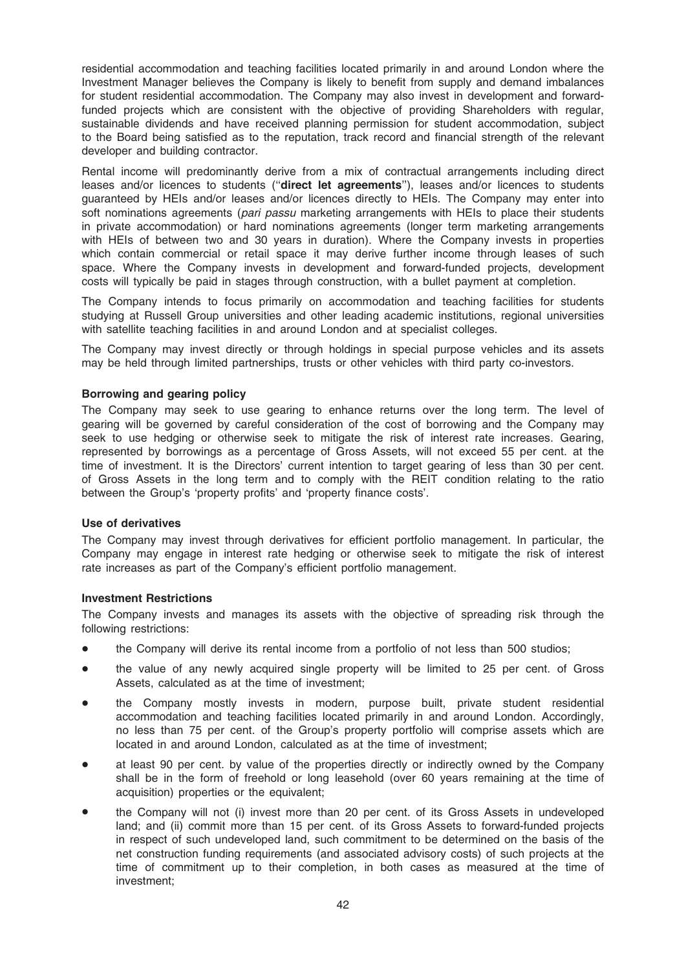residential accommodation and teaching facilities located primarily in and around London where the Investment Manager believes the Company is likely to benefit from supply and demand imbalances for student residential accommodation. The Company may also invest in development and forwardfunded projects which are consistent with the objective of providing Shareholders with regular, sustainable dividends and have received planning permission for student accommodation, subject to the Board being satisfied as to the reputation, track record and financial strength of the relevant developer and building contractor.

Rental income will predominantly derive from a mix of contractual arrangements including direct leases and/or licences to students ("direct let agreements"), leases and/or licences to students guaranteed by HEIs and/or leases and/or licences directly to HEIs. The Company may enter into soft nominations agreements (pari passu marketing arrangements with HEIs to place their students in private accommodation) or hard nominations agreements (longer term marketing arrangements with HEIs of between two and 30 years in duration). Where the Company invests in properties which contain commercial or retail space it may derive further income through leases of such space. Where the Company invests in development and forward-funded projects, development costs will typically be paid in stages through construction, with a bullet payment at completion.

The Company intends to focus primarily on accommodation and teaching facilities for students studying at Russell Group universities and other leading academic institutions, regional universities with satellite teaching facilities in and around London and at specialist colleges.

The Company may invest directly or through holdings in special purpose vehicles and its assets may be held through limited partnerships, trusts or other vehicles with third party co-investors.

### Borrowing and gearing policy

The Company may seek to use gearing to enhance returns over the long term. The level of gearing will be governed by careful consideration of the cost of borrowing and the Company may seek to use hedging or otherwise seek to mitigate the risk of interest rate increases. Gearing, represented by borrowings as a percentage of Gross Assets, will not exceed 55 per cent. at the time of investment. It is the Directors' current intention to target gearing of less than 30 per cent. of Gross Assets in the long term and to comply with the REIT condition relating to the ratio between the Group's 'property profits' and 'property finance costs'.

### Use of derivatives

The Company may invest through derivatives for efficient portfolio management. In particular, the Company may engage in interest rate hedging or otherwise seek to mitigate the risk of interest rate increases as part of the Company's efficient portfolio management.

### Investment Restrictions

The Company invests and manages its assets with the objective of spreading risk through the following restrictions:

- the Company will derive its rental income from a portfolio of not less than 500 studios;
- the value of any newly acquired single property will be limited to 25 per cent. of Gross Assets, calculated as at the time of investment;
- the Company mostly invests in modern, purpose built, private student residential accommodation and teaching facilities located primarily in and around London. Accordingly, no less than 75 per cent. of the Group's property portfolio will comprise assets which are located in and around London, calculated as at the time of investment;
- at least 90 per cent. by value of the properties directly or indirectly owned by the Company shall be in the form of freehold or long leasehold (over 60 years remaining at the time of acquisition) properties or the equivalent;
- the Company will not (i) invest more than 20 per cent. of its Gross Assets in undeveloped land; and (ii) commit more than 15 per cent. of its Gross Assets to forward-funded projects in respect of such undeveloped land, such commitment to be determined on the basis of the net construction funding requirements (and associated advisory costs) of such projects at the time of commitment up to their completion, in both cases as measured at the time of investment;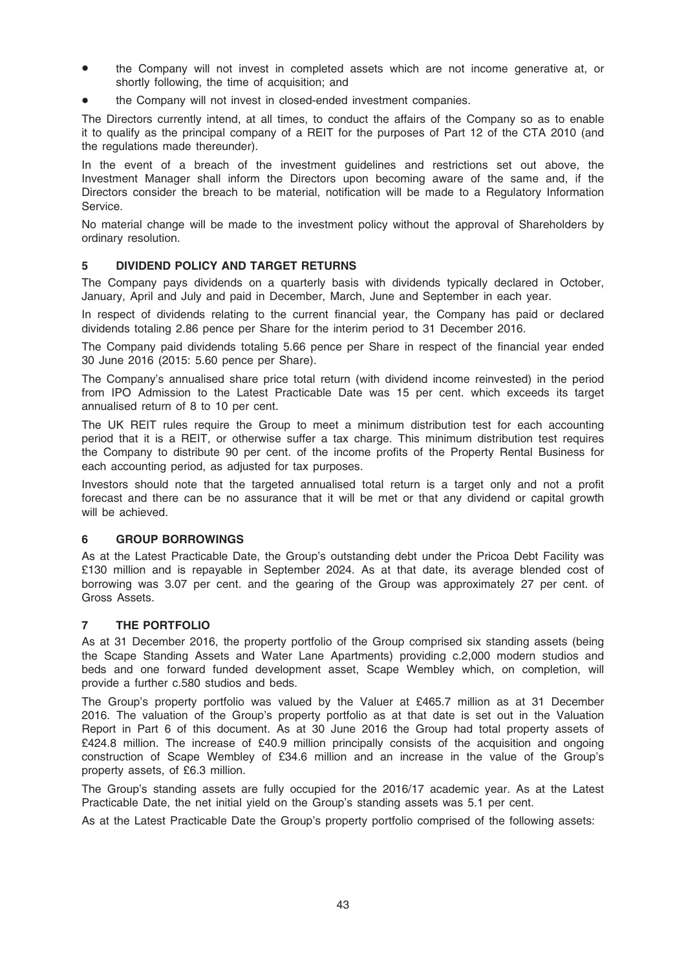- the Company will not invest in completed assets which are not income generative at, or shortly following, the time of acquisition; and
- the Company will not invest in closed-ended investment companies.

The Directors currently intend, at all times, to conduct the affairs of the Company so as to enable it to qualify as the principal company of a REIT for the purposes of Part 12 of the CTA 2010 (and the regulations made thereunder).

In the event of a breach of the investment guidelines and restrictions set out above, the Investment Manager shall inform the Directors upon becoming aware of the same and, if the Directors consider the breach to be material, notification will be made to a Regulatory Information Service.

No material change will be made to the investment policy without the approval of Shareholders by ordinary resolution.

### 5 DIVIDEND POLICY AND TARGET RETURNS

The Company pays dividends on a quarterly basis with dividends typically declared in October, January, April and July and paid in December, March, June and September in each year.

In respect of dividends relating to the current financial year, the Company has paid or declared dividends totaling 2.86 pence per Share for the interim period to 31 December 2016.

The Company paid dividends totaling 5.66 pence per Share in respect of the financial year ended 30 June 2016 (2015: 5.60 pence per Share).

The Company's annualised share price total return (with dividend income reinvested) in the period from IPO Admission to the Latest Practicable Date was 15 per cent. which exceeds its target annualised return of 8 to 10 per cent.

The UK REIT rules require the Group to meet a minimum distribution test for each accounting period that it is a REIT, or otherwise suffer a tax charge. This minimum distribution test requires the Company to distribute 90 per cent. of the income profits of the Property Rental Business for each accounting period, as adjusted for tax purposes.

Investors should note that the targeted annualised total return is a target only and not a profit forecast and there can be no assurance that it will be met or that any dividend or capital growth will be achieved.

### 6 GROUP BORROWINGS

As at the Latest Practicable Date, the Group's outstanding debt under the Pricoa Debt Facility was £130 million and is repayable in September 2024. As at that date, its average blended cost of borrowing was 3.07 per cent. and the gearing of the Group was approximately 27 per cent. of Gross Assets.

### 7 THE PORTFOLIO

As at 31 December 2016, the property portfolio of the Group comprised six standing assets (being the Scape Standing Assets and Water Lane Apartments) providing c.2,000 modern studios and beds and one forward funded development asset, Scape Wembley which, on completion, will provide a further c.580 studios and beds.

The Group's property portfolio was valued by the Valuer at £465.7 million as at 31 December 2016. The valuation of the Group's property portfolio as at that date is set out in the Valuation Report in Part 6 of this document. As at 30 June 2016 the Group had total property assets of £424.8 million. The increase of £40.9 million principally consists of the acquisition and ongoing construction of Scape Wembley of £34.6 million and an increase in the value of the Group's property assets, of £6.3 million.

The Group's standing assets are fully occupied for the 2016/17 academic year. As at the Latest Practicable Date, the net initial yield on the Group's standing assets was 5.1 per cent.

As at the Latest Practicable Date the Group's property portfolio comprised of the following assets: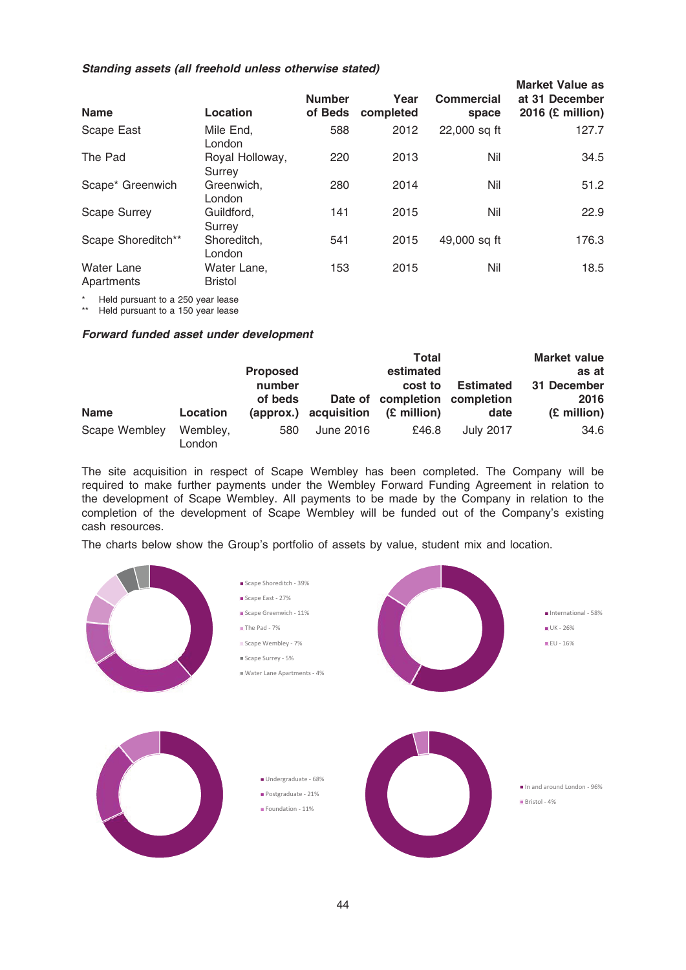### Standing assets (all freehold unless otherwise stated)

| Location                      | <b>Number</b><br>of Beds | Year<br>completed | <b>Commercial</b><br>space | <b>Market Value as</b><br>at 31 December<br>2016 $(E \text{ million})$ |
|-------------------------------|--------------------------|-------------------|----------------------------|------------------------------------------------------------------------|
| Mile End,<br>London           | 588                      | 2012              | 22,000 sq ft               | 127.7                                                                  |
| Royal Holloway,<br>Surrey     | 220                      | 2013              | Nil                        | 34.5                                                                   |
| Greenwich,<br>London          | 280                      | 2014              | Nil                        | 51.2                                                                   |
| Guildford.<br>Surrey          | 141                      | 2015              | Nil                        | 22.9                                                                   |
| Shoreditch.<br>London         | 541                      | 2015              | 49,000 sq ft               | 176.3                                                                  |
| Water Lane,<br><b>Bristol</b> | 153                      | 2015              | Nil                        | 18.5                                                                   |
|                               |                          |                   |                            |                                                                        |

\* Held pursuant to a 250 year lease<br>\*\* Held pursuant to a 150 year lease

Held pursuant to a 150 year lease

### Forward funded asset under development

|               |                    |                 |             | Total                         |                  | <b>Market value</b> |
|---------------|--------------------|-----------------|-------------|-------------------------------|------------------|---------------------|
|               |                    | <b>Proposed</b> |             | estimated                     |                  | as at               |
|               |                    | number          |             | cost to                       | <b>Estimated</b> | 31 December         |
|               |                    | of beds         |             | Date of completion completion |                  | 2016                |
| <b>Name</b>   | Location           | (approx.)       | acquisition | (£ million)                   | date             | (£ million)         |
| Scape Wembley | Wembley,<br>London | 580             | June 2016   | £46.8                         | <b>July 2017</b> | 34.6                |

The site acquisition in respect of Scape Wembley has been completed. The Company will be required to make further payments under the Wembley Forward Funding Agreement in relation to the development of Scape Wembley. All payments to be made by the Company in relation to the completion of the development of Scape Wembley will be funded out of the Company's existing cash resources.

The charts below show the Group's portfolio of assets by value, student mix and location.

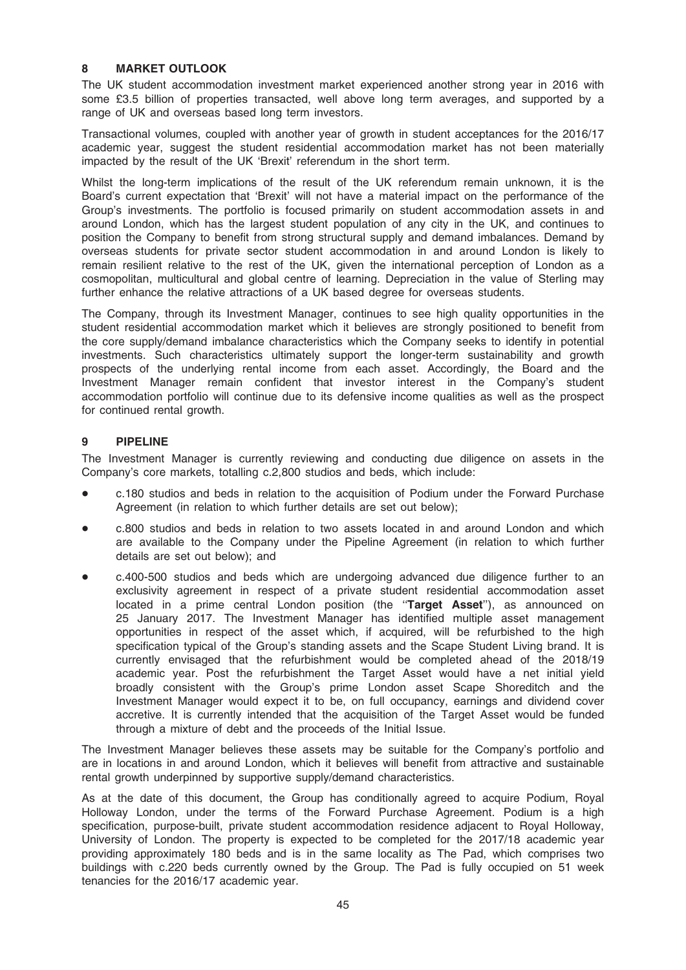### 8 MARKET OUTLOOK

The UK student accommodation investment market experienced another strong year in 2016 with some £3.5 billion of properties transacted, well above long term averages, and supported by a range of UK and overseas based long term investors.

Transactional volumes, coupled with another year of growth in student acceptances for the 2016/17 academic year, suggest the student residential accommodation market has not been materially impacted by the result of the UK 'Brexit' referendum in the short term.

Whilst the long-term implications of the result of the UK referendum remain unknown, it is the Board's current expectation that 'Brexit' will not have a material impact on the performance of the Group's investments. The portfolio is focused primarily on student accommodation assets in and around London, which has the largest student population of any city in the UK, and continues to position the Company to benefit from strong structural supply and demand imbalances. Demand by overseas students for private sector student accommodation in and around London is likely to remain resilient relative to the rest of the UK, given the international perception of London as a cosmopolitan, multicultural and global centre of learning. Depreciation in the value of Sterling may further enhance the relative attractions of a UK based degree for overseas students.

The Company, through its Investment Manager, continues to see high quality opportunities in the student residential accommodation market which it believes are strongly positioned to benefit from the core supply/demand imbalance characteristics which the Company seeks to identify in potential investments. Such characteristics ultimately support the longer-term sustainability and growth prospects of the underlying rental income from each asset. Accordingly, the Board and the Investment Manager remain confident that investor interest in the Company's student accommodation portfolio will continue due to its defensive income qualities as well as the prospect for continued rental growth.

### 9 PIPELINE

The Investment Manager is currently reviewing and conducting due diligence on assets in the Company's core markets, totalling c.2,800 studios and beds, which include:

- c.180 studios and beds in relation to the acquisition of Podium under the Forward Purchase Agreement (in relation to which further details are set out below);
- c.800 studios and beds in relation to two assets located in and around London and which are available to the Company under the Pipeline Agreement (in relation to which further details are set out below); and
- \* c.400-500 studios and beds which are undergoing advanced due diligence further to an exclusivity agreement in respect of a private student residential accommodation asset located in a prime central London position (the "Target Asset"), as announced on 25 January 2017. The Investment Manager has identified multiple asset management opportunities in respect of the asset which, if acquired, will be refurbished to the high specification typical of the Group's standing assets and the Scape Student Living brand. It is currently envisaged that the refurbishment would be completed ahead of the 2018/19 academic year. Post the refurbishment the Target Asset would have a net initial yield broadly consistent with the Group's prime London asset Scape Shoreditch and the Investment Manager would expect it to be, on full occupancy, earnings and dividend cover accretive. It is currently intended that the acquisition of the Target Asset would be funded through a mixture of debt and the proceeds of the Initial Issue.

The Investment Manager believes these assets may be suitable for the Company's portfolio and are in locations in and around London, which it believes will benefit from attractive and sustainable rental growth underpinned by supportive supply/demand characteristics.

As at the date of this document, the Group has conditionally agreed to acquire Podium, Royal Holloway London, under the terms of the Forward Purchase Agreement. Podium is a high specification, purpose-built, private student accommodation residence adjacent to Royal Holloway, University of London. The property is expected to be completed for the 2017/18 academic year providing approximately 180 beds and is in the same locality as The Pad, which comprises two buildings with c.220 beds currently owned by the Group. The Pad is fully occupied on 51 week tenancies for the 2016/17 academic year.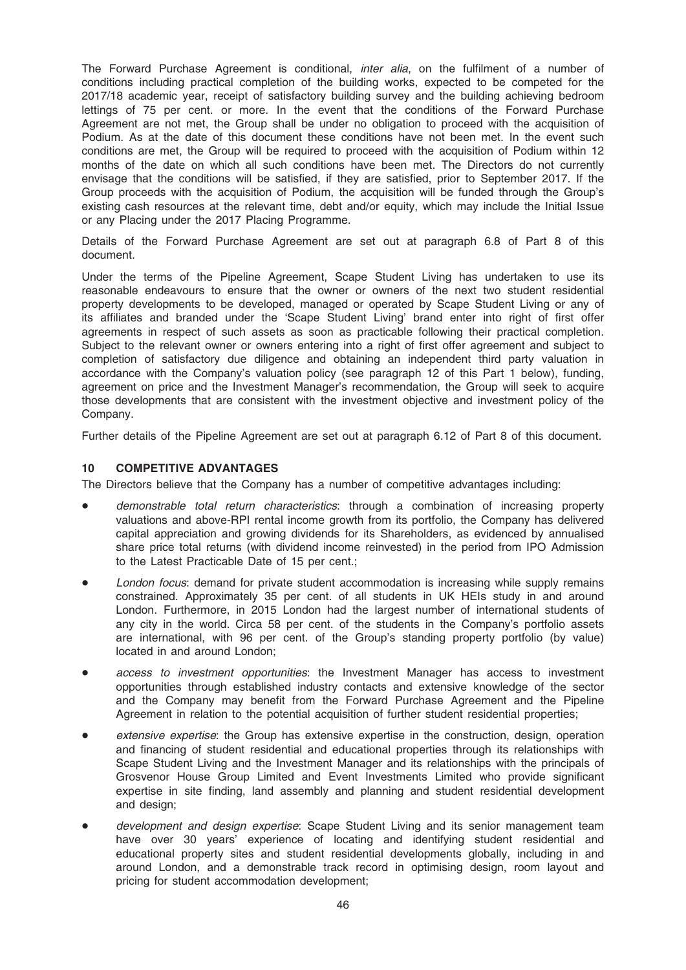The Forward Purchase Agreement is conditional, *inter alia*, on the fulfilment of a number of conditions including practical completion of the building works, expected to be competed for the 2017/18 academic year, receipt of satisfactory building survey and the building achieving bedroom lettings of 75 per cent. or more. In the event that the conditions of the Forward Purchase Agreement are not met, the Group shall be under no obligation to proceed with the acquisition of Podium. As at the date of this document these conditions have not been met. In the event such conditions are met, the Group will be required to proceed with the acquisition of Podium within 12 months of the date on which all such conditions have been met. The Directors do not currently envisage that the conditions will be satisfied, if they are satisfied, prior to September 2017. If the Group proceeds with the acquisition of Podium, the acquisition will be funded through the Group's existing cash resources at the relevant time, debt and/or equity, which may include the Initial Issue or any Placing under the 2017 Placing Programme.

Details of the Forward Purchase Agreement are set out at paragraph 6.8 of Part 8 of this document.

Under the terms of the Pipeline Agreement, Scape Student Living has undertaken to use its reasonable endeavours to ensure that the owner or owners of the next two student residential property developments to be developed, managed or operated by Scape Student Living or any of its affiliates and branded under the 'Scape Student Living' brand enter into right of first offer agreements in respect of such assets as soon as practicable following their practical completion. Subject to the relevant owner or owners entering into a right of first offer agreement and subject to completion of satisfactory due diligence and obtaining an independent third party valuation in accordance with the Company's valuation policy (see paragraph 12 of this Part 1 below), funding, agreement on price and the Investment Manager's recommendation, the Group will seek to acquire those developments that are consistent with the investment objective and investment policy of the Company.

Further details of the Pipeline Agreement are set out at paragraph 6.12 of Part 8 of this document.

### 10 COMPETITIVE ADVANTAGES

The Directors believe that the Company has a number of competitive advantages including:

- demonstrable total return characteristics: through a combination of increasing property valuations and above-RPI rental income growth from its portfolio, the Company has delivered capital appreciation and growing dividends for its Shareholders, as evidenced by annualised share price total returns (with dividend income reinvested) in the period from IPO Admission to the Latest Practicable Date of 15 per cent.;
- London focus: demand for private student accommodation is increasing while supply remains constrained. Approximately 35 per cent. of all students in UK HEIs study in and around London. Furthermore, in 2015 London had the largest number of international students of any city in the world. Circa 58 per cent. of the students in the Company's portfolio assets are international, with 96 per cent. of the Group's standing property portfolio (by value) located in and around London;
- access to investment opportunities: the Investment Manager has access to investment opportunities through established industry contacts and extensive knowledge of the sector and the Company may benefit from the Forward Purchase Agreement and the Pipeline Agreement in relation to the potential acquisition of further student residential properties;
- extensive expertise: the Group has extensive expertise in the construction, design, operation and financing of student residential and educational properties through its relationships with Scape Student Living and the Investment Manager and its relationships with the principals of Grosvenor House Group Limited and Event Investments Limited who provide significant expertise in site finding, land assembly and planning and student residential development and design;
- development and design expertise: Scape Student Living and its senior management team have over 30 years' experience of locating and identifying student residential and educational property sites and student residential developments globally, including in and around London, and a demonstrable track record in optimising design, room layout and pricing for student accommodation development;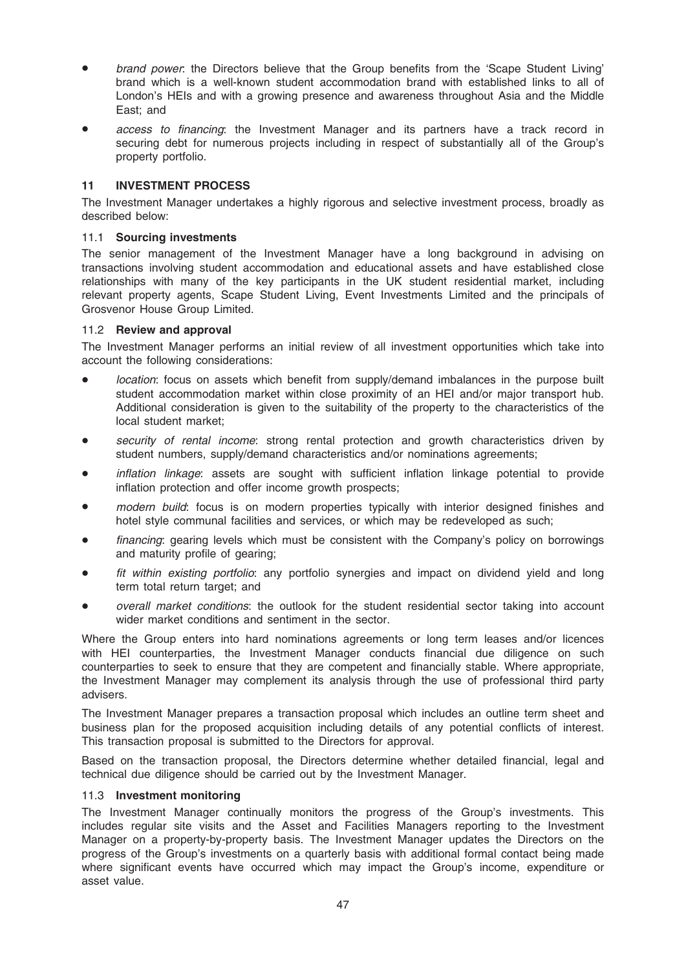- brand power: the Directors believe that the Group benefits from the 'Scape Student Living' brand which is a well-known student accommodation brand with established links to all of London's HEIs and with a growing presence and awareness throughout Asia and the Middle East; and
- access to financing: the Investment Manager and its partners have a track record in securing debt for numerous projects including in respect of substantially all of the Group's property portfolio.

### 11 INVESTMENT PROCESS

The Investment Manager undertakes a highly rigorous and selective investment process, broadly as described below:

### 11.1 Sourcing investments

The senior management of the Investment Manager have a long background in advising on transactions involving student accommodation and educational assets and have established close relationships with many of the key participants in the UK student residential market, including relevant property agents, Scape Student Living, Event Investments Limited and the principals of Grosvenor House Group Limited.

### 11.2 Review and approval

The Investment Manager performs an initial review of all investment opportunities which take into account the following considerations:

- location: focus on assets which benefit from supply/demand imbalances in the purpose built student accommodation market within close proximity of an HEI and/or major transport hub. Additional consideration is given to the suitability of the property to the characteristics of the local student market;
- security of rental income: strong rental protection and growth characteristics driven by student numbers, supply/demand characteristics and/or nominations agreements;
- inflation linkage: assets are sought with sufficient inflation linkage potential to provide inflation protection and offer income growth prospects;
- modern build: focus is on modern properties typically with interior designed finishes and hotel style communal facilities and services, or which may be redeveloped as such;
- financing: gearing levels which must be consistent with the Company's policy on borrowings and maturity profile of gearing;
- fit within existing portfolio: any portfolio synergies and impact on dividend yield and long term total return target; and
- overall market conditions: the outlook for the student residential sector taking into account wider market conditions and sentiment in the sector.

Where the Group enters into hard nominations agreements or long term leases and/or licences with HEI counterparties, the Investment Manager conducts financial due diligence on such counterparties to seek to ensure that they are competent and financially stable. Where appropriate, the Investment Manager may complement its analysis through the use of professional third party advisers.

The Investment Manager prepares a transaction proposal which includes an outline term sheet and business plan for the proposed acquisition including details of any potential conflicts of interest. This transaction proposal is submitted to the Directors for approval.

Based on the transaction proposal, the Directors determine whether detailed financial, legal and technical due diligence should be carried out by the Investment Manager.

### 11.3 Investment monitoring

The Investment Manager continually monitors the progress of the Group's investments. This includes regular site visits and the Asset and Facilities Managers reporting to the Investment Manager on a property-by-property basis. The Investment Manager updates the Directors on the progress of the Group's investments on a quarterly basis with additional formal contact being made where significant events have occurred which may impact the Group's income, expenditure or asset value.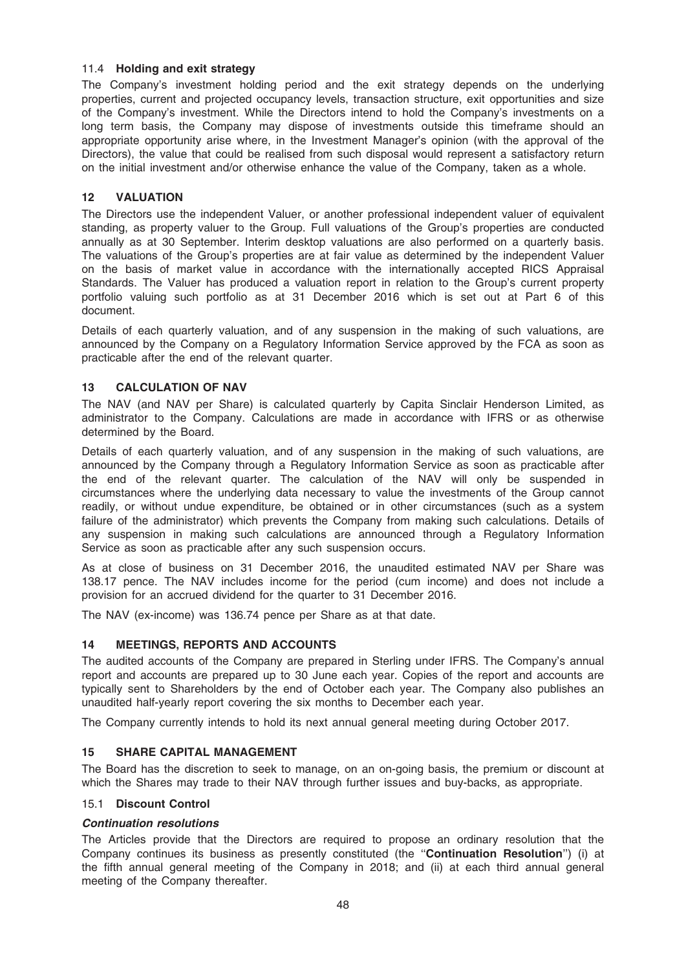### 11.4 Holding and exit strategy

The Company's investment holding period and the exit strategy depends on the underlying properties, current and projected occupancy levels, transaction structure, exit opportunities and size of the Company's investment. While the Directors intend to hold the Company's investments on a long term basis, the Company may dispose of investments outside this timeframe should an appropriate opportunity arise where, in the Investment Manager's opinion (with the approval of the Directors), the value that could be realised from such disposal would represent a satisfactory return on the initial investment and/or otherwise enhance the value of the Company, taken as a whole.

### 12 VALUATION

The Directors use the independent Valuer, or another professional independent valuer of equivalent standing, as property valuer to the Group. Full valuations of the Group's properties are conducted annually as at 30 September. Interim desktop valuations are also performed on a quarterly basis. The valuations of the Group's properties are at fair value as determined by the independent Valuer on the basis of market value in accordance with the internationally accepted RICS Appraisal Standards. The Valuer has produced a valuation report in relation to the Group's current property portfolio valuing such portfolio as at 31 December 2016 which is set out at Part 6 of this document.

Details of each quarterly valuation, and of any suspension in the making of such valuations, are announced by the Company on a Regulatory Information Service approved by the FCA as soon as practicable after the end of the relevant quarter.

### 13 CALCULATION OF NAV

The NAV (and NAV per Share) is calculated quarterly by Capita Sinclair Henderson Limited, as administrator to the Company. Calculations are made in accordance with IFRS or as otherwise determined by the Board.

Details of each quarterly valuation, and of any suspension in the making of such valuations, are announced by the Company through a Regulatory Information Service as soon as practicable after the end of the relevant quarter. The calculation of the NAV will only be suspended in circumstances where the underlying data necessary to value the investments of the Group cannot readily, or without undue expenditure, be obtained or in other circumstances (such as a system failure of the administrator) which prevents the Company from making such calculations. Details of any suspension in making such calculations are announced through a Regulatory Information Service as soon as practicable after any such suspension occurs.

As at close of business on 31 December 2016, the unaudited estimated NAV per Share was 138.17 pence. The NAV includes income for the period (cum income) and does not include a provision for an accrued dividend for the quarter to 31 December 2016.

The NAV (ex-income) was 136.74 pence per Share as at that date.

### 14 MEETINGS, REPORTS AND ACCOUNTS

The audited accounts of the Company are prepared in Sterling under IFRS. The Company's annual report and accounts are prepared up to 30 June each year. Copies of the report and accounts are typically sent to Shareholders by the end of October each year. The Company also publishes an unaudited half-yearly report covering the six months to December each year.

The Company currently intends to hold its next annual general meeting during October 2017.

### 15 SHARE CAPITAL MANAGEMENT

The Board has the discretion to seek to manage, on an on-going basis, the premium or discount at which the Shares may trade to their NAV through further issues and buy-backs, as appropriate.

### 15.1 Discount Control

### Continuation resolutions

The Articles provide that the Directors are required to propose an ordinary resolution that the Company continues its business as presently constituted (the ''Continuation Resolution'') (i) at the fifth annual general meeting of the Company in 2018; and (ii) at each third annual general meeting of the Company thereafter.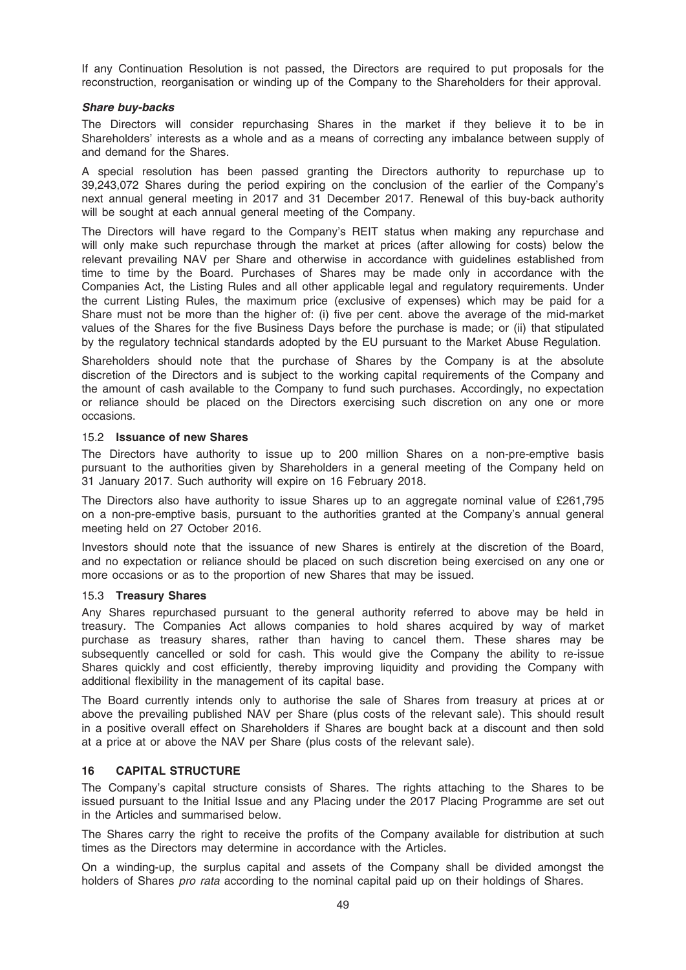If any Continuation Resolution is not passed, the Directors are required to put proposals for the reconstruction, reorganisation or winding up of the Company to the Shareholders for their approval.

### Share buy-backs

The Directors will consider repurchasing Shares in the market if they believe it to be in Shareholders' interests as a whole and as a means of correcting any imbalance between supply of and demand for the Shares.

A special resolution has been passed granting the Directors authority to repurchase up to 39,243,072 Shares during the period expiring on the conclusion of the earlier of the Company's next annual general meeting in 2017 and 31 December 2017. Renewal of this buy-back authority will be sought at each annual general meeting of the Company.

The Directors will have regard to the Company's REIT status when making any repurchase and will only make such repurchase through the market at prices (after allowing for costs) below the relevant prevailing NAV per Share and otherwise in accordance with guidelines established from time to time by the Board. Purchases of Shares may be made only in accordance with the Companies Act, the Listing Rules and all other applicable legal and regulatory requirements. Under the current Listing Rules, the maximum price (exclusive of expenses) which may be paid for a Share must not be more than the higher of: (i) five per cent. above the average of the mid-market values of the Shares for the five Business Days before the purchase is made; or (ii) that stipulated by the regulatory technical standards adopted by the EU pursuant to the Market Abuse Regulation.

Shareholders should note that the purchase of Shares by the Company is at the absolute discretion of the Directors and is subject to the working capital requirements of the Company and the amount of cash available to the Company to fund such purchases. Accordingly, no expectation or reliance should be placed on the Directors exercising such discretion on any one or more occasions.

### 15.2 Issuance of new Shares

The Directors have authority to issue up to 200 million Shares on a non-pre-emptive basis pursuant to the authorities given by Shareholders in a general meeting of the Company held on 31 January 2017. Such authority will expire on 16 February 2018.

The Directors also have authority to issue Shares up to an aggregate nominal value of £261,795 on a non-pre-emptive basis, pursuant to the authorities granted at the Company's annual general meeting held on 27 October 2016.

Investors should note that the issuance of new Shares is entirely at the discretion of the Board, and no expectation or reliance should be placed on such discretion being exercised on any one or more occasions or as to the proportion of new Shares that may be issued.

### 15.3 Treasury Shares

Any Shares repurchased pursuant to the general authority referred to above may be held in treasury. The Companies Act allows companies to hold shares acquired by way of market purchase as treasury shares, rather than having to cancel them. These shares may be subsequently cancelled or sold for cash. This would give the Company the ability to re-issue Shares quickly and cost efficiently, thereby improving liquidity and providing the Company with additional flexibility in the management of its capital base.

The Board currently intends only to authorise the sale of Shares from treasury at prices at or above the prevailing published NAV per Share (plus costs of the relevant sale). This should result in a positive overall effect on Shareholders if Shares are bought back at a discount and then sold at a price at or above the NAV per Share (plus costs of the relevant sale).

### 16 CAPITAL STRUCTURE

The Company's capital structure consists of Shares. The rights attaching to the Shares to be issued pursuant to the Initial Issue and any Placing under the 2017 Placing Programme are set out in the Articles and summarised below.

The Shares carry the right to receive the profits of the Company available for distribution at such times as the Directors may determine in accordance with the Articles.

On a winding-up, the surplus capital and assets of the Company shall be divided amongst the holders of Shares pro rata according to the nominal capital paid up on their holdings of Shares.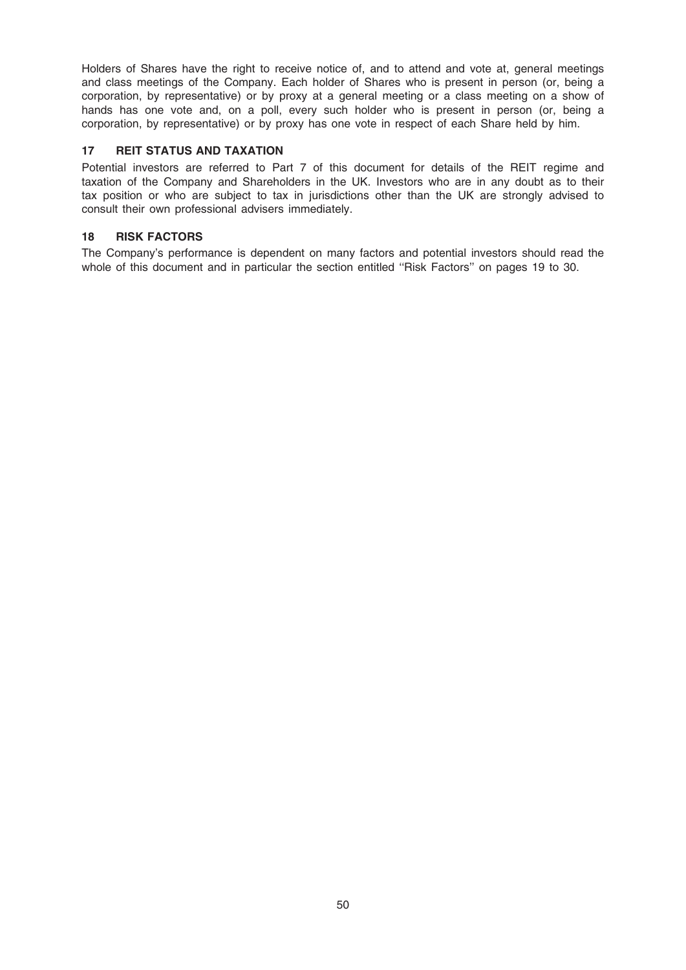Holders of Shares have the right to receive notice of, and to attend and vote at, general meetings and class meetings of the Company. Each holder of Shares who is present in person (or, being a corporation, by representative) or by proxy at a general meeting or a class meeting on a show of hands has one vote and, on a poll, every such holder who is present in person (or, being a corporation, by representative) or by proxy has one vote in respect of each Share held by him.

### 17 REIT STATUS AND TAXATION

Potential investors are referred to Part 7 of this document for details of the REIT regime and taxation of the Company and Shareholders in the UK. Investors who are in any doubt as to their tax position or who are subject to tax in jurisdictions other than the UK are strongly advised to consult their own professional advisers immediately.

### 18 RISK FACTORS

The Company's performance is dependent on many factors and potential investors should read the whole of this document and in particular the section entitled "Risk Factors" on pages 19 to 30.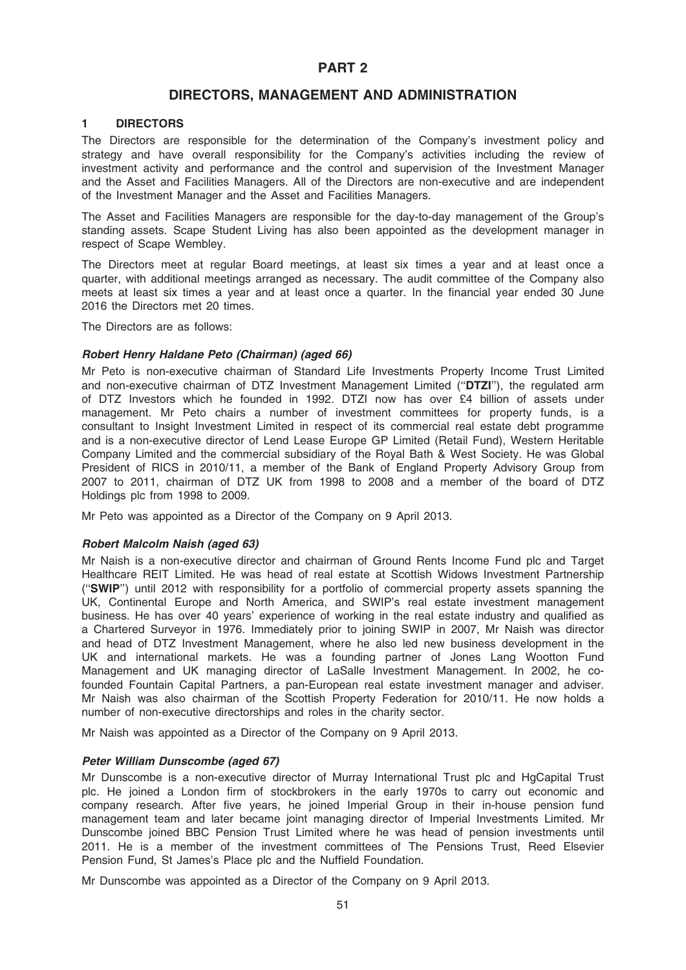### PART 2

### DIRECTORS, MANAGEMENT AND ADMINISTRATION

### 1 DIRECTORS

The Directors are responsible for the determination of the Company's investment policy and strategy and have overall responsibility for the Company's activities including the review of investment activity and performance and the control and supervision of the Investment Manager and the Asset and Facilities Managers. All of the Directors are non-executive and are independent of the Investment Manager and the Asset and Facilities Managers.

The Asset and Facilities Managers are responsible for the day-to-day management of the Group's standing assets. Scape Student Living has also been appointed as the development manager in respect of Scape Wembley.

The Directors meet at regular Board meetings, at least six times a year and at least once a quarter, with additional meetings arranged as necessary. The audit committee of the Company also meets at least six times a year and at least once a quarter. In the financial year ended 30 June 2016 the Directors met 20 times.

The Directors are as follows:

### Robert Henry Haldane Peto (Chairman) (aged 66)

Mr Peto is non-executive chairman of Standard Life Investments Property Income Trust Limited and non-executive chairman of DTZ Investment Management Limited ("DTZI"), the regulated arm of DTZ Investors which he founded in 1992. DTZI now has over £4 billion of assets under management. Mr Peto chairs a number of investment committees for property funds, is a consultant to Insight Investment Limited in respect of its commercial real estate debt programme and is a non-executive director of Lend Lease Europe GP Limited (Retail Fund), Western Heritable Company Limited and the commercial subsidiary of the Royal Bath & West Society. He was Global President of RICS in 2010/11, a member of the Bank of England Property Advisory Group from 2007 to 2011, chairman of DTZ UK from 1998 to 2008 and a member of the board of DTZ Holdings plc from 1998 to 2009.

Mr Peto was appointed as a Director of the Company on 9 April 2013.

### Robert Malcolm Naish (aged 63)

Mr Naish is a non-executive director and chairman of Ground Rents Income Fund plc and Target Healthcare REIT Limited. He was head of real estate at Scottish Widows Investment Partnership (''SWIP'') until 2012 with responsibility for a portfolio of commercial property assets spanning the UK, Continental Europe and North America, and SWIP's real estate investment management business. He has over 40 years' experience of working in the real estate industry and qualified as a Chartered Surveyor in 1976. Immediately prior to joining SWIP in 2007, Mr Naish was director and head of DTZ Investment Management, where he also led new business development in the UK and international markets. He was a founding partner of Jones Lang Wootton Fund Management and UK managing director of LaSalle Investment Management. In 2002, he cofounded Fountain Capital Partners, a pan-European real estate investment manager and adviser. Mr Naish was also chairman of the Scottish Property Federation for 2010/11. He now holds a number of non-executive directorships and roles in the charity sector.

Mr Naish was appointed as a Director of the Company on 9 April 2013.

### Peter William Dunscombe (aged 67)

Mr Dunscombe is a non-executive director of Murray International Trust plc and HgCapital Trust plc. He joined a London firm of stockbrokers in the early 1970s to carry out economic and company research. After five years, he joined Imperial Group in their in-house pension fund management team and later became joint managing director of Imperial Investments Limited. Mr Dunscombe joined BBC Pension Trust Limited where he was head of pension investments until 2011. He is a member of the investment committees of The Pensions Trust, Reed Elsevier Pension Fund, St James's Place plc and the Nuffield Foundation.

Mr Dunscombe was appointed as a Director of the Company on 9 April 2013.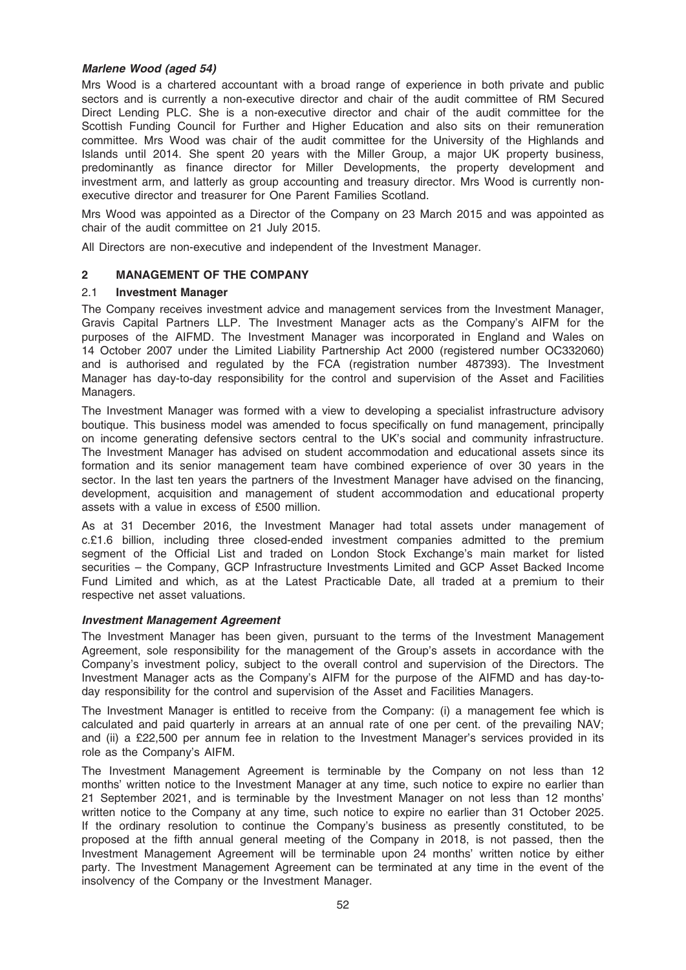### Marlene Wood (aged 54)

Mrs Wood is a chartered accountant with a broad range of experience in both private and public sectors and is currently a non-executive director and chair of the audit committee of RM Secured Direct Lending PLC. She is a non-executive director and chair of the audit committee for the Scottish Funding Council for Further and Higher Education and also sits on their remuneration committee. Mrs Wood was chair of the audit committee for the University of the Highlands and Islands until 2014. She spent 20 years with the Miller Group, a major UK property business, predominantly as finance director for Miller Developments, the property development and investment arm, and latterly as group accounting and treasury director. Mrs Wood is currently nonexecutive director and treasurer for One Parent Families Scotland.

Mrs Wood was appointed as a Director of the Company on 23 March 2015 and was appointed as chair of the audit committee on 21 July 2015.

All Directors are non-executive and independent of the Investment Manager.

### 2 MANAGEMENT OF THE COMPANY

### 2.1 Investment Manager

The Company receives investment advice and management services from the Investment Manager, Gravis Capital Partners LLP. The Investment Manager acts as the Company's AIFM for the purposes of the AIFMD. The Investment Manager was incorporated in England and Wales on 14 October 2007 under the Limited Liability Partnership Act 2000 (registered number OC332060) and is authorised and regulated by the FCA (registration number 487393). The Investment Manager has day-to-day responsibility for the control and supervision of the Asset and Facilities Managers.

The Investment Manager was formed with a view to developing a specialist infrastructure advisory boutique. This business model was amended to focus specifically on fund management, principally on income generating defensive sectors central to the UK's social and community infrastructure. The Investment Manager has advised on student accommodation and educational assets since its formation and its senior management team have combined experience of over 30 years in the sector. In the last ten years the partners of the Investment Manager have advised on the financing, development, acquisition and management of student accommodation and educational property assets with a value in excess of £500 million.

As at 31 December 2016, the Investment Manager had total assets under management of c.£1.6 billion, including three closed-ended investment companies admitted to the premium segment of the Official List and traded on London Stock Exchange's main market for listed securities – the Company, GCP Infrastructure Investments Limited and GCP Asset Backed Income Fund Limited and which, as at the Latest Practicable Date, all traded at a premium to their respective net asset valuations.

### Investment Management Agreement

The Investment Manager has been given, pursuant to the terms of the Investment Management Agreement, sole responsibility for the management of the Group's assets in accordance with the Company's investment policy, subject to the overall control and supervision of the Directors. The Investment Manager acts as the Company's AIFM for the purpose of the AIFMD and has day-today responsibility for the control and supervision of the Asset and Facilities Managers.

The Investment Manager is entitled to receive from the Company: (i) a management fee which is calculated and paid quarterly in arrears at an annual rate of one per cent. of the prevailing NAV; and (ii) a £22,500 per annum fee in relation to the Investment Manager's services provided in its role as the Company's AIFM.

The Investment Management Agreement is terminable by the Company on not less than 12 months' written notice to the Investment Manager at any time, such notice to expire no earlier than 21 September 2021, and is terminable by the Investment Manager on not less than 12 months' written notice to the Company at any time, such notice to expire no earlier than 31 October 2025. If the ordinary resolution to continue the Company's business as presently constituted, to be proposed at the fifth annual general meeting of the Company in 2018, is not passed, then the Investment Management Agreement will be terminable upon 24 months' written notice by either party. The Investment Management Agreement can be terminated at any time in the event of the insolvency of the Company or the Investment Manager.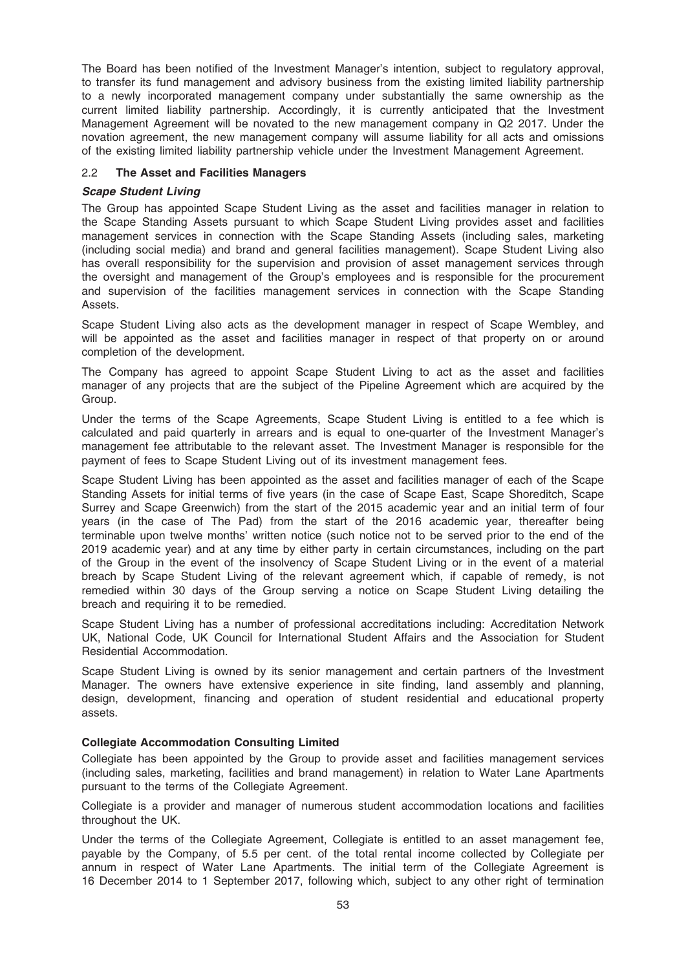The Board has been notified of the Investment Manager's intention, subject to regulatory approval, to transfer its fund management and advisory business from the existing limited liability partnership to a newly incorporated management company under substantially the same ownership as the current limited liability partnership. Accordingly, it is currently anticipated that the Investment Management Agreement will be novated to the new management company in Q2 2017. Under the novation agreement, the new management company will assume liability for all acts and omissions of the existing limited liability partnership vehicle under the Investment Management Agreement.

### 2.2 The Asset and Facilities Managers

### Scape Student Living

The Group has appointed Scape Student Living as the asset and facilities manager in relation to the Scape Standing Assets pursuant to which Scape Student Living provides asset and facilities management services in connection with the Scape Standing Assets (including sales, marketing (including social media) and brand and general facilities management). Scape Student Living also has overall responsibility for the supervision and provision of asset management services through the oversight and management of the Group's employees and is responsible for the procurement and supervision of the facilities management services in connection with the Scape Standing Assets.

Scape Student Living also acts as the development manager in respect of Scape Wembley, and will be appointed as the asset and facilities manager in respect of that property on or around completion of the development.

The Company has agreed to appoint Scape Student Living to act as the asset and facilities manager of any projects that are the subject of the Pipeline Agreement which are acquired by the Group.

Under the terms of the Scape Agreements, Scape Student Living is entitled to a fee which is calculated and paid quarterly in arrears and is equal to one-quarter of the Investment Manager's management fee attributable to the relevant asset. The Investment Manager is responsible for the payment of fees to Scape Student Living out of its investment management fees.

Scape Student Living has been appointed as the asset and facilities manager of each of the Scape Standing Assets for initial terms of five years (in the case of Scape East, Scape Shoreditch, Scape Surrey and Scape Greenwich) from the start of the 2015 academic year and an initial term of four years (in the case of The Pad) from the start of the 2016 academic year, thereafter being terminable upon twelve months' written notice (such notice not to be served prior to the end of the 2019 academic year) and at any time by either party in certain circumstances, including on the part of the Group in the event of the insolvency of Scape Student Living or in the event of a material breach by Scape Student Living of the relevant agreement which, if capable of remedy, is not remedied within 30 days of the Group serving a notice on Scape Student Living detailing the breach and requiring it to be remedied.

Scape Student Living has a number of professional accreditations including: Accreditation Network UK, National Code, UK Council for International Student Affairs and the Association for Student Residential Accommodation.

Scape Student Living is owned by its senior management and certain partners of the Investment Manager. The owners have extensive experience in site finding, land assembly and planning, design, development, financing and operation of student residential and educational property assets.

### Collegiate Accommodation Consulting Limited

Collegiate has been appointed by the Group to provide asset and facilities management services (including sales, marketing, facilities and brand management) in relation to Water Lane Apartments pursuant to the terms of the Collegiate Agreement.

Collegiate is a provider and manager of numerous student accommodation locations and facilities throughout the UK.

Under the terms of the Collegiate Agreement, Collegiate is entitled to an asset management fee, payable by the Company, of 5.5 per cent. of the total rental income collected by Collegiate per annum in respect of Water Lane Apartments. The initial term of the Collegiate Agreement is 16 December 2014 to 1 September 2017, following which, subject to any other right of termination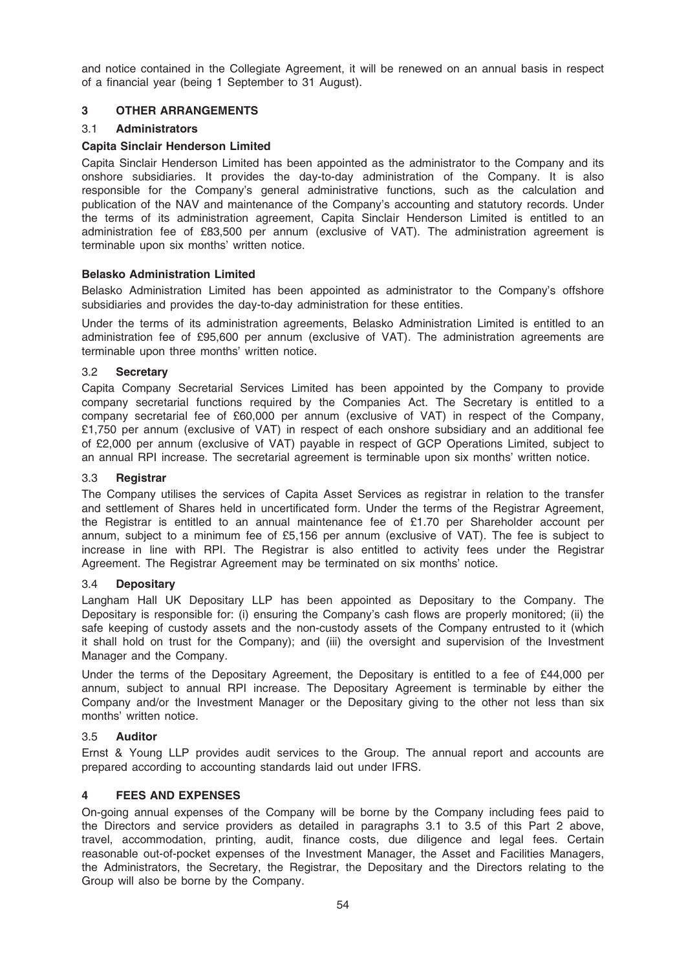and notice contained in the Collegiate Agreement, it will be renewed on an annual basis in respect of a financial year (being 1 September to 31 August).

### 3 OTHER ARRANGEMENTS

### 3.1 Administrators

### Capita Sinclair Henderson Limited

Capita Sinclair Henderson Limited has been appointed as the administrator to the Company and its onshore subsidiaries. It provides the day-to-day administration of the Company. It is also responsible for the Company's general administrative functions, such as the calculation and publication of the NAV and maintenance of the Company's accounting and statutory records. Under the terms of its administration agreement, Capita Sinclair Henderson Limited is entitled to an administration fee of £83,500 per annum (exclusive of VAT). The administration agreement is terminable upon six months' written notice.

### Belasko Administration Limited

Belasko Administration Limited has been appointed as administrator to the Company's offshore subsidiaries and provides the day-to-day administration for these entities.

Under the terms of its administration agreements, Belasko Administration Limited is entitled to an administration fee of £95,600 per annum (exclusive of VAT). The administration agreements are terminable upon three months' written notice.

### 3.2 Secretary

Capita Company Secretarial Services Limited has been appointed by the Company to provide company secretarial functions required by the Companies Act. The Secretary is entitled to a company secretarial fee of £60,000 per annum (exclusive of VAT) in respect of the Company, £1,750 per annum (exclusive of VAT) in respect of each onshore subsidiary and an additional fee of £2,000 per annum (exclusive of VAT) payable in respect of GCP Operations Limited, subject to an annual RPI increase. The secretarial agreement is terminable upon six months' written notice.

### 3.3 Registrar

The Company utilises the services of Capita Asset Services as registrar in relation to the transfer and settlement of Shares held in uncertificated form. Under the terms of the Registrar Agreement, the Registrar is entitled to an annual maintenance fee of £1.70 per Shareholder account per annum, subject to a minimum fee of £5,156 per annum (exclusive of VAT). The fee is subject to increase in line with RPI. The Registrar is also entitled to activity fees under the Registrar Agreement. The Registrar Agreement may be terminated on six months' notice.

### 3.4 Depositary

Langham Hall UK Depositary LLP has been appointed as Depositary to the Company. The Depositary is responsible for: (i) ensuring the Company's cash flows are properly monitored; (ii) the safe keeping of custody assets and the non-custody assets of the Company entrusted to it (which it shall hold on trust for the Company); and (iii) the oversight and supervision of the Investment Manager and the Company.

Under the terms of the Depositary Agreement, the Depositary is entitled to a fee of £44,000 per annum, subject to annual RPI increase. The Depositary Agreement is terminable by either the Company and/or the Investment Manager or the Depositary giving to the other not less than six months' written notice.

### 3.5 Auditor

Ernst & Young LLP provides audit services to the Group. The annual report and accounts are prepared according to accounting standards laid out under IFRS.

### 4 FEES AND EXPENSES

On-going annual expenses of the Company will be borne by the Company including fees paid to the Directors and service providers as detailed in paragraphs 3.1 to 3.5 of this Part 2 above, travel, accommodation, printing, audit, finance costs, due diligence and legal fees. Certain reasonable out-of-pocket expenses of the Investment Manager, the Asset and Facilities Managers, the Administrators, the Secretary, the Registrar, the Depositary and the Directors relating to the Group will also be borne by the Company.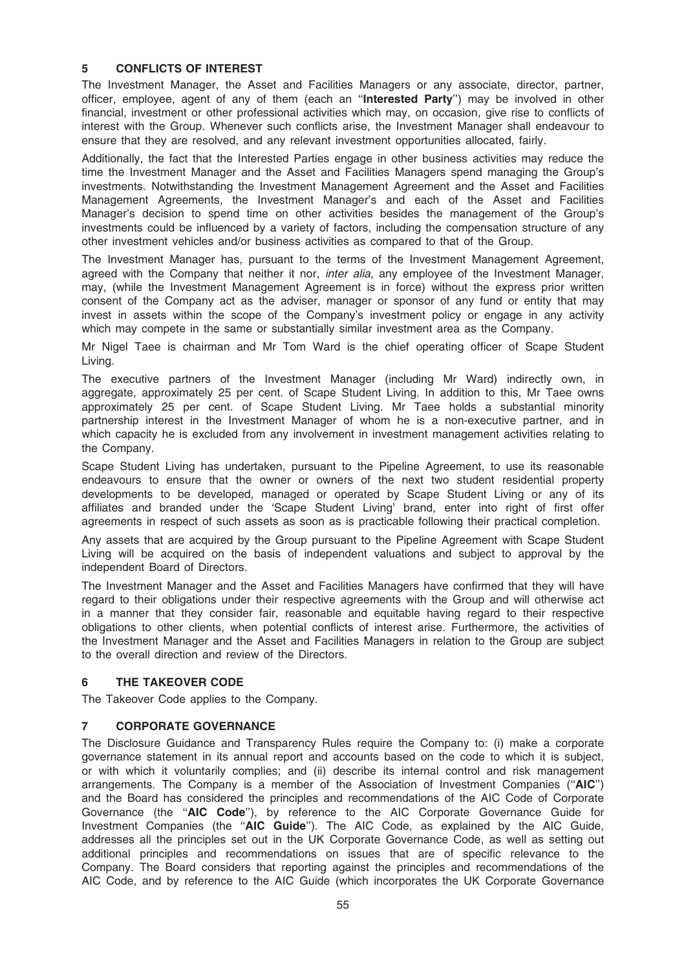### 5 CONFLICTS OF INTEREST

The Investment Manager, the Asset and Facilities Managers or any associate, director, partner, officer, employee, agent of any of them (each an ''Interested Party'') may be involved in other financial, investment or other professional activities which may, on occasion, give rise to conflicts of interest with the Group. Whenever such conflicts arise, the Investment Manager shall endeavour to ensure that they are resolved, and any relevant investment opportunities allocated, fairly.

Additionally, the fact that the Interested Parties engage in other business activities may reduce the time the Investment Manager and the Asset and Facilities Managers spend managing the Group's investments. Notwithstanding the Investment Management Agreement and the Asset and Facilities Management Agreements, the Investment Manager's and each of the Asset and Facilities Manager's decision to spend time on other activities besides the management of the Group's investments could be influenced by a variety of factors, including the compensation structure of any other investment vehicles and/or business activities as compared to that of the Group.

The Investment Manager has, pursuant to the terms of the Investment Management Agreement, agreed with the Company that neither it nor, *inter alia*, any employee of the Investment Manager, may, (while the Investment Management Agreement is in force) without the express prior written consent of the Company act as the adviser, manager or sponsor of any fund or entity that may invest in assets within the scope of the Company's investment policy or engage in any activity which may compete in the same or substantially similar investment area as the Company.

Mr Nigel Taee is chairman and Mr Tom Ward is the chief operating officer of Scape Student Living.

The executive partners of the Investment Manager (including Mr Ward) indirectly own, in aggregate, approximately 25 per cent. of Scape Student Living. In addition to this, Mr Taee owns approximately 25 per cent. of Scape Student Living. Mr Taee holds a substantial minority partnership interest in the Investment Manager of whom he is a non-executive partner, and in which capacity he is excluded from any involvement in investment management activities relating to the Company.

Scape Student Living has undertaken, pursuant to the Pipeline Agreement, to use its reasonable endeavours to ensure that the owner or owners of the next two student residential property developments to be developed, managed or operated by Scape Student Living or any of its affiliates and branded under the 'Scape Student Living' brand, enter into right of first offer agreements in respect of such assets as soon as is practicable following their practical completion.

Any assets that are acquired by the Group pursuant to the Pipeline Agreement with Scape Student Living will be acquired on the basis of independent valuations and subject to approval by the independent Board of Directors.

The Investment Manager and the Asset and Facilities Managers have confirmed that they will have regard to their obligations under their respective agreements with the Group and will otherwise act in a manner that they consider fair, reasonable and equitable having regard to their respective obligations to other clients, when potential conflicts of interest arise. Furthermore, the activities of the Investment Manager and the Asset and Facilities Managers in relation to the Group are subject to the overall direction and review of the Directors.

### 6 THE TAKEOVER CODE

The Takeover Code applies to the Company.

### 7 CORPORATE GOVERNANCE

The Disclosure Guidance and Transparency Rules require the Company to: (i) make a corporate governance statement in its annual report and accounts based on the code to which it is subject, or with which it voluntarily complies; and (ii) describe its internal control and risk management arrangements. The Company is a member of the Association of Investment Companies (''AIC'') and the Board has considered the principles and recommendations of the AIC Code of Corporate Governance (the "AIC Code"), by reference to the AIC Corporate Governance Guide for Investment Companies (the "AIC Guide"). The AIC Code, as explained by the AIC Guide, addresses all the principles set out in the UK Corporate Governance Code, as well as setting out additional principles and recommendations on issues that are of specific relevance to the Company. The Board considers that reporting against the principles and recommendations of the AIC Code, and by reference to the AIC Guide (which incorporates the UK Corporate Governance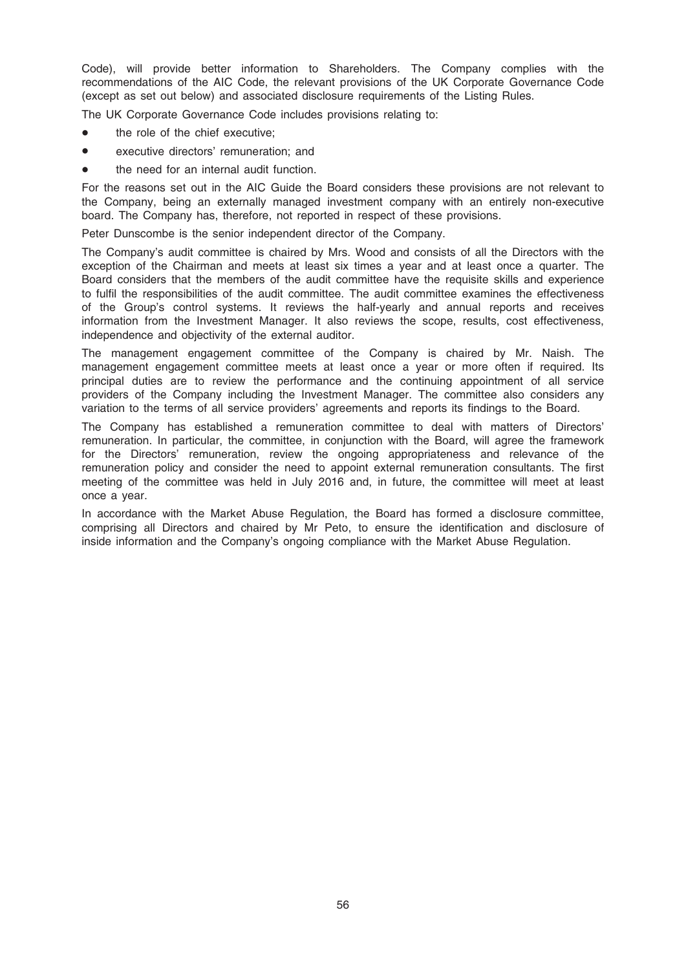Code), will provide better information to Shareholders. The Company complies with the recommendations of the AIC Code, the relevant provisions of the UK Corporate Governance Code (except as set out below) and associated disclosure requirements of the Listing Rules.

The UK Corporate Governance Code includes provisions relating to:

- the role of the chief executive;
- executive directors' remuneration; and
- the need for an internal audit function.

For the reasons set out in the AIC Guide the Board considers these provisions are not relevant to the Company, being an externally managed investment company with an entirely non-executive board. The Company has, therefore, not reported in respect of these provisions.

Peter Dunscombe is the senior independent director of the Company.

The Company's audit committee is chaired by Mrs. Wood and consists of all the Directors with the exception of the Chairman and meets at least six times a year and at least once a quarter. The Board considers that the members of the audit committee have the requisite skills and experience to fulfil the responsibilities of the audit committee. The audit committee examines the effectiveness of the Group's control systems. It reviews the half-yearly and annual reports and receives information from the Investment Manager. It also reviews the scope, results, cost effectiveness, independence and objectivity of the external auditor.

The management engagement committee of the Company is chaired by Mr. Naish. The management engagement committee meets at least once a year or more often if required. Its principal duties are to review the performance and the continuing appointment of all service providers of the Company including the Investment Manager. The committee also considers any variation to the terms of all service providers' agreements and reports its findings to the Board.

The Company has established a remuneration committee to deal with matters of Directors' remuneration. In particular, the committee, in conjunction with the Board, will agree the framework for the Directors' remuneration, review the ongoing appropriateness and relevance of the remuneration policy and consider the need to appoint external remuneration consultants. The first meeting of the committee was held in July 2016 and, in future, the committee will meet at least once a year.

In accordance with the Market Abuse Regulation, the Board has formed a disclosure committee, comprising all Directors and chaired by Mr Peto, to ensure the identification and disclosure of inside information and the Company's ongoing compliance with the Market Abuse Regulation.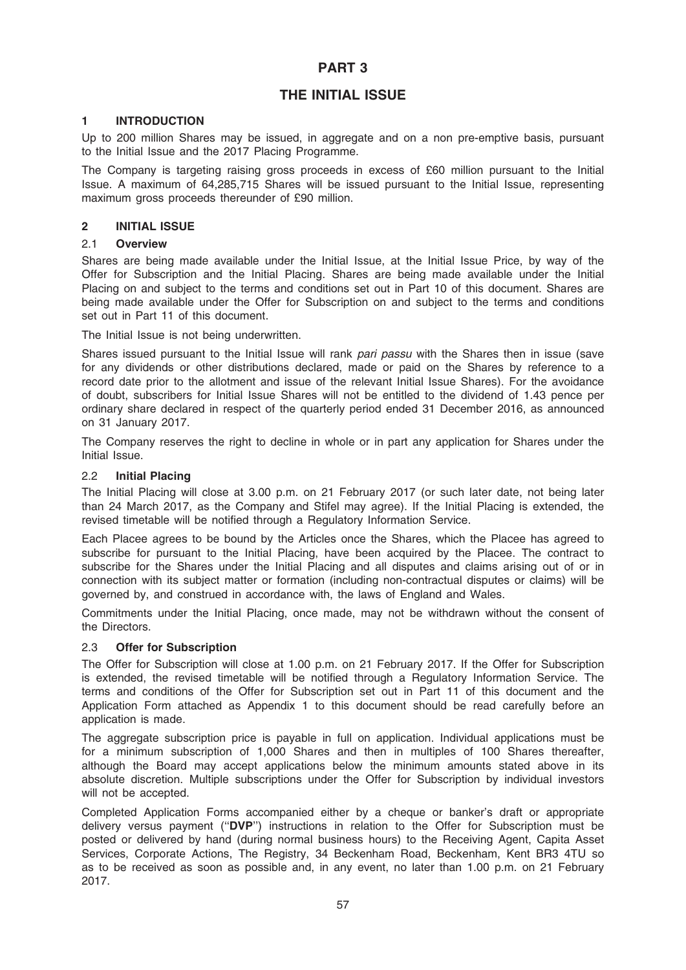### PART 3

### THE INITIAL ISSUE

### 1 INTRODUCTION

Up to 200 million Shares may be issued, in aggregate and on a non pre-emptive basis, pursuant to the Initial Issue and the 2017 Placing Programme.

The Company is targeting raising gross proceeds in excess of £60 million pursuant to the Initial Issue. A maximum of 64,285,715 Shares will be issued pursuant to the Initial Issue, representing maximum gross proceeds thereunder of £90 million.

### 2 INITIAL ISSUE

### 2.1 Overview

Shares are being made available under the Initial Issue, at the Initial Issue Price, by way of the Offer for Subscription and the Initial Placing. Shares are being made available under the Initial Placing on and subject to the terms and conditions set out in Part 10 of this document. Shares are being made available under the Offer for Subscription on and subject to the terms and conditions set out in Part 11 of this document.

The Initial Issue is not being underwritten.

Shares issued pursuant to the Initial Issue will rank pari passu with the Shares then in issue (save for any dividends or other distributions declared, made or paid on the Shares by reference to a record date prior to the allotment and issue of the relevant Initial Issue Shares). For the avoidance of doubt, subscribers for Initial Issue Shares will not be entitled to the dividend of 1.43 pence per ordinary share declared in respect of the quarterly period ended 31 December 2016, as announced on 31 January 2017.

The Company reserves the right to decline in whole or in part any application for Shares under the Initial Issue.

### 2.2 Initial Placing

The Initial Placing will close at 3.00 p.m. on 21 February 2017 (or such later date, not being later than 24 March 2017, as the Company and Stifel may agree). If the Initial Placing is extended, the revised timetable will be notified through a Regulatory Information Service.

Each Placee agrees to be bound by the Articles once the Shares, which the Placee has agreed to subscribe for pursuant to the Initial Placing, have been acquired by the Placee. The contract to subscribe for the Shares under the Initial Placing and all disputes and claims arising out of or in connection with its subject matter or formation (including non-contractual disputes or claims) will be governed by, and construed in accordance with, the laws of England and Wales.

Commitments under the Initial Placing, once made, may not be withdrawn without the consent of the Directors.

### 2.3 Offer for Subscription

The Offer for Subscription will close at 1.00 p.m. on 21 February 2017. If the Offer for Subscription is extended, the revised timetable will be notified through a Regulatory Information Service. The terms and conditions of the Offer for Subscription set out in Part 11 of this document and the Application Form attached as Appendix 1 to this document should be read carefully before an application is made.

The aggregate subscription price is payable in full on application. Individual applications must be for a minimum subscription of 1,000 Shares and then in multiples of 100 Shares thereafter, although the Board may accept applications below the minimum amounts stated above in its absolute discretion. Multiple subscriptions under the Offer for Subscription by individual investors will not be accepted.

Completed Application Forms accompanied either by a cheque or banker's draft or appropriate delivery versus payment (''DVP'') instructions in relation to the Offer for Subscription must be posted or delivered by hand (during normal business hours) to the Receiving Agent, Capita Asset Services, Corporate Actions, The Registry, 34 Beckenham Road, Beckenham, Kent BR3 4TU so as to be received as soon as possible and, in any event, no later than 1.00 p.m. on 21 February 2017.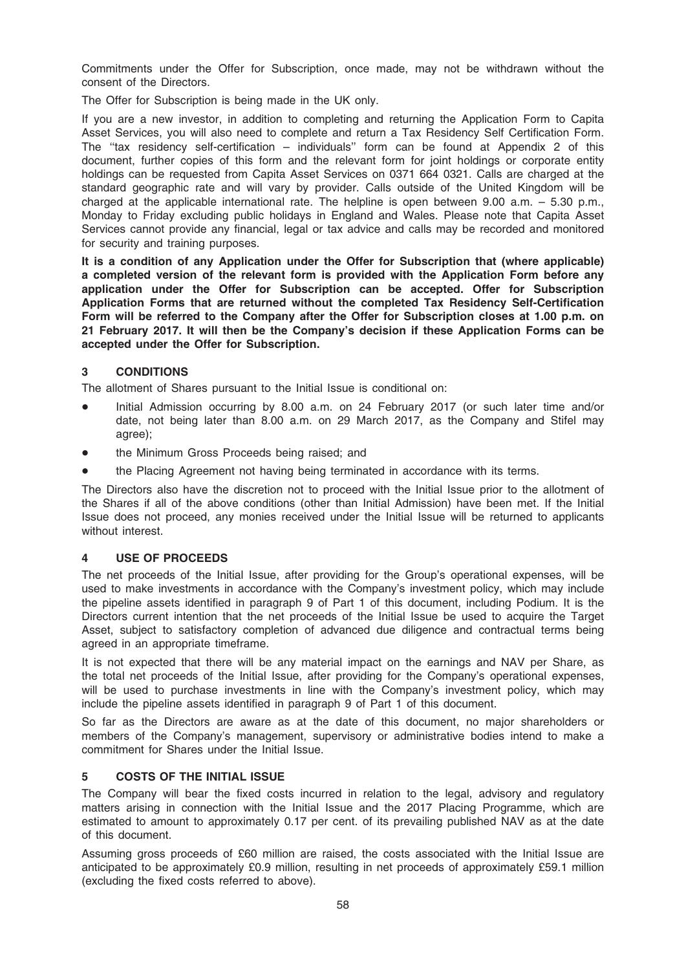Commitments under the Offer for Subscription, once made, may not be withdrawn without the consent of the Directors.

The Offer for Subscription is being made in the UK only.

If you are a new investor, in addition to completing and returning the Application Form to Capita Asset Services, you will also need to complete and return a Tax Residency Self Certification Form. The ''tax residency self-certification – individuals'' form can be found at Appendix 2 of this document, further copies of this form and the relevant form for joint holdings or corporate entity holdings can be requested from Capita Asset Services on 0371 664 0321. Calls are charged at the standard geographic rate and will vary by provider. Calls outside of the United Kingdom will be charged at the applicable international rate. The helpline is open between 9.00 a.m. – 5.30 p.m., Monday to Friday excluding public holidays in England and Wales. Please note that Capita Asset Services cannot provide any financial, legal or tax advice and calls may be recorded and monitored for security and training purposes.

It is a condition of any Application under the Offer for Subscription that (where applicable) a completed version of the relevant form is provided with the Application Form before any application under the Offer for Subscription can be accepted. Offer for Subscription Application Forms that are returned without the completed Tax Residency Self-Certification Form will be referred to the Company after the Offer for Subscription closes at 1.00 p.m. on 21 February 2017. It will then be the Company's decision if these Application Forms can be accepted under the Offer for Subscription.

### 3 CONDITIONS

The allotment of Shares pursuant to the Initial Issue is conditional on:

- Initial Admission occurring by 8.00 a.m. on 24 February 2017 (or such later time and/or date, not being later than 8.00 a.m. on 29 March 2017, as the Company and Stifel may agree);
- the Minimum Gross Proceeds being raised; and
- the Placing Agreement not having being terminated in accordance with its terms.

The Directors also have the discretion not to proceed with the Initial Issue prior to the allotment of the Shares if all of the above conditions (other than Initial Admission) have been met. If the Initial Issue does not proceed, any monies received under the Initial Issue will be returned to applicants without interest.

### 4 USE OF PROCEEDS

The net proceeds of the Initial Issue, after providing for the Group's operational expenses, will be used to make investments in accordance with the Company's investment policy, which may include the pipeline assets identified in paragraph 9 of Part 1 of this document, including Podium. It is the Directors current intention that the net proceeds of the Initial Issue be used to acquire the Target Asset, subject to satisfactory completion of advanced due diligence and contractual terms being agreed in an appropriate timeframe.

It is not expected that there will be any material impact on the earnings and NAV per Share, as the total net proceeds of the Initial Issue, after providing for the Company's operational expenses, will be used to purchase investments in line with the Company's investment policy, which may include the pipeline assets identified in paragraph 9 of Part 1 of this document.

So far as the Directors are aware as at the date of this document, no major shareholders or members of the Company's management, supervisory or administrative bodies intend to make a commitment for Shares under the Initial Issue.

### 5 COSTS OF THE INITIAL ISSUE

The Company will bear the fixed costs incurred in relation to the legal, advisory and regulatory matters arising in connection with the Initial Issue and the 2017 Placing Programme, which are estimated to amount to approximately 0.17 per cent. of its prevailing published NAV as at the date of this document.

Assuming gross proceeds of £60 million are raised, the costs associated with the Initial Issue are anticipated to be approximately £0.9 million, resulting in net proceeds of approximately £59.1 million (excluding the fixed costs referred to above).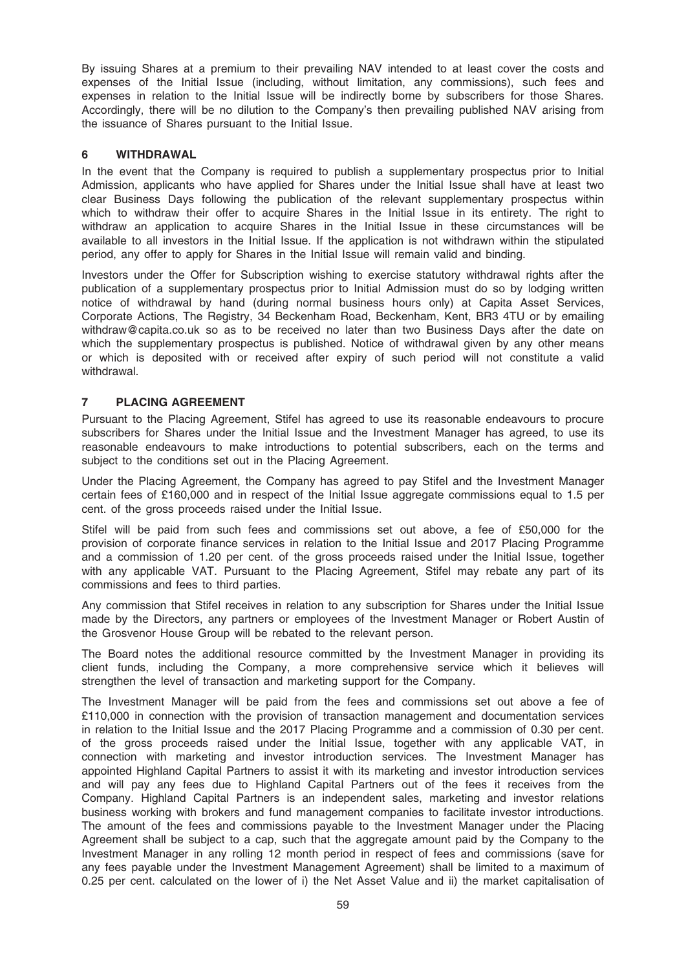By issuing Shares at a premium to their prevailing NAV intended to at least cover the costs and expenses of the Initial Issue (including, without limitation, any commissions), such fees and expenses in relation to the Initial Issue will be indirectly borne by subscribers for those Shares. Accordingly, there will be no dilution to the Company's then prevailing published NAV arising from the issuance of Shares pursuant to the Initial Issue.

### 6 WITHDRAWAL

In the event that the Company is required to publish a supplementary prospectus prior to Initial Admission, applicants who have applied for Shares under the Initial Issue shall have at least two clear Business Days following the publication of the relevant supplementary prospectus within which to withdraw their offer to acquire Shares in the Initial Issue in its entirety. The right to withdraw an application to acquire Shares in the Initial Issue in these circumstances will be available to all investors in the Initial Issue. If the application is not withdrawn within the stipulated period, any offer to apply for Shares in the Initial Issue will remain valid and binding.

Investors under the Offer for Subscription wishing to exercise statutory withdrawal rights after the publication of a supplementary prospectus prior to Initial Admission must do so by lodging written notice of withdrawal by hand (during normal business hours only) at Capita Asset Services, Corporate Actions, The Registry, 34 Beckenham Road, Beckenham, Kent, BR3 4TU or by emailing withdraw@capita.co.uk so as to be received no later than two Business Days after the date on which the supplementary prospectus is published. Notice of withdrawal given by any other means or which is deposited with or received after expiry of such period will not constitute a valid withdrawal.

### 7 PLACING AGREEMENT

Pursuant to the Placing Agreement, Stifel has agreed to use its reasonable endeavours to procure subscribers for Shares under the Initial Issue and the Investment Manager has agreed, to use its reasonable endeavours to make introductions to potential subscribers, each on the terms and subject to the conditions set out in the Placing Agreement.

Under the Placing Agreement, the Company has agreed to pay Stifel and the Investment Manager certain fees of £160,000 and in respect of the Initial Issue aggregate commissions equal to 1.5 per cent. of the gross proceeds raised under the Initial Issue.

Stifel will be paid from such fees and commissions set out above, a fee of £50,000 for the provision of corporate finance services in relation to the Initial Issue and 2017 Placing Programme and a commission of 1.20 per cent. of the gross proceeds raised under the Initial Issue, together with any applicable VAT. Pursuant to the Placing Agreement, Stifel may rebate any part of its commissions and fees to third parties.

Any commission that Stifel receives in relation to any subscription for Shares under the Initial Issue made by the Directors, any partners or employees of the Investment Manager or Robert Austin of the Grosvenor House Group will be rebated to the relevant person.

The Board notes the additional resource committed by the Investment Manager in providing its client funds, including the Company, a more comprehensive service which it believes will strengthen the level of transaction and marketing support for the Company.

The Investment Manager will be paid from the fees and commissions set out above a fee of £110,000 in connection with the provision of transaction management and documentation services in relation to the Initial Issue and the 2017 Placing Programme and a commission of 0.30 per cent. of the gross proceeds raised under the Initial Issue, together with any applicable VAT, in connection with marketing and investor introduction services. The Investment Manager has appointed Highland Capital Partners to assist it with its marketing and investor introduction services and will pay any fees due to Highland Capital Partners out of the fees it receives from the Company. Highland Capital Partners is an independent sales, marketing and investor relations business working with brokers and fund management companies to facilitate investor introductions. The amount of the fees and commissions payable to the Investment Manager under the Placing Agreement shall be subject to a cap, such that the aggregate amount paid by the Company to the Investment Manager in any rolling 12 month period in respect of fees and commissions (save for any fees payable under the Investment Management Agreement) shall be limited to a maximum of 0.25 per cent. calculated on the lower of i) the Net Asset Value and ii) the market capitalisation of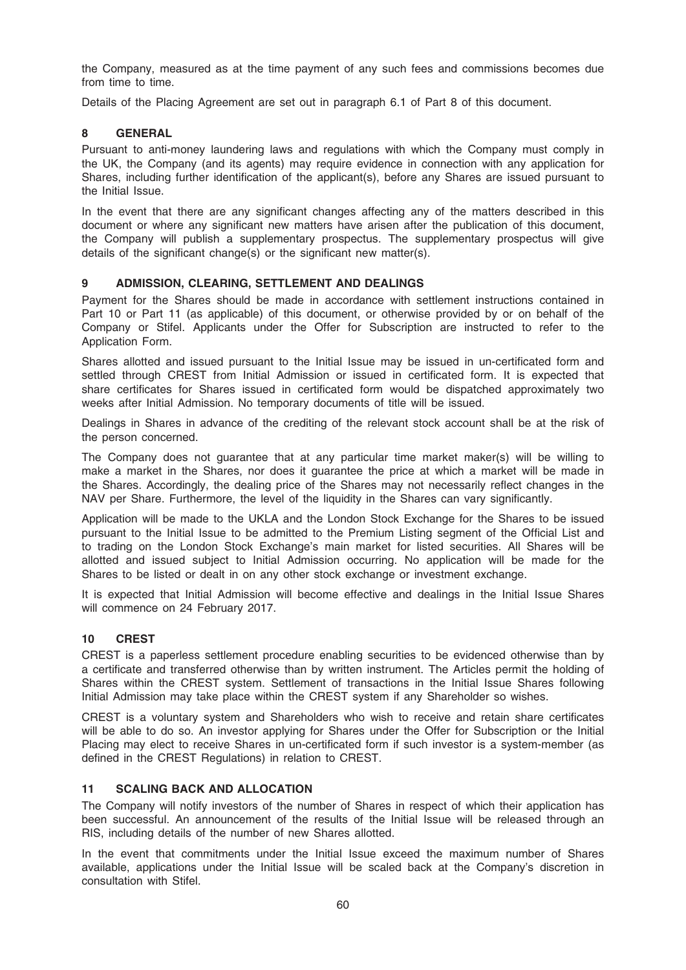the Company, measured as at the time payment of any such fees and commissions becomes due from time to time.

Details of the Placing Agreement are set out in paragraph 6.1 of Part 8 of this document.

### 8 GENERAL

Pursuant to anti-money laundering laws and regulations with which the Company must comply in the UK, the Company (and its agents) may require evidence in connection with any application for Shares, including further identification of the applicant(s), before any Shares are issued pursuant to the Initial Issue.

In the event that there are any significant changes affecting any of the matters described in this document or where any significant new matters have arisen after the publication of this document, the Company will publish a supplementary prospectus. The supplementary prospectus will give details of the significant change(s) or the significant new matter(s).

### 9 ADMISSION, CLEARING, SETTLEMENT AND DEALINGS

Payment for the Shares should be made in accordance with settlement instructions contained in Part 10 or Part 11 (as applicable) of this document, or otherwise provided by or on behalf of the Company or Stifel. Applicants under the Offer for Subscription are instructed to refer to the Application Form.

Shares allotted and issued pursuant to the Initial Issue may be issued in un-certificated form and settled through CREST from Initial Admission or issued in certificated form. It is expected that share certificates for Shares issued in certificated form would be dispatched approximately two weeks after Initial Admission. No temporary documents of title will be issued.

Dealings in Shares in advance of the crediting of the relevant stock account shall be at the risk of the person concerned.

The Company does not guarantee that at any particular time market maker(s) will be willing to make a market in the Shares, nor does it guarantee the price at which a market will be made in the Shares. Accordingly, the dealing price of the Shares may not necessarily reflect changes in the NAV per Share. Furthermore, the level of the liquidity in the Shares can vary significantly.

Application will be made to the UKLA and the London Stock Exchange for the Shares to be issued pursuant to the Initial Issue to be admitted to the Premium Listing segment of the Official List and to trading on the London Stock Exchange's main market for listed securities. All Shares will be allotted and issued subject to Initial Admission occurring. No application will be made for the Shares to be listed or dealt in on any other stock exchange or investment exchange.

It is expected that Initial Admission will become effective and dealings in the Initial Issue Shares will commence on 24 February 2017.

### 10 CREST

CREST is a paperless settlement procedure enabling securities to be evidenced otherwise than by a certificate and transferred otherwise than by written instrument. The Articles permit the holding of Shares within the CREST system. Settlement of transactions in the Initial Issue Shares following Initial Admission may take place within the CREST system if any Shareholder so wishes.

CREST is a voluntary system and Shareholders who wish to receive and retain share certificates will be able to do so. An investor applying for Shares under the Offer for Subscription or the Initial Placing may elect to receive Shares in un-certificated form if such investor is a system-member (as defined in the CREST Regulations) in relation to CREST.

### 11 SCALING BACK AND ALLOCATION

The Company will notify investors of the number of Shares in respect of which their application has been successful. An announcement of the results of the Initial Issue will be released through an RIS, including details of the number of new Shares allotted.

In the event that commitments under the Initial Issue exceed the maximum number of Shares available, applications under the Initial Issue will be scaled back at the Company's discretion in consultation with Stifel.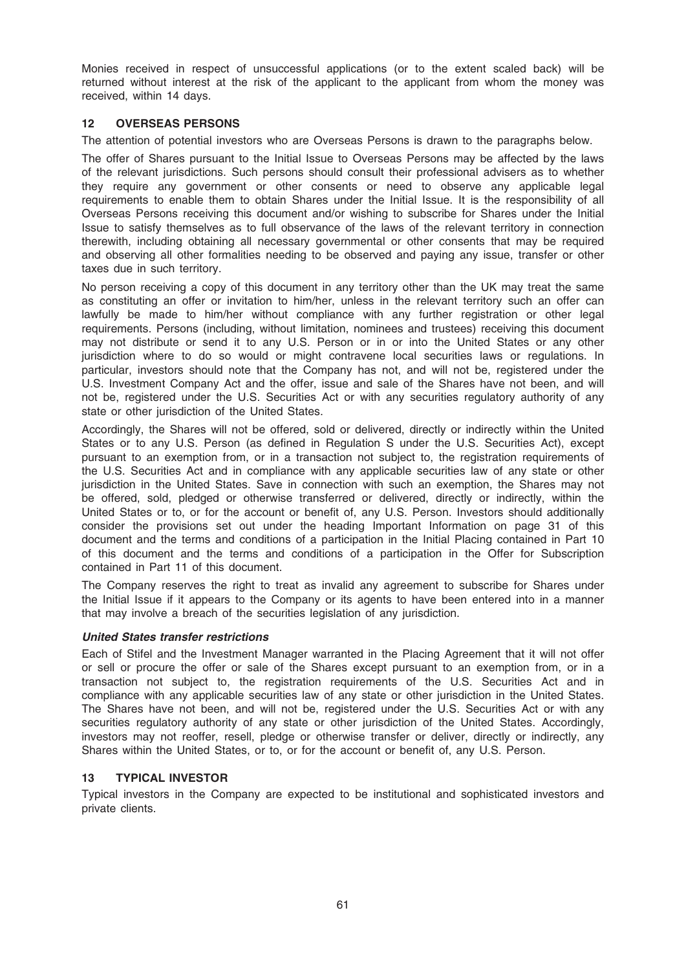Monies received in respect of unsuccessful applications (or to the extent scaled back) will be returned without interest at the risk of the applicant to the applicant from whom the money was received, within 14 days.

### 12 OVERSEAS PERSONS

The attention of potential investors who are Overseas Persons is drawn to the paragraphs below.

The offer of Shares pursuant to the Initial Issue to Overseas Persons may be affected by the laws of the relevant jurisdictions. Such persons should consult their professional advisers as to whether they require any government or other consents or need to observe any applicable legal requirements to enable them to obtain Shares under the Initial Issue. It is the responsibility of all Overseas Persons receiving this document and/or wishing to subscribe for Shares under the Initial Issue to satisfy themselves as to full observance of the laws of the relevant territory in connection therewith, including obtaining all necessary governmental or other consents that may be required and observing all other formalities needing to be observed and paying any issue, transfer or other taxes due in such territory.

No person receiving a copy of this document in any territory other than the UK may treat the same as constituting an offer or invitation to him/her, unless in the relevant territory such an offer can lawfully be made to him/her without compliance with any further registration or other legal requirements. Persons (including, without limitation, nominees and trustees) receiving this document may not distribute or send it to any U.S. Person or in or into the United States or any other jurisdiction where to do so would or might contravene local securities laws or regulations. In particular, investors should note that the Company has not, and will not be, registered under the U.S. Investment Company Act and the offer, issue and sale of the Shares have not been, and will not be, registered under the U.S. Securities Act or with any securities regulatory authority of any state or other jurisdiction of the United States.

Accordingly, the Shares will not be offered, sold or delivered, directly or indirectly within the United States or to any U.S. Person (as defined in Regulation S under the U.S. Securities Act), except pursuant to an exemption from, or in a transaction not subject to, the registration requirements of the U.S. Securities Act and in compliance with any applicable securities law of any state or other jurisdiction in the United States. Save in connection with such an exemption, the Shares may not be offered, sold, pledged or otherwise transferred or delivered, directly or indirectly, within the United States or to, or for the account or benefit of, any U.S. Person. Investors should additionally consider the provisions set out under the heading Important Information on page 31 of this document and the terms and conditions of a participation in the Initial Placing contained in Part 10 of this document and the terms and conditions of a participation in the Offer for Subscription contained in Part 11 of this document.

The Company reserves the right to treat as invalid any agreement to subscribe for Shares under the Initial Issue if it appears to the Company or its agents to have been entered into in a manner that may involve a breach of the securities legislation of any jurisdiction.

### United States transfer restrictions

Each of Stifel and the Investment Manager warranted in the Placing Agreement that it will not offer or sell or procure the offer or sale of the Shares except pursuant to an exemption from, or in a transaction not subject to, the registration requirements of the U.S. Securities Act and in compliance with any applicable securities law of any state or other jurisdiction in the United States. The Shares have not been, and will not be, registered under the U.S. Securities Act or with any securities regulatory authority of any state or other jurisdiction of the United States. Accordingly, investors may not reoffer, resell, pledge or otherwise transfer or deliver, directly or indirectly, any Shares within the United States, or to, or for the account or benefit of, any U.S. Person.

### 13 TYPICAL INVESTOR

Typical investors in the Company are expected to be institutional and sophisticated investors and private clients.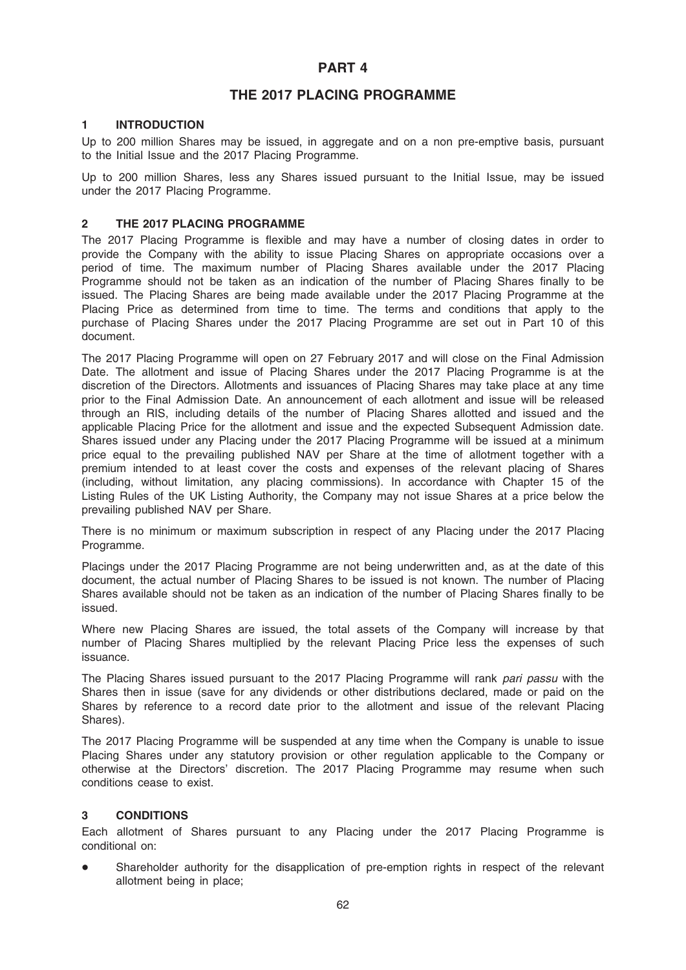### PART 4

### THE 2017 PLACING PROGRAMME

### 1 INTRODUCTION

Up to 200 million Shares may be issued, in aggregate and on a non pre-emptive basis, pursuant to the Initial Issue and the 2017 Placing Programme.

Up to 200 million Shares, less any Shares issued pursuant to the Initial Issue, may be issued under the 2017 Placing Programme.

### 2 THE 2017 PLACING PROGRAMME

The 2017 Placing Programme is flexible and may have a number of closing dates in order to provide the Company with the ability to issue Placing Shares on appropriate occasions over a period of time. The maximum number of Placing Shares available under the 2017 Placing Programme should not be taken as an indication of the number of Placing Shares finally to be issued. The Placing Shares are being made available under the 2017 Placing Programme at the Placing Price as determined from time to time. The terms and conditions that apply to the purchase of Placing Shares under the 2017 Placing Programme are set out in Part 10 of this document.

The 2017 Placing Programme will open on 27 February 2017 and will close on the Final Admission Date. The allotment and issue of Placing Shares under the 2017 Placing Programme is at the discretion of the Directors. Allotments and issuances of Placing Shares may take place at any time prior to the Final Admission Date. An announcement of each allotment and issue will be released through an RIS, including details of the number of Placing Shares allotted and issued and the applicable Placing Price for the allotment and issue and the expected Subsequent Admission date. Shares issued under any Placing under the 2017 Placing Programme will be issued at a minimum price equal to the prevailing published NAV per Share at the time of allotment together with a premium intended to at least cover the costs and expenses of the relevant placing of Shares (including, without limitation, any placing commissions). In accordance with Chapter 15 of the Listing Rules of the UK Listing Authority, the Company may not issue Shares at a price below the prevailing published NAV per Share.

There is no minimum or maximum subscription in respect of any Placing under the 2017 Placing Programme.

Placings under the 2017 Placing Programme are not being underwritten and, as at the date of this document, the actual number of Placing Shares to be issued is not known. The number of Placing Shares available should not be taken as an indication of the number of Placing Shares finally to be issued.

Where new Placing Shares are issued, the total assets of the Company will increase by that number of Placing Shares multiplied by the relevant Placing Price less the expenses of such issuance.

The Placing Shares issued pursuant to the 2017 Placing Programme will rank pari passu with the Shares then in issue (save for any dividends or other distributions declared, made or paid on the Shares by reference to a record date prior to the allotment and issue of the relevant Placing Shares).

The 2017 Placing Programme will be suspended at any time when the Company is unable to issue Placing Shares under any statutory provision or other regulation applicable to the Company or otherwise at the Directors' discretion. The 2017 Placing Programme may resume when such conditions cease to exist.

### 3 CONDITIONS

Each allotment of Shares pursuant to any Placing under the 2017 Placing Programme is conditional on:

Shareholder authority for the disapplication of pre-emption rights in respect of the relevant allotment being in place;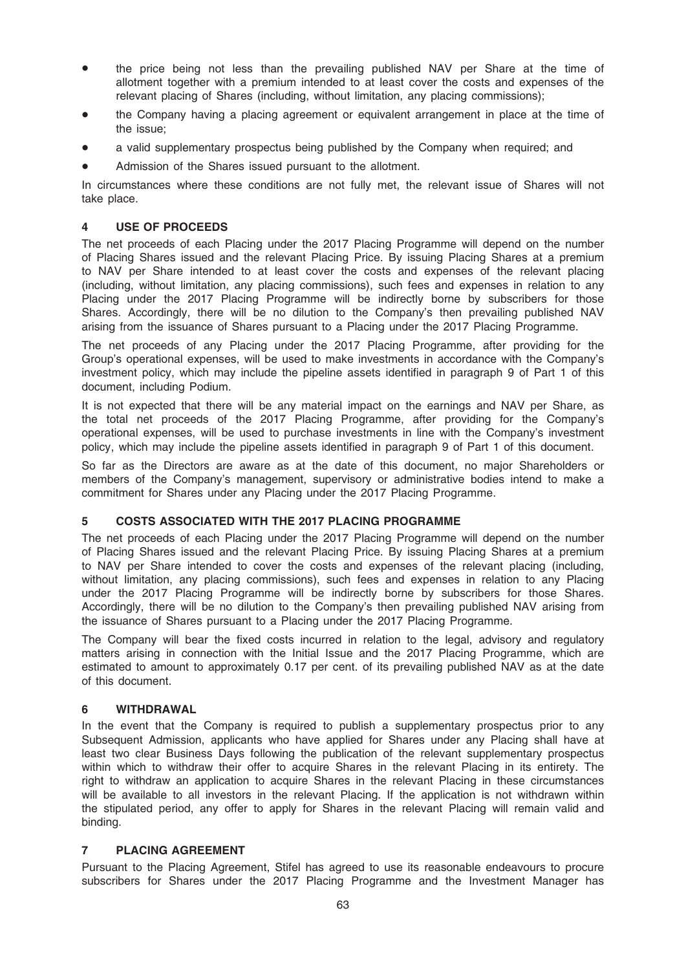- the price being not less than the prevailing published NAV per Share at the time of allotment together with a premium intended to at least cover the costs and expenses of the relevant placing of Shares (including, without limitation, any placing commissions);
- the Company having a placing agreement or equivalent arrangement in place at the time of the issue;
- a valid supplementary prospectus being published by the Company when required; and
- Admission of the Shares issued pursuant to the allotment.

In circumstances where these conditions are not fully met, the relevant issue of Shares will not take place.

### 4 USE OF PROCEEDS

The net proceeds of each Placing under the 2017 Placing Programme will depend on the number of Placing Shares issued and the relevant Placing Price. By issuing Placing Shares at a premium to NAV per Share intended to at least cover the costs and expenses of the relevant placing (including, without limitation, any placing commissions), such fees and expenses in relation to any Placing under the 2017 Placing Programme will be indirectly borne by subscribers for those Shares. Accordingly, there will be no dilution to the Company's then prevailing published NAV arising from the issuance of Shares pursuant to a Placing under the 2017 Placing Programme.

The net proceeds of any Placing under the 2017 Placing Programme, after providing for the Group's operational expenses, will be used to make investments in accordance with the Company's investment policy, which may include the pipeline assets identified in paragraph 9 of Part 1 of this document, including Podium.

It is not expected that there will be any material impact on the earnings and NAV per Share, as the total net proceeds of the 2017 Placing Programme, after providing for the Company's operational expenses, will be used to purchase investments in line with the Company's investment policy, which may include the pipeline assets identified in paragraph 9 of Part 1 of this document.

So far as the Directors are aware as at the date of this document, no major Shareholders or members of the Company's management, supervisory or administrative bodies intend to make a commitment for Shares under any Placing under the 2017 Placing Programme.

### 5 COSTS ASSOCIATED WITH THE 2017 PLACING PROGRAMME

The net proceeds of each Placing under the 2017 Placing Programme will depend on the number of Placing Shares issued and the relevant Placing Price. By issuing Placing Shares at a premium to NAV per Share intended to cover the costs and expenses of the relevant placing (including, without limitation, any placing commissions), such fees and expenses in relation to any Placing under the 2017 Placing Programme will be indirectly borne by subscribers for those Shares. Accordingly, there will be no dilution to the Company's then prevailing published NAV arising from the issuance of Shares pursuant to a Placing under the 2017 Placing Programme.

The Company will bear the fixed costs incurred in relation to the legal, advisory and regulatory matters arising in connection with the Initial Issue and the 2017 Placing Programme, which are estimated to amount to approximately 0.17 per cent. of its prevailing published NAV as at the date of this document.

### 6 WITHDRAWAL

In the event that the Company is required to publish a supplementary prospectus prior to any Subsequent Admission, applicants who have applied for Shares under any Placing shall have at least two clear Business Days following the publication of the relevant supplementary prospectus within which to withdraw their offer to acquire Shares in the relevant Placing in its entirety. The right to withdraw an application to acquire Shares in the relevant Placing in these circumstances will be available to all investors in the relevant Placing. If the application is not withdrawn within the stipulated period, any offer to apply for Shares in the relevant Placing will remain valid and binding.

### 7 PLACING AGREEMENT

Pursuant to the Placing Agreement, Stifel has agreed to use its reasonable endeavours to procure subscribers for Shares under the 2017 Placing Programme and the Investment Manager has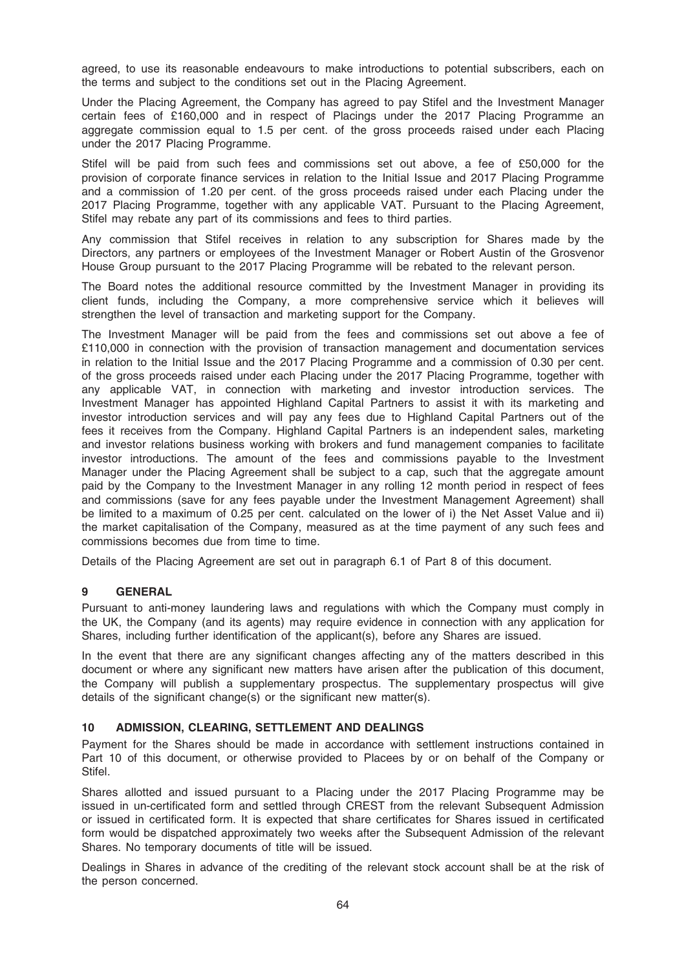agreed, to use its reasonable endeavours to make introductions to potential subscribers, each on the terms and subject to the conditions set out in the Placing Agreement.

Under the Placing Agreement, the Company has agreed to pay Stifel and the Investment Manager certain fees of £160,000 and in respect of Placings under the 2017 Placing Programme an aggregate commission equal to 1.5 per cent. of the gross proceeds raised under each Placing under the 2017 Placing Programme.

Stifel will be paid from such fees and commissions set out above, a fee of £50,000 for the provision of corporate finance services in relation to the Initial Issue and 2017 Placing Programme and a commission of 1.20 per cent. of the gross proceeds raised under each Placing under the 2017 Placing Programme, together with any applicable VAT. Pursuant to the Placing Agreement, Stifel may rebate any part of its commissions and fees to third parties.

Any commission that Stifel receives in relation to any subscription for Shares made by the Directors, any partners or employees of the Investment Manager or Robert Austin of the Grosvenor House Group pursuant to the 2017 Placing Programme will be rebated to the relevant person.

The Board notes the additional resource committed by the Investment Manager in providing its client funds, including the Company, a more comprehensive service which it believes will strengthen the level of transaction and marketing support for the Company.

The Investment Manager will be paid from the fees and commissions set out above a fee of £110,000 in connection with the provision of transaction management and documentation services in relation to the Initial Issue and the 2017 Placing Programme and a commission of 0.30 per cent. of the gross proceeds raised under each Placing under the 2017 Placing Programme, together with any applicable VAT, in connection with marketing and investor introduction services. The Investment Manager has appointed Highland Capital Partners to assist it with its marketing and investor introduction services and will pay any fees due to Highland Capital Partners out of the fees it receives from the Company. Highland Capital Partners is an independent sales, marketing and investor relations business working with brokers and fund management companies to facilitate investor introductions. The amount of the fees and commissions payable to the Investment Manager under the Placing Agreement shall be subject to a cap, such that the aggregate amount paid by the Company to the Investment Manager in any rolling 12 month period in respect of fees and commissions (save for any fees payable under the Investment Management Agreement) shall be limited to a maximum of 0.25 per cent. calculated on the lower of i) the Net Asset Value and ii) the market capitalisation of the Company, measured as at the time payment of any such fees and commissions becomes due from time to time.

Details of the Placing Agreement are set out in paragraph 6.1 of Part 8 of this document.

### 9 GENERAL

Pursuant to anti-money laundering laws and regulations with which the Company must comply in the UK, the Company (and its agents) may require evidence in connection with any application for Shares, including further identification of the applicant(s), before any Shares are issued.

In the event that there are any significant changes affecting any of the matters described in this document or where any significant new matters have arisen after the publication of this document, the Company will publish a supplementary prospectus. The supplementary prospectus will give details of the significant change(s) or the significant new matter(s).

### 10 ADMISSION, CLEARING, SETTLEMENT AND DEALINGS

Payment for the Shares should be made in accordance with settlement instructions contained in Part 10 of this document, or otherwise provided to Placees by or on behalf of the Company or Stifel.

Shares allotted and issued pursuant to a Placing under the 2017 Placing Programme may be issued in un-certificated form and settled through CREST from the relevant Subsequent Admission or issued in certificated form. It is expected that share certificates for Shares issued in certificated form would be dispatched approximately two weeks after the Subsequent Admission of the relevant Shares. No temporary documents of title will be issued.

Dealings in Shares in advance of the crediting of the relevant stock account shall be at the risk of the person concerned.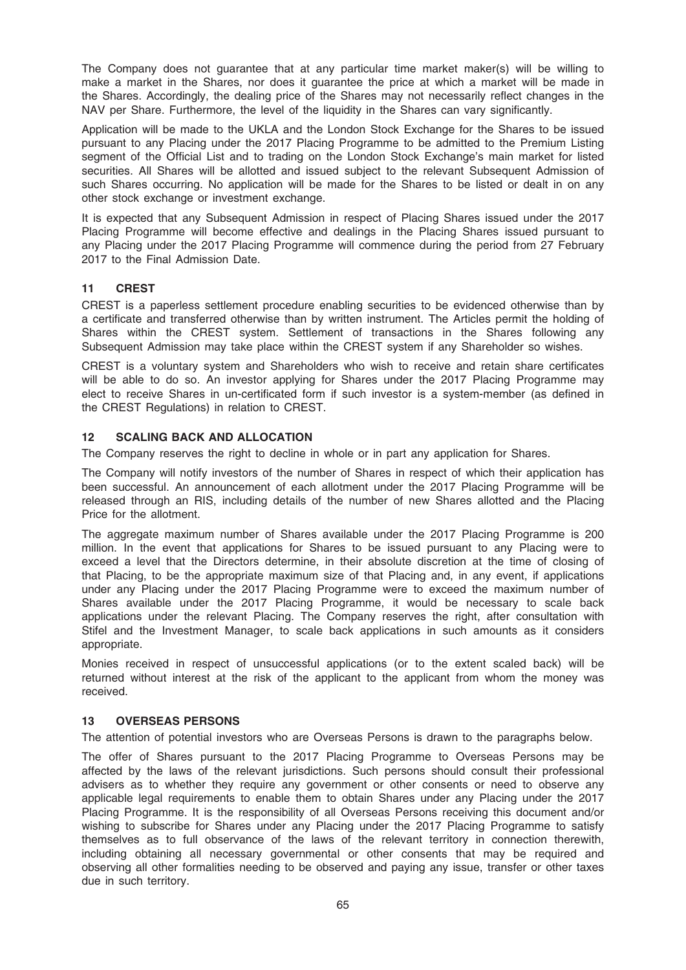The Company does not guarantee that at any particular time market maker(s) will be willing to make a market in the Shares, nor does it guarantee the price at which a market will be made in the Shares. Accordingly, the dealing price of the Shares may not necessarily reflect changes in the NAV per Share. Furthermore, the level of the liquidity in the Shares can vary significantly.

Application will be made to the UKLA and the London Stock Exchange for the Shares to be issued pursuant to any Placing under the 2017 Placing Programme to be admitted to the Premium Listing segment of the Official List and to trading on the London Stock Exchange's main market for listed securities. All Shares will be allotted and issued subject to the relevant Subsequent Admission of such Shares occurring. No application will be made for the Shares to be listed or dealt in on any other stock exchange or investment exchange.

It is expected that any Subsequent Admission in respect of Placing Shares issued under the 2017 Placing Programme will become effective and dealings in the Placing Shares issued pursuant to any Placing under the 2017 Placing Programme will commence during the period from 27 February 2017 to the Final Admission Date.

### 11 CREST

CREST is a paperless settlement procedure enabling securities to be evidenced otherwise than by a certificate and transferred otherwise than by written instrument. The Articles permit the holding of Shares within the CREST system. Settlement of transactions in the Shares following any Subsequent Admission may take place within the CREST system if any Shareholder so wishes.

CREST is a voluntary system and Shareholders who wish to receive and retain share certificates will be able to do so. An investor applying for Shares under the 2017 Placing Programme may elect to receive Shares in un-certificated form if such investor is a system-member (as defined in the CREST Regulations) in relation to CREST.

### 12 SCALING BACK AND ALLOCATION

The Company reserves the right to decline in whole or in part any application for Shares.

The Company will notify investors of the number of Shares in respect of which their application has been successful. An announcement of each allotment under the 2017 Placing Programme will be released through an RIS, including details of the number of new Shares allotted and the Placing Price for the allotment.

The aggregate maximum number of Shares available under the 2017 Placing Programme is 200 million. In the event that applications for Shares to be issued pursuant to any Placing were to exceed a level that the Directors determine, in their absolute discretion at the time of closing of that Placing, to be the appropriate maximum size of that Placing and, in any event, if applications under any Placing under the 2017 Placing Programme were to exceed the maximum number of Shares available under the 2017 Placing Programme, it would be necessary to scale back applications under the relevant Placing. The Company reserves the right, after consultation with Stifel and the Investment Manager, to scale back applications in such amounts as it considers appropriate.

Monies received in respect of unsuccessful applications (or to the extent scaled back) will be returned without interest at the risk of the applicant to the applicant from whom the money was received.

### 13 OVERSEAS PERSONS

The attention of potential investors who are Overseas Persons is drawn to the paragraphs below.

The offer of Shares pursuant to the 2017 Placing Programme to Overseas Persons may be affected by the laws of the relevant jurisdictions. Such persons should consult their professional advisers as to whether they require any government or other consents or need to observe any applicable legal requirements to enable them to obtain Shares under any Placing under the 2017 Placing Programme. It is the responsibility of all Overseas Persons receiving this document and/or wishing to subscribe for Shares under any Placing under the 2017 Placing Programme to satisfy themselves as to full observance of the laws of the relevant territory in connection therewith, including obtaining all necessary governmental or other consents that may be required and observing all other formalities needing to be observed and paying any issue, transfer or other taxes due in such territory.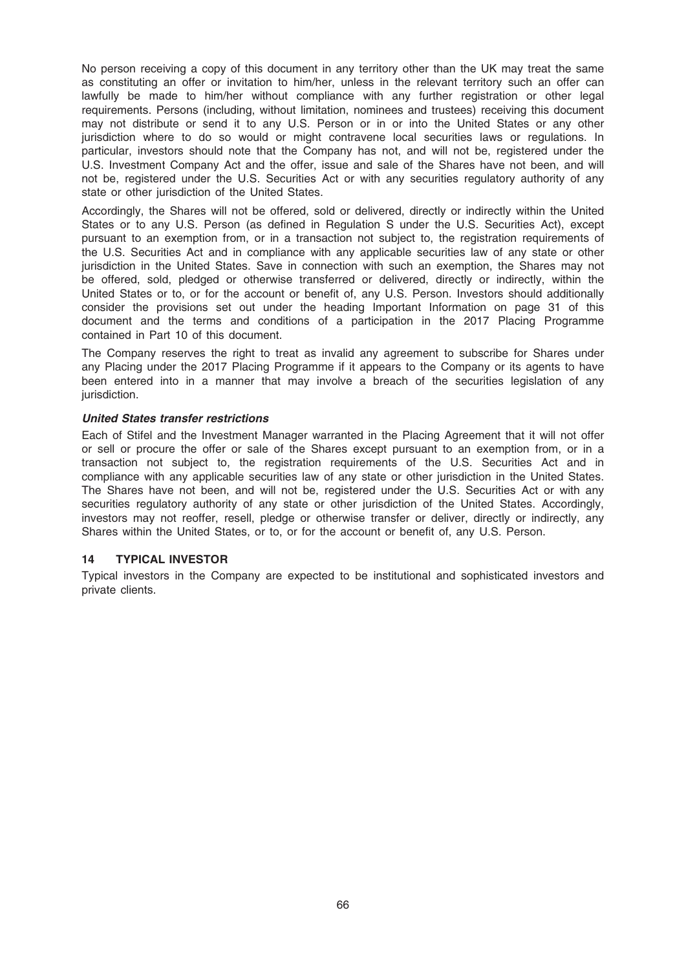No person receiving a copy of this document in any territory other than the UK may treat the same as constituting an offer or invitation to him/her, unless in the relevant territory such an offer can lawfully be made to him/her without compliance with any further registration or other legal requirements. Persons (including, without limitation, nominees and trustees) receiving this document may not distribute or send it to any U.S. Person or in or into the United States or any other jurisdiction where to do so would or might contravene local securities laws or regulations. In particular, investors should note that the Company has not, and will not be, registered under the U.S. Investment Company Act and the offer, issue and sale of the Shares have not been, and will not be, registered under the U.S. Securities Act or with any securities regulatory authority of any state or other jurisdiction of the United States.

Accordingly, the Shares will not be offered, sold or delivered, directly or indirectly within the United States or to any U.S. Person (as defined in Regulation S under the U.S. Securities Act), except pursuant to an exemption from, or in a transaction not subject to, the registration requirements of the U.S. Securities Act and in compliance with any applicable securities law of any state or other jurisdiction in the United States. Save in connection with such an exemption, the Shares may not be offered, sold, pledged or otherwise transferred or delivered, directly or indirectly, within the United States or to, or for the account or benefit of, any U.S. Person. Investors should additionally consider the provisions set out under the heading Important Information on page 31 of this document and the terms and conditions of a participation in the 2017 Placing Programme contained in Part 10 of this document.

The Company reserves the right to treat as invalid any agreement to subscribe for Shares under any Placing under the 2017 Placing Programme if it appears to the Company or its agents to have been entered into in a manner that may involve a breach of the securities legislation of any jurisdiction.

### United States transfer restrictions

Each of Stifel and the Investment Manager warranted in the Placing Agreement that it will not offer or sell or procure the offer or sale of the Shares except pursuant to an exemption from, or in a transaction not subject to, the registration requirements of the U.S. Securities Act and in compliance with any applicable securities law of any state or other jurisdiction in the United States. The Shares have not been, and will not be, registered under the U.S. Securities Act or with any securities regulatory authority of any state or other jurisdiction of the United States. Accordingly, investors may not reoffer, resell, pledge or otherwise transfer or deliver, directly or indirectly, any Shares within the United States, or to, or for the account or benefit of, any U.S. Person.

### 14 TYPICAL INVESTOR

Typical investors in the Company are expected to be institutional and sophisticated investors and private clients.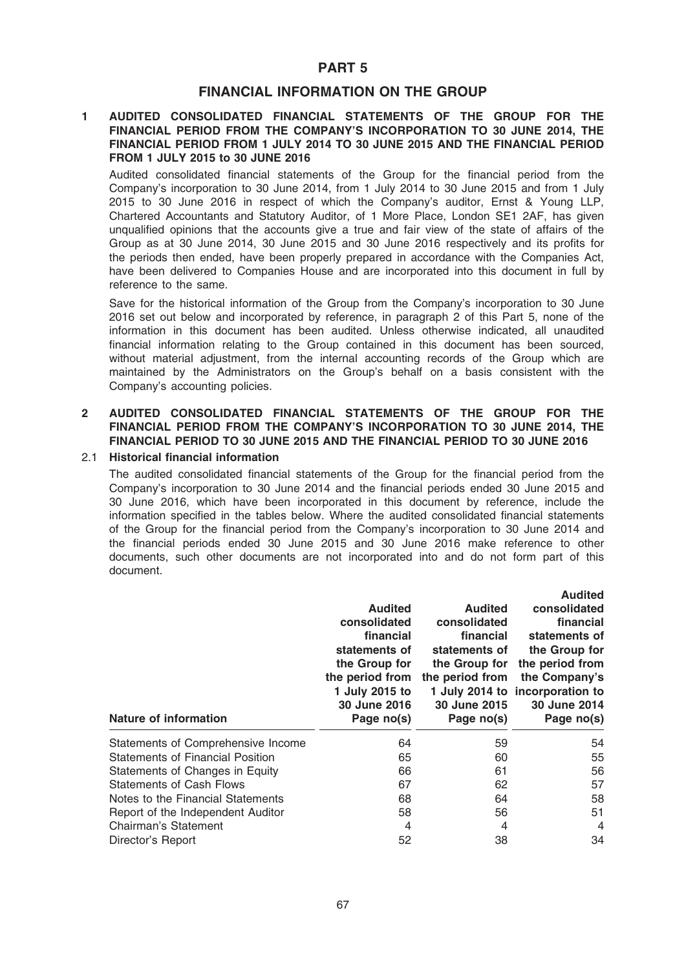### PART 5

### FINANCIAL INFORMATION ON THE GROUP

### 1 AUDITED CONSOLIDATED FINANCIAL STATEMENTS OF THE GROUP FOR THE FINANCIAL PERIOD FROM THE COMPANY'S INCORPORATION TO 30 JUNE 2014, THE FINANCIAL PERIOD FROM 1 JULY 2014 TO 30 JUNE 2015 AND THE FINANCIAL PERIOD FROM 1 JULY 2015 to 30 JUNE 2016

Audited consolidated financial statements of the Group for the financial period from the Company's incorporation to 30 June 2014, from 1 July 2014 to 30 June 2015 and from 1 July 2015 to 30 June 2016 in respect of which the Company's auditor, Ernst & Young LLP, Chartered Accountants and Statutory Auditor, of 1 More Place, London SE1 2AF, has given unqualified opinions that the accounts give a true and fair view of the state of affairs of the Group as at 30 June 2014, 30 June 2015 and 30 June 2016 respectively and its profits for the periods then ended, have been properly prepared in accordance with the Companies Act, have been delivered to Companies House and are incorporated into this document in full by reference to the same.

Save for the historical information of the Group from the Company's incorporation to 30 June 2016 set out below and incorporated by reference, in paragraph 2 of this Part 5, none of the information in this document has been audited. Unless otherwise indicated, all unaudited financial information relating to the Group contained in this document has been sourced, without material adjustment, from the internal accounting records of the Group which are maintained by the Administrators on the Group's behalf on a basis consistent with the Company's accounting policies.

### 2 AUDITED CONSOLIDATED FINANCIAL STATEMENTS OF THE GROUP FOR THE FINANCIAL PERIOD FROM THE COMPANY'S INCORPORATION TO 30 JUNE 2014, THE FINANCIAL PERIOD TO 30 JUNE 2015 AND THE FINANCIAL PERIOD TO 30 JUNE 2016

#### 2.1 Historical financial information

The audited consolidated financial statements of the Group for the financial period from the Company's incorporation to 30 June 2014 and the financial periods ended 30 June 2015 and 30 June 2016, which have been incorporated in this document by reference, include the information specified in the tables below. Where the audited consolidated financial statements of the Group for the financial period from the Company's incorporation to 30 June 2014 and the financial periods ended 30 June 2015 and 30 June 2016 make reference to other documents, such other documents are not incorporated into and do not form part of this document.

| <b>Nature of information</b>            | <b>Audited</b><br>consolidated<br>financial<br>statements of<br>the Group for<br>the period from<br>1 July 2015 to<br>30 June 2016<br>Page no(s) | <b>Audited</b><br>consolidated<br>financial<br>statements of<br>the Group for<br>the period from<br>30 June 2015<br>Page no(s) | <b>Audited</b><br>consolidated<br>financial<br>statements of<br>the Group for<br>the period from<br>the Company's<br>1 July 2014 to incorporation to<br>30 June 2014<br>Page no(s) |
|-----------------------------------------|--------------------------------------------------------------------------------------------------------------------------------------------------|--------------------------------------------------------------------------------------------------------------------------------|------------------------------------------------------------------------------------------------------------------------------------------------------------------------------------|
| Statements of Comprehensive Income      | 64                                                                                                                                               | 59                                                                                                                             | 54                                                                                                                                                                                 |
| <b>Statements of Financial Position</b> | 65                                                                                                                                               | 60                                                                                                                             | 55                                                                                                                                                                                 |
| Statements of Changes in Equity         | 66                                                                                                                                               | 61                                                                                                                             | 56                                                                                                                                                                                 |
| <b>Statements of Cash Flows</b>         | 67                                                                                                                                               | 62                                                                                                                             | 57                                                                                                                                                                                 |
| Notes to the Financial Statements       | 68                                                                                                                                               | 64                                                                                                                             | 58                                                                                                                                                                                 |
| Report of the Independent Auditor       | 58                                                                                                                                               | 56                                                                                                                             | 51                                                                                                                                                                                 |
| Chairman's Statement                    | 4                                                                                                                                                | 4                                                                                                                              | 4                                                                                                                                                                                  |
| Director's Report                       | 52                                                                                                                                               | 38                                                                                                                             | 34                                                                                                                                                                                 |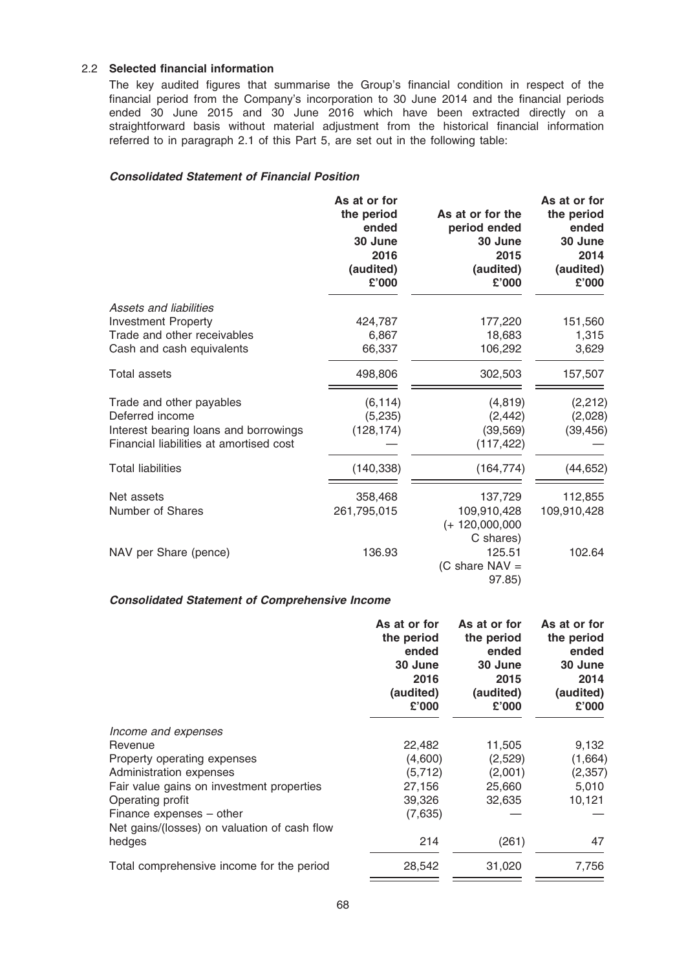### 2.2 Selected financial information

The key audited figures that summarise the Group's financial condition in respect of the financial period from the Company's incorporation to 30 June 2014 and the financial periods ended 30 June 2015 and 30 June 2016 which have been extracted directly on a straightforward basis without material adjustment from the historical financial information referred to in paragraph 2.1 of this Part 5, are set out in the following table:

### Consolidated Statement of Financial Position

|                                         | As at or for<br>the period<br>ended<br>30 June<br>2016<br>(audited)<br>£'000 | As at or for the<br>period ended<br>30 June<br>2015<br>(audited)<br>£'000 | As at or for<br>the period<br>ended<br>30 June<br>2014<br>(audited)<br>£'000 |
|-----------------------------------------|------------------------------------------------------------------------------|---------------------------------------------------------------------------|------------------------------------------------------------------------------|
| Assets and liabilities                  |                                                                              |                                                                           |                                                                              |
| <b>Investment Property</b>              | 424,787                                                                      | 177,220                                                                   | 151,560                                                                      |
| Trade and other receivables             | 6,867                                                                        | 18,683                                                                    | 1,315                                                                        |
| Cash and cash equivalents               | 66,337                                                                       | 106,292                                                                   | 3,629                                                                        |
| <b>Total assets</b>                     | 498,806                                                                      | 302,503                                                                   | 157,507                                                                      |
| Trade and other payables                | (6, 114)                                                                     | (4, 819)                                                                  | (2, 212)                                                                     |
| Deferred income                         | (5,235)                                                                      | (2, 442)                                                                  | (2,028)                                                                      |
| Interest bearing loans and borrowings   | (128, 174)                                                                   | (39, 569)                                                                 | (39, 456)                                                                    |
| Financial liabilities at amortised cost |                                                                              | (117, 422)                                                                |                                                                              |
| <b>Total liabilities</b>                | (140, 338)                                                                   | (164, 774)                                                                | (44, 652)                                                                    |
| Net assets                              | 358,468                                                                      | 137,729                                                                   | 112,855                                                                      |
| Number of Shares                        | 261,795,015                                                                  | 109,910,428                                                               | 109,910,428                                                                  |
|                                         |                                                                              | $(+ 120,000,000)$                                                         |                                                                              |
|                                         |                                                                              | C shares)                                                                 |                                                                              |
| NAV per Share (pence)                   | 136.93                                                                       | 125.51                                                                    | 102.64                                                                       |
|                                         |                                                                              | (C share $NAV =$                                                          |                                                                              |
|                                         |                                                                              | 97.85)                                                                    |                                                                              |

### Consolidated Statement of Comprehensive Income

|                                              | As at or for<br>the period<br>ended<br>30 June<br>2016<br>(audited)<br>£'000 | As at or for<br>the period<br>ended<br>30 June<br>2015<br>(audited)<br>£'000 | As at or for<br>the period<br>ended<br>30 June<br>2014<br>(audited)<br>£'000 |
|----------------------------------------------|------------------------------------------------------------------------------|------------------------------------------------------------------------------|------------------------------------------------------------------------------|
| Income and expenses                          |                                                                              |                                                                              |                                                                              |
| Revenue                                      | 22,482                                                                       | 11,505                                                                       | 9,132                                                                        |
| Property operating expenses                  | (4,600)                                                                      | (2,529)                                                                      | (1,664)                                                                      |
| Administration expenses                      | (5, 712)                                                                     | (2,001)                                                                      | (2, 357)                                                                     |
| Fair value gains on investment properties    | 27,156                                                                       | 25,660                                                                       | 5,010                                                                        |
| Operating profit                             | 39,326                                                                       | 32,635                                                                       | 10,121                                                                       |
| Finance expenses – other                     | (7,635)                                                                      |                                                                              |                                                                              |
| Net gains/(losses) on valuation of cash flow |                                                                              |                                                                              |                                                                              |
| hedges                                       | 214                                                                          | (261)                                                                        | 47                                                                           |
| Total comprehensive income for the period    | 28,542                                                                       | 31,020                                                                       | 7,756                                                                        |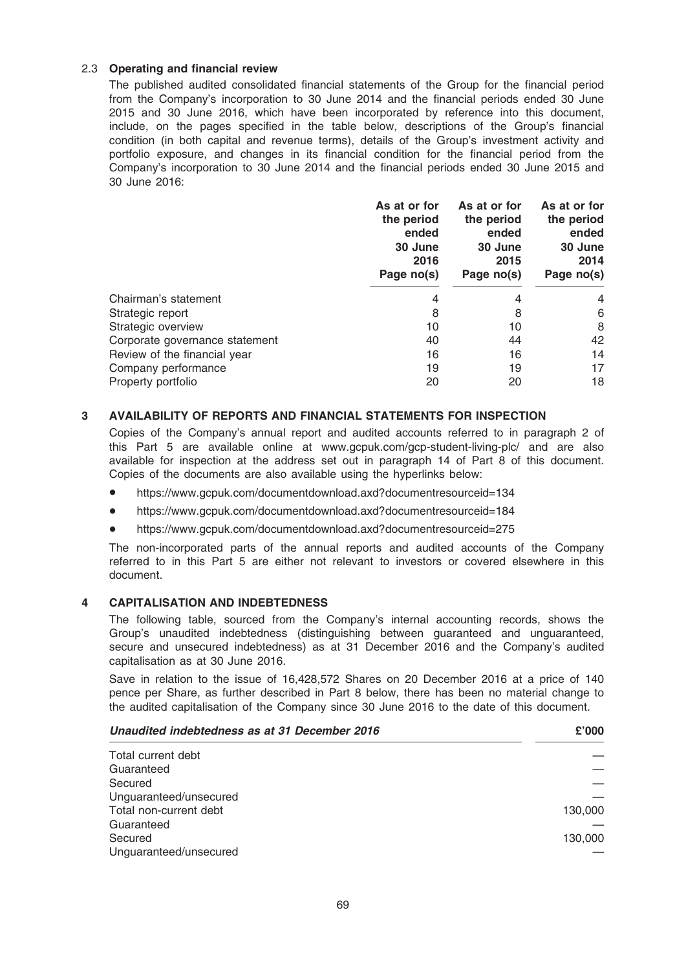### 2.3 Operating and financial review

The published audited consolidated financial statements of the Group for the financial period from the Company's incorporation to 30 June 2014 and the financial periods ended 30 June 2015 and 30 June 2016, which have been incorporated by reference into this document, include, on the pages specified in the table below, descriptions of the Group's financial condition (in both capital and revenue terms), details of the Group's investment activity and portfolio exposure, and changes in its financial condition for the financial period from the Company's incorporation to 30 June 2014 and the financial periods ended 30 June 2015 and 30 June 2016:

|                                | As at or for<br>the period<br>ended<br>30 June<br>2016<br>Page no(s) | As at or for<br>the period<br>ended<br>30 June<br>2015<br>Page no(s) | As at or for<br>the period<br>ended<br>30 June<br>2014<br>Page no(s) |
|--------------------------------|----------------------------------------------------------------------|----------------------------------------------------------------------|----------------------------------------------------------------------|
| Chairman's statement           | 4                                                                    | 4                                                                    | 4                                                                    |
| Strategic report               | 8                                                                    | 8                                                                    | 6                                                                    |
| Strategic overview             | 10                                                                   | 10                                                                   | 8                                                                    |
| Corporate governance statement | 40                                                                   | 44                                                                   | 42                                                                   |
| Review of the financial year   | 16                                                                   | 16                                                                   | 14                                                                   |
| Company performance            | 19                                                                   | 19                                                                   | 17                                                                   |
| Property portfolio             | 20                                                                   | 20                                                                   | 18                                                                   |

### 3 AVAILABILITY OF REPORTS AND FINANCIAL STATEMENTS FOR INSPECTION

Copies of the Company's annual report and audited accounts referred to in paragraph 2 of this Part 5 are available online at www.gcpuk.com/gcp-student-living-plc/ and are also available for inspection at the address set out in paragraph 14 of Part 8 of this document. Copies of the documents are also available using the hyperlinks below:

- \* https://www.gcpuk.com/documentdownload.axd?documentresourceid=134
- \* https://www.gcpuk.com/documentdownload.axd?documentresourceid=184
- \* https://www.gcpuk.com/documentdownload.axd?documentresourceid=275

The non-incorporated parts of the annual reports and audited accounts of the Company referred to in this Part 5 are either not relevant to investors or covered elsewhere in this document.

### 4 CAPITALISATION AND INDEBTEDNESS

The following table, sourced from the Company's internal accounting records, shows the Group's unaudited indebtedness (distinguishing between guaranteed and unguaranteed, secure and unsecured indebtedness) as at 31 December 2016 and the Company's audited capitalisation as at 30 June 2016.

Save in relation to the issue of 16,428,572 Shares on 20 December 2016 at a price of 140 pence per Share, as further described in Part 8 below, there has been no material change to the audited capitalisation of the Company since 30 June 2016 to the date of this document.

| Unaudited indebtedness as at 31 December 2016 | £'000   |
|-----------------------------------------------|---------|
| Total current debt                            |         |
| Guaranteed                                    |         |
| Secured                                       |         |
| Unguaranteed/unsecured                        |         |
| Total non-current debt                        | 130,000 |
| Guaranteed                                    |         |
| Secured                                       | 130,000 |
| Unguaranteed/unsecured                        |         |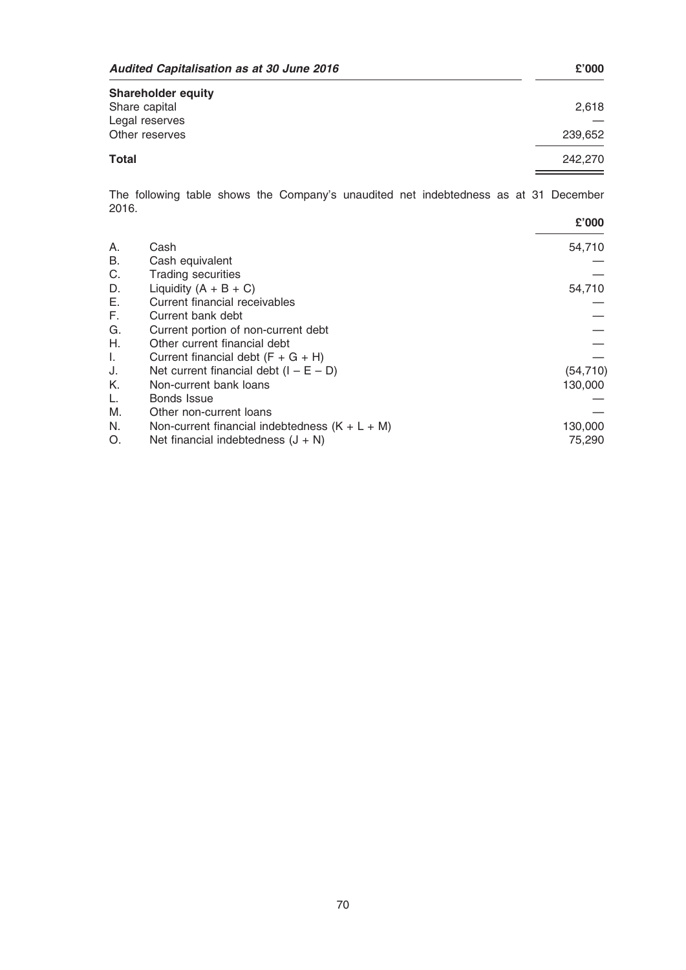| Audited Capitalisation as at 30 June 2016 |         |
|-------------------------------------------|---------|
| <b>Shareholder equity</b>                 |         |
| Share capital                             | 2.618   |
| Legal reserves                            |         |
| Other reserves                            | 239.652 |
| <b>Total</b>                              | 242,270 |

The following table shows the Company's unaudited net indebtedness as at 31 December 2016.

|    |                                                  | £'000     |
|----|--------------------------------------------------|-----------|
| A. | Cash                                             | 54,710    |
| В. | Cash equivalent                                  |           |
| C. | <b>Trading securities</b>                        |           |
| D. | Liquidity $(A + B + C)$                          | 54,710    |
| Е. | Current financial receivables                    |           |
| F. | Current bank debt                                |           |
| G. | Current portion of non-current debt              |           |
| Η. | Other current financial debt                     |           |
| I. | Current financial debt $(F + G + H)$             |           |
| J. | Net current financial debt $(I - E - D)$         | (54, 710) |
| K. | Non-current bank loans                           | 130,000   |
| L. | Bonds Issue                                      |           |
| Μ. | Other non-current loans                          |           |
| N. | Non-current financial indebtedness $(K + L + M)$ | 130,000   |
| O. | Net financial indebtedness $(J + N)$             | 75,290    |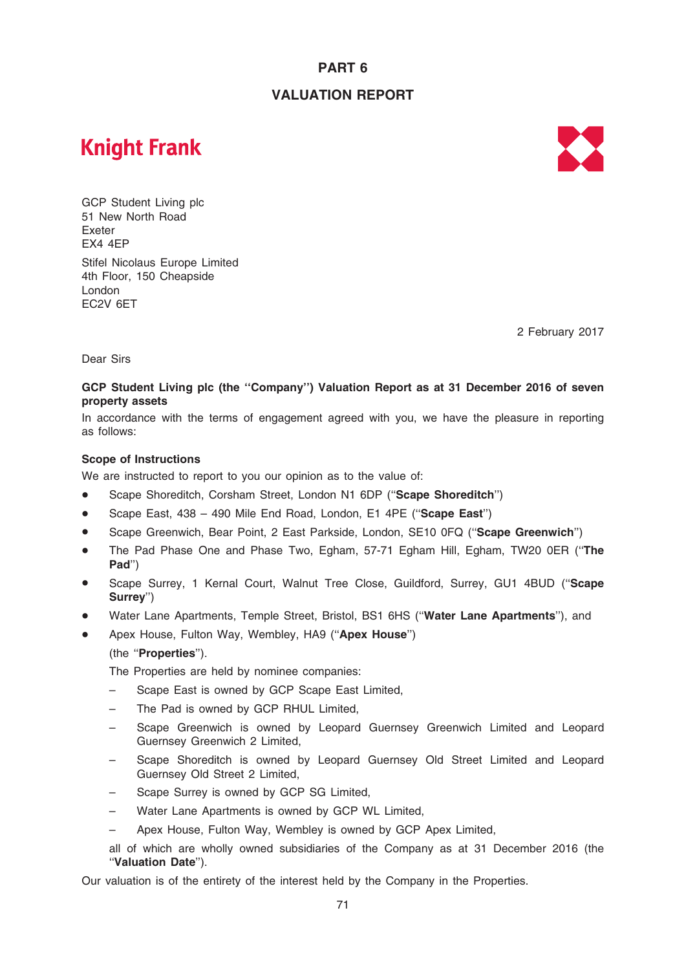# PART 6

## VALUATION REPORT

# **Knight Frank**



GCP Student Living plc 51 New North Road Exeter EX4 4EP Stifel Nicolaus Europe Limited 4th Floor, 150 Cheapside London EC2V 6ET

2 February 2017

Dear Sirs

### GCP Student Living plc (the ''Company'') Valuation Report as at 31 December 2016 of seven property assets

In accordance with the terms of engagement agreed with you, we have the pleasure in reporting as follows:

### Scope of Instructions

We are instructed to report to you our opinion as to the value of:

- Scape Shoreditch, Corsham Street, London N1 6DP ("Scape Shoreditch")
- Scape East, 438 490 Mile End Road, London, E1 4PE ("Scape East")
- Scape Greenwich, Bear Point, 2 East Parkside, London, SE10 0FQ ("Scape Greenwich")
- The Pad Phase One and Phase Two, Egham, 57-71 Egham Hill, Egham, TW20 0ER ("The Pad'')
- Scape Surrey, 1 Kernal Court, Walnut Tree Close, Guildford, Surrey, GU1 4BUD ("Scape Surrey'')
- Water Lane Apartments, Temple Street, Bristol, BS1 6HS ("Water Lane Apartments"), and
- Apex House, Fulton Way, Wembley, HA9 ("Apex House")

### (the ''Properties'').

The Properties are held by nominee companies:

- Scape East is owned by GCP Scape East Limited,
- The Pad is owned by GCP RHUL Limited,
- Scape Greenwich is owned by Leopard Guernsey Greenwich Limited and Leopard Guernsey Greenwich 2 Limited,
- Scape Shoreditch is owned by Leopard Guernsey Old Street Limited and Leopard Guernsey Old Street 2 Limited,
- Scape Surrey is owned by GCP SG Limited.
- Water Lane Apartments is owned by GCP WL Limited,
- Apex House, Fulton Way, Wembley is owned by GCP Apex Limited,
- all of which are wholly owned subsidiaries of the Company as at 31 December 2016 (the ''Valuation Date'').

Our valuation is of the entirety of the interest held by the Company in the Properties.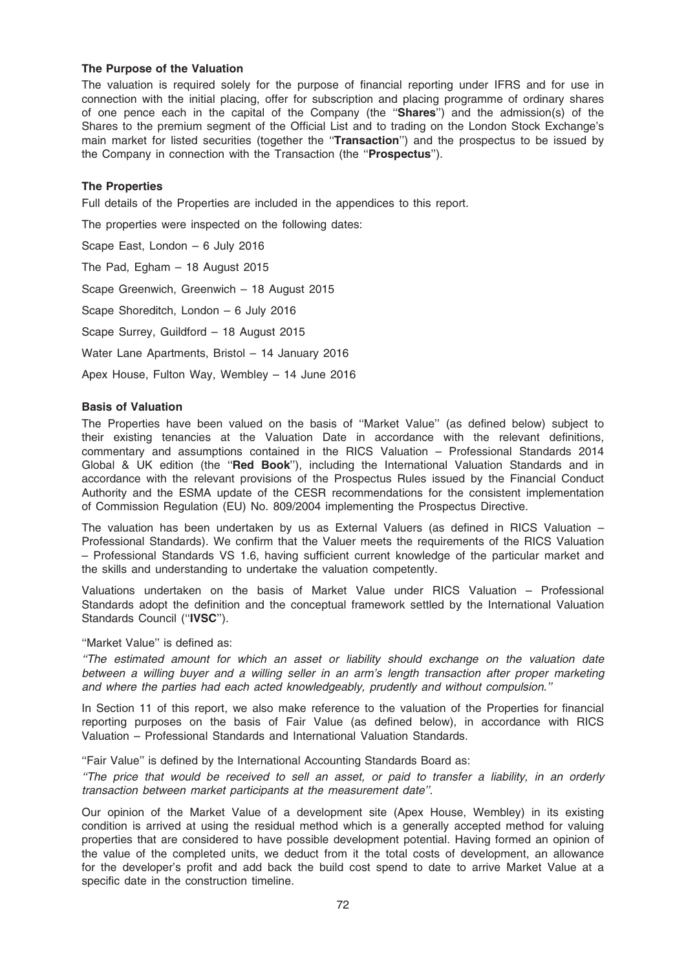### The Purpose of the Valuation

The valuation is required solely for the purpose of financial reporting under IFRS and for use in connection with the initial placing, offer for subscription and placing programme of ordinary shares of one pence each in the capital of the Company (the "Shares") and the admission(s) of the Shares to the premium segment of the Official List and to trading on the London Stock Exchange's main market for listed securities (together the "Transaction") and the prospectus to be issued by the Company in connection with the Transaction (the ''Prospectus'').

### The Properties

Full details of the Properties are included in the appendices to this report.

The properties were inspected on the following dates:

Scape East, London – 6 July 2016 The Pad, Egham – 18 August 2015 Scape Greenwich, Greenwich – 18 August 2015 Scape Shoreditch, London – 6 July 2016 Scape Surrey, Guildford – 18 August 2015 Water Lane Apartments, Bristol – 14 January 2016 Apex House, Fulton Way, Wembley – 14 June 2016

### Basis of Valuation

The Properties have been valued on the basis of ''Market Value'' (as defined below) subject to their existing tenancies at the Valuation Date in accordance with the relevant definitions, commentary and assumptions contained in the RICS Valuation – Professional Standards 2014 Global & UK edition (the "Red Book"), including the International Valuation Standards and in accordance with the relevant provisions of the Prospectus Rules issued by the Financial Conduct Authority and the ESMA update of the CESR recommendations for the consistent implementation of Commission Regulation (EU) No. 809/2004 implementing the Prospectus Directive.

The valuation has been undertaken by us as External Valuers (as defined in RICS Valuation – Professional Standards). We confirm that the Valuer meets the requirements of the RICS Valuation – Professional Standards VS 1.6, having sufficient current knowledge of the particular market and the skills and understanding to undertake the valuation competently.

Valuations undertaken on the basis of Market Value under RICS Valuation – Professional Standards adopt the definition and the conceptual framework settled by the International Valuation Standards Council ("IVSC").

''Market Value'' is defined as:

''The estimated amount for which an asset or liability should exchange on the valuation date between a willing buyer and a willing seller in an arm's length transaction after proper marketing and where the parties had each acted knowledgeably, prudently and without compulsion.''

In Section 11 of this report, we also make reference to the valuation of the Properties for financial reporting purposes on the basis of Fair Value (as defined below), in accordance with RICS Valuation – Professional Standards and International Valuation Standards.

''Fair Value'' is defined by the International Accounting Standards Board as:

''The price that would be received to sell an asset, or paid to transfer a liability, in an orderly transaction between market participants at the measurement date''.

Our opinion of the Market Value of a development site (Apex House, Wembley) in its existing condition is arrived at using the residual method which is a generally accepted method for valuing properties that are considered to have possible development potential. Having formed an opinion of the value of the completed units, we deduct from it the total costs of development, an allowance for the developer's profit and add back the build cost spend to date to arrive Market Value at a specific date in the construction timeline.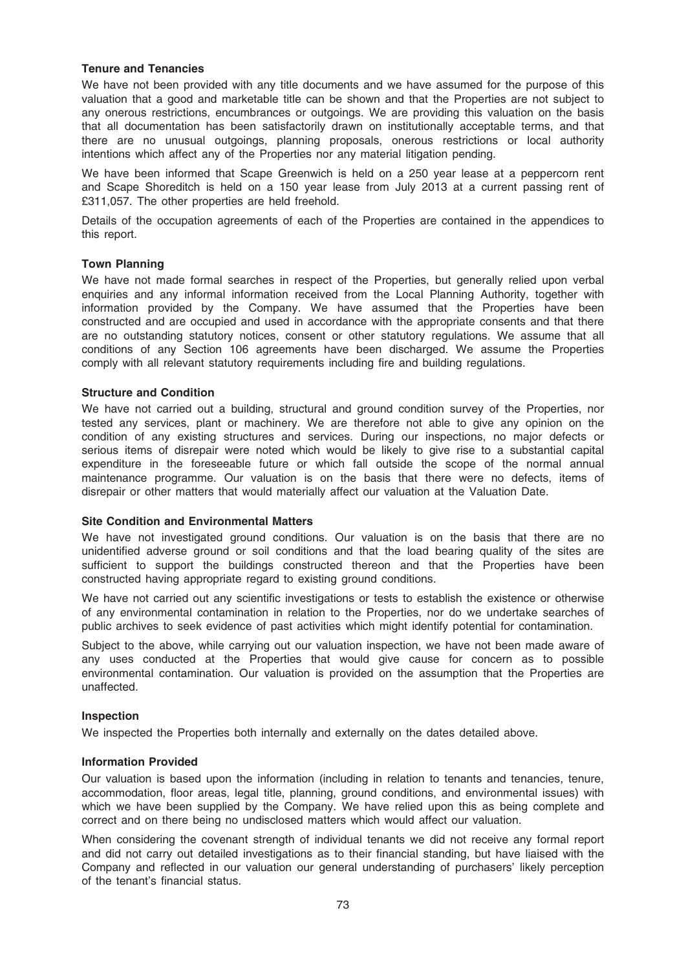### Tenure and Tenancies

We have not been provided with any title documents and we have assumed for the purpose of this valuation that a good and marketable title can be shown and that the Properties are not subject to any onerous restrictions, encumbrances or outgoings. We are providing this valuation on the basis that all documentation has been satisfactorily drawn on institutionally acceptable terms, and that there are no unusual outgoings, planning proposals, onerous restrictions or local authority intentions which affect any of the Properties nor any material litigation pending.

We have been informed that Scape Greenwich is held on a 250 year lease at a peppercorn rent and Scape Shoreditch is held on a 150 year lease from July 2013 at a current passing rent of £311,057. The other properties are held freehold.

Details of the occupation agreements of each of the Properties are contained in the appendices to this report.

### Town Planning

We have not made formal searches in respect of the Properties, but generally relied upon verbal enquiries and any informal information received from the Local Planning Authority, together with information provided by the Company. We have assumed that the Properties have been constructed and are occupied and used in accordance with the appropriate consents and that there are no outstanding statutory notices, consent or other statutory regulations. We assume that all conditions of any Section 106 agreements have been discharged. We assume the Properties comply with all relevant statutory requirements including fire and building regulations.

### Structure and Condition

We have not carried out a building, structural and ground condition survey of the Properties, nor tested any services, plant or machinery. We are therefore not able to give any opinion on the condition of any existing structures and services. During our inspections, no major defects or serious items of disrepair were noted which would be likely to give rise to a substantial capital expenditure in the foreseeable future or which fall outside the scope of the normal annual maintenance programme. Our valuation is on the basis that there were no defects, items of disrepair or other matters that would materially affect our valuation at the Valuation Date.

### Site Condition and Environmental Matters

We have not investigated ground conditions. Our valuation is on the basis that there are no unidentified adverse ground or soil conditions and that the load bearing quality of the sites are sufficient to support the buildings constructed thereon and that the Properties have been constructed having appropriate regard to existing ground conditions.

We have not carried out any scientific investigations or tests to establish the existence or otherwise of any environmental contamination in relation to the Properties, nor do we undertake searches of public archives to seek evidence of past activities which might identify potential for contamination.

Subject to the above, while carrying out our valuation inspection, we have not been made aware of any uses conducted at the Properties that would give cause for concern as to possible environmental contamination. Our valuation is provided on the assumption that the Properties are unaffected.

### Inspection

We inspected the Properties both internally and externally on the dates detailed above.

### Information Provided

Our valuation is based upon the information (including in relation to tenants and tenancies, tenure, accommodation, floor areas, legal title, planning, ground conditions, and environmental issues) with which we have been supplied by the Company. We have relied upon this as being complete and correct and on there being no undisclosed matters which would affect our valuation.

When considering the covenant strength of individual tenants we did not receive any formal report and did not carry out detailed investigations as to their financial standing, but have liaised with the Company and reflected in our valuation our general understanding of purchasers' likely perception of the tenant's financial status.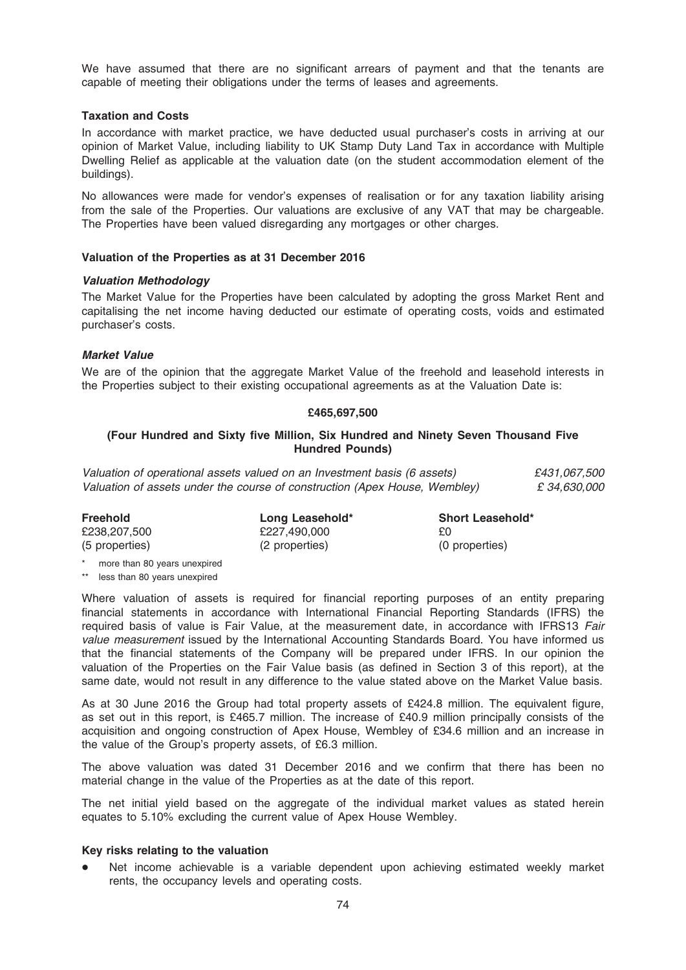We have assumed that there are no significant arrears of payment and that the tenants are capable of meeting their obligations under the terms of leases and agreements.

### Taxation and Costs

In accordance with market practice, we have deducted usual purchaser's costs in arriving at our opinion of Market Value, including liability to UK Stamp Duty Land Tax in accordance with Multiple Dwelling Relief as applicable at the valuation date (on the student accommodation element of the buildings).

No allowances were made for vendor's expenses of realisation or for any taxation liability arising from the sale of the Properties. Our valuations are exclusive of any VAT that may be chargeable. The Properties have been valued disregarding any mortgages or other charges.

### Valuation of the Properties as at 31 December 2016

### Valuation Methodology

The Market Value for the Properties have been calculated by adopting the gross Market Rent and capitalising the net income having deducted our estimate of operating costs, voids and estimated purchaser's costs.

### Market Value

We are of the opinion that the aggregate Market Value of the freehold and leasehold interests in the Properties subject to their existing occupational agreements as at the Valuation Date is:

### £465,697,500

### (Four Hundred and Sixty five Million, Six Hundred and Ninety Seven Thousand Five Hundred Pounds)

Valuation of operational assets valued on an Investment basis (6 assets)  $£431.067.500$ Valuation of assets under the course of construction (Apex House, Wembley)  $\epsilon$  34,630,000

| <b>Freehold</b> | Long Leasehold* | <b>Short Leasehold*</b> |
|-----------------|-----------------|-------------------------|
| £238,207,500    | £227.490.000    | £0                      |
| (5 properties)  | (2 properties)  | (0 properties)          |

\* more than 80 years unexpired

\*\* less than 80 years unexpired

Where valuation of assets is required for financial reporting purposes of an entity preparing financial statements in accordance with International Financial Reporting Standards (IFRS) the required basis of value is Fair Value, at the measurement date, in accordance with IFRS13 Fair value measurement issued by the International Accounting Standards Board. You have informed us that the financial statements of the Company will be prepared under IFRS. In our opinion the valuation of the Properties on the Fair Value basis (as defined in Section 3 of this report), at the same date, would not result in any difference to the value stated above on the Market Value basis.

As at 30 June 2016 the Group had total property assets of £424.8 million. The equivalent figure, as set out in this report, is £465.7 million. The increase of £40.9 million principally consists of the acquisition and ongoing construction of Apex House, Wembley of £34.6 million and an increase in the value of the Group's property assets, of £6.3 million.

The above valuation was dated 31 December 2016 and we confirm that there has been no material change in the value of the Properties as at the date of this report.

The net initial yield based on the aggregate of the individual market values as stated herein equates to 5.10% excluding the current value of Apex House Wembley.

### Key risks relating to the valuation

Net income achievable is a variable dependent upon achieving estimated weekly market rents, the occupancy levels and operating costs.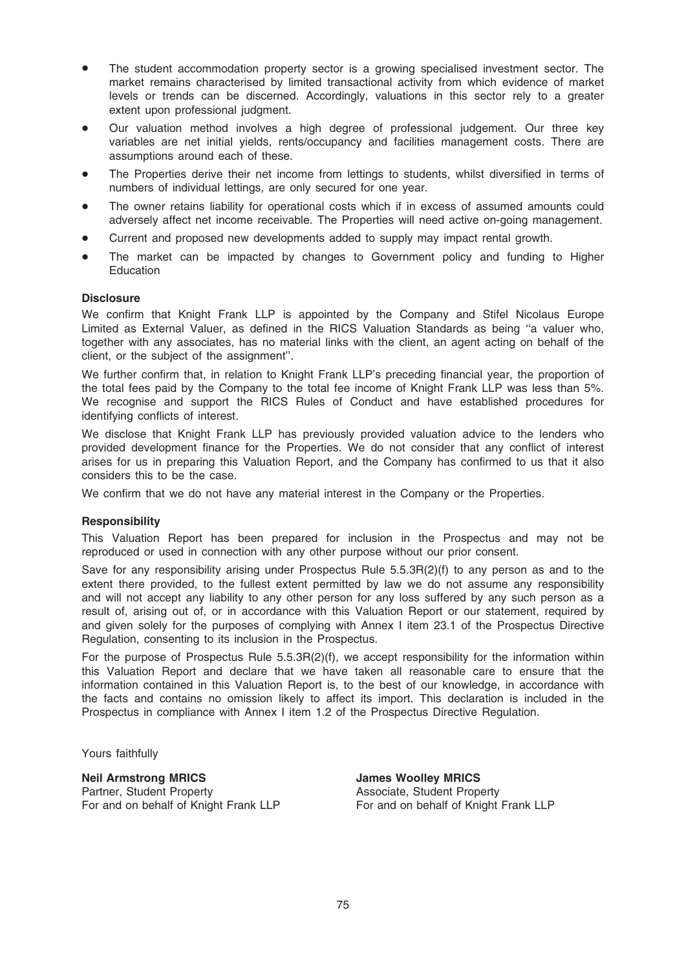- The student accommodation property sector is a growing specialised investment sector. The market remains characterised by limited transactional activity from which evidence of market levels or trends can be discerned. Accordingly, valuations in this sector rely to a greater extent upon professional judgment.
- Our valuation method involves a high degree of professional judgement. Our three key variables are net initial yields, rents/occupancy and facilities management costs. There are assumptions around each of these.
- The Properties derive their net income from lettings to students, whilst diversified in terms of numbers of individual lettings, are only secured for one year.
- The owner retains liability for operational costs which if in excess of assumed amounts could adversely affect net income receivable. The Properties will need active on-going management.
- Current and proposed new developments added to supply may impact rental growth.
- The market can be impacted by changes to Government policy and funding to Higher Education

### **Disclosure**

We confirm that Knight Frank LLP is appointed by the Company and Stifel Nicolaus Europe Limited as External Valuer, as defined in the RICS Valuation Standards as being ''a valuer who, together with any associates, has no material links with the client, an agent acting on behalf of the client, or the subject of the assignment''.

We further confirm that, in relation to Knight Frank LLP's preceding financial year, the proportion of the total fees paid by the Company to the total fee income of Knight Frank LLP was less than 5%. We recognise and support the RICS Rules of Conduct and have established procedures for identifying conflicts of interest.

We disclose that Knight Frank LLP has previously provided valuation advice to the lenders who provided development finance for the Properties. We do not consider that any conflict of interest arises for us in preparing this Valuation Report, and the Company has confirmed to us that it also considers this to be the case.

We confirm that we do not have any material interest in the Company or the Properties.

### **Responsibility**

This Valuation Report has been prepared for inclusion in the Prospectus and may not be reproduced or used in connection with any other purpose without our prior consent.

Save for any responsibility arising under Prospectus Rule 5.5.3R(2)(f) to any person as and to the extent there provided, to the fullest extent permitted by law we do not assume any responsibility and will not accept any liability to any other person for any loss suffered by any such person as a result of, arising out of, or in accordance with this Valuation Report or our statement, required by and given solely for the purposes of complying with Annex I item 23.1 of the Prospectus Directive Regulation, consenting to its inclusion in the Prospectus.

For the purpose of Prospectus Rule 5.5.3R(2)(f), we accept responsibility for the information within this Valuation Report and declare that we have taken all reasonable care to ensure that the information contained in this Valuation Report is, to the best of our knowledge, in accordance with the facts and contains no omission likely to affect its import. This declaration is included in the Prospectus in compliance with Annex I item 1.2 of the Prospectus Directive Regulation.

Yours faithfully

### Neil Armstrong MRICS

Partner, Student Property For and on behalf of Knight Frank LLP James Woolley MRICS Associate, Student Property For and on behalf of Knight Frank LLP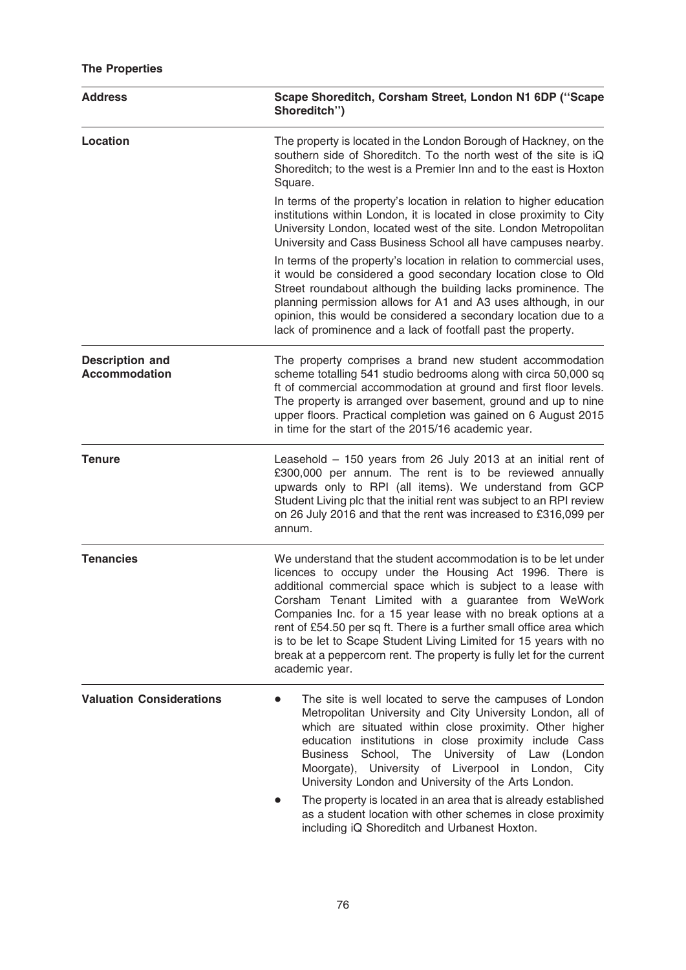# The Properties

| <b>Address</b>                                 | Scape Shoreditch, Corsham Street, London N1 6DP ("Scape<br>Shoreditch")                                                                                                                                                                                                                                                                                                                                                                                                                                                                                    |  |  |
|------------------------------------------------|------------------------------------------------------------------------------------------------------------------------------------------------------------------------------------------------------------------------------------------------------------------------------------------------------------------------------------------------------------------------------------------------------------------------------------------------------------------------------------------------------------------------------------------------------------|--|--|
| <b>Location</b>                                | The property is located in the London Borough of Hackney, on the<br>southern side of Shoreditch. To the north west of the site is iQ<br>Shoreditch; to the west is a Premier Inn and to the east is Hoxton<br>Square.                                                                                                                                                                                                                                                                                                                                      |  |  |
|                                                | In terms of the property's location in relation to higher education<br>institutions within London, it is located in close proximity to City<br>University London, located west of the site. London Metropolitan<br>University and Cass Business School all have campuses nearby.                                                                                                                                                                                                                                                                           |  |  |
|                                                | In terms of the property's location in relation to commercial uses,<br>it would be considered a good secondary location close to Old<br>Street roundabout although the building lacks prominence. The<br>planning permission allows for A1 and A3 uses although, in our<br>opinion, this would be considered a secondary location due to a<br>lack of prominence and a lack of footfall past the property.                                                                                                                                                 |  |  |
| <b>Description and</b><br><b>Accommodation</b> | The property comprises a brand new student accommodation<br>scheme totalling 541 studio bedrooms along with circa 50,000 sq<br>ft of commercial accommodation at ground and first floor levels.<br>The property is arranged over basement, ground and up to nine<br>upper floors. Practical completion was gained on 6 August 2015<br>in time for the start of the 2015/16 academic year.                                                                                                                                                                  |  |  |
| <b>Tenure</b>                                  | Leasehold - 150 years from 26 July 2013 at an initial rent of<br>£300,000 per annum. The rent is to be reviewed annually<br>upwards only to RPI (all items). We understand from GCP<br>Student Living plc that the initial rent was subject to an RPI review<br>on 26 July 2016 and that the rent was increased to £316,099 per<br>annum.                                                                                                                                                                                                                  |  |  |
| <b>Tenancies</b>                               | We understand that the student accommodation is to be let under<br>licences to occupy under the Housing Act 1996. There is<br>additional commercial space which is subject to a lease with<br>Corsham Tenant Limited with a guarantee from WeWork<br>Companies Inc. for a 15 year lease with no break options at a<br>rent of £54.50 per sq ft. There is a further small office area which<br>is to be let to Scape Student Living Limited for 15 years with no<br>break at a peppercorn rent. The property is fully let for the current<br>academic year. |  |  |
| <b>Valuation Considerations</b>                | The site is well located to serve the campuses of London<br>Metropolitan University and City University London, all of<br>which are situated within close proximity. Other higher<br>education institutions in close proximity include Cass<br><b>Business</b><br>School, The University of Law (London<br>Moorgate), University of Liverpool in London,<br>City<br>University London and University of the Arts London.                                                                                                                                   |  |  |
|                                                | The property is located in an area that is already established<br>as a student location with other schemes in close proximity<br>including iQ Shoreditch and Urbanest Hoxton.                                                                                                                                                                                                                                                                                                                                                                              |  |  |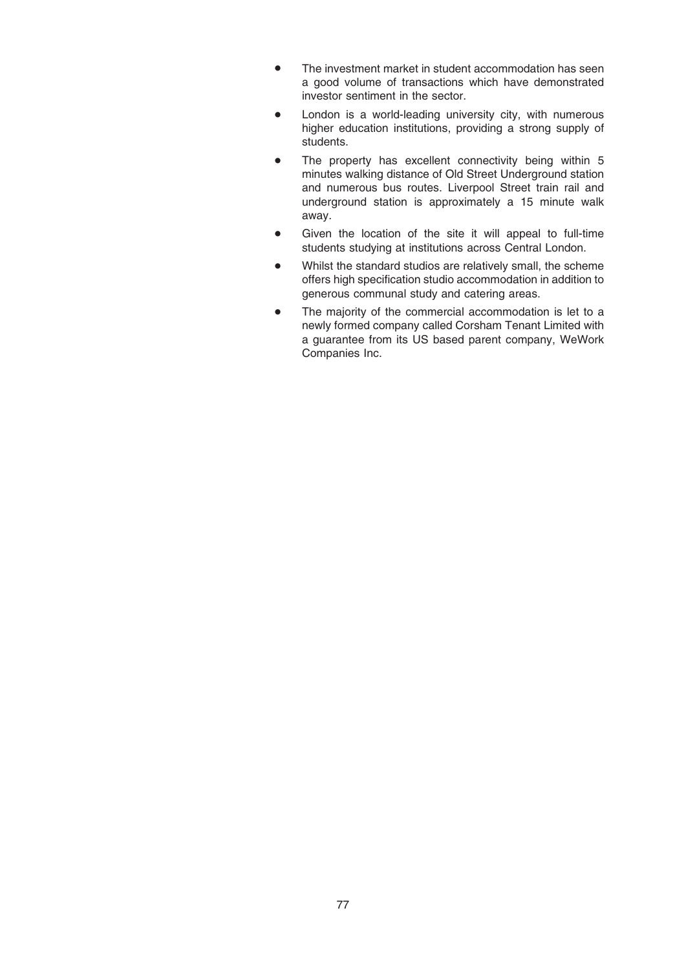- The investment market in student accommodation has seen a good volume of transactions which have demonstrated investor sentiment in the sector.
- London is a world-leading university city, with numerous higher education institutions, providing a strong supply of students.
- The property has excellent connectivity being within 5 minutes walking distance of Old Street Underground station and numerous bus routes. Liverpool Street train rail and underground station is approximately a 15 minute walk away.
- Given the location of the site it will appeal to full-time students studying at institutions across Central London.
- Whilst the standard studios are relatively small, the scheme offers high specification studio accommodation in addition to generous communal study and catering areas.
- The majority of the commercial accommodation is let to a newly formed company called Corsham Tenant Limited with a guarantee from its US based parent company, WeWork Companies Inc.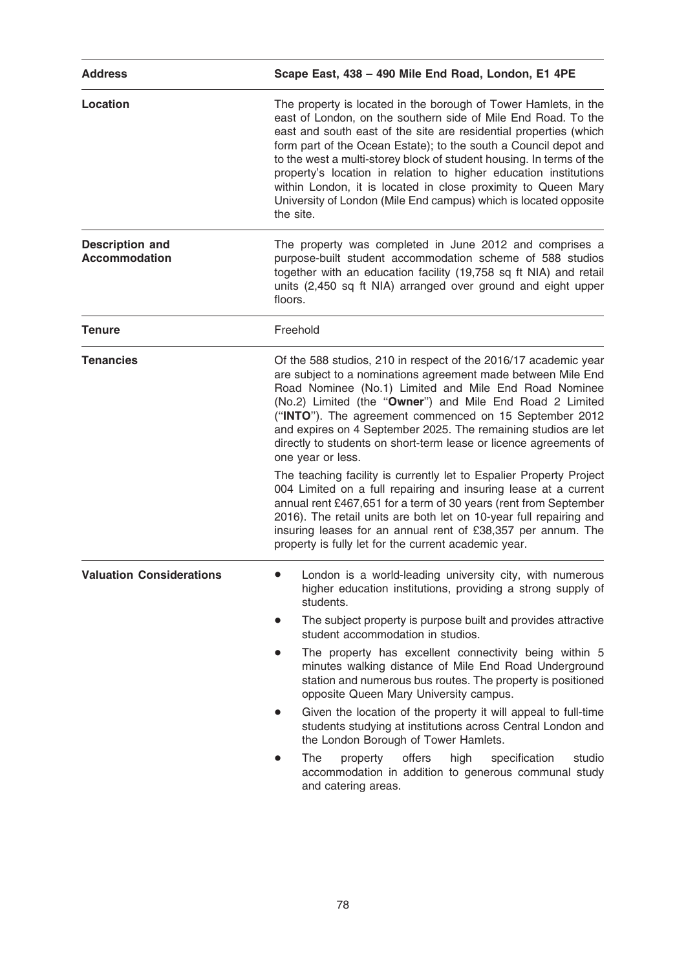| <b>Address</b>                                 | Scape East, 438 - 490 Mile End Road, London, E1 4PE                                                                                                                                                                                                                                                                                                                                                                                                                                                                                                                                                                                                                                                                                                                                                                                                                                    |  |
|------------------------------------------------|----------------------------------------------------------------------------------------------------------------------------------------------------------------------------------------------------------------------------------------------------------------------------------------------------------------------------------------------------------------------------------------------------------------------------------------------------------------------------------------------------------------------------------------------------------------------------------------------------------------------------------------------------------------------------------------------------------------------------------------------------------------------------------------------------------------------------------------------------------------------------------------|--|
| <b>Location</b>                                | The property is located in the borough of Tower Hamlets, in the<br>east of London, on the southern side of Mile End Road. To the<br>east and south east of the site are residential properties (which<br>form part of the Ocean Estate); to the south a Council depot and<br>to the west a multi-storey block of student housing. In terms of the<br>property's location in relation to higher education institutions<br>within London, it is located in close proximity to Queen Mary<br>University of London (Mile End campus) which is located opposite<br>the site.                                                                                                                                                                                                                                                                                                                |  |
| <b>Description and</b><br><b>Accommodation</b> | The property was completed in June 2012 and comprises a<br>purpose-built student accommodation scheme of 588 studios<br>together with an education facility (19,758 sq ft NIA) and retail<br>units (2,450 sq ft NIA) arranged over ground and eight upper<br>floors.                                                                                                                                                                                                                                                                                                                                                                                                                                                                                                                                                                                                                   |  |
| <b>Tenure</b>                                  | Freehold                                                                                                                                                                                                                                                                                                                                                                                                                                                                                                                                                                                                                                                                                                                                                                                                                                                                               |  |
| <b>Tenancies</b>                               | Of the 588 studios, 210 in respect of the 2016/17 academic year<br>are subject to a nominations agreement made between Mile End<br>Road Nominee (No.1) Limited and Mile End Road Nominee<br>(No.2) Limited (the "Owner") and Mile End Road 2 Limited<br>("INTO"). The agreement commenced on 15 September 2012<br>and expires on 4 September 2025. The remaining studios are let<br>directly to students on short-term lease or licence agreements of<br>one year or less.<br>The teaching facility is currently let to Espalier Property Project<br>004 Limited on a full repairing and insuring lease at a current<br>annual rent £467,651 for a term of 30 years (rent from September<br>2016). The retail units are both let on 10-year full repairing and<br>insuring leases for an annual rent of £38,357 per annum. The<br>property is fully let for the current academic year. |  |
| <b>Valuation Considerations</b>                | London is a world-leading university city, with numerous<br>higher education institutions, providing a strong supply of<br>students.<br>The subject property is purpose built and provides attractive<br>student accommodation in studios.<br>The property has excellent connectivity being within 5<br>$\bullet$<br>minutes walking distance of Mile End Road Underground<br>station and numerous bus routes. The property is positioned<br>opposite Queen Mary University campus.<br>Given the location of the property it will appeal to full-time<br>students studying at institutions across Central London and<br>the London Borough of Tower Hamlets.<br>offers<br>The<br>high<br>specification<br>studio<br>property<br>accommodation in addition to generous communal study<br>and catering areas.                                                                            |  |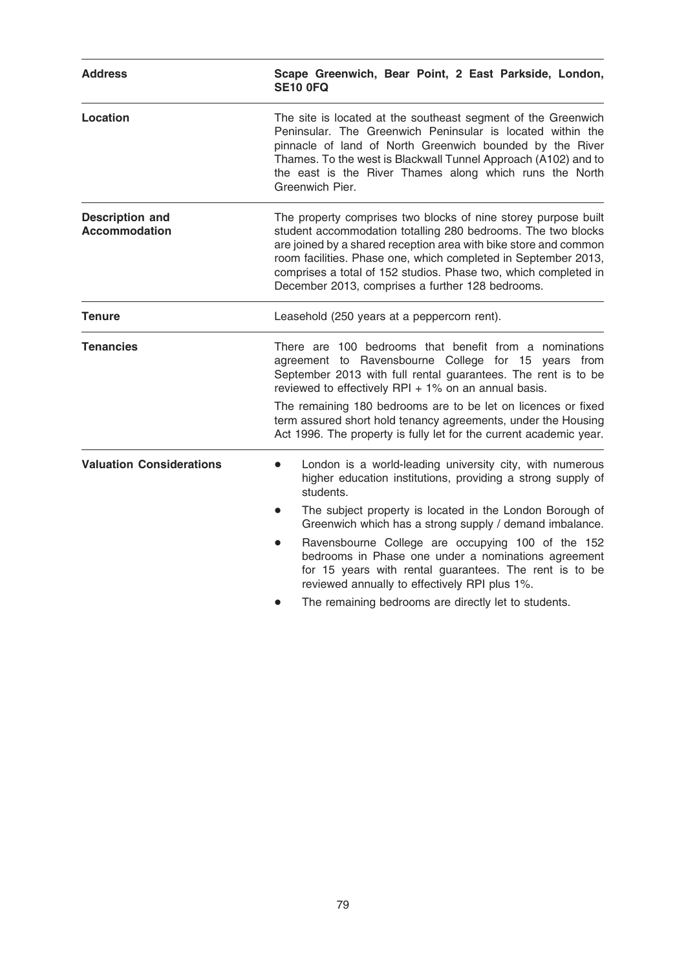| <b>Address</b>                                 | Scape Greenwich, Bear Point, 2 East Parkside, London,<br><b>SE10 0FQ</b>                                                                                                                                                                                                                                                                                                                                                                         |  |
|------------------------------------------------|--------------------------------------------------------------------------------------------------------------------------------------------------------------------------------------------------------------------------------------------------------------------------------------------------------------------------------------------------------------------------------------------------------------------------------------------------|--|
| <b>Location</b>                                | The site is located at the southeast segment of the Greenwich<br>Peninsular. The Greenwich Peninsular is located within the<br>pinnacle of land of North Greenwich bounded by the River<br>Thames. To the west is Blackwall Tunnel Approach (A102) and to<br>the east is the River Thames along which runs the North<br>Greenwich Pier.                                                                                                          |  |
| <b>Description and</b><br><b>Accommodation</b> | The property comprises two blocks of nine storey purpose built<br>student accommodation totalling 280 bedrooms. The two blocks<br>are joined by a shared reception area with bike store and common<br>room facilities. Phase one, which completed in September 2013,<br>comprises a total of 152 studios. Phase two, which completed in<br>December 2013, comprises a further 128 bedrooms.                                                      |  |
| <b>Tenure</b>                                  | Leasehold (250 years at a peppercorn rent).                                                                                                                                                                                                                                                                                                                                                                                                      |  |
| <b>Tenancies</b>                               | There are 100 bedrooms that benefit from a nominations<br>agreement to Ravensbourne College for 15 years from<br>September 2013 with full rental guarantees. The rent is to be<br>reviewed to effectively RPI $+$ 1% on an annual basis.<br>The remaining 180 bedrooms are to be let on licences or fixed<br>term assured short hold tenancy agreements, under the Housing<br>Act 1996. The property is fully let for the current academic year. |  |
|                                                |                                                                                                                                                                                                                                                                                                                                                                                                                                                  |  |
| <b>Valuation Considerations</b>                | London is a world-leading university city, with numerous<br>$\bullet$<br>higher education institutions, providing a strong supply of<br>students.                                                                                                                                                                                                                                                                                                |  |
|                                                | The subject property is located in the London Borough of<br>Greenwich which has a strong supply / demand imbalance.                                                                                                                                                                                                                                                                                                                              |  |
|                                                | Ravensbourne College are occupying 100 of the 152<br>$\bullet$<br>bedrooms in Phase one under a nominations agreement<br>for 15 years with rental guarantees. The rent is to be<br>reviewed annually to effectively RPI plus 1%.                                                                                                                                                                                                                 |  |
|                                                | The remaining bedrooms are directly let to students.                                                                                                                                                                                                                                                                                                                                                                                             |  |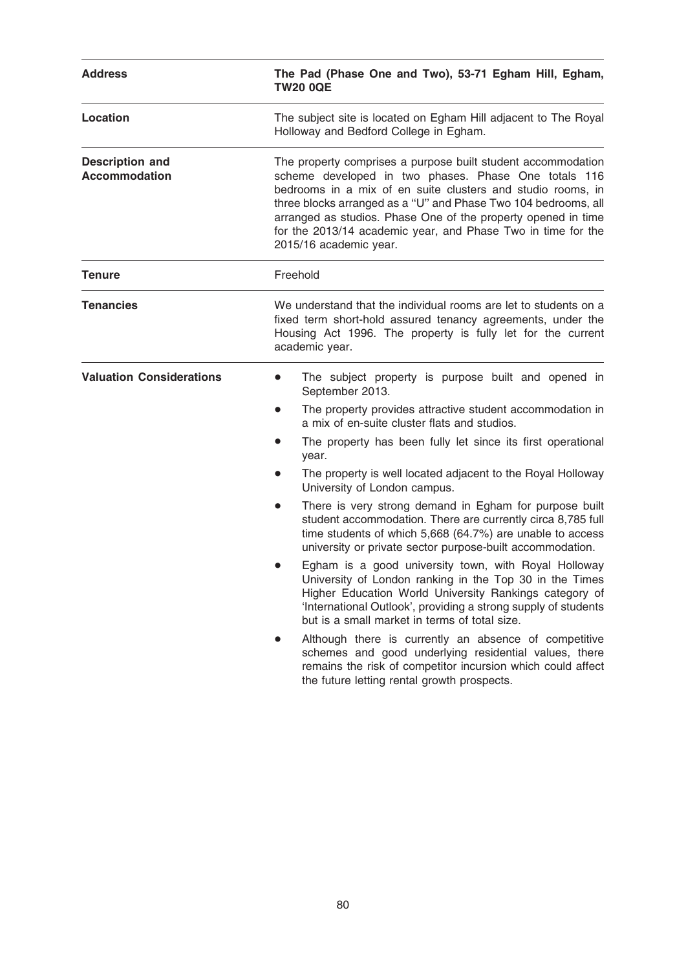| <b>Address</b>                                 | The Pad (Phase One and Two), 53-71 Egham Hill, Egham,<br><b>TW20 0QE</b>                                                                                                                                                                                                                                                                                                                                                                                                                                                                                                                                                                                                                                                                                                                                                                                                                                                                                                                                                                                                                                                                           |  |
|------------------------------------------------|----------------------------------------------------------------------------------------------------------------------------------------------------------------------------------------------------------------------------------------------------------------------------------------------------------------------------------------------------------------------------------------------------------------------------------------------------------------------------------------------------------------------------------------------------------------------------------------------------------------------------------------------------------------------------------------------------------------------------------------------------------------------------------------------------------------------------------------------------------------------------------------------------------------------------------------------------------------------------------------------------------------------------------------------------------------------------------------------------------------------------------------------------|--|
| <b>Location</b>                                | The subject site is located on Egham Hill adjacent to The Royal<br>Holloway and Bedford College in Egham.                                                                                                                                                                                                                                                                                                                                                                                                                                                                                                                                                                                                                                                                                                                                                                                                                                                                                                                                                                                                                                          |  |
| <b>Description and</b><br><b>Accommodation</b> | The property comprises a purpose built student accommodation<br>scheme developed in two phases. Phase One totals 116<br>bedrooms in a mix of en suite clusters and studio rooms, in<br>three blocks arranged as a "U" and Phase Two 104 bedrooms, all<br>arranged as studios. Phase One of the property opened in time<br>for the 2013/14 academic year, and Phase Two in time for the<br>2015/16 academic year.                                                                                                                                                                                                                                                                                                                                                                                                                                                                                                                                                                                                                                                                                                                                   |  |
| <b>Tenure</b>                                  | Freehold                                                                                                                                                                                                                                                                                                                                                                                                                                                                                                                                                                                                                                                                                                                                                                                                                                                                                                                                                                                                                                                                                                                                           |  |
| <b>Tenancies</b>                               | We understand that the individual rooms are let to students on a<br>fixed term short-hold assured tenancy agreements, under the<br>Housing Act 1996. The property is fully let for the current<br>academic year.                                                                                                                                                                                                                                                                                                                                                                                                                                                                                                                                                                                                                                                                                                                                                                                                                                                                                                                                   |  |
| <b>Valuation Considerations</b>                | The subject property is purpose built and opened in<br>$\bullet$<br>September 2013.<br>The property provides attractive student accommodation in<br>$\bullet$<br>a mix of en-suite cluster flats and studios.<br>The property has been fully let since its first operational<br>year.<br>The property is well located adjacent to the Royal Holloway<br>$\bullet$<br>University of London campus.<br>There is very strong demand in Egham for purpose built<br>$\bullet$<br>student accommodation. There are currently circa 8,785 full<br>time students of which 5,668 (64.7%) are unable to access<br>university or private sector purpose-built accommodation.<br>Egham is a good university town, with Royal Holloway<br>University of London ranking in the Top 30 in the Times<br>Higher Education World University Rankings category of<br>'International Outlook', providing a strong supply of students<br>but is a small market in terms of total size.<br>Although there is currently an absence of competitive<br>schemes and good underlying residential values, there<br>remains the risk of competitor incursion which could affect |  |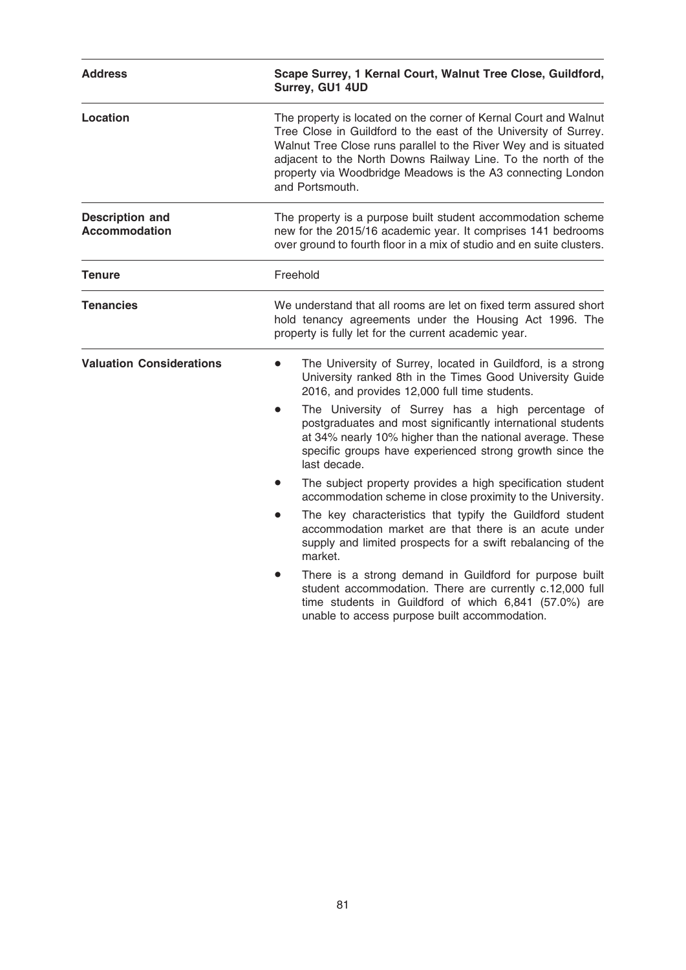| <b>Address</b>                                 | Scape Surrey, 1 Kernal Court, Walnut Tree Close, Guildford,<br>Surrey, GU1 4UD<br>The property is located on the corner of Kernal Court and Walnut<br>Tree Close in Guildford to the east of the University of Surrey.<br>Walnut Tree Close runs parallel to the River Wey and is situated<br>adjacent to the North Downs Railway Line. To the north of the<br>property via Woodbridge Meadows is the A3 connecting London<br>and Portsmouth. |  |
|------------------------------------------------|-----------------------------------------------------------------------------------------------------------------------------------------------------------------------------------------------------------------------------------------------------------------------------------------------------------------------------------------------------------------------------------------------------------------------------------------------|--|
| <b>Location</b>                                |                                                                                                                                                                                                                                                                                                                                                                                                                                               |  |
| <b>Description and</b><br><b>Accommodation</b> | The property is a purpose built student accommodation scheme<br>new for the 2015/16 academic year. It comprises 141 bedrooms<br>over ground to fourth floor in a mix of studio and en suite clusters.                                                                                                                                                                                                                                         |  |
| <b>Tenure</b>                                  | Freehold                                                                                                                                                                                                                                                                                                                                                                                                                                      |  |
| <b>Tenancies</b>                               | We understand that all rooms are let on fixed term assured short<br>hold tenancy agreements under the Housing Act 1996. The<br>property is fully let for the current academic year.                                                                                                                                                                                                                                                           |  |
| <b>Valuation Considerations</b>                | The University of Surrey, located in Guildford, is a strong<br>University ranked 8th in the Times Good University Guide<br>2016, and provides 12,000 full time students.<br>The University of Surrey has a high percentage of<br>postgraduates and most significantly international students<br>at 34% nearly 10% higher than the national average. These<br>specific groups have experienced strong growth since the                         |  |
|                                                | last decade.<br>The subject property provides a high specification student<br>accommodation scheme in close proximity to the University.                                                                                                                                                                                                                                                                                                      |  |
|                                                | The key characteristics that typify the Guildford student<br>accommodation market are that there is an acute under<br>supply and limited prospects for a swift rebalancing of the<br>market.                                                                                                                                                                                                                                                  |  |
|                                                | There is a strong demand in Guildford for purpose built<br>student accommodation. There are currently c.12,000 full<br>time students in Guildford of which 6,841 (57.0%) are<br>unable to access purpose built accommodation.                                                                                                                                                                                                                 |  |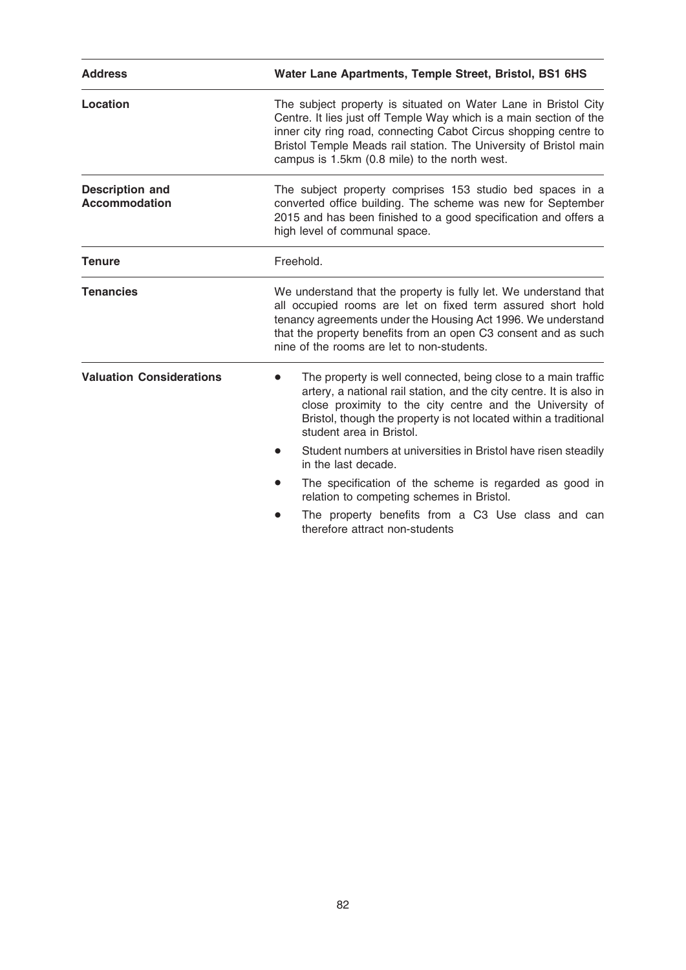| <b>Address</b>                                 | Water Lane Apartments, Temple Street, Bristol, BS1 6HS                                                                                                                                                                                                                                                                         |  |  |
|------------------------------------------------|--------------------------------------------------------------------------------------------------------------------------------------------------------------------------------------------------------------------------------------------------------------------------------------------------------------------------------|--|--|
| Location                                       | The subject property is situated on Water Lane in Bristol City<br>Centre. It lies just off Temple Way which is a main section of the<br>inner city ring road, connecting Cabot Circus shopping centre to<br>Bristol Temple Meads rail station. The University of Bristol main<br>campus is 1.5km (0.8 mile) to the north west. |  |  |
| <b>Description and</b><br><b>Accommodation</b> | The subject property comprises 153 studio bed spaces in a<br>converted office building. The scheme was new for September<br>2015 and has been finished to a good specification and offers a<br>high level of communal space.                                                                                                   |  |  |
| <b>Tenure</b>                                  | Freehold.                                                                                                                                                                                                                                                                                                                      |  |  |
| <b>Tenancies</b>                               | We understand that the property is fully let. We understand that<br>all occupied rooms are let on fixed term assured short hold<br>tenancy agreements under the Housing Act 1996. We understand<br>that the property benefits from an open C3 consent and as such<br>nine of the rooms are let to non-students.                |  |  |
| <b>Valuation Considerations</b>                | The property is well connected, being close to a main traffic<br>artery, a national rail station, and the city centre. It is also in<br>close proximity to the city centre and the University of<br>Bristol, though the property is not located within a traditional<br>student area in Bristol.                               |  |  |
|                                                | Student numbers at universities in Bristol have risen steadily<br>in the last decade.                                                                                                                                                                                                                                          |  |  |
|                                                | The specification of the scheme is regarded as good in<br>relation to competing schemes in Bristol.                                                                                                                                                                                                                            |  |  |
|                                                | The property benefits from a C3 Use class and can<br>therefore attract non-students                                                                                                                                                                                                                                            |  |  |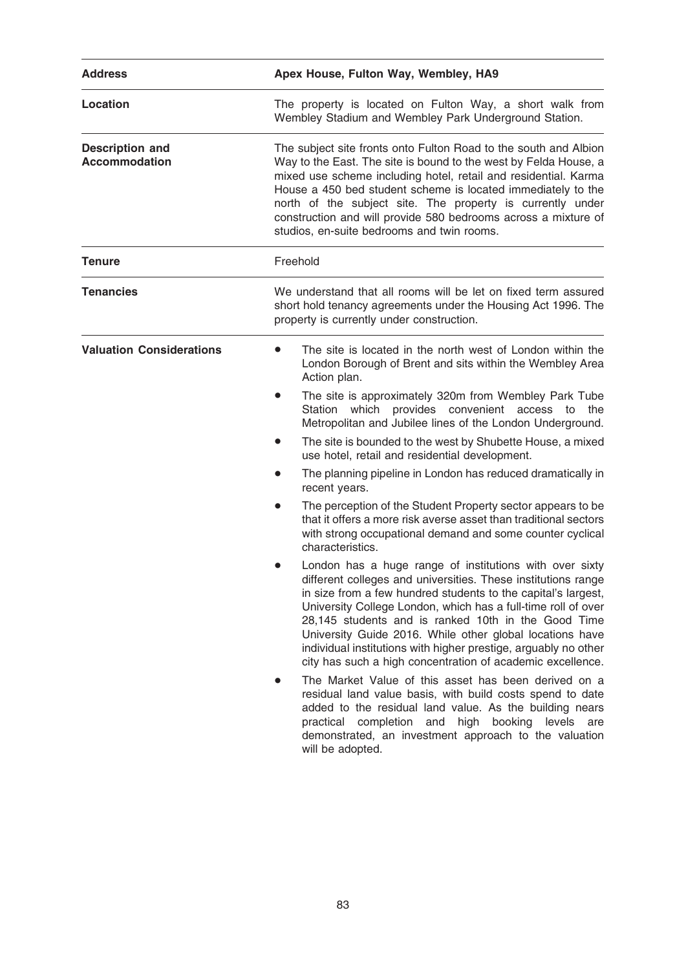| <b>Address</b>                                 | Apex House, Fulton Way, Wembley, HA9                                                                                                                                                                                                                                                                                                                                                                                                                                                                           |  |
|------------------------------------------------|----------------------------------------------------------------------------------------------------------------------------------------------------------------------------------------------------------------------------------------------------------------------------------------------------------------------------------------------------------------------------------------------------------------------------------------------------------------------------------------------------------------|--|
| Location                                       | The property is located on Fulton Way, a short walk from<br>Wembley Stadium and Wembley Park Underground Station.                                                                                                                                                                                                                                                                                                                                                                                              |  |
| <b>Description and</b><br><b>Accommodation</b> | The subject site fronts onto Fulton Road to the south and Albion<br>Way to the East. The site is bound to the west by Felda House, a<br>mixed use scheme including hotel, retail and residential. Karma<br>House a 450 bed student scheme is located immediately to the<br>north of the subject site. The property is currently under<br>construction and will provide 580 bedrooms across a mixture of<br>studios, en-suite bedrooms and twin rooms.                                                          |  |
| Tenure                                         | Freehold                                                                                                                                                                                                                                                                                                                                                                                                                                                                                                       |  |
| <b>Tenancies</b>                               | We understand that all rooms will be let on fixed term assured<br>short hold tenancy agreements under the Housing Act 1996. The<br>property is currently under construction.                                                                                                                                                                                                                                                                                                                                   |  |
| <b>Valuation Considerations</b>                | The site is located in the north west of London within the<br>London Borough of Brent and sits within the Wembley Area<br>Action plan.                                                                                                                                                                                                                                                                                                                                                                         |  |
|                                                | The site is approximately 320m from Wembley Park Tube<br>$\bullet$<br>Station which provides convenient access to<br>the<br>Metropolitan and Jubilee lines of the London Underground.                                                                                                                                                                                                                                                                                                                          |  |
|                                                | The site is bounded to the west by Shubette House, a mixed<br>use hotel, retail and residential development.                                                                                                                                                                                                                                                                                                                                                                                                   |  |
|                                                | The planning pipeline in London has reduced dramatically in<br>$\bullet$<br>recent years.                                                                                                                                                                                                                                                                                                                                                                                                                      |  |
|                                                | The perception of the Student Property sector appears to be<br>$\bullet$<br>that it offers a more risk averse asset than traditional sectors<br>with strong occupational demand and some counter cyclical<br>characteristics.                                                                                                                                                                                                                                                                                  |  |
|                                                | London has a huge range of institutions with over sixty<br>different colleges and universities. These institutions range<br>in size from a few hundred students to the capital's largest,<br>University College London, which has a full-time roll of over<br>28,145 students and is ranked 10th in the Good Time<br>University Guide 2016. While other global locations have<br>individual institutions with higher prestige, arguably no other<br>city has such a high concentration of academic excellence. |  |
|                                                | The Market Value of this asset has been derived on a<br>residual land value basis, with build costs spend to date<br>added to the residual land value. As the building nears<br>practical completion and<br>high booking levels are<br>demonstrated, an investment approach to the valuation<br>will be adopted.                                                                                                                                                                                               |  |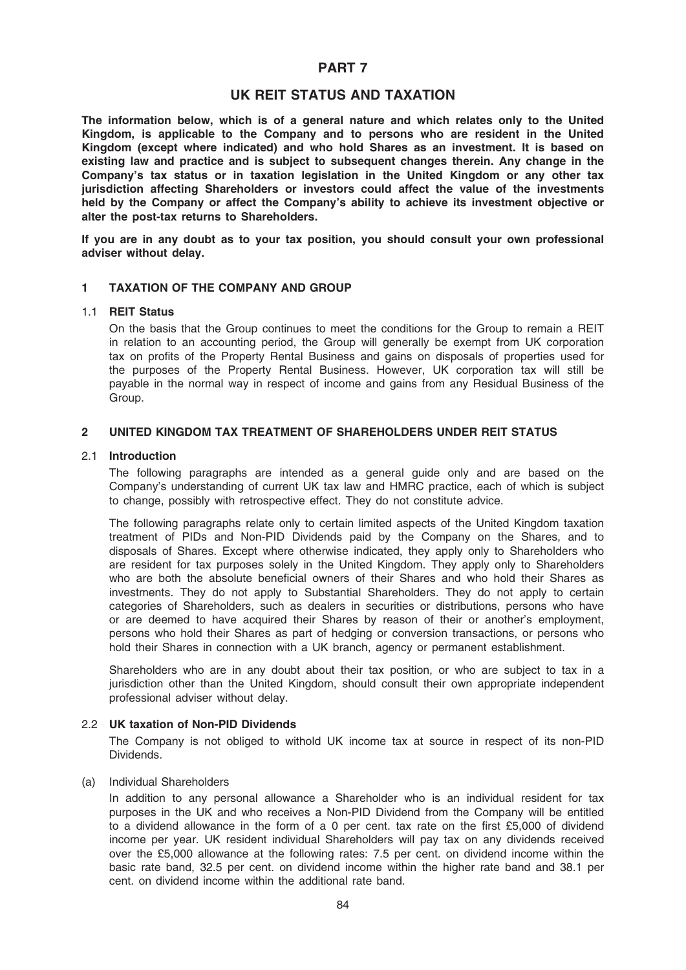# PART 7

# UK REIT STATUS AND TAXATION

The information below, which is of a general nature and which relates only to the United Kingdom, is applicable to the Company and to persons who are resident in the United Kingdom (except where indicated) and who hold Shares as an investment. It is based on existing law and practice and is subject to subsequent changes therein. Any change in the Company's tax status or in taxation legislation in the United Kingdom or any other tax jurisdiction affecting Shareholders or investors could affect the value of the investments held by the Company or affect the Company's ability to achieve its investment objective or alter the post-tax returns to Shareholders.

If you are in any doubt as to your tax position, you should consult your own professional adviser without delay.

#### 1 TAXATION OF THE COMPANY AND GROUP

### 1.1 REIT Status

On the basis that the Group continues to meet the conditions for the Group to remain a REIT in relation to an accounting period, the Group will generally be exempt from UK corporation tax on profits of the Property Rental Business and gains on disposals of properties used for the purposes of the Property Rental Business. However, UK corporation tax will still be payable in the normal way in respect of income and gains from any Residual Business of the Group.

### 2 UNITED KINGDOM TAX TREATMENT OF SHAREHOLDERS UNDER REIT STATUS

#### 2.1 Introduction

The following paragraphs are intended as a general guide only and are based on the Company's understanding of current UK tax law and HMRC practice, each of which is subject to change, possibly with retrospective effect. They do not constitute advice.

The following paragraphs relate only to certain limited aspects of the United Kingdom taxation treatment of PIDs and Non-PID Dividends paid by the Company on the Shares, and to disposals of Shares. Except where otherwise indicated, they apply only to Shareholders who are resident for tax purposes solely in the United Kingdom. They apply only to Shareholders who are both the absolute beneficial owners of their Shares and who hold their Shares as investments. They do not apply to Substantial Shareholders. They do not apply to certain categories of Shareholders, such as dealers in securities or distributions, persons who have or are deemed to have acquired their Shares by reason of their or another's employment, persons who hold their Shares as part of hedging or conversion transactions, or persons who hold their Shares in connection with a UK branch, agency or permanent establishment.

Shareholders who are in any doubt about their tax position, or who are subject to tax in a jurisdiction other than the United Kingdom, should consult their own appropriate independent professional adviser without delay.

#### 2.2 UK taxation of Non-PID Dividends

The Company is not obliged to withold UK income tax at source in respect of its non-PID Dividends.

#### (a) Individual Shareholders

In addition to any personal allowance a Shareholder who is an individual resident for tax purposes in the UK and who receives a Non-PID Dividend from the Company will be entitled to a dividend allowance in the form of a 0 per cent. tax rate on the first £5,000 of dividend income per year. UK resident individual Shareholders will pay tax on any dividends received over the £5,000 allowance at the following rates: 7.5 per cent. on dividend income within the basic rate band, 32.5 per cent. on dividend income within the higher rate band and 38.1 per cent. on dividend income within the additional rate band.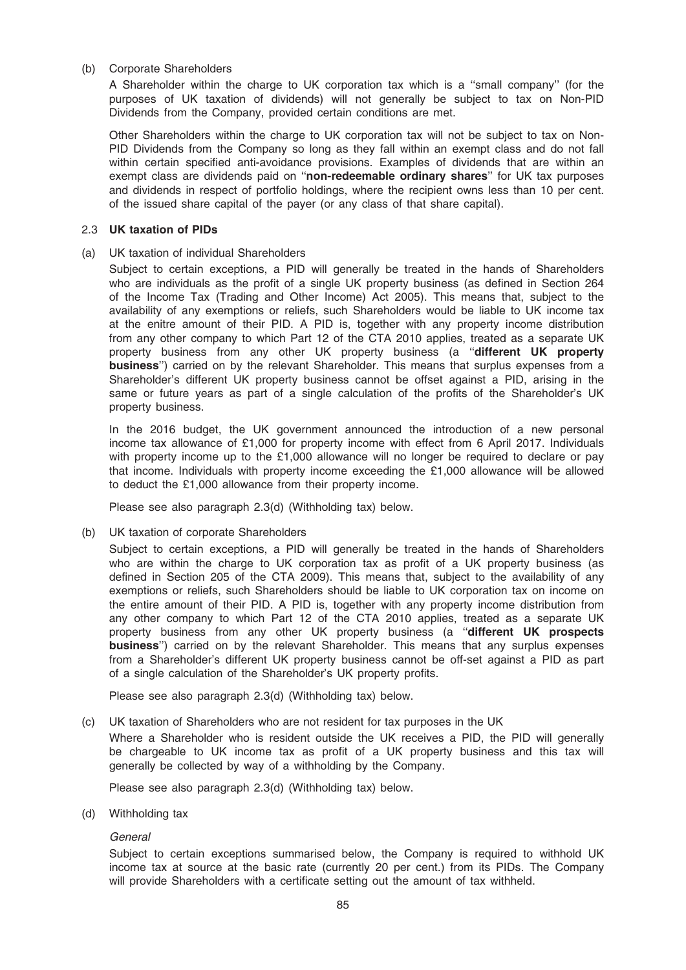### (b) Corporate Shareholders

A Shareholder within the charge to UK corporation tax which is a ''small company'' (for the purposes of UK taxation of dividends) will not generally be subject to tax on Non-PID Dividends from the Company, provided certain conditions are met.

Other Shareholders within the charge to UK corporation tax will not be subject to tax on Non-PID Dividends from the Company so long as they fall within an exempt class and do not fall within certain specified anti-avoidance provisions. Examples of dividends that are within an exempt class are dividends paid on "non-redeemable ordinary shares" for UK tax purposes and dividends in respect of portfolio holdings, where the recipient owns less than 10 per cent. of the issued share capital of the payer (or any class of that share capital).

### 2.3 UK taxation of PIDs

(a) UK taxation of individual Shareholders

Subject to certain exceptions, a PID will generally be treated in the hands of Shareholders who are individuals as the profit of a single UK property business (as defined in Section 264 of the Income Tax (Trading and Other Income) Act 2005). This means that, subject to the availability of any exemptions or reliefs, such Shareholders would be liable to UK income tax at the enitre amount of their PID. A PID is, together with any property income distribution from any other company to which Part 12 of the CTA 2010 applies, treated as a separate UK property business from any other UK property business (a ''different UK property business'') carried on by the relevant Shareholder. This means that surplus expenses from a Shareholder's different UK property business cannot be offset against a PID, arising in the same or future years as part of a single calculation of the profits of the Shareholder's UK property business.

In the 2016 budget, the UK government announced the introduction of a new personal income tax allowance of £1,000 for property income with effect from 6 April 2017. Individuals with property income up to the £1,000 allowance will no longer be required to declare or pay that income. Individuals with property income exceeding the £1,000 allowance will be allowed to deduct the £1,000 allowance from their property income.

Please see also paragraph 2.3(d) (Withholding tax) below.

(b) UK taxation of corporate Shareholders

Subject to certain exceptions, a PID will generally be treated in the hands of Shareholders who are within the charge to UK corporation tax as profit of a UK property business (as defined in Section 205 of the CTA 2009). This means that, subject to the availability of any exemptions or reliefs, such Shareholders should be liable to UK corporation tax on income on the entire amount of their PID. A PID is, together with any property income distribution from any other company to which Part 12 of the CTA 2010 applies, treated as a separate UK property business from any other UK property business (a "different UK prospects business'') carried on by the relevant Shareholder. This means that any surplus expenses from a Shareholder's different UK property business cannot be off-set against a PID as part of a single calculation of the Shareholder's UK property profits.

Please see also paragraph 2.3(d) (Withholding tax) below.

(c) UK taxation of Shareholders who are not resident for tax purposes in the UK

Where a Shareholder who is resident outside the UK receives a PID, the PID will generally be chargeable to UK income tax as profit of a UK property business and this tax will generally be collected by way of a withholding by the Company.

Please see also paragraph 2.3(d) (Withholding tax) below.

(d) Withholding tax

**General** 

Subject to certain exceptions summarised below, the Company is required to withhold UK income tax at source at the basic rate (currently 20 per cent.) from its PIDs. The Company will provide Shareholders with a certificate setting out the amount of tax withheld.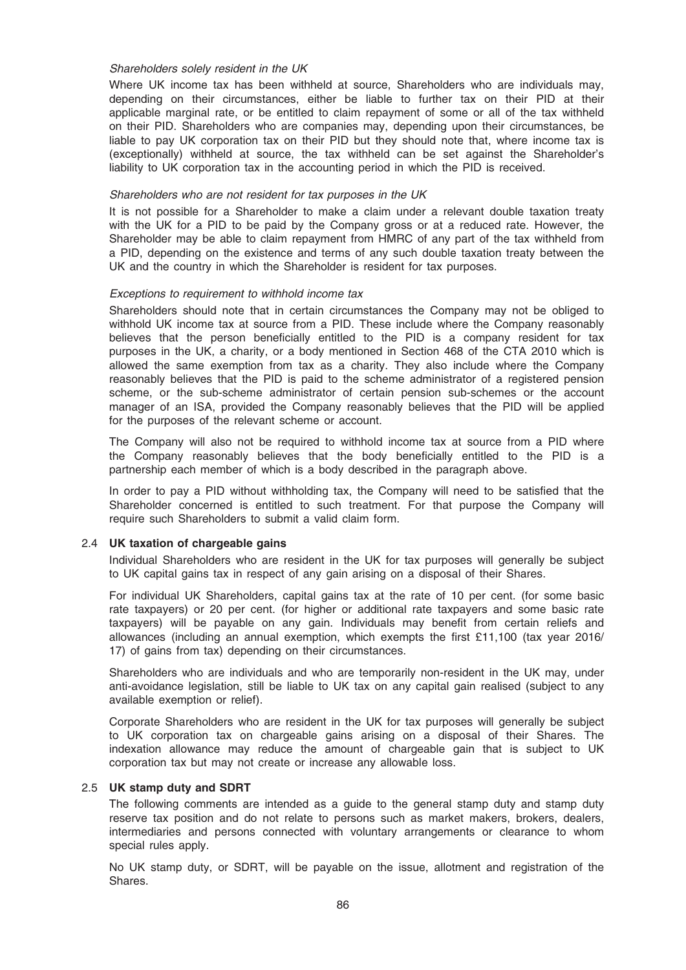#### Shareholders solely resident in the UK

Where UK income tax has been withheld at source, Shareholders who are individuals may, depending on their circumstances, either be liable to further tax on their PID at their applicable marginal rate, or be entitled to claim repayment of some or all of the tax withheld on their PID. Shareholders who are companies may, depending upon their circumstances, be liable to pay UK corporation tax on their PID but they should note that, where income tax is (exceptionally) withheld at source, the tax withheld can be set against the Shareholder's liability to UK corporation tax in the accounting period in which the PID is received.

#### Shareholders who are not resident for tax purposes in the UK

It is not possible for a Shareholder to make a claim under a relevant double taxation treaty with the UK for a PID to be paid by the Company gross or at a reduced rate. However, the Shareholder may be able to claim repayment from HMRC of any part of the tax withheld from a PID, depending on the existence and terms of any such double taxation treaty between the UK and the country in which the Shareholder is resident for tax purposes.

#### Exceptions to requirement to withhold income tax

Shareholders should note that in certain circumstances the Company may not be obliged to withhold UK income tax at source from a PID. These include where the Company reasonably believes that the person beneficially entitled to the PID is a company resident for tax purposes in the UK, a charity, or a body mentioned in Section 468 of the CTA 2010 which is allowed the same exemption from tax as a charity. They also include where the Company reasonably believes that the PID is paid to the scheme administrator of a registered pension scheme, or the sub-scheme administrator of certain pension sub-schemes or the account manager of an ISA, provided the Company reasonably believes that the PID will be applied for the purposes of the relevant scheme or account.

The Company will also not be required to withhold income tax at source from a PID where the Company reasonably believes that the body beneficially entitled to the PID is a partnership each member of which is a body described in the paragraph above.

In order to pay a PID without withholding tax, the Company will need to be satisfied that the Shareholder concerned is entitled to such treatment. For that purpose the Company will require such Shareholders to submit a valid claim form.

### 2.4 UK taxation of chargeable gains

Individual Shareholders who are resident in the UK for tax purposes will generally be subject to UK capital gains tax in respect of any gain arising on a disposal of their Shares.

For individual UK Shareholders, capital gains tax at the rate of 10 per cent. (for some basic rate taxpayers) or 20 per cent. (for higher or additional rate taxpayers and some basic rate taxpayers) will be payable on any gain. Individuals may benefit from certain reliefs and allowances (including an annual exemption, which exempts the first £11,100 (tax year 2016/ 17) of gains from tax) depending on their circumstances.

Shareholders who are individuals and who are temporarily non-resident in the UK may, under anti-avoidance legislation, still be liable to UK tax on any capital gain realised (subject to any available exemption or relief).

Corporate Shareholders who are resident in the UK for tax purposes will generally be subject to UK corporation tax on chargeable gains arising on a disposal of their Shares. The indexation allowance may reduce the amount of chargeable gain that is subject to UK corporation tax but may not create or increase any allowable loss.

### 2.5 UK stamp duty and SDRT

The following comments are intended as a guide to the general stamp duty and stamp duty reserve tax position and do not relate to persons such as market makers, brokers, dealers, intermediaries and persons connected with voluntary arrangements or clearance to whom special rules apply.

No UK stamp duty, or SDRT, will be payable on the issue, allotment and registration of the Shares.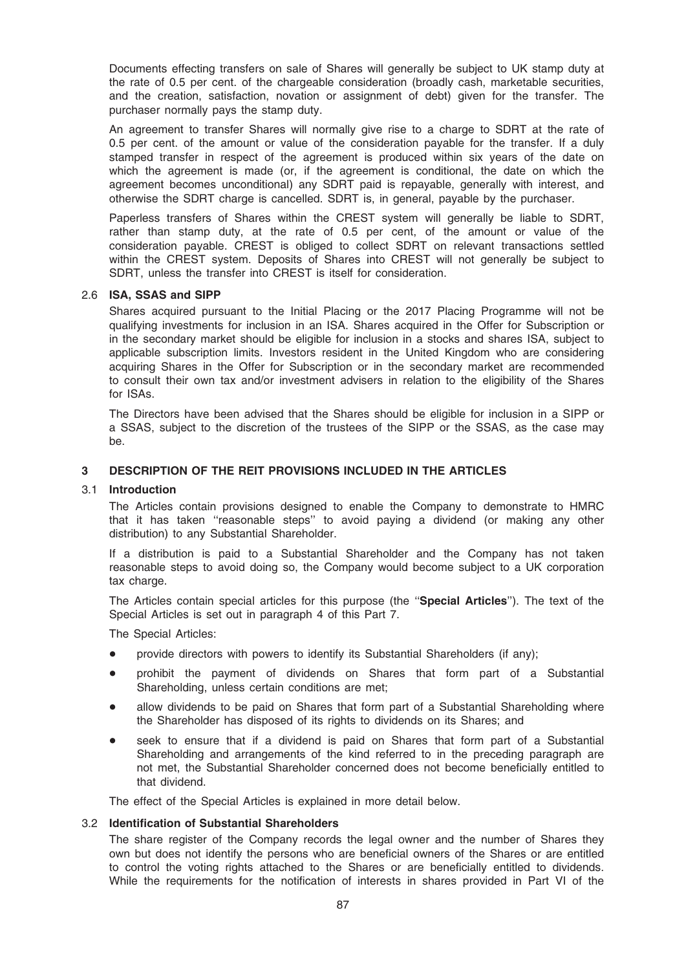Documents effecting transfers on sale of Shares will generally be subject to UK stamp duty at the rate of 0.5 per cent. of the chargeable consideration (broadly cash, marketable securities, and the creation, satisfaction, novation or assignment of debt) given for the transfer. The purchaser normally pays the stamp duty.

An agreement to transfer Shares will normally give rise to a charge to SDRT at the rate of 0.5 per cent. of the amount or value of the consideration payable for the transfer. If a duly stamped transfer in respect of the agreement is produced within six years of the date on which the agreement is made (or, if the agreement is conditional, the date on which the agreement becomes unconditional) any SDRT paid is repayable, generally with interest, and otherwise the SDRT charge is cancelled. SDRT is, in general, payable by the purchaser.

Paperless transfers of Shares within the CREST system will generally be liable to SDRT, rather than stamp duty, at the rate of 0.5 per cent, of the amount or value of the consideration payable. CREST is obliged to collect SDRT on relevant transactions settled within the CREST system. Deposits of Shares into CREST will not generally be subject to SDRT, unless the transfer into CREST is itself for consideration.

### 2.6 ISA, SSAS and SIPP

Shares acquired pursuant to the Initial Placing or the 2017 Placing Programme will not be qualifying investments for inclusion in an ISA. Shares acquired in the Offer for Subscription or in the secondary market should be eligible for inclusion in a stocks and shares ISA, subject to applicable subscription limits. Investors resident in the United Kingdom who are considering acquiring Shares in the Offer for Subscription or in the secondary market are recommended to consult their own tax and/or investment advisers in relation to the eligibility of the Shares for ISAs.

The Directors have been advised that the Shares should be eligible for inclusion in a SIPP or a SSAS, subject to the discretion of the trustees of the SIPP or the SSAS, as the case may be.

### 3 DESCRIPTION OF THE REIT PROVISIONS INCLUDED IN THE ARTICLES

#### 3.1 Introduction

The Articles contain provisions designed to enable the Company to demonstrate to HMRC that it has taken ''reasonable steps'' to avoid paying a dividend (or making any other distribution) to any Substantial Shareholder.

If a distribution is paid to a Substantial Shareholder and the Company has not taken reasonable steps to avoid doing so, the Company would become subject to a UK corporation tax charge.

The Articles contain special articles for this purpose (the "Special Articles"). The text of the Special Articles is set out in paragraph 4 of this Part 7.

The Special Articles:

- provide directors with powers to identify its Substantial Shareholders (if any);
- \* prohibit the payment of dividends on Shares that form part of a Substantial Shareholding, unless certain conditions are met;
- allow dividends to be paid on Shares that form part of a Substantial Shareholding where the Shareholder has disposed of its rights to dividends on its Shares; and
- seek to ensure that if a dividend is paid on Shares that form part of a Substantial Shareholding and arrangements of the kind referred to in the preceding paragraph are not met, the Substantial Shareholder concerned does not become beneficially entitled to that dividend.

The effect of the Special Articles is explained in more detail below.

#### 3.2 Identification of Substantial Shareholders

The share register of the Company records the legal owner and the number of Shares they own but does not identify the persons who are beneficial owners of the Shares or are entitled to control the voting rights attached to the Shares or are beneficially entitled to dividends. While the requirements for the notification of interests in shares provided in Part VI of the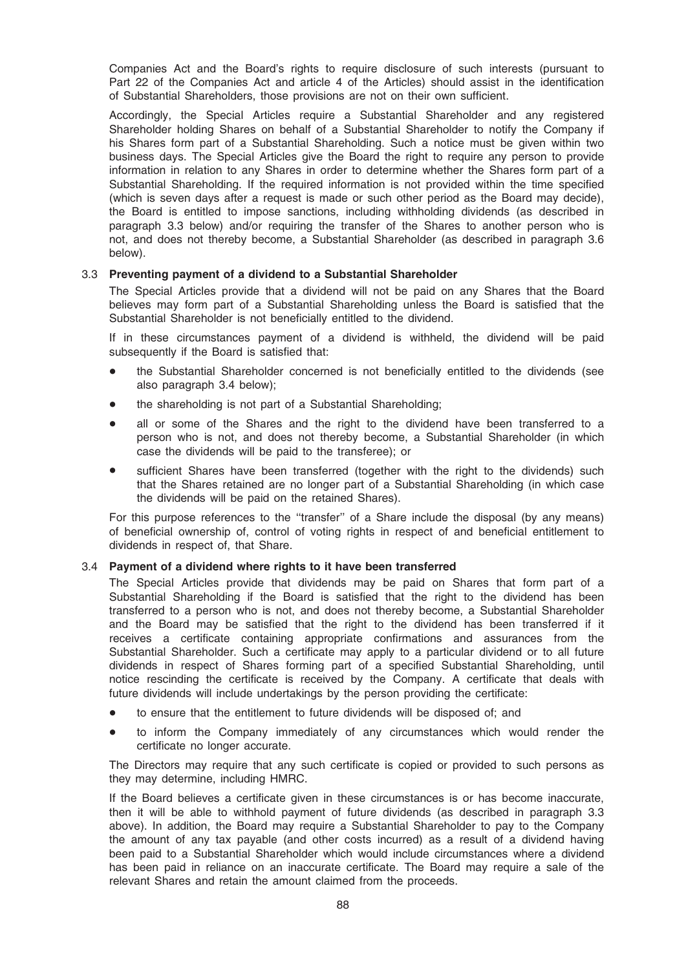Companies Act and the Board's rights to require disclosure of such interests (pursuant to Part 22 of the Companies Act and article 4 of the Articles) should assist in the identification of Substantial Shareholders, those provisions are not on their own sufficient.

Accordingly, the Special Articles require a Substantial Shareholder and any registered Shareholder holding Shares on behalf of a Substantial Shareholder to notify the Company if his Shares form part of a Substantial Shareholding. Such a notice must be given within two business days. The Special Articles give the Board the right to require any person to provide information in relation to any Shares in order to determine whether the Shares form part of a Substantial Shareholding. If the required information is not provided within the time specified (which is seven days after a request is made or such other period as the Board may decide), the Board is entitled to impose sanctions, including withholding dividends (as described in paragraph 3.3 below) and/or requiring the transfer of the Shares to another person who is not, and does not thereby become, a Substantial Shareholder (as described in paragraph 3.6 below).

### 3.3 Preventing payment of a dividend to a Substantial Shareholder

The Special Articles provide that a dividend will not be paid on any Shares that the Board believes may form part of a Substantial Shareholding unless the Board is satisfied that the Substantial Shareholder is not beneficially entitled to the dividend.

If in these circumstances payment of a dividend is withheld, the dividend will be paid subsequently if the Board is satisfied that:

- the Substantial Shareholder concerned is not beneficially entitled to the dividends (see also paragraph 3.4 below);
- the shareholding is not part of a Substantial Shareholding;
- all or some of the Shares and the right to the dividend have been transferred to a person who is not, and does not thereby become, a Substantial Shareholder (in which case the dividends will be paid to the transferee); or
- sufficient Shares have been transferred (together with the right to the dividends) such that the Shares retained are no longer part of a Substantial Shareholding (in which case the dividends will be paid on the retained Shares).

For this purpose references to the ''transfer'' of a Share include the disposal (by any means) of beneficial ownership of, control of voting rights in respect of and beneficial entitlement to dividends in respect of, that Share.

### 3.4 Payment of a dividend where rights to it have been transferred

The Special Articles provide that dividends may be paid on Shares that form part of a Substantial Shareholding if the Board is satisfied that the right to the dividend has been transferred to a person who is not, and does not thereby become, a Substantial Shareholder and the Board may be satisfied that the right to the dividend has been transferred if it receives a certificate containing appropriate confirmations and assurances from the Substantial Shareholder. Such a certificate may apply to a particular dividend or to all future dividends in respect of Shares forming part of a specified Substantial Shareholding, until notice rescinding the certificate is received by the Company. A certificate that deals with future dividends will include undertakings by the person providing the certificate:

- to ensure that the entitlement to future dividends will be disposed of; and
- to inform the Company immediately of any circumstances which would render the certificate no longer accurate.

The Directors may require that any such certificate is copied or provided to such persons as they may determine, including HMRC.

If the Board believes a certificate given in these circumstances is or has become inaccurate, then it will be able to withhold payment of future dividends (as described in paragraph 3.3 above). In addition, the Board may require a Substantial Shareholder to pay to the Company the amount of any tax payable (and other costs incurred) as a result of a dividend having been paid to a Substantial Shareholder which would include circumstances where a dividend has been paid in reliance on an inaccurate certificate. The Board may require a sale of the relevant Shares and retain the amount claimed from the proceeds.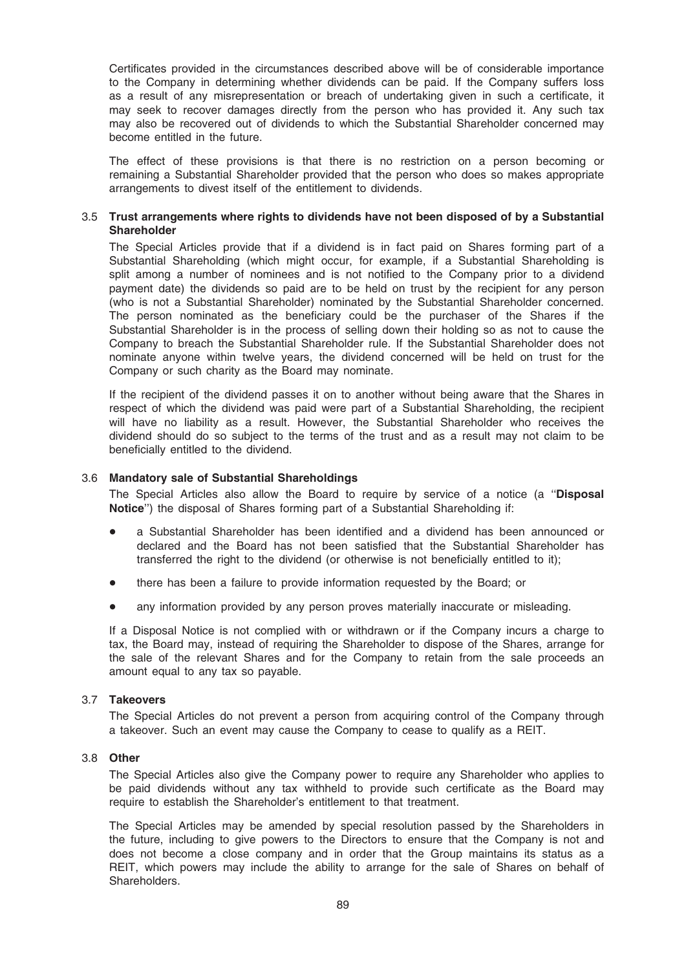Certificates provided in the circumstances described above will be of considerable importance to the Company in determining whether dividends can be paid. If the Company suffers loss as a result of any misrepresentation or breach of undertaking given in such a certificate, it may seek to recover damages directly from the person who has provided it. Any such tax may also be recovered out of dividends to which the Substantial Shareholder concerned may become entitled in the future.

The effect of these provisions is that there is no restriction on a person becoming or remaining a Substantial Shareholder provided that the person who does so makes appropriate arrangements to divest itself of the entitlement to dividends.

### 3.5 Trust arrangements where rights to dividends have not been disposed of by a Substantial Shareholder

The Special Articles provide that if a dividend is in fact paid on Shares forming part of a Substantial Shareholding (which might occur, for example, if a Substantial Shareholding is split among a number of nominees and is not notified to the Company prior to a dividend payment date) the dividends so paid are to be held on trust by the recipient for any person (who is not a Substantial Shareholder) nominated by the Substantial Shareholder concerned. The person nominated as the beneficiary could be the purchaser of the Shares if the Substantial Shareholder is in the process of selling down their holding so as not to cause the Company to breach the Substantial Shareholder rule. If the Substantial Shareholder does not nominate anyone within twelve years, the dividend concerned will be held on trust for the Company or such charity as the Board may nominate.

If the recipient of the dividend passes it on to another without being aware that the Shares in respect of which the dividend was paid were part of a Substantial Shareholding, the recipient will have no liability as a result. However, the Substantial Shareholder who receives the dividend should do so subject to the terms of the trust and as a result may not claim to be beneficially entitled to the dividend.

### 3.6 Mandatory sale of Substantial Shareholdings

The Special Articles also allow the Board to require by service of a notice (a "Disposal Notice'') the disposal of Shares forming part of a Substantial Shareholding if:

- a Substantial Shareholder has been identified and a dividend has been announced or declared and the Board has not been satisfied that the Substantial Shareholder has transferred the right to the dividend (or otherwise is not beneficially entitled to it);
- there has been a failure to provide information requested by the Board; or
- any information provided by any person proves materially inaccurate or misleading.

If a Disposal Notice is not complied with or withdrawn or if the Company incurs a charge to tax, the Board may, instead of requiring the Shareholder to dispose of the Shares, arrange for the sale of the relevant Shares and for the Company to retain from the sale proceeds an amount equal to any tax so payable.

### 3.7 Takeovers

The Special Articles do not prevent a person from acquiring control of the Company through a takeover. Such an event may cause the Company to cease to qualify as a REIT.

### 3.8 Other

The Special Articles also give the Company power to require any Shareholder who applies to be paid dividends without any tax withheld to provide such certificate as the Board may require to establish the Shareholder's entitlement to that treatment.

The Special Articles may be amended by special resolution passed by the Shareholders in the future, including to give powers to the Directors to ensure that the Company is not and does not become a close company and in order that the Group maintains its status as a REIT, which powers may include the ability to arrange for the sale of Shares on behalf of Shareholders.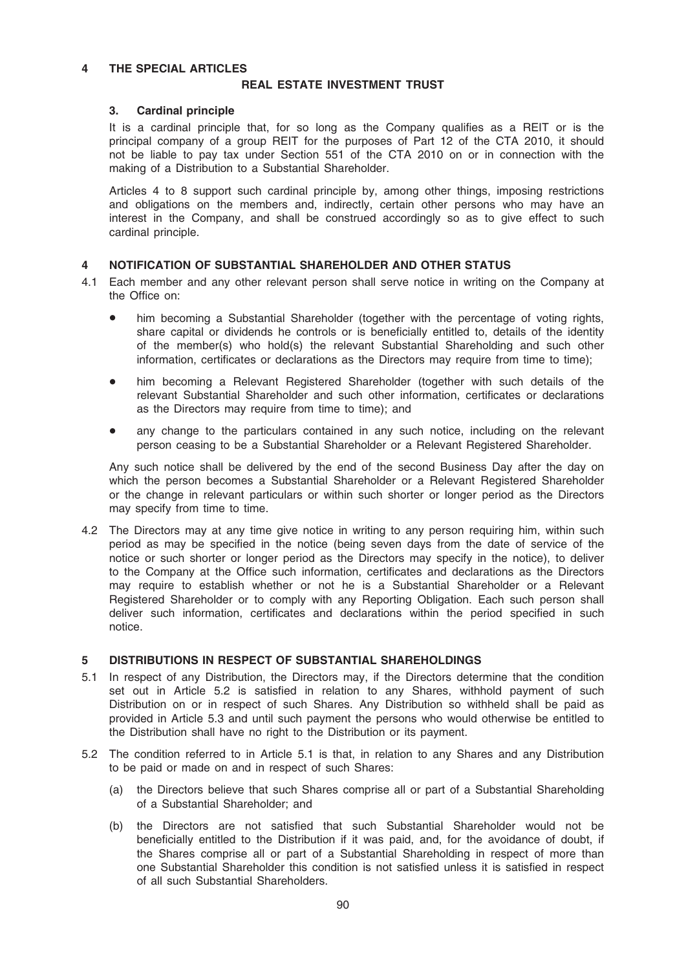### 4 THE SPECIAL ARTICLES

### REAL ESTATE INVESTMENT TRUST

### 3. Cardinal principle

It is a cardinal principle that, for so long as the Company qualifies as a REIT or is the principal company of a group REIT for the purposes of Part 12 of the CTA 2010, it should not be liable to pay tax under Section 551 of the CTA 2010 on or in connection with the making of a Distribution to a Substantial Shareholder.

Articles 4 to 8 support such cardinal principle by, among other things, imposing restrictions and obligations on the members and, indirectly, certain other persons who may have an interest in the Company, and shall be construed accordingly so as to give effect to such cardinal principle.

# 4 NOTIFICATION OF SUBSTANTIAL SHAREHOLDER AND OTHER STATUS

- 4.1 Each member and any other relevant person shall serve notice in writing on the Company at the Office on:
	- him becoming a Substantial Shareholder (together with the percentage of voting rights, share capital or dividends he controls or is beneficially entitled to, details of the identity of the member(s) who hold(s) the relevant Substantial Shareholding and such other information, certificates or declarations as the Directors may require from time to time);
	- him becoming a Relevant Registered Shareholder (together with such details of the relevant Substantial Shareholder and such other information, certificates or declarations as the Directors may require from time to time); and
	- any change to the particulars contained in any such notice, including on the relevant person ceasing to be a Substantial Shareholder or a Relevant Registered Shareholder.

Any such notice shall be delivered by the end of the second Business Day after the day on which the person becomes a Substantial Shareholder or a Relevant Registered Shareholder or the change in relevant particulars or within such shorter or longer period as the Directors may specify from time to time.

4.2 The Directors may at any time give notice in writing to any person requiring him, within such period as may be specified in the notice (being seven days from the date of service of the notice or such shorter or longer period as the Directors may specify in the notice), to deliver to the Company at the Office such information, certificates and declarations as the Directors may require to establish whether or not he is a Substantial Shareholder or a Relevant Registered Shareholder or to comply with any Reporting Obligation. Each such person shall deliver such information, certificates and declarations within the period specified in such notice.

### 5 DISTRIBUTIONS IN RESPECT OF SUBSTANTIAL SHAREHOLDINGS

- 5.1 In respect of any Distribution, the Directors may, if the Directors determine that the condition set out in Article 5.2 is satisfied in relation to any Shares, withhold payment of such Distribution on or in respect of such Shares. Any Distribution so withheld shall be paid as provided in Article 5.3 and until such payment the persons who would otherwise be entitled to the Distribution shall have no right to the Distribution or its payment.
- 5.2 The condition referred to in Article 5.1 is that, in relation to any Shares and any Distribution to be paid or made on and in respect of such Shares:
	- (a) the Directors believe that such Shares comprise all or part of a Substantial Shareholding of a Substantial Shareholder; and
	- (b) the Directors are not satisfied that such Substantial Shareholder would not be beneficially entitled to the Distribution if it was paid, and, for the avoidance of doubt, if the Shares comprise all or part of a Substantial Shareholding in respect of more than one Substantial Shareholder this condition is not satisfied unless it is satisfied in respect of all such Substantial Shareholders.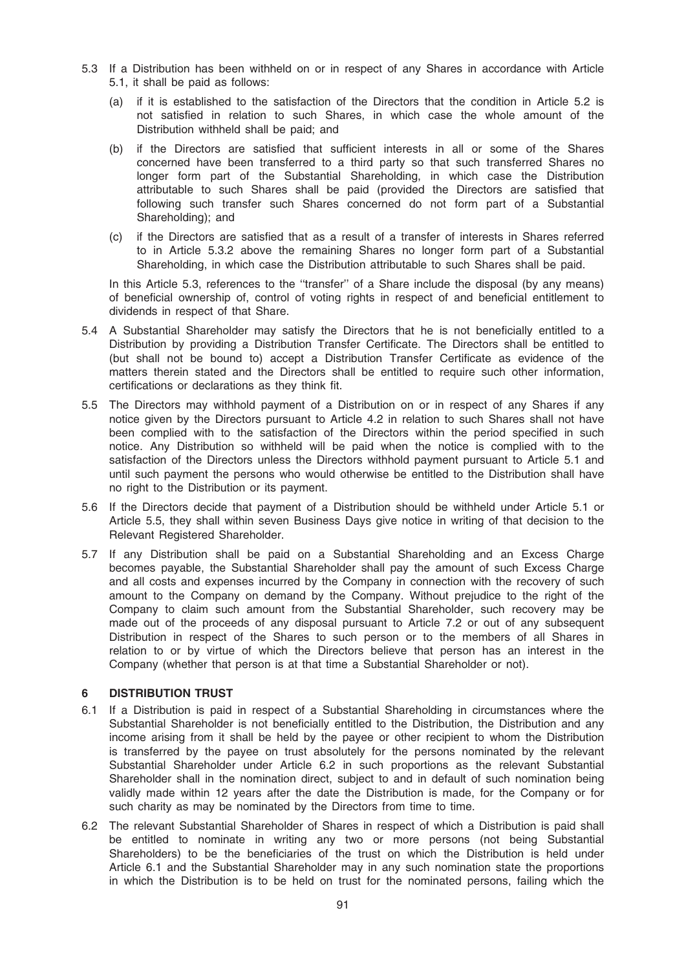- 5.3 If a Distribution has been withheld on or in respect of any Shares in accordance with Article 5.1, it shall be paid as follows:
	- (a) if it is established to the satisfaction of the Directors that the condition in Article 5.2 is not satisfied in relation to such Shares, in which case the whole amount of the Distribution withheld shall be paid; and
	- (b) if the Directors are satisfied that sufficient interests in all or some of the Shares concerned have been transferred to a third party so that such transferred Shares no longer form part of the Substantial Shareholding, in which case the Distribution attributable to such Shares shall be paid (provided the Directors are satisfied that following such transfer such Shares concerned do not form part of a Substantial Shareholding); and
	- (c) if the Directors are satisfied that as a result of a transfer of interests in Shares referred to in Article 5.3.2 above the remaining Shares no longer form part of a Substantial Shareholding, in which case the Distribution attributable to such Shares shall be paid.

In this Article 5.3, references to the ''transfer'' of a Share include the disposal (by any means) of beneficial ownership of, control of voting rights in respect of and beneficial entitlement to dividends in respect of that Share.

- 5.4 A Substantial Shareholder may satisfy the Directors that he is not beneficially entitled to a Distribution by providing a Distribution Transfer Certificate. The Directors shall be entitled to (but shall not be bound to) accept a Distribution Transfer Certificate as evidence of the matters therein stated and the Directors shall be entitled to require such other information, certifications or declarations as they think fit.
- 5.5 The Directors may withhold payment of a Distribution on or in respect of any Shares if any notice given by the Directors pursuant to Article 4.2 in relation to such Shares shall not have been complied with to the satisfaction of the Directors within the period specified in such notice. Any Distribution so withheld will be paid when the notice is complied with to the satisfaction of the Directors unless the Directors withhold payment pursuant to Article 5.1 and until such payment the persons who would otherwise be entitled to the Distribution shall have no right to the Distribution or its payment.
- 5.6 If the Directors decide that payment of a Distribution should be withheld under Article 5.1 or Article 5.5, they shall within seven Business Days give notice in writing of that decision to the Relevant Registered Shareholder.
- 5.7 If any Distribution shall be paid on a Substantial Shareholding and an Excess Charge becomes payable, the Substantial Shareholder shall pay the amount of such Excess Charge and all costs and expenses incurred by the Company in connection with the recovery of such amount to the Company on demand by the Company. Without prejudice to the right of the Company to claim such amount from the Substantial Shareholder, such recovery may be made out of the proceeds of any disposal pursuant to Article 7.2 or out of any subsequent Distribution in respect of the Shares to such person or to the members of all Shares in relation to or by virtue of which the Directors believe that person has an interest in the Company (whether that person is at that time a Substantial Shareholder or not).

# 6 DISTRIBUTION TRUST

- 6.1 If a Distribution is paid in respect of a Substantial Shareholding in circumstances where the Substantial Shareholder is not beneficially entitled to the Distribution, the Distribution and any income arising from it shall be held by the payee or other recipient to whom the Distribution is transferred by the payee on trust absolutely for the persons nominated by the relevant Substantial Shareholder under Article 6.2 in such proportions as the relevant Substantial Shareholder shall in the nomination direct, subject to and in default of such nomination being validly made within 12 years after the date the Distribution is made, for the Company or for such charity as may be nominated by the Directors from time to time.
- 6.2 The relevant Substantial Shareholder of Shares in respect of which a Distribution is paid shall be entitled to nominate in writing any two or more persons (not being Substantial Shareholders) to be the beneficiaries of the trust on which the Distribution is held under Article 6.1 and the Substantial Shareholder may in any such nomination state the proportions in which the Distribution is to be held on trust for the nominated persons, failing which the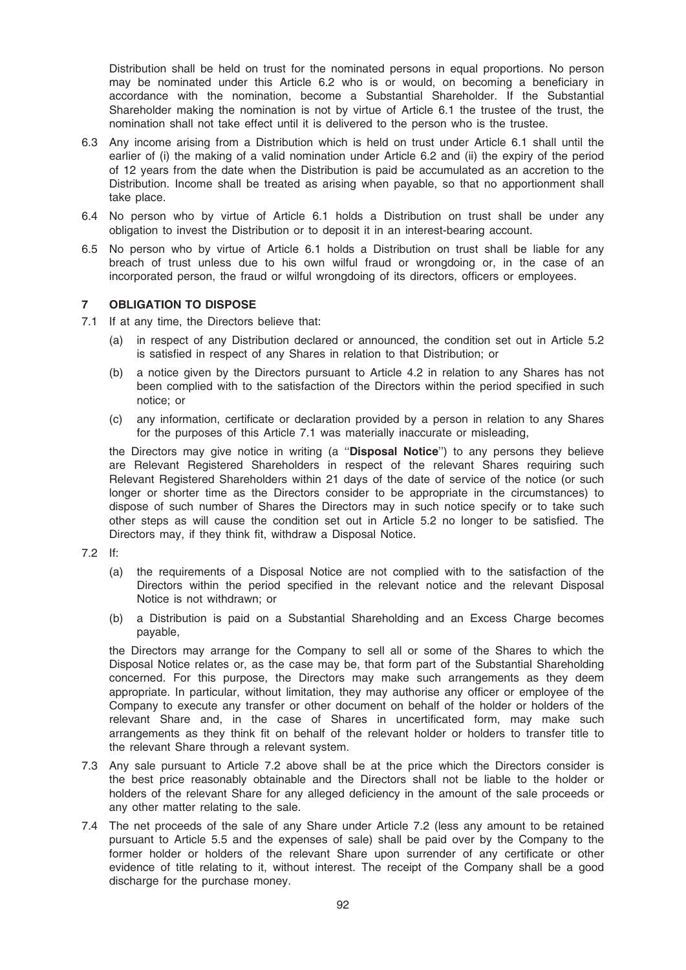Distribution shall be held on trust for the nominated persons in equal proportions. No person may be nominated under this Article 6.2 who is or would, on becoming a beneficiary in accordance with the nomination, become a Substantial Shareholder. If the Substantial Shareholder making the nomination is not by virtue of Article 6.1 the trustee of the trust, the nomination shall not take effect until it is delivered to the person who is the trustee.

- 6.3 Any income arising from a Distribution which is held on trust under Article 6.1 shall until the earlier of (i) the making of a valid nomination under Article 6.2 and (ii) the expiry of the period of 12 years from the date when the Distribution is paid be accumulated as an accretion to the Distribution. Income shall be treated as arising when payable, so that no apportionment shall take place.
- 6.4 No person who by virtue of Article 6.1 holds a Distribution on trust shall be under any obligation to invest the Distribution or to deposit it in an interest-bearing account.
- 6.5 No person who by virtue of Article 6.1 holds a Distribution on trust shall be liable for any breach of trust unless due to his own wilful fraud or wrongdoing or, in the case of an incorporated person, the fraud or wilful wrongdoing of its directors, officers or employees.

### 7 OBLIGATION TO DISPOSE

- 7.1 If at any time, the Directors believe that:
	- (a) in respect of any Distribution declared or announced, the condition set out in Article 5.2 is satisfied in respect of any Shares in relation to that Distribution; or
	- (b) a notice given by the Directors pursuant to Article 4.2 in relation to any Shares has not been complied with to the satisfaction of the Directors within the period specified in such notice; or
	- (c) any information, certificate or declaration provided by a person in relation to any Shares for the purposes of this Article 7.1 was materially inaccurate or misleading,

the Directors may give notice in writing (a "Disposal Notice") to any persons they believe are Relevant Registered Shareholders in respect of the relevant Shares requiring such Relevant Registered Shareholders within 21 days of the date of service of the notice (or such longer or shorter time as the Directors consider to be appropriate in the circumstances) to dispose of such number of Shares the Directors may in such notice specify or to take such other steps as will cause the condition set out in Article 5.2 no longer to be satisfied. The Directors may, if they think fit, withdraw a Disposal Notice.

- 7.2 If:
	- (a) the requirements of a Disposal Notice are not complied with to the satisfaction of the Directors within the period specified in the relevant notice and the relevant Disposal Notice is not withdrawn; or
	- (b) a Distribution is paid on a Substantial Shareholding and an Excess Charge becomes payable,

the Directors may arrange for the Company to sell all or some of the Shares to which the Disposal Notice relates or, as the case may be, that form part of the Substantial Shareholding concerned. For this purpose, the Directors may make such arrangements as they deem appropriate. In particular, without limitation, they may authorise any officer or employee of the Company to execute any transfer or other document on behalf of the holder or holders of the relevant Share and, in the case of Shares in uncertificated form, may make such arrangements as they think fit on behalf of the relevant holder or holders to transfer title to the relevant Share through a relevant system.

- 7.3 Any sale pursuant to Article 7.2 above shall be at the price which the Directors consider is the best price reasonably obtainable and the Directors shall not be liable to the holder or holders of the relevant Share for any alleged deficiency in the amount of the sale proceeds or any other matter relating to the sale.
- 7.4 The net proceeds of the sale of any Share under Article 7.2 (less any amount to be retained pursuant to Article 5.5 and the expenses of sale) shall be paid over by the Company to the former holder or holders of the relevant Share upon surrender of any certificate or other evidence of title relating to it, without interest. The receipt of the Company shall be a good discharge for the purchase money.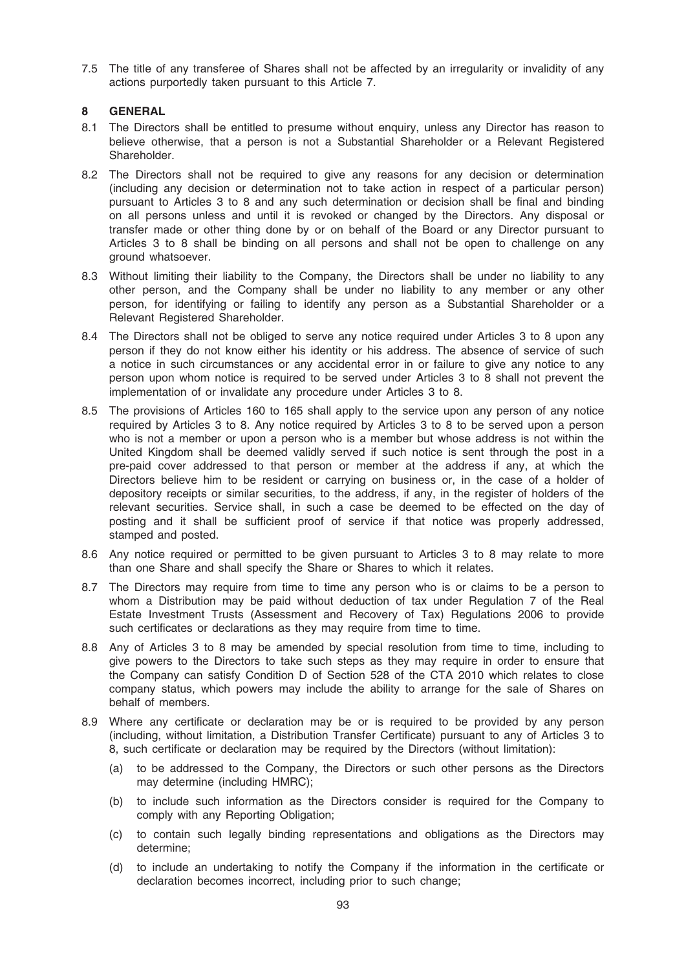7.5 The title of any transferee of Shares shall not be affected by an irregularity or invalidity of any actions purportedly taken pursuant to this Article 7.

# 8 GENERAL

- 8.1 The Directors shall be entitled to presume without enquiry, unless any Director has reason to believe otherwise, that a person is not a Substantial Shareholder or a Relevant Registered Shareholder.
- 8.2 The Directors shall not be required to give any reasons for any decision or determination (including any decision or determination not to take action in respect of a particular person) pursuant to Articles 3 to 8 and any such determination or decision shall be final and binding on all persons unless and until it is revoked or changed by the Directors. Any disposal or transfer made or other thing done by or on behalf of the Board or any Director pursuant to Articles 3 to 8 shall be binding on all persons and shall not be open to challenge on any ground whatsoever.
- 8.3 Without limiting their liability to the Company, the Directors shall be under no liability to any other person, and the Company shall be under no liability to any member or any other person, for identifying or failing to identify any person as a Substantial Shareholder or a Relevant Registered Shareholder.
- 8.4 The Directors shall not be obliged to serve any notice required under Articles 3 to 8 upon any person if they do not know either his identity or his address. The absence of service of such a notice in such circumstances or any accidental error in or failure to give any notice to any person upon whom notice is required to be served under Articles 3 to 8 shall not prevent the implementation of or invalidate any procedure under Articles 3 to 8.
- 8.5 The provisions of Articles 160 to 165 shall apply to the service upon any person of any notice required by Articles 3 to 8. Any notice required by Articles 3 to 8 to be served upon a person who is not a member or upon a person who is a member but whose address is not within the United Kingdom shall be deemed validly served if such notice is sent through the post in a pre-paid cover addressed to that person or member at the address if any, at which the Directors believe him to be resident or carrying on business or, in the case of a holder of depository receipts or similar securities, to the address, if any, in the register of holders of the relevant securities. Service shall, in such a case be deemed to be effected on the day of posting and it shall be sufficient proof of service if that notice was properly addressed, stamped and posted.
- 8.6 Any notice required or permitted to be given pursuant to Articles 3 to 8 may relate to more than one Share and shall specify the Share or Shares to which it relates.
- 8.7 The Directors may require from time to time any person who is or claims to be a person to whom a Distribution may be paid without deduction of tax under Regulation 7 of the Real Estate Investment Trusts (Assessment and Recovery of Tax) Regulations 2006 to provide such certificates or declarations as they may require from time to time.
- 8.8 Any of Articles 3 to 8 may be amended by special resolution from time to time, including to give powers to the Directors to take such steps as they may require in order to ensure that the Company can satisfy Condition D of Section 528 of the CTA 2010 which relates to close company status, which powers may include the ability to arrange for the sale of Shares on behalf of members.
- 8.9 Where any certificate or declaration may be or is required to be provided by any person (including, without limitation, a Distribution Transfer Certificate) pursuant to any of Articles 3 to 8, such certificate or declaration may be required by the Directors (without limitation):
	- (a) to be addressed to the Company, the Directors or such other persons as the Directors may determine (including HMRC);
	- (b) to include such information as the Directors consider is required for the Company to comply with any Reporting Obligation;
	- (c) to contain such legally binding representations and obligations as the Directors may determine;
	- (d) to include an undertaking to notify the Company if the information in the certificate or declaration becomes incorrect, including prior to such change;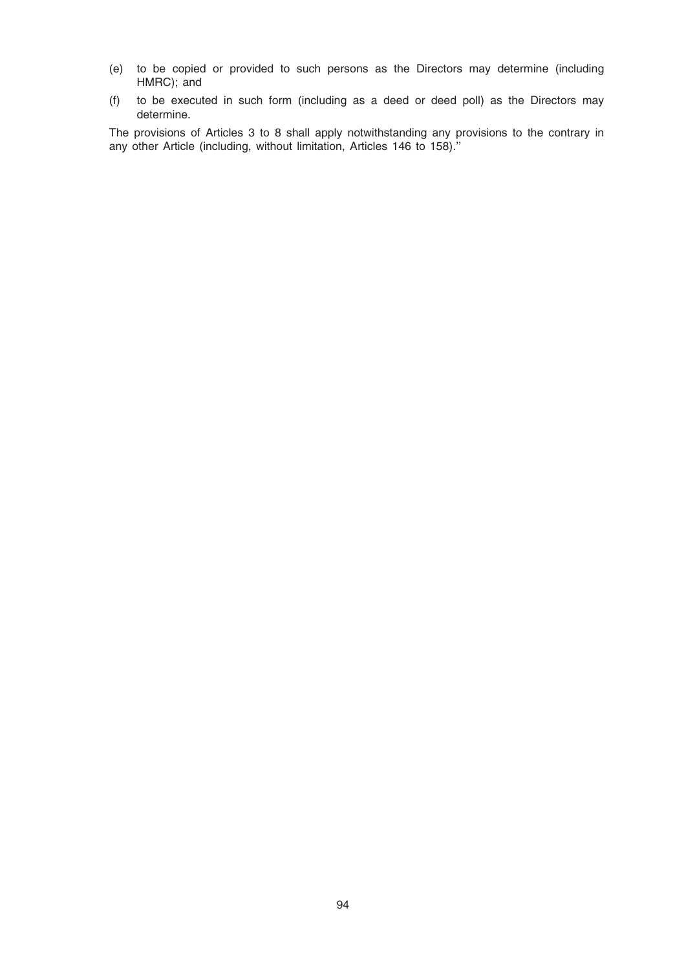- (e) to be copied or provided to such persons as the Directors may determine (including HMRC); and
- (f) to be executed in such form (including as a deed or deed poll) as the Directors may determine.

The provisions of Articles 3 to 8 shall apply notwithstanding any provisions to the contrary in any other Article (including, without limitation, Articles 146 to 158).''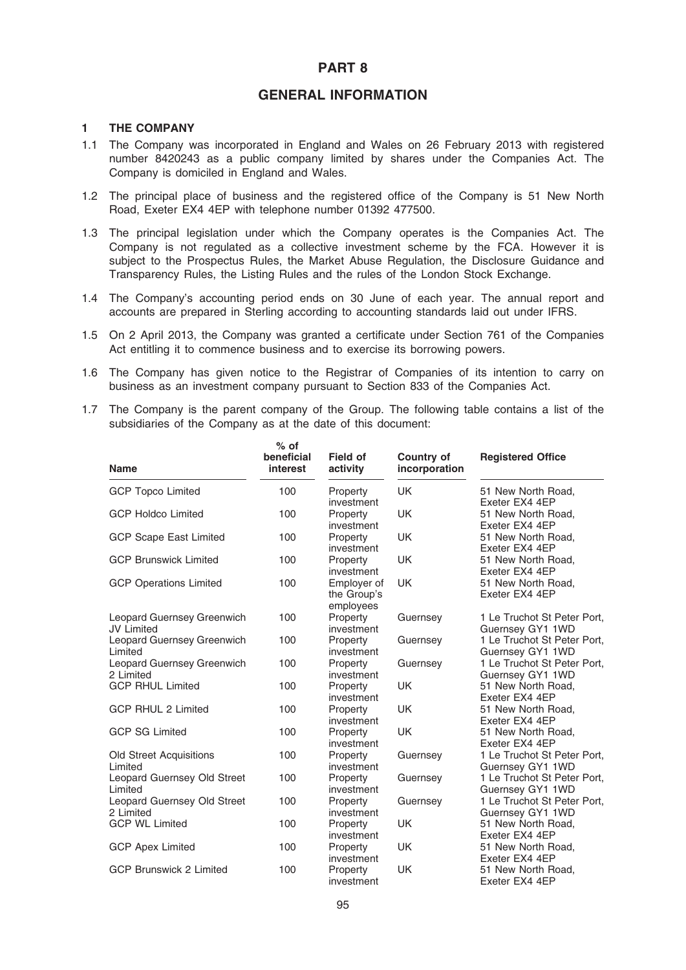# PART 8

# GENERAL INFORMATION

### 1 THE COMPANY

- 1.1 The Company was incorporated in England and Wales on 26 February 2013 with registered number 8420243 as a public company limited by shares under the Companies Act. The Company is domiciled in England and Wales.
- 1.2 The principal place of business and the registered office of the Company is 51 New North Road, Exeter EX4 4EP with telephone number 01392 477500.
- 1.3 The principal legislation under which the Company operates is the Companies Act. The Company is not regulated as a collective investment scheme by the FCA. However it is subject to the Prospectus Rules, the Market Abuse Regulation, the Disclosure Guidance and Transparency Rules, the Listing Rules and the rules of the London Stock Exchange.
- 1.4 The Company's accounting period ends on 30 June of each year. The annual report and accounts are prepared in Sterling according to accounting standards laid out under IFRS.
- 1.5 On 2 April 2013, the Company was granted a certificate under Section 761 of the Companies Act entitling it to commence business and to exercise its borrowing powers.
- 1.6 The Company has given notice to the Registrar of Companies of its intention to carry on business as an investment company pursuant to Section 833 of the Companies Act.
- 1.7 The Company is the parent company of the Group. The following table contains a list of the subsidiaries of the Company as at the date of this document:

| <b>Name</b>                                            | $%$ of<br>beneficial<br>interest | <b>Field of</b><br>activity             | <b>Country of</b><br>incorporation | <b>Registered Office</b>                        |
|--------------------------------------------------------|----------------------------------|-----------------------------------------|------------------------------------|-------------------------------------------------|
| <b>GCP Topco Limited</b>                               | 100                              | Property<br>investment                  | <b>UK</b>                          | 51 New North Road,<br>Exeter EX4 4EP            |
| <b>GCP Holdco Limited</b>                              | 100                              | Property<br>investment                  | <b>UK</b>                          | 51 New North Road,<br>Exeter EX4 4EP            |
| <b>GCP Scape East Limited</b>                          | 100                              | Property<br>investment                  | <b>UK</b>                          | 51 New North Road.<br>Exeter EX4 4EP            |
| <b>GCP Brunswick Limited</b>                           | 100                              | Property<br>investment                  | <b>UK</b>                          | 51 New North Road.<br>Exeter EX4 4EP            |
| <b>GCP Operations Limited</b>                          | 100                              | Employer of<br>the Group's<br>employees | <b>UK</b>                          | 51 New North Road.<br>Exeter EX4 4EP            |
| <b>Leopard Guernsey Greenwich</b><br><b>JV Limited</b> | 100                              | Property<br>investment                  | Guernsey                           | 1 Le Truchot St Peter Port,<br>Guernsey GY1 1WD |
| Leopard Guernsey Greenwich<br>Limited                  | 100                              | Property<br>investment                  | Guernsey                           | 1 Le Truchot St Peter Port,<br>Guernsey GY1 1WD |
| Leopard Guernsey Greenwich<br>2 Limited                | 100                              | Property<br>investment                  | Guernsey                           | 1 Le Truchot St Peter Port,<br>Guernsey GY1 1WD |
| <b>GCP RHUL Limited</b>                                | 100                              | Property<br>investment                  | <b>UK</b>                          | 51 New North Road.<br>Exeter EX4 4EP            |
| <b>GCP RHUL 2 Limited</b>                              | 100                              | Property<br>investment                  | <b>UK</b>                          | 51 New North Road.<br>Exeter EX4 4EP            |
| <b>GCP SG Limited</b>                                  | 100                              | Property<br>investment                  | <b>UK</b>                          | 51 New North Road.<br>Exeter EX4 4EP            |
| <b>Old Street Acquisitions</b><br>Limited              | 100                              | Property<br>investment                  | Guernsey                           | 1 Le Truchot St Peter Port,<br>Guernsey GY1 1WD |
| Leopard Guernsey Old Street<br>Limited                 | 100                              | Property<br>investment                  | Guernsey                           | 1 Le Truchot St Peter Port,<br>Guernsey GY1 1WD |
| Leopard Guernsey Old Street<br>2 Limited               | 100                              | Property<br>investment                  | Guernsey                           | 1 Le Truchot St Peter Port,<br>Guernsey GY1 1WD |
| <b>GCP WL Limited</b>                                  | 100                              | Property<br>investment                  | <b>UK</b>                          | 51 New North Road.<br>Exeter EX4 4EP            |
| <b>GCP Apex Limited</b>                                | 100                              | Property<br>investment                  | <b>UK</b>                          | 51 New North Road,<br>Exeter EX4 4EP            |
| <b>GCP Brunswick 2 Limited</b>                         | 100                              | Property<br>investment                  | <b>UK</b>                          | 51 New North Road,<br>Exeter EX4 4EP            |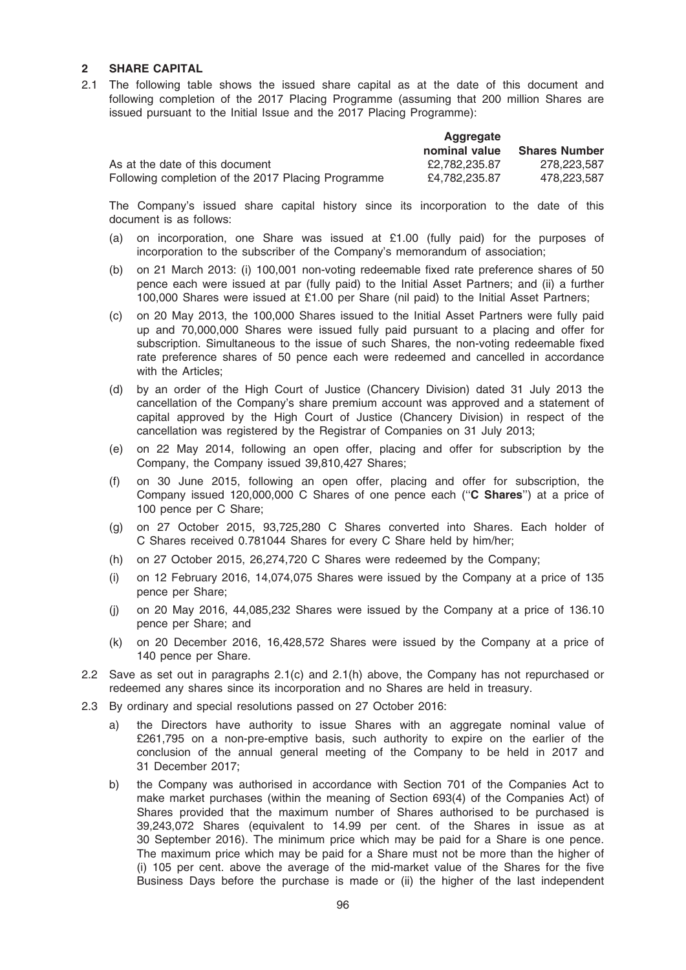### 2 SHARE CAPITAL

2.1 The following table shows the issued share capital as at the date of this document and following completion of the 2017 Placing Programme (assuming that 200 million Shares are issued pursuant to the Initial Issue and the 2017 Placing Programme):

|                                                    | Aggregate     |                      |
|----------------------------------------------------|---------------|----------------------|
|                                                    | nominal value | <b>Shares Number</b> |
| As at the date of this document                    | £2.782.235.87 | 278.223.587          |
| Following completion of the 2017 Placing Programme | £4.782.235.87 | 478.223.587          |

The Company's issued share capital history since its incorporation to the date of this document is as follows:

- (a) on incorporation, one Share was issued at £1.00 (fully paid) for the purposes of incorporation to the subscriber of the Company's memorandum of association;
- (b) on 21 March 2013: (i) 100,001 non-voting redeemable fixed rate preference shares of 50 pence each were issued at par (fully paid) to the Initial Asset Partners; and (ii) a further 100,000 Shares were issued at £1.00 per Share (nil paid) to the Initial Asset Partners;
- (c) on 20 May 2013, the 100,000 Shares issued to the Initial Asset Partners were fully paid up and 70,000,000 Shares were issued fully paid pursuant to a placing and offer for subscription. Simultaneous to the issue of such Shares, the non-voting redeemable fixed rate preference shares of 50 pence each were redeemed and cancelled in accordance with the Articles:
- (d) by an order of the High Court of Justice (Chancery Division) dated 31 July 2013 the cancellation of the Company's share premium account was approved and a statement of capital approved by the High Court of Justice (Chancery Division) in respect of the cancellation was registered by the Registrar of Companies on 31 July 2013;
- (e) on 22 May 2014, following an open offer, placing and offer for subscription by the Company, the Company issued 39,810,427 Shares;
- (f) on 30 June 2015, following an open offer, placing and offer for subscription, the Company issued 120,000,000 C Shares of one pence each (''C Shares'') at a price of 100 pence per C Share;
- (g) on 27 October 2015, 93,725,280 C Shares converted into Shares. Each holder of C Shares received 0.781044 Shares for every C Share held by him/her;
- (h) on 27 October 2015, 26,274,720 C Shares were redeemed by the Company;
- (i) on 12 February 2016, 14,074,075 Shares were issued by the Company at a price of 135 pence per Share;
- (j) on 20 May 2016, 44,085,232 Shares were issued by the Company at a price of 136.10 pence per Share; and
- (k) on 20 December 2016, 16,428,572 Shares were issued by the Company at a price of 140 pence per Share.
- 2.2 Save as set out in paragraphs 2.1(c) and 2.1(h) above, the Company has not repurchased or redeemed any shares since its incorporation and no Shares are held in treasury.
- 2.3 By ordinary and special resolutions passed on 27 October 2016:
	- a) the Directors have authority to issue Shares with an aggregate nominal value of £261,795 on a non-pre-emptive basis, such authority to expire on the earlier of the conclusion of the annual general meeting of the Company to be held in 2017 and 31 December 2017;
	- b) the Company was authorised in accordance with Section 701 of the Companies Act to make market purchases (within the meaning of Section 693(4) of the Companies Act) of Shares provided that the maximum number of Shares authorised to be purchased is 39,243,072 Shares (equivalent to 14.99 per cent. of the Shares in issue as at 30 September 2016). The minimum price which may be paid for a Share is one pence. The maximum price which may be paid for a Share must not be more than the higher of (i) 105 per cent. above the average of the mid-market value of the Shares for the five Business Days before the purchase is made or (ii) the higher of the last independent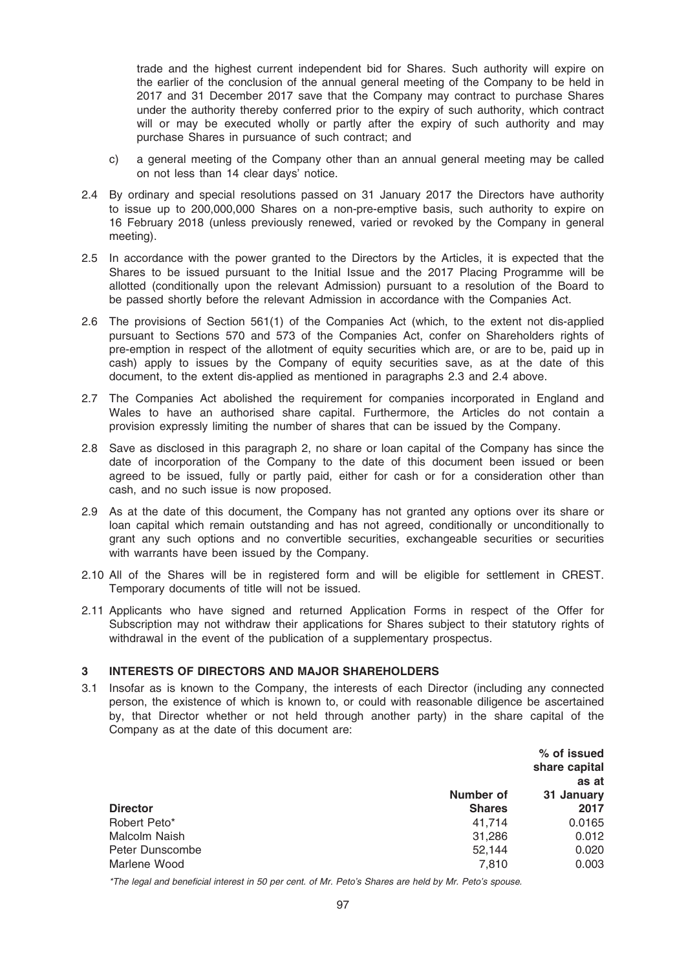trade and the highest current independent bid for Shares. Such authority will expire on the earlier of the conclusion of the annual general meeting of the Company to be held in 2017 and 31 December 2017 save that the Company may contract to purchase Shares under the authority thereby conferred prior to the expiry of such authority, which contract will or may be executed wholly or partly after the expiry of such authority and may purchase Shares in pursuance of such contract; and

- c) a general meeting of the Company other than an annual general meeting may be called on not less than 14 clear days' notice.
- 2.4 By ordinary and special resolutions passed on 31 January 2017 the Directors have authority to issue up to 200,000,000 Shares on a non-pre-emptive basis, such authority to expire on 16 February 2018 (unless previously renewed, varied or revoked by the Company in general meeting).
- 2.5 In accordance with the power granted to the Directors by the Articles, it is expected that the Shares to be issued pursuant to the Initial Issue and the 2017 Placing Programme will be allotted (conditionally upon the relevant Admission) pursuant to a resolution of the Board to be passed shortly before the relevant Admission in accordance with the Companies Act.
- 2.6 The provisions of Section 561(1) of the Companies Act (which, to the extent not dis-applied pursuant to Sections 570 and 573 of the Companies Act, confer on Shareholders rights of pre-emption in respect of the allotment of equity securities which are, or are to be, paid up in cash) apply to issues by the Company of equity securities save, as at the date of this document, to the extent dis-applied as mentioned in paragraphs 2.3 and 2.4 above.
- 2.7 The Companies Act abolished the requirement for companies incorporated in England and Wales to have an authorised share capital. Furthermore, the Articles do not contain a provision expressly limiting the number of shares that can be issued by the Company.
- 2.8 Save as disclosed in this paragraph 2, no share or loan capital of the Company has since the date of incorporation of the Company to the date of this document been issued or been agreed to be issued, fully or partly paid, either for cash or for a consideration other than cash, and no such issue is now proposed.
- 2.9 As at the date of this document, the Company has not granted any options over its share or loan capital which remain outstanding and has not agreed, conditionally or unconditionally to grant any such options and no convertible securities, exchangeable securities or securities with warrants have been issued by the Company.
- 2.10 All of the Shares will be in registered form and will be eligible for settlement in CREST. Temporary documents of title will not be issued.
- 2.11 Applicants who have signed and returned Application Forms in respect of the Offer for Subscription may not withdraw their applications for Shares subject to their statutory rights of withdrawal in the event of the publication of a supplementary prospectus.

# 3 INTERESTS OF DIRECTORS AND MAJOR SHAREHOLDERS

3.1 Insofar as is known to the Company, the interests of each Director (including any connected person, the existence of which is known to, or could with reasonable diligence be ascertained by, that Director whether or not held through another party) in the share capital of the Company as at the date of this document are:

|                 |               | % of issued<br>share capital |
|-----------------|---------------|------------------------------|
|                 |               | as at                        |
|                 | Number of     | 31 January                   |
| <b>Director</b> | <b>Shares</b> | 2017                         |
| Robert Peto*    | 41.714        | 0.0165                       |
| Malcolm Naish   | 31.286        | 0.012                        |
| Peter Dunscombe | 52.144        | 0.020                        |
| Marlene Wood    | 7.810         | 0.003                        |

\*The legal and beneficial interest in 50 per cent. of Mr. Peto's Shares are held by Mr. Peto's spouse.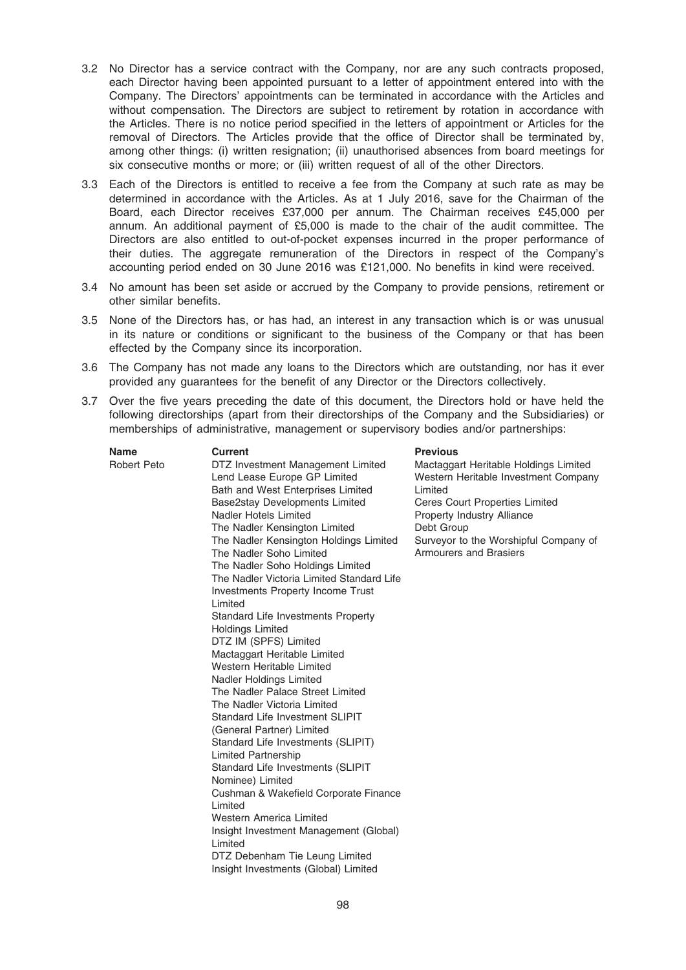- 3.2 No Director has a service contract with the Company, nor are any such contracts proposed, each Director having been appointed pursuant to a letter of appointment entered into with the Company. The Directors' appointments can be terminated in accordance with the Articles and without compensation. The Directors are subject to retirement by rotation in accordance with the Articles. There is no notice period specified in the letters of appointment or Articles for the removal of Directors. The Articles provide that the office of Director shall be terminated by, among other things: (i) written resignation; (ii) unauthorised absences from board meetings for six consecutive months or more; or (iii) written request of all of the other Directors.
- 3.3 Each of the Directors is entitled to receive a fee from the Company at such rate as may be determined in accordance with the Articles. As at 1 July 2016, save for the Chairman of the Board, each Director receives £37,000 per annum. The Chairman receives £45,000 per annum. An additional payment of £5,000 is made to the chair of the audit committee. The Directors are also entitled to out-of-pocket expenses incurred in the proper performance of their duties. The aggregate remuneration of the Directors in respect of the Company's accounting period ended on 30 June 2016 was £121,000. No benefits in kind were received.
- 3.4 No amount has been set aside or accrued by the Company to provide pensions, retirement or other similar benefits.
- 3.5 None of the Directors has, or has had, an interest in any transaction which is or was unusual in its nature or conditions or significant to the business of the Company or that has been effected by the Company since its incorporation.
- 3.6 The Company has not made any loans to the Directors which are outstanding, nor has it ever provided any guarantees for the benefit of any Director or the Directors collectively.
- 3.7 Over the five years preceding the date of this document, the Directors hold or have held the following directorships (apart from their directorships of the Company and the Subsidiaries) or memberships of administrative, management or supervisory bodies and/or partnerships:

| Name        | Current                                                                                                                                                                                                                                                                                                                                                                                                                                                                                                                                                                                                                               | <b>Previous</b>                                                                                                                                                                                                                           |
|-------------|---------------------------------------------------------------------------------------------------------------------------------------------------------------------------------------------------------------------------------------------------------------------------------------------------------------------------------------------------------------------------------------------------------------------------------------------------------------------------------------------------------------------------------------------------------------------------------------------------------------------------------------|-------------------------------------------------------------------------------------------------------------------------------------------------------------------------------------------------------------------------------------------|
| Robert Peto | DTZ Investment Management Limited<br>Lend Lease Europe GP Limited<br>Bath and West Enterprises Limited<br>Base2stay Developments Limited<br>Nadler Hotels Limited<br>The Nadler Kensington Limited<br>The Nadler Kensington Holdings Limited<br>The Nadler Soho Limited<br>The Nadler Soho Holdings Limited<br>The Nadler Victoria Limited Standard Life<br><b>Investments Property Income Trust</b><br>Limited<br>Standard Life Investments Property<br><b>Holdings Limited</b><br>DTZ IM (SPFS) Limited<br>Mactaggart Heritable Limited<br>Western Heritable Limited<br>Nadler Holdings Limited<br>The Nadler Palace Street Limited | Mactaggart Heritable Holdings Limited<br>Western Heritable Investment Company<br>Limited<br>Ceres Court Properties Limited<br>Property Industry Alliance<br>Debt Group<br>Surveyor to the Worshipful Company of<br>Armourers and Brasiers |
|             | The Nadler Victoria Limited<br>Standard Life Investment SLIPIT                                                                                                                                                                                                                                                                                                                                                                                                                                                                                                                                                                        |                                                                                                                                                                                                                                           |
|             | (General Partner) Limited<br>Standard Life Investments (SLIPIT)<br>Limited Partnership<br>Standard Life Investments (SLIPIT                                                                                                                                                                                                                                                                                                                                                                                                                                                                                                           |                                                                                                                                                                                                                                           |
|             | Nominee) Limited<br>Cushman & Wakefield Corporate Finance<br>Limited<br><b>Western America Limited</b><br>Insight Investment Management (Global)                                                                                                                                                                                                                                                                                                                                                                                                                                                                                      |                                                                                                                                                                                                                                           |
|             | Limited<br>DTZ Debenham Tie Leung Limited<br>Insight Investments (Global) Limited                                                                                                                                                                                                                                                                                                                                                                                                                                                                                                                                                     |                                                                                                                                                                                                                                           |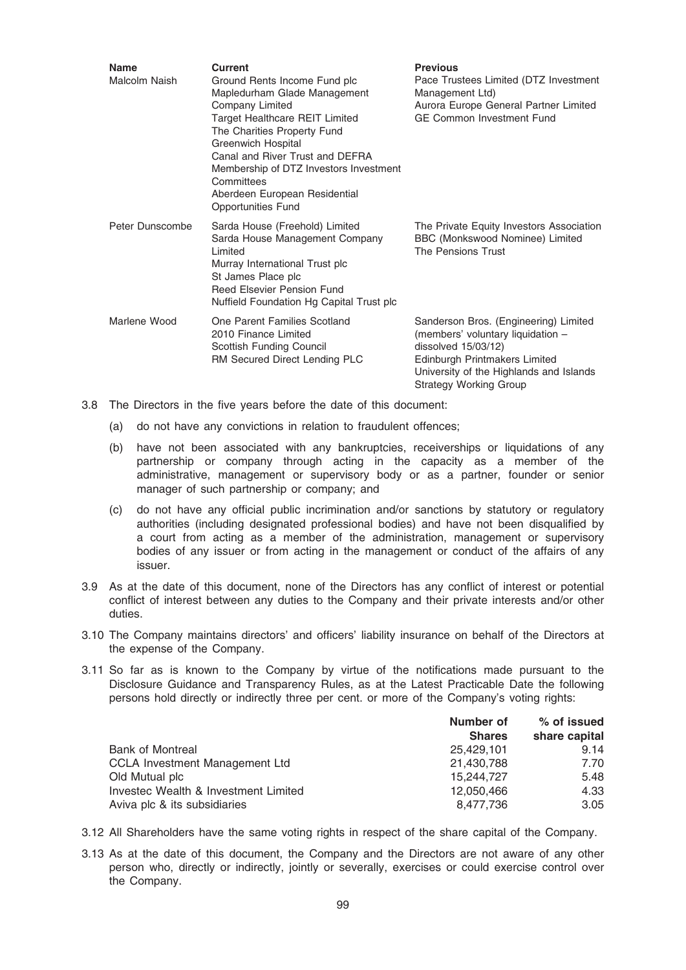| <b>Name</b><br>Malcolm Naish | Current<br>Ground Rents Income Fund plc<br>Mapledurham Glade Management<br>Company Limited<br>Target Healthcare REIT Limited<br>The Charities Property Fund<br><b>Greenwich Hospital</b><br>Canal and River Trust and DEFRA<br>Membership of DTZ Investors Investment<br>Committees<br>Aberdeen European Residential<br>Opportunities Fund | <b>Previous</b><br>Pace Trustees Limited (DTZ Investment<br>Management Ltd)<br>Aurora Europe General Partner Limited<br><b>GE Common Investment Fund</b>                                                          |
|------------------------------|--------------------------------------------------------------------------------------------------------------------------------------------------------------------------------------------------------------------------------------------------------------------------------------------------------------------------------------------|-------------------------------------------------------------------------------------------------------------------------------------------------------------------------------------------------------------------|
| Peter Dunscombe              | Sarda House (Freehold) Limited<br>Sarda House Management Company<br>Limited<br>Murray International Trust plc<br>St James Place plc<br>Reed Elsevier Pension Fund<br>Nuffield Foundation Hg Capital Trust plc                                                                                                                              | The Private Equity Investors Association<br>BBC (Monkswood Nominee) Limited<br>The Pensions Trust                                                                                                                 |
| Marlene Wood                 | One Parent Families Scotland<br>2010 Finance Limited<br>Scottish Funding Council<br>RM Secured Direct Lending PLC                                                                                                                                                                                                                          | Sanderson Bros. (Engineering) Limited<br>(members' voluntary liquidation -<br>dissolved $15/03/12$ )<br>Edinburgh Printmakers Limited<br>University of the Highlands and Islands<br><b>Strategy Working Group</b> |

- 3.8 The Directors in the five years before the date of this document:
	- (a) do not have any convictions in relation to fraudulent offences;
	- (b) have not been associated with any bankruptcies, receiverships or liquidations of any partnership or company through acting in the capacity as a member of the administrative, management or supervisory body or as a partner, founder or senior manager of such partnership or company; and
	- (c) do not have any official public incrimination and/or sanctions by statutory or regulatory authorities (including designated professional bodies) and have not been disqualified by a court from acting as a member of the administration, management or supervisory bodies of any issuer or from acting in the management or conduct of the affairs of any issuer.
- 3.9 As at the date of this document, none of the Directors has any conflict of interest or potential conflict of interest between any duties to the Company and their private interests and/or other duties.
- 3.10 The Company maintains directors' and officers' liability insurance on behalf of the Directors at the expense of the Company.
- 3.11 So far as is known to the Company by virtue of the notifications made pursuant to the Disclosure Guidance and Transparency Rules, as at the Latest Practicable Date the following persons hold directly or indirectly three per cent. or more of the Company's voting rights:

|                                      | Number of<br><b>Shares</b> | % of issued<br>share capital |
|--------------------------------------|----------------------------|------------------------------|
|                                      |                            |                              |
| <b>Bank of Montreal</b>              | 25.429.101                 | 9.14                         |
| CCLA Investment Management Ltd       | 21,430,788                 | 7.70                         |
| Old Mutual plc                       | 15.244.727                 | 5.48                         |
| Investec Wealth & Investment Limited | 12.050.466                 | 4.33                         |
| Aviva plc & its subsidiaries         | 8,477,736                  | 3.05                         |

- 3.12 All Shareholders have the same voting rights in respect of the share capital of the Company.
- 3.13 As at the date of this document, the Company and the Directors are not aware of any other person who, directly or indirectly, jointly or severally, exercises or could exercise control over the Company.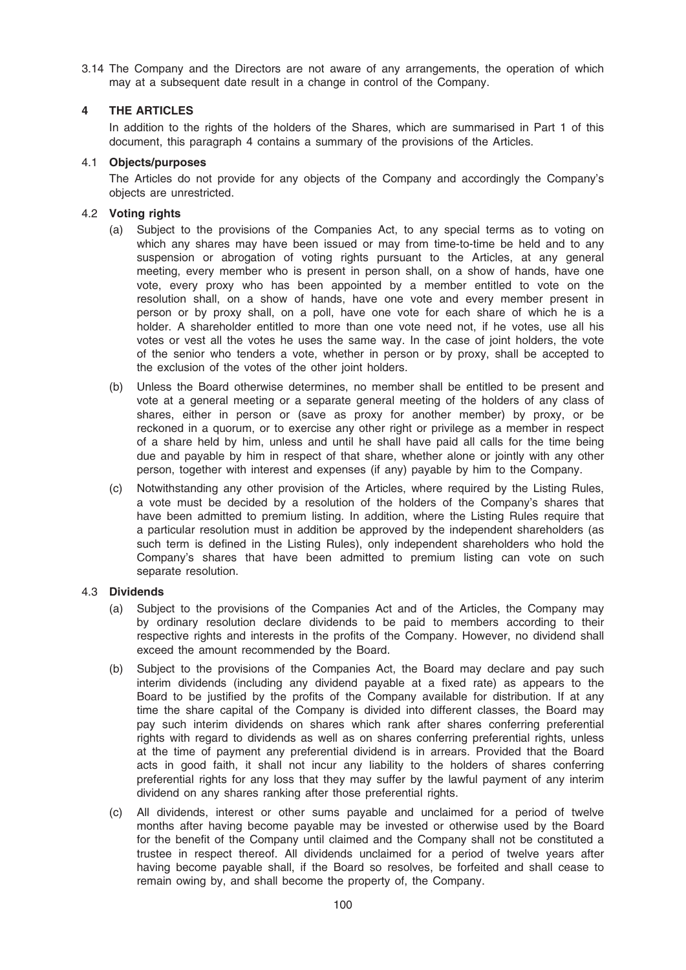3.14 The Company and the Directors are not aware of any arrangements, the operation of which may at a subsequent date result in a change in control of the Company.

# 4 THE ARTICLES

In addition to the rights of the holders of the Shares, which are summarised in Part 1 of this document, this paragraph 4 contains a summary of the provisions of the Articles.

## 4.1 Objects/purposes

The Articles do not provide for any objects of the Company and accordingly the Company's objects are unrestricted.

## 4.2 Voting rights

- (a) Subject to the provisions of the Companies Act, to any special terms as to voting on which any shares may have been issued or may from time-to-time be held and to any suspension or abrogation of voting rights pursuant to the Articles, at any general meeting, every member who is present in person shall, on a show of hands, have one vote, every proxy who has been appointed by a member entitled to vote on the resolution shall, on a show of hands, have one vote and every member present in person or by proxy shall, on a poll, have one vote for each share of which he is a holder. A shareholder entitled to more than one vote need not, if he votes, use all his votes or vest all the votes he uses the same way. In the case of joint holders, the vote of the senior who tenders a vote, whether in person or by proxy, shall be accepted to the exclusion of the votes of the other joint holders.
- (b) Unless the Board otherwise determines, no member shall be entitled to be present and vote at a general meeting or a separate general meeting of the holders of any class of shares, either in person or (save as proxy for another member) by proxy, or be reckoned in a quorum, or to exercise any other right or privilege as a member in respect of a share held by him, unless and until he shall have paid all calls for the time being due and payable by him in respect of that share, whether alone or jointly with any other person, together with interest and expenses (if any) payable by him to the Company.
- (c) Notwithstanding any other provision of the Articles, where required by the Listing Rules, a vote must be decided by a resolution of the holders of the Company's shares that have been admitted to premium listing. In addition, where the Listing Rules require that a particular resolution must in addition be approved by the independent shareholders (as such term is defined in the Listing Rules), only independent shareholders who hold the Company's shares that have been admitted to premium listing can vote on such separate resolution.

### 4.3 Dividends

- (a) Subject to the provisions of the Companies Act and of the Articles, the Company may by ordinary resolution declare dividends to be paid to members according to their respective rights and interests in the profits of the Company. However, no dividend shall exceed the amount recommended by the Board.
- (b) Subject to the provisions of the Companies Act, the Board may declare and pay such interim dividends (including any dividend payable at a fixed rate) as appears to the Board to be justified by the profits of the Company available for distribution. If at any time the share capital of the Company is divided into different classes, the Board may pay such interim dividends on shares which rank after shares conferring preferential rights with regard to dividends as well as on shares conferring preferential rights, unless at the time of payment any preferential dividend is in arrears. Provided that the Board acts in good faith, it shall not incur any liability to the holders of shares conferring preferential rights for any loss that they may suffer by the lawful payment of any interim dividend on any shares ranking after those preferential rights.
- (c) All dividends, interest or other sums payable and unclaimed for a period of twelve months after having become payable may be invested or otherwise used by the Board for the benefit of the Company until claimed and the Company shall not be constituted a trustee in respect thereof. All dividends unclaimed for a period of twelve years after having become payable shall, if the Board so resolves, be forfeited and shall cease to remain owing by, and shall become the property of, the Company.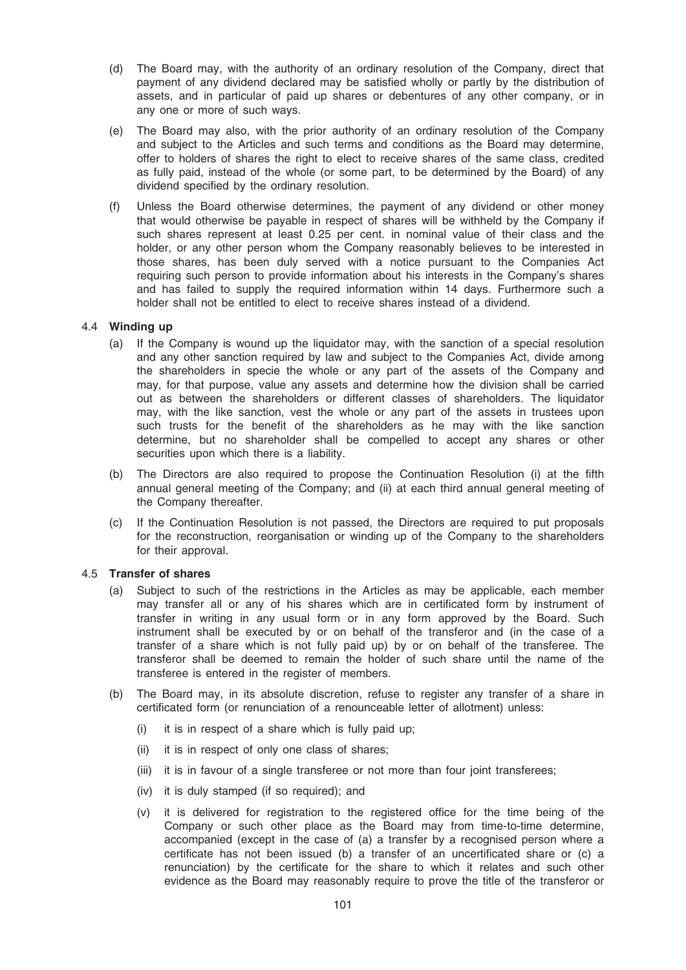- (d) The Board may, with the authority of an ordinary resolution of the Company, direct that payment of any dividend declared may be satisfied wholly or partly by the distribution of assets, and in particular of paid up shares or debentures of any other company, or in any one or more of such ways.
- (e) The Board may also, with the prior authority of an ordinary resolution of the Company and subject to the Articles and such terms and conditions as the Board may determine, offer to holders of shares the right to elect to receive shares of the same class, credited as fully paid, instead of the whole (or some part, to be determined by the Board) of any dividend specified by the ordinary resolution.
- (f) Unless the Board otherwise determines, the payment of any dividend or other money that would otherwise be payable in respect of shares will be withheld by the Company if such shares represent at least 0.25 per cent. in nominal value of their class and the holder, or any other person whom the Company reasonably believes to be interested in those shares, has been duly served with a notice pursuant to the Companies Act requiring such person to provide information about his interests in the Company's shares and has failed to supply the required information within 14 days. Furthermore such a holder shall not be entitled to elect to receive shares instead of a dividend.

### 4.4 Winding up

- (a) If the Company is wound up the liquidator may, with the sanction of a special resolution and any other sanction required by law and subject to the Companies Act, divide among the shareholders in specie the whole or any part of the assets of the Company and may, for that purpose, value any assets and determine how the division shall be carried out as between the shareholders or different classes of shareholders. The liquidator may, with the like sanction, vest the whole or any part of the assets in trustees upon such trusts for the benefit of the shareholders as he may with the like sanction determine, but no shareholder shall be compelled to accept any shares or other securities upon which there is a liability.
- (b) The Directors are also required to propose the Continuation Resolution (i) at the fifth annual general meeting of the Company; and (ii) at each third annual general meeting of the Company thereafter.
- (c) If the Continuation Resolution is not passed, the Directors are required to put proposals for the reconstruction, reorganisation or winding up of the Company to the shareholders for their approval.

# 4.5 Transfer of shares

- (a) Subject to such of the restrictions in the Articles as may be applicable, each member may transfer all or any of his shares which are in certificated form by instrument of transfer in writing in any usual form or in any form approved by the Board. Such instrument shall be executed by or on behalf of the transferor and (in the case of a transfer of a share which is not fully paid up) by or on behalf of the transferee. The transferor shall be deemed to remain the holder of such share until the name of the transferee is entered in the register of members.
- (b) The Board may, in its absolute discretion, refuse to register any transfer of a share in certificated form (or renunciation of a renounceable letter of allotment) unless:
	- (i) it is in respect of a share which is fully paid up;
	- (ii) it is in respect of only one class of shares;
	- (iii) it is in favour of a single transferee or not more than four joint transferees;
	- (iv) it is duly stamped (if so required); and
	- (v) it is delivered for registration to the registered office for the time being of the Company or such other place as the Board may from time-to-time determine, accompanied (except in the case of (a) a transfer by a recognised person where a certificate has not been issued (b) a transfer of an uncertificated share or (c) a renunciation) by the certificate for the share to which it relates and such other evidence as the Board may reasonably require to prove the title of the transferor or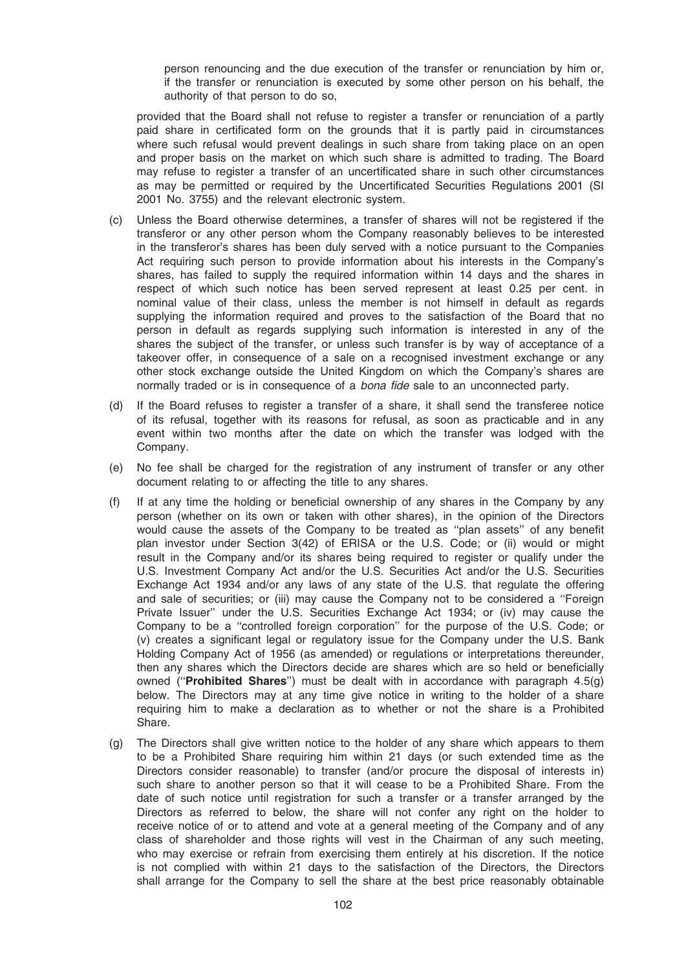person renouncing and the due execution of the transfer or renunciation by him or, if the transfer or renunciation is executed by some other person on his behalf, the authority of that person to do so,

provided that the Board shall not refuse to register a transfer or renunciation of a partly paid share in certificated form on the grounds that it is partly paid in circumstances where such refusal would prevent dealings in such share from taking place on an open and proper basis on the market on which such share is admitted to trading. The Board may refuse to register a transfer of an uncertificated share in such other circumstances as may be permitted or required by the Uncertificated Securities Regulations 2001 (SI 2001 No. 3755) and the relevant electronic system.

- (c) Unless the Board otherwise determines, a transfer of shares will not be registered if the transferor or any other person whom the Company reasonably believes to be interested in the transferor's shares has been duly served with a notice pursuant to the Companies Act requiring such person to provide information about his interests in the Company's shares, has failed to supply the required information within 14 days and the shares in respect of which such notice has been served represent at least 0.25 per cent. in nominal value of their class, unless the member is not himself in default as regards supplying the information required and proves to the satisfaction of the Board that no person in default as regards supplying such information is interested in any of the shares the subject of the transfer, or unless such transfer is by way of acceptance of a takeover offer, in consequence of a sale on a recognised investment exchange or any other stock exchange outside the United Kingdom on which the Company's shares are normally traded or is in consequence of a bona fide sale to an unconnected party.
- (d) If the Board refuses to register a transfer of a share, it shall send the transferee notice of its refusal, together with its reasons for refusal, as soon as practicable and in any event within two months after the date on which the transfer was lodged with the Company.
- (e) No fee shall be charged for the registration of any instrument of transfer or any other document relating to or affecting the title to any shares.
- (f) If at any time the holding or beneficial ownership of any shares in the Company by any person (whether on its own or taken with other shares), in the opinion of the Directors would cause the assets of the Company to be treated as ''plan assets'' of any benefit plan investor under Section 3(42) of ERISA or the U.S. Code; or (ii) would or might result in the Company and/or its shares being required to register or qualify under the U.S. Investment Company Act and/or the U.S. Securities Act and/or the U.S. Securities Exchange Act 1934 and/or any laws of any state of the U.S. that regulate the offering and sale of securities; or (iii) may cause the Company not to be considered a ''Foreign Private Issuer'' under the U.S. Securities Exchange Act 1934; or (iv) may cause the Company to be a ''controlled foreign corporation'' for the purpose of the U.S. Code; or (v) creates a significant legal or regulatory issue for the Company under the U.S. Bank Holding Company Act of 1956 (as amended) or regulations or interpretations thereunder, then any shares which the Directors decide are shares which are so held or beneficially owned ("**Prohibited Shares**") must be dealt with in accordance with paragraph  $4.5(q)$ below. The Directors may at any time give notice in writing to the holder of a share requiring him to make a declaration as to whether or not the share is a Prohibited Share.
- (g) The Directors shall give written notice to the holder of any share which appears to them to be a Prohibited Share requiring him within 21 days (or such extended time as the Directors consider reasonable) to transfer (and/or procure the disposal of interests in) such share to another person so that it will cease to be a Prohibited Share. From the date of such notice until registration for such a transfer or a transfer arranged by the Directors as referred to below, the share will not confer any right on the holder to receive notice of or to attend and vote at a general meeting of the Company and of any class of shareholder and those rights will vest in the Chairman of any such meeting, who may exercise or refrain from exercising them entirely at his discretion. If the notice is not complied with within 21 days to the satisfaction of the Directors, the Directors shall arrange for the Company to sell the share at the best price reasonably obtainable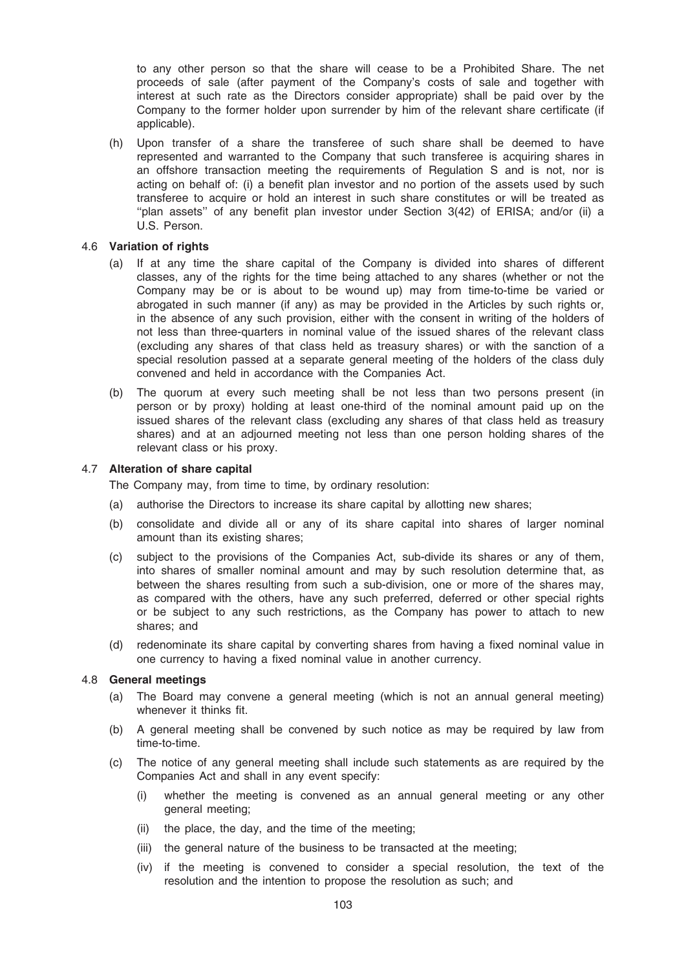to any other person so that the share will cease to be a Prohibited Share. The net proceeds of sale (after payment of the Company's costs of sale and together with interest at such rate as the Directors consider appropriate) shall be paid over by the Company to the former holder upon surrender by him of the relevant share certificate (if applicable).

(h) Upon transfer of a share the transferee of such share shall be deemed to have represented and warranted to the Company that such transferee is acquiring shares in an offshore transaction meeting the requirements of Regulation S and is not, nor is acting on behalf of: (i) a benefit plan investor and no portion of the assets used by such transferee to acquire or hold an interest in such share constitutes or will be treated as ''plan assets'' of any benefit plan investor under Section 3(42) of ERISA; and/or (ii) a U.S. Person.

### 4.6 Variation of rights

- (a) If at any time the share capital of the Company is divided into shares of different classes, any of the rights for the time being attached to any shares (whether or not the Company may be or is about to be wound up) may from time-to-time be varied or abrogated in such manner (if any) as may be provided in the Articles by such rights or, in the absence of any such provision, either with the consent in writing of the holders of not less than three-quarters in nominal value of the issued shares of the relevant class (excluding any shares of that class held as treasury shares) or with the sanction of a special resolution passed at a separate general meeting of the holders of the class duly convened and held in accordance with the Companies Act.
- (b) The quorum at every such meeting shall be not less than two persons present (in person or by proxy) holding at least one-third of the nominal amount paid up on the issued shares of the relevant class (excluding any shares of that class held as treasury shares) and at an adjourned meeting not less than one person holding shares of the relevant class or his proxy.

### 4.7 Alteration of share capital

The Company may, from time to time, by ordinary resolution:

- (a) authorise the Directors to increase its share capital by allotting new shares;
- (b) consolidate and divide all or any of its share capital into shares of larger nominal amount than its existing shares;
- (c) subject to the provisions of the Companies Act, sub-divide its shares or any of them, into shares of smaller nominal amount and may by such resolution determine that, as between the shares resulting from such a sub-division, one or more of the shares may, as compared with the others, have any such preferred, deferred or other special rights or be subject to any such restrictions, as the Company has power to attach to new shares; and
- (d) redenominate its share capital by converting shares from having a fixed nominal value in one currency to having a fixed nominal value in another currency.

### 4.8 General meetings

- (a) The Board may convene a general meeting (which is not an annual general meeting) whenever it thinks fit.
- (b) A general meeting shall be convened by such notice as may be required by law from time-to-time.
- (c) The notice of any general meeting shall include such statements as are required by the Companies Act and shall in any event specify:
	- (i) whether the meeting is convened as an annual general meeting or any other general meeting;
	- (ii) the place, the day, and the time of the meeting;
	- (iii) the general nature of the business to be transacted at the meeting;
	- (iv) if the meeting is convened to consider a special resolution, the text of the resolution and the intention to propose the resolution as such; and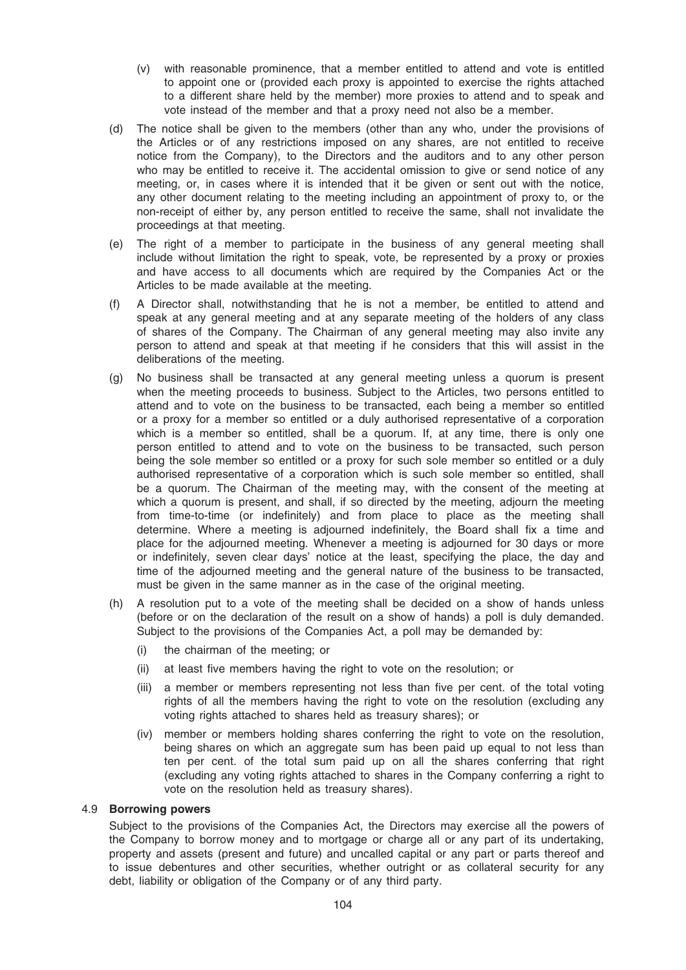- (v) with reasonable prominence, that a member entitled to attend and vote is entitled to appoint one or (provided each proxy is appointed to exercise the rights attached to a different share held by the member) more proxies to attend and to speak and vote instead of the member and that a proxy need not also be a member.
- (d) The notice shall be given to the members (other than any who, under the provisions of the Articles or of any restrictions imposed on any shares, are not entitled to receive notice from the Company), to the Directors and the auditors and to any other person who may be entitled to receive it. The accidental omission to give or send notice of any meeting, or, in cases where it is intended that it be given or sent out with the notice, any other document relating to the meeting including an appointment of proxy to, or the non-receipt of either by, any person entitled to receive the same, shall not invalidate the proceedings at that meeting.
- (e) The right of a member to participate in the business of any general meeting shall include without limitation the right to speak, vote, be represented by a proxy or proxies and have access to all documents which are required by the Companies Act or the Articles to be made available at the meeting.
- (f) A Director shall, notwithstanding that he is not a member, be entitled to attend and speak at any general meeting and at any separate meeting of the holders of any class of shares of the Company. The Chairman of any general meeting may also invite any person to attend and speak at that meeting if he considers that this will assist in the deliberations of the meeting.
- (g) No business shall be transacted at any general meeting unless a quorum is present when the meeting proceeds to business. Subject to the Articles, two persons entitled to attend and to vote on the business to be transacted, each being a member so entitled or a proxy for a member so entitled or a duly authorised representative of a corporation which is a member so entitled, shall be a quorum. If, at any time, there is only one person entitled to attend and to vote on the business to be transacted, such person being the sole member so entitled or a proxy for such sole member so entitled or a duly authorised representative of a corporation which is such sole member so entitled, shall be a quorum. The Chairman of the meeting may, with the consent of the meeting at which a quorum is present, and shall, if so directed by the meeting, adjourn the meeting from time-to-time (or indefinitely) and from place to place as the meeting shall determine. Where a meeting is adjourned indefinitely, the Board shall fix a time and place for the adjourned meeting. Whenever a meeting is adjourned for 30 days or more or indefinitely, seven clear days' notice at the least, specifying the place, the day and time of the adjourned meeting and the general nature of the business to be transacted, must be given in the same manner as in the case of the original meeting.
- (h) A resolution put to a vote of the meeting shall be decided on a show of hands unless (before or on the declaration of the result on a show of hands) a poll is duly demanded. Subject to the provisions of the Companies Act, a poll may be demanded by:
	- (i) the chairman of the meeting; or
	- (ii) at least five members having the right to vote on the resolution; or
	- (iii) a member or members representing not less than five per cent. of the total voting rights of all the members having the right to vote on the resolution (excluding any voting rights attached to shares held as treasury shares); or
	- (iv) member or members holding shares conferring the right to vote on the resolution, being shares on which an aggregate sum has been paid up equal to not less than ten per cent. of the total sum paid up on all the shares conferring that right (excluding any voting rights attached to shares in the Company conferring a right to vote on the resolution held as treasury shares).

# 4.9 Borrowing powers

Subject to the provisions of the Companies Act, the Directors may exercise all the powers of the Company to borrow money and to mortgage or charge all or any part of its undertaking, property and assets (present and future) and uncalled capital or any part or parts thereof and to issue debentures and other securities, whether outright or as collateral security for any debt, liability or obligation of the Company or of any third party.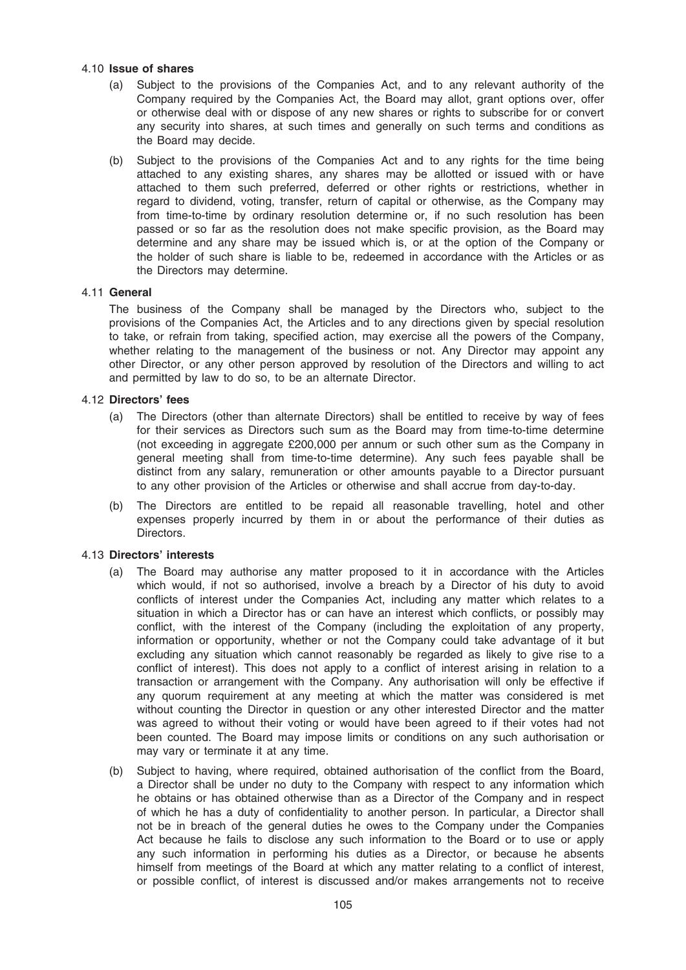### 4.10 Issue of shares

- (a) Subject to the provisions of the Companies Act, and to any relevant authority of the Company required by the Companies Act, the Board may allot, grant options over, offer or otherwise deal with or dispose of any new shares or rights to subscribe for or convert any security into shares, at such times and generally on such terms and conditions as the Board may decide.
- (b) Subject to the provisions of the Companies Act and to any rights for the time being attached to any existing shares, any shares may be allotted or issued with or have attached to them such preferred, deferred or other rights or restrictions, whether in regard to dividend, voting, transfer, return of capital or otherwise, as the Company may from time-to-time by ordinary resolution determine or, if no such resolution has been passed or so far as the resolution does not make specific provision, as the Board may determine and any share may be issued which is, or at the option of the Company or the holder of such share is liable to be, redeemed in accordance with the Articles or as the Directors may determine.

### 4.11 General

The business of the Company shall be managed by the Directors who, subject to the provisions of the Companies Act, the Articles and to any directions given by special resolution to take, or refrain from taking, specified action, may exercise all the powers of the Company, whether relating to the management of the business or not. Any Director may appoint any other Director, or any other person approved by resolution of the Directors and willing to act and permitted by law to do so, to be an alternate Director.

### 4.12 Directors' fees

- (a) The Directors (other than alternate Directors) shall be entitled to receive by way of fees for their services as Directors such sum as the Board may from time-to-time determine (not exceeding in aggregate £200,000 per annum or such other sum as the Company in general meeting shall from time-to-time determine). Any such fees payable shall be distinct from any salary, remuneration or other amounts payable to a Director pursuant to any other provision of the Articles or otherwise and shall accrue from day-to-day.
- (b) The Directors are entitled to be repaid all reasonable travelling, hotel and other expenses properly incurred by them in or about the performance of their duties as Directors.

### 4.13 Directors' interests

- (a) The Board may authorise any matter proposed to it in accordance with the Articles which would, if not so authorised, involve a breach by a Director of his duty to avoid conflicts of interest under the Companies Act, including any matter which relates to a situation in which a Director has or can have an interest which conflicts, or possibly may conflict, with the interest of the Company (including the exploitation of any property, information or opportunity, whether or not the Company could take advantage of it but excluding any situation which cannot reasonably be regarded as likely to give rise to a conflict of interest). This does not apply to a conflict of interest arising in relation to a transaction or arrangement with the Company. Any authorisation will only be effective if any quorum requirement at any meeting at which the matter was considered is met without counting the Director in question or any other interested Director and the matter was agreed to without their voting or would have been agreed to if their votes had not been counted. The Board may impose limits or conditions on any such authorisation or may vary or terminate it at any time.
- (b) Subject to having, where required, obtained authorisation of the conflict from the Board, a Director shall be under no duty to the Company with respect to any information which he obtains or has obtained otherwise than as a Director of the Company and in respect of which he has a duty of confidentiality to another person. In particular, a Director shall not be in breach of the general duties he owes to the Company under the Companies Act because he fails to disclose any such information to the Board or to use or apply any such information in performing his duties as a Director, or because he absents himself from meetings of the Board at which any matter relating to a conflict of interest, or possible conflict, of interest is discussed and/or makes arrangements not to receive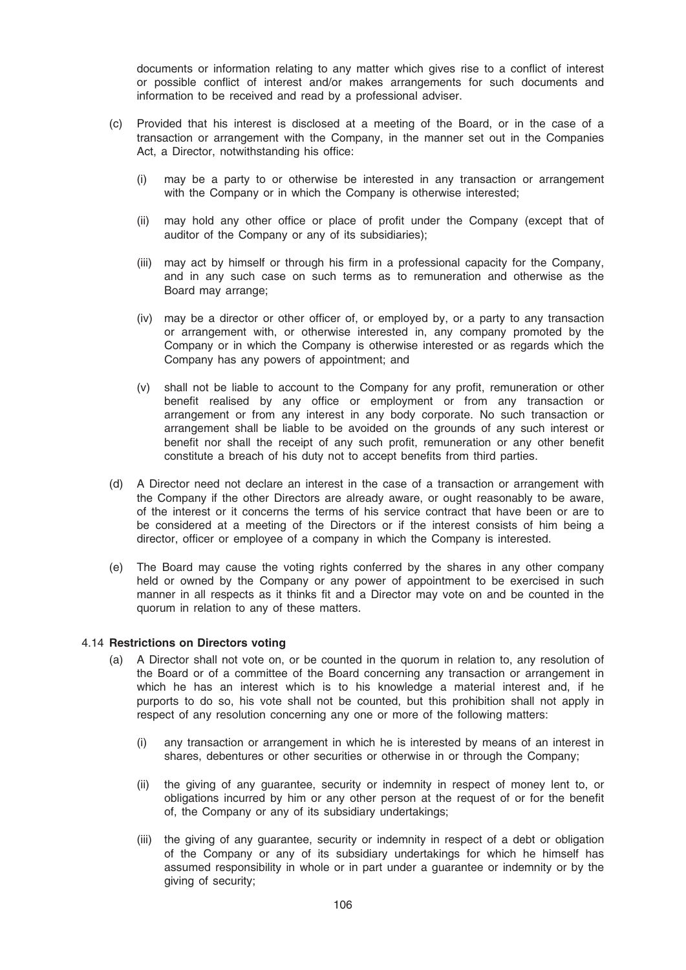documents or information relating to any matter which gives rise to a conflict of interest or possible conflict of interest and/or makes arrangements for such documents and information to be received and read by a professional adviser.

- (c) Provided that his interest is disclosed at a meeting of the Board, or in the case of a transaction or arrangement with the Company, in the manner set out in the Companies Act, a Director, notwithstanding his office:
	- (i) may be a party to or otherwise be interested in any transaction or arrangement with the Company or in which the Company is otherwise interested:
	- (ii) may hold any other office or place of profit under the Company (except that of auditor of the Company or any of its subsidiaries);
	- (iii) may act by himself or through his firm in a professional capacity for the Company, and in any such case on such terms as to remuneration and otherwise as the Board may arrange;
	- (iv) may be a director or other officer of, or employed by, or a party to any transaction or arrangement with, or otherwise interested in, any company promoted by the Company or in which the Company is otherwise interested or as regards which the Company has any powers of appointment; and
	- (v) shall not be liable to account to the Company for any profit, remuneration or other benefit realised by any office or employment or from any transaction or arrangement or from any interest in any body corporate. No such transaction or arrangement shall be liable to be avoided on the grounds of any such interest or benefit nor shall the receipt of any such profit, remuneration or any other benefit constitute a breach of his duty not to accept benefits from third parties.
- (d) A Director need not declare an interest in the case of a transaction or arrangement with the Company if the other Directors are already aware, or ought reasonably to be aware, of the interest or it concerns the terms of his service contract that have been or are to be considered at a meeting of the Directors or if the interest consists of him being a director, officer or employee of a company in which the Company is interested.
- (e) The Board may cause the voting rights conferred by the shares in any other company held or owned by the Company or any power of appointment to be exercised in such manner in all respects as it thinks fit and a Director may vote on and be counted in the quorum in relation to any of these matters.

### 4.14 Restrictions on Directors voting

- (a) A Director shall not vote on, or be counted in the quorum in relation to, any resolution of the Board or of a committee of the Board concerning any transaction or arrangement in which he has an interest which is to his knowledge a material interest and, if he purports to do so, his vote shall not be counted, but this prohibition shall not apply in respect of any resolution concerning any one or more of the following matters:
	- (i) any transaction or arrangement in which he is interested by means of an interest in shares, debentures or other securities or otherwise in or through the Company;
	- (ii) the giving of any guarantee, security or indemnity in respect of money lent to, or obligations incurred by him or any other person at the request of or for the benefit of, the Company or any of its subsidiary undertakings;
	- (iii) the giving of any guarantee, security or indemnity in respect of a debt or obligation of the Company or any of its subsidiary undertakings for which he himself has assumed responsibility in whole or in part under a guarantee or indemnity or by the giving of security;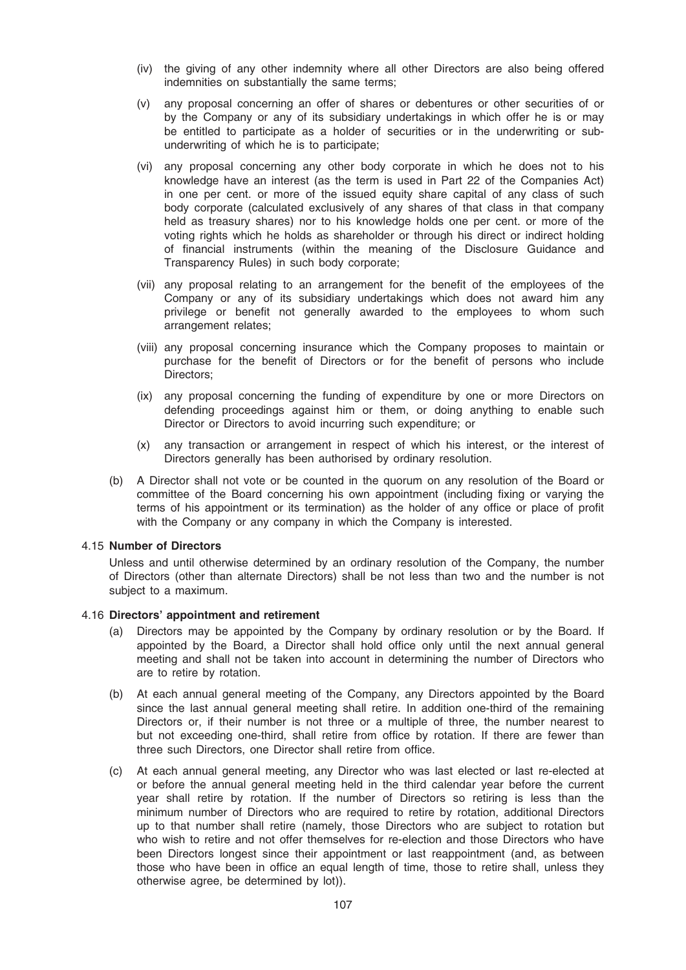- (iv) the giving of any other indemnity where all other Directors are also being offered indemnities on substantially the same terms;
- (v) any proposal concerning an offer of shares or debentures or other securities of or by the Company or any of its subsidiary undertakings in which offer he is or may be entitled to participate as a holder of securities or in the underwriting or subunderwriting of which he is to participate;
- (vi) any proposal concerning any other body corporate in which he does not to his knowledge have an interest (as the term is used in Part 22 of the Companies Act) in one per cent. or more of the issued equity share capital of any class of such body corporate (calculated exclusively of any shares of that class in that company held as treasury shares) nor to his knowledge holds one per cent. or more of the voting rights which he holds as shareholder or through his direct or indirect holding of financial instruments (within the meaning of the Disclosure Guidance and Transparency Rules) in such body corporate;
- (vii) any proposal relating to an arrangement for the benefit of the employees of the Company or any of its subsidiary undertakings which does not award him any privilege or benefit not generally awarded to the employees to whom such arrangement relates;
- (viii) any proposal concerning insurance which the Company proposes to maintain or purchase for the benefit of Directors or for the benefit of persons who include Directors;
- (ix) any proposal concerning the funding of expenditure by one or more Directors on defending proceedings against him or them, or doing anything to enable such Director or Directors to avoid incurring such expenditure; or
- (x) any transaction or arrangement in respect of which his interest, or the interest of Directors generally has been authorised by ordinary resolution.
- (b) A Director shall not vote or be counted in the quorum on any resolution of the Board or committee of the Board concerning his own appointment (including fixing or varying the terms of his appointment or its termination) as the holder of any office or place of profit with the Company or any company in which the Company is interested.

### 4.15 Number of Directors

Unless and until otherwise determined by an ordinary resolution of the Company, the number of Directors (other than alternate Directors) shall be not less than two and the number is not subject to a maximum.

### 4.16 Directors' appointment and retirement

- (a) Directors may be appointed by the Company by ordinary resolution or by the Board. If appointed by the Board, a Director shall hold office only until the next annual general meeting and shall not be taken into account in determining the number of Directors who are to retire by rotation.
- (b) At each annual general meeting of the Company, any Directors appointed by the Board since the last annual general meeting shall retire. In addition one-third of the remaining Directors or, if their number is not three or a multiple of three, the number nearest to but not exceeding one-third, shall retire from office by rotation. If there are fewer than three such Directors, one Director shall retire from office.
- (c) At each annual general meeting, any Director who was last elected or last re-elected at or before the annual general meeting held in the third calendar year before the current year shall retire by rotation. If the number of Directors so retiring is less than the minimum number of Directors who are required to retire by rotation, additional Directors up to that number shall retire (namely, those Directors who are subject to rotation but who wish to retire and not offer themselves for re-election and those Directors who have been Directors longest since their appointment or last reappointment (and, as between those who have been in office an equal length of time, those to retire shall, unless they otherwise agree, be determined by lot)).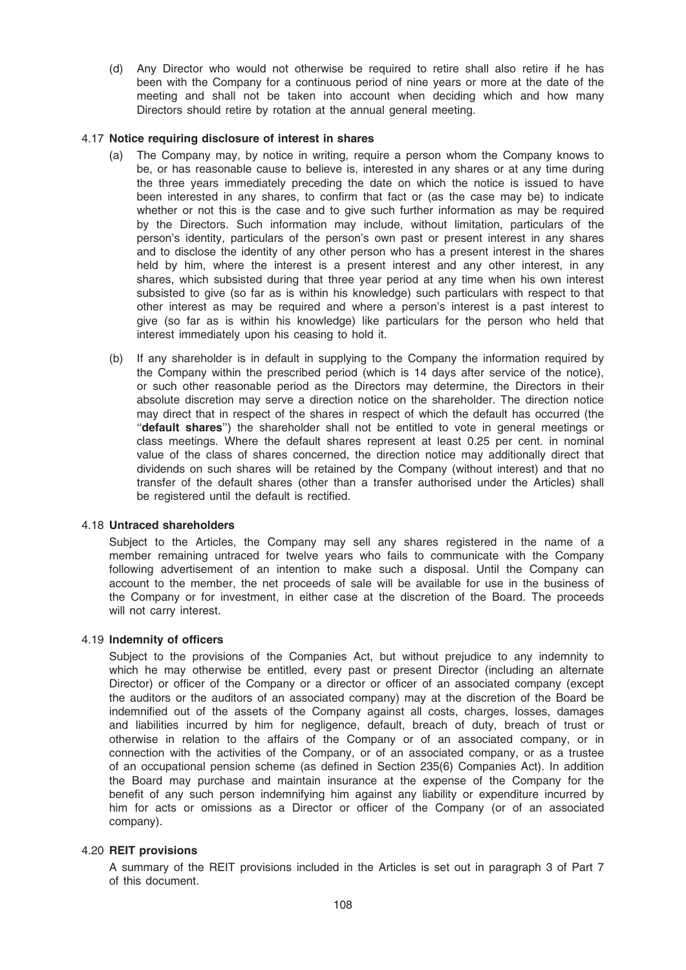(d) Any Director who would not otherwise be required to retire shall also retire if he has been with the Company for a continuous period of nine years or more at the date of the meeting and shall not be taken into account when deciding which and how many Directors should retire by rotation at the annual general meeting.

### 4.17 Notice requiring disclosure of interest in shares

- (a) The Company may, by notice in writing, require a person whom the Company knows to be, or has reasonable cause to believe is, interested in any shares or at any time during the three years immediately preceding the date on which the notice is issued to have been interested in any shares, to confirm that fact or (as the case may be) to indicate whether or not this is the case and to give such further information as may be required by the Directors. Such information may include, without limitation, particulars of the person's identity, particulars of the person's own past or present interest in any shares and to disclose the identity of any other person who has a present interest in the shares held by him, where the interest is a present interest and any other interest, in any shares, which subsisted during that three year period at any time when his own interest subsisted to give (so far as is within his knowledge) such particulars with respect to that other interest as may be required and where a person's interest is a past interest to give (so far as is within his knowledge) like particulars for the person who held that interest immediately upon his ceasing to hold it.
- (b) If any shareholder is in default in supplying to the Company the information required by the Company within the prescribed period (which is 14 days after service of the notice), or such other reasonable period as the Directors may determine, the Directors in their absolute discretion may serve a direction notice on the shareholder. The direction notice may direct that in respect of the shares in respect of which the default has occurred (the "default shares") the shareholder shall not be entitled to vote in general meetings or class meetings. Where the default shares represent at least 0.25 per cent. in nominal value of the class of shares concerned, the direction notice may additionally direct that dividends on such shares will be retained by the Company (without interest) and that no transfer of the default shares (other than a transfer authorised under the Articles) shall be registered until the default is rectified.

# 4.18 Untraced shareholders

Subject to the Articles, the Company may sell any shares registered in the name of a member remaining untraced for twelve years who fails to communicate with the Company following advertisement of an intention to make such a disposal. Until the Company can account to the member, the net proceeds of sale will be available for use in the business of the Company or for investment, in either case at the discretion of the Board. The proceeds will not carry interest.

### 4.19 Indemnity of officers

Subject to the provisions of the Companies Act, but without prejudice to any indemnity to which he may otherwise be entitled, every past or present Director (including an alternate Director) or officer of the Company or a director or officer of an associated company (except the auditors or the auditors of an associated company) may at the discretion of the Board be indemnified out of the assets of the Company against all costs, charges, losses, damages and liabilities incurred by him for negligence, default, breach of duty, breach of trust or otherwise in relation to the affairs of the Company or of an associated company, or in connection with the activities of the Company, or of an associated company, or as a trustee of an occupational pension scheme (as defined in Section 235(6) Companies Act). In addition the Board may purchase and maintain insurance at the expense of the Company for the benefit of any such person indemnifying him against any liability or expenditure incurred by him for acts or omissions as a Director or officer of the Company (or of an associated company).

### 4.20 REIT provisions

A summary of the REIT provisions included in the Articles is set out in paragraph 3 of Part 7 of this document.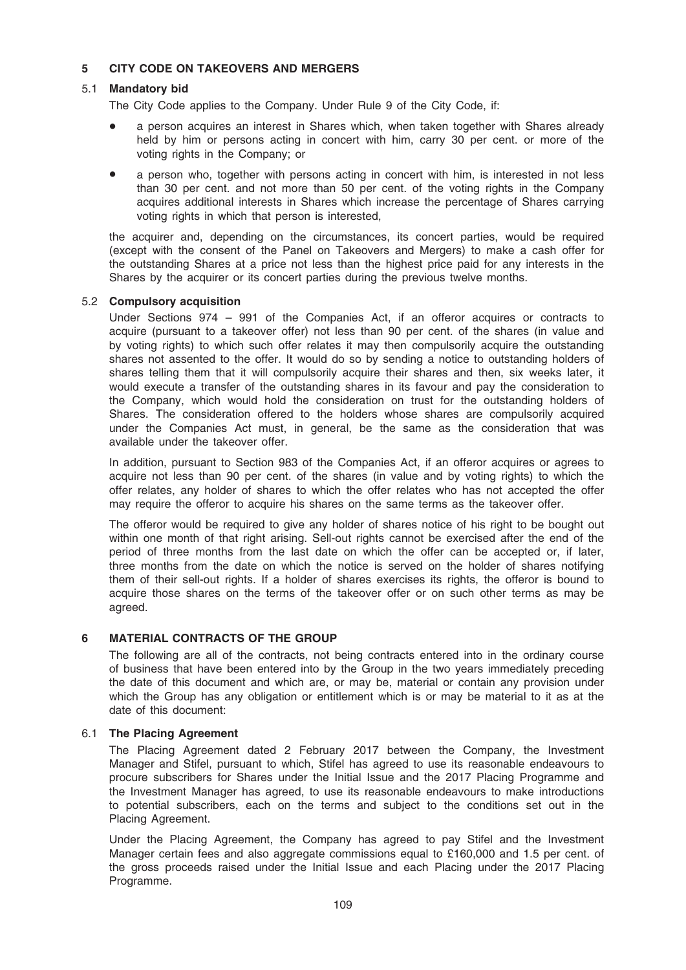## 5 CITY CODE ON TAKEOVERS AND MERGERS

## 5.1 Mandatory bid

The City Code applies to the Company. Under Rule 9 of the City Code, if:

- a person acquires an interest in Shares which, when taken together with Shares already held by him or persons acting in concert with him, carry 30 per cent. or more of the voting rights in the Company; or
- a person who, together with persons acting in concert with him, is interested in not less than 30 per cent. and not more than 50 per cent. of the voting rights in the Company acquires additional interests in Shares which increase the percentage of Shares carrying voting rights in which that person is interested,

the acquirer and, depending on the circumstances, its concert parties, would be required (except with the consent of the Panel on Takeovers and Mergers) to make a cash offer for the outstanding Shares at a price not less than the highest price paid for any interests in the Shares by the acquirer or its concert parties during the previous twelve months.

#### 5.2 Compulsory acquisition

Under Sections 974 – 991 of the Companies Act, if an offeror acquires or contracts to acquire (pursuant to a takeover offer) not less than 90 per cent. of the shares (in value and by voting rights) to which such offer relates it may then compulsorily acquire the outstanding shares not assented to the offer. It would do so by sending a notice to outstanding holders of shares telling them that it will compulsorily acquire their shares and then, six weeks later, it would execute a transfer of the outstanding shares in its favour and pay the consideration to the Company, which would hold the consideration on trust for the outstanding holders of Shares. The consideration offered to the holders whose shares are compulsorily acquired under the Companies Act must, in general, be the same as the consideration that was available under the takeover offer.

In addition, pursuant to Section 983 of the Companies Act, if an offeror acquires or agrees to acquire not less than 90 per cent. of the shares (in value and by voting rights) to which the offer relates, any holder of shares to which the offer relates who has not accepted the offer may require the offeror to acquire his shares on the same terms as the takeover offer.

The offeror would be required to give any holder of shares notice of his right to be bought out within one month of that right arising. Sell-out rights cannot be exercised after the end of the period of three months from the last date on which the offer can be accepted or, if later, three months from the date on which the notice is served on the holder of shares notifying them of their sell-out rights. If a holder of shares exercises its rights, the offeror is bound to acquire those shares on the terms of the takeover offer or on such other terms as may be agreed.

## 6 MATERIAL CONTRACTS OF THE GROUP

The following are all of the contracts, not being contracts entered into in the ordinary course of business that have been entered into by the Group in the two years immediately preceding the date of this document and which are, or may be, material or contain any provision under which the Group has any obligation or entitlement which is or may be material to it as at the date of this document:

#### 6.1 The Placing Agreement

The Placing Agreement dated 2 February 2017 between the Company, the Investment Manager and Stifel, pursuant to which, Stifel has agreed to use its reasonable endeavours to procure subscribers for Shares under the Initial Issue and the 2017 Placing Programme and the Investment Manager has agreed, to use its reasonable endeavours to make introductions to potential subscribers, each on the terms and subject to the conditions set out in the Placing Agreement.

Under the Placing Agreement, the Company has agreed to pay Stifel and the Investment Manager certain fees and also aggregate commissions equal to £160,000 and 1.5 per cent. of the gross proceeds raised under the Initial Issue and each Placing under the 2017 Placing Programme.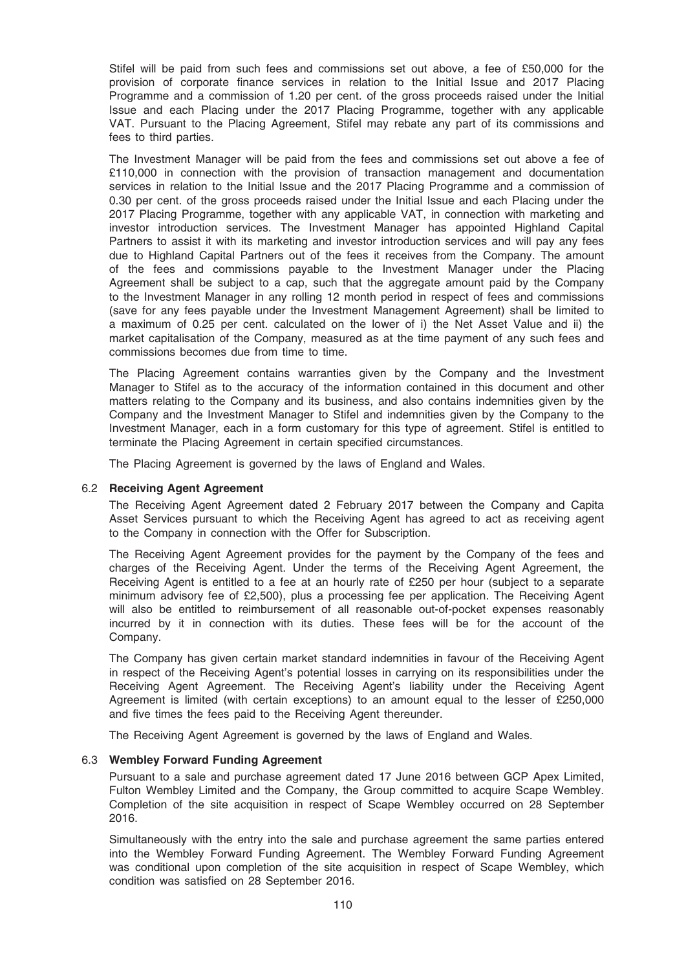Stifel will be paid from such fees and commissions set out above, a fee of £50,000 for the provision of corporate finance services in relation to the Initial Issue and 2017 Placing Programme and a commission of 1.20 per cent. of the gross proceeds raised under the Initial Issue and each Placing under the 2017 Placing Programme, together with any applicable VAT. Pursuant to the Placing Agreement, Stifel may rebate any part of its commissions and fees to third parties.

The Investment Manager will be paid from the fees and commissions set out above a fee of £110,000 in connection with the provision of transaction management and documentation services in relation to the Initial Issue and the 2017 Placing Programme and a commission of 0.30 per cent. of the gross proceeds raised under the Initial Issue and each Placing under the 2017 Placing Programme, together with any applicable VAT, in connection with marketing and investor introduction services. The Investment Manager has appointed Highland Capital Partners to assist it with its marketing and investor introduction services and will pay any fees due to Highland Capital Partners out of the fees it receives from the Company. The amount of the fees and commissions payable to the Investment Manager under the Placing Agreement shall be subject to a cap, such that the aggregate amount paid by the Company to the Investment Manager in any rolling 12 month period in respect of fees and commissions (save for any fees payable under the Investment Management Agreement) shall be limited to a maximum of 0.25 per cent. calculated on the lower of i) the Net Asset Value and ii) the market capitalisation of the Company, measured as at the time payment of any such fees and commissions becomes due from time to time.

The Placing Agreement contains warranties given by the Company and the Investment Manager to Stifel as to the accuracy of the information contained in this document and other matters relating to the Company and its business, and also contains indemnities given by the Company and the Investment Manager to Stifel and indemnities given by the Company to the Investment Manager, each in a form customary for this type of agreement. Stifel is entitled to terminate the Placing Agreement in certain specified circumstances.

The Placing Agreement is governed by the laws of England and Wales.

#### 6.2 Receiving Agent Agreement

The Receiving Agent Agreement dated 2 February 2017 between the Company and Capita Asset Services pursuant to which the Receiving Agent has agreed to act as receiving agent to the Company in connection with the Offer for Subscription.

The Receiving Agent Agreement provides for the payment by the Company of the fees and charges of the Receiving Agent. Under the terms of the Receiving Agent Agreement, the Receiving Agent is entitled to a fee at an hourly rate of £250 per hour (subject to a separate minimum advisory fee of £2,500), plus a processing fee per application. The Receiving Agent will also be entitled to reimbursement of all reasonable out-of-pocket expenses reasonably incurred by it in connection with its duties. These fees will be for the account of the Company.

The Company has given certain market standard indemnities in favour of the Receiving Agent in respect of the Receiving Agent's potential losses in carrying on its responsibilities under the Receiving Agent Agreement. The Receiving Agent's liability under the Receiving Agent Agreement is limited (with certain exceptions) to an amount equal to the lesser of £250,000 and five times the fees paid to the Receiving Agent thereunder.

The Receiving Agent Agreement is governed by the laws of England and Wales.

#### 6.3 Wembley Forward Funding Agreement

Pursuant to a sale and purchase agreement dated 17 June 2016 between GCP Apex Limited, Fulton Wembley Limited and the Company, the Group committed to acquire Scape Wembley. Completion of the site acquisition in respect of Scape Wembley occurred on 28 September 2016.

Simultaneously with the entry into the sale and purchase agreement the same parties entered into the Wembley Forward Funding Agreement. The Wembley Forward Funding Agreement was conditional upon completion of the site acquisition in respect of Scape Wembley, which condition was satisfied on 28 September 2016.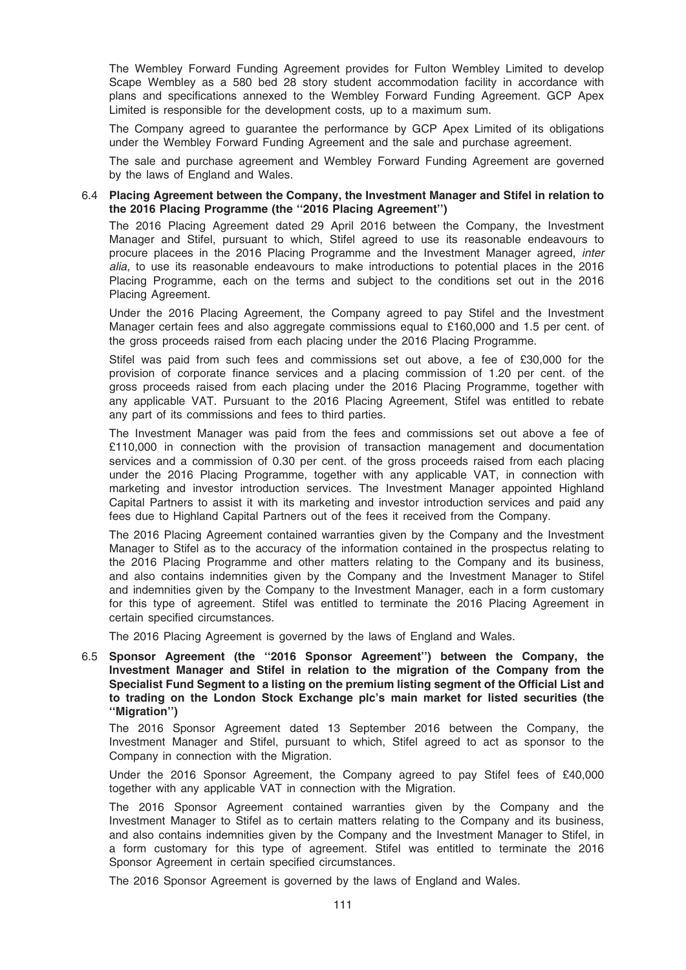The Wembley Forward Funding Agreement provides for Fulton Wembley Limited to develop Scape Wembley as a 580 bed 28 story student accommodation facility in accordance with plans and specifications annexed to the Wembley Forward Funding Agreement. GCP Apex Limited is responsible for the development costs, up to a maximum sum.

The Company agreed to guarantee the performance by GCP Apex Limited of its obligations under the Wembley Forward Funding Agreement and the sale and purchase agreement.

The sale and purchase agreement and Wembley Forward Funding Agreement are governed by the laws of England and Wales.

## 6.4 Placing Agreement between the Company, the Investment Manager and Stifel in relation to the 2016 Placing Programme (the ''2016 Placing Agreement'')

The 2016 Placing Agreement dated 29 April 2016 between the Company, the Investment Manager and Stifel, pursuant to which, Stifel agreed to use its reasonable endeavours to procure placees in the 2016 Placing Programme and the Investment Manager agreed, inter alia, to use its reasonable endeavours to make introductions to potential places in the 2016 Placing Programme, each on the terms and subject to the conditions set out in the 2016 Placing Agreement.

Under the 2016 Placing Agreement, the Company agreed to pay Stifel and the Investment Manager certain fees and also aggregate commissions equal to £160,000 and 1.5 per cent. of the gross proceeds raised from each placing under the 2016 Placing Programme.

Stifel was paid from such fees and commissions set out above, a fee of £30,000 for the provision of corporate finance services and a placing commission of 1.20 per cent. of the gross proceeds raised from each placing under the 2016 Placing Programme, together with any applicable VAT. Pursuant to the 2016 Placing Agreement, Stifel was entitled to rebate any part of its commissions and fees to third parties.

The Investment Manager was paid from the fees and commissions set out above a fee of £110,000 in connection with the provision of transaction management and documentation services and a commission of 0.30 per cent. of the gross proceeds raised from each placing under the 2016 Placing Programme, together with any applicable VAT, in connection with marketing and investor introduction services. The Investment Manager appointed Highland Capital Partners to assist it with its marketing and investor introduction services and paid any fees due to Highland Capital Partners out of the fees it received from the Company.

The 2016 Placing Agreement contained warranties given by the Company and the Investment Manager to Stifel as to the accuracy of the information contained in the prospectus relating to the 2016 Placing Programme and other matters relating to the Company and its business, and also contains indemnities given by the Company and the Investment Manager to Stifel and indemnities given by the Company to the Investment Manager, each in a form customary for this type of agreement. Stifel was entitled to terminate the 2016 Placing Agreement in certain specified circumstances.

The 2016 Placing Agreement is governed by the laws of England and Wales.

6.5 Sponsor Agreement (the ''2016 Sponsor Agreement'') between the Company, the Investment Manager and Stifel in relation to the migration of the Company from the Specialist Fund Segment to a listing on the premium listing segment of the Official List and to trading on the London Stock Exchange plc's main market for listed securities (the ''Migration'')

The 2016 Sponsor Agreement dated 13 September 2016 between the Company, the Investment Manager and Stifel, pursuant to which, Stifel agreed to act as sponsor to the Company in connection with the Migration.

Under the 2016 Sponsor Agreement, the Company agreed to pay Stifel fees of £40,000 together with any applicable VAT in connection with the Migration.

The 2016 Sponsor Agreement contained warranties given by the Company and the Investment Manager to Stifel as to certain matters relating to the Company and its business, and also contains indemnities given by the Company and the Investment Manager to Stifel, in a form customary for this type of agreement. Stifel was entitled to terminate the 2016 Sponsor Agreement in certain specified circumstances.

The 2016 Sponsor Agreement is governed by the laws of England and Wales.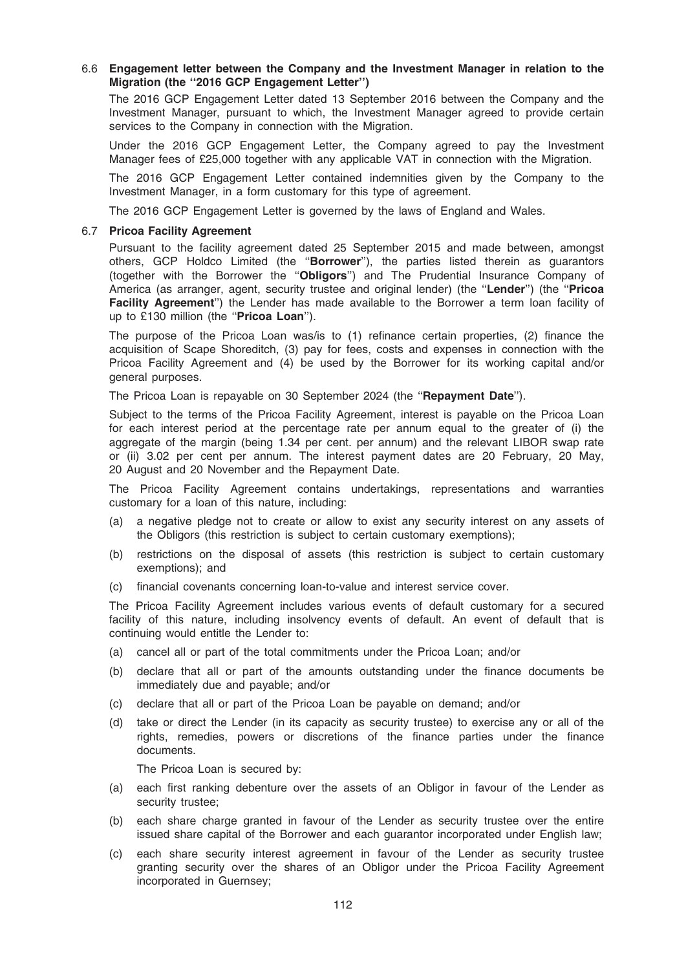## 6.6 Engagement letter between the Company and the Investment Manager in relation to the Migration (the ''2016 GCP Engagement Letter'')

The 2016 GCP Engagement Letter dated 13 September 2016 between the Company and the Investment Manager, pursuant to which, the Investment Manager agreed to provide certain services to the Company in connection with the Migration.

Under the 2016 GCP Engagement Letter, the Company agreed to pay the Investment Manager fees of £25,000 together with any applicable VAT in connection with the Migration.

The 2016 GCP Engagement Letter contained indemnities given by the Company to the Investment Manager, in a form customary for this type of agreement.

The 2016 GCP Engagement Letter is governed by the laws of England and Wales.

#### 6.7 Pricoa Facility Agreement

Pursuant to the facility agreement dated 25 September 2015 and made between, amongst others, GCP Holdco Limited (the "Borrower"), the parties listed therein as guarantors (together with the Borrower the "Obligors") and The Prudential Insurance Company of America (as arranger, agent, security trustee and original lender) (the "Lender") (the "Pricoa Facility Agreement") the Lender has made available to the Borrower a term loan facility of up to £130 million (the "Pricoa Loan").

The purpose of the Pricoa Loan was/is to (1) refinance certain properties, (2) finance the acquisition of Scape Shoreditch, (3) pay for fees, costs and expenses in connection with the Pricoa Facility Agreement and (4) be used by the Borrower for its working capital and/or general purposes.

The Pricoa Loan is repayable on 30 September 2024 (the "Repayment Date").

Subject to the terms of the Pricoa Facility Agreement, interest is payable on the Pricoa Loan for each interest period at the percentage rate per annum equal to the greater of (i) the aggregate of the margin (being 1.34 per cent. per annum) and the relevant LIBOR swap rate or (ii) 3.02 per cent per annum. The interest payment dates are 20 February, 20 May, 20 August and 20 November and the Repayment Date.

The Pricoa Facility Agreement contains undertakings, representations and warranties customary for a loan of this nature, including:

- (a) a negative pledge not to create or allow to exist any security interest on any assets of the Obligors (this restriction is subject to certain customary exemptions);
- (b) restrictions on the disposal of assets (this restriction is subject to certain customary exemptions); and
- (c) financial covenants concerning loan-to-value and interest service cover.

The Pricoa Facility Agreement includes various events of default customary for a secured facility of this nature, including insolvency events of default. An event of default that is continuing would entitle the Lender to:

- (a) cancel all or part of the total commitments under the Pricoa Loan; and/or
- (b) declare that all or part of the amounts outstanding under the finance documents be immediately due and payable; and/or
- (c) declare that all or part of the Pricoa Loan be payable on demand; and/or
- (d) take or direct the Lender (in its capacity as security trustee) to exercise any or all of the rights, remedies, powers or discretions of the finance parties under the finance documents.

The Pricoa Loan is secured by:

- (a) each first ranking debenture over the assets of an Obligor in favour of the Lender as security trustee;
- (b) each share charge granted in favour of the Lender as security trustee over the entire issued share capital of the Borrower and each guarantor incorporated under English law;
- (c) each share security interest agreement in favour of the Lender as security trustee granting security over the shares of an Obligor under the Pricoa Facility Agreement incorporated in Guernsey;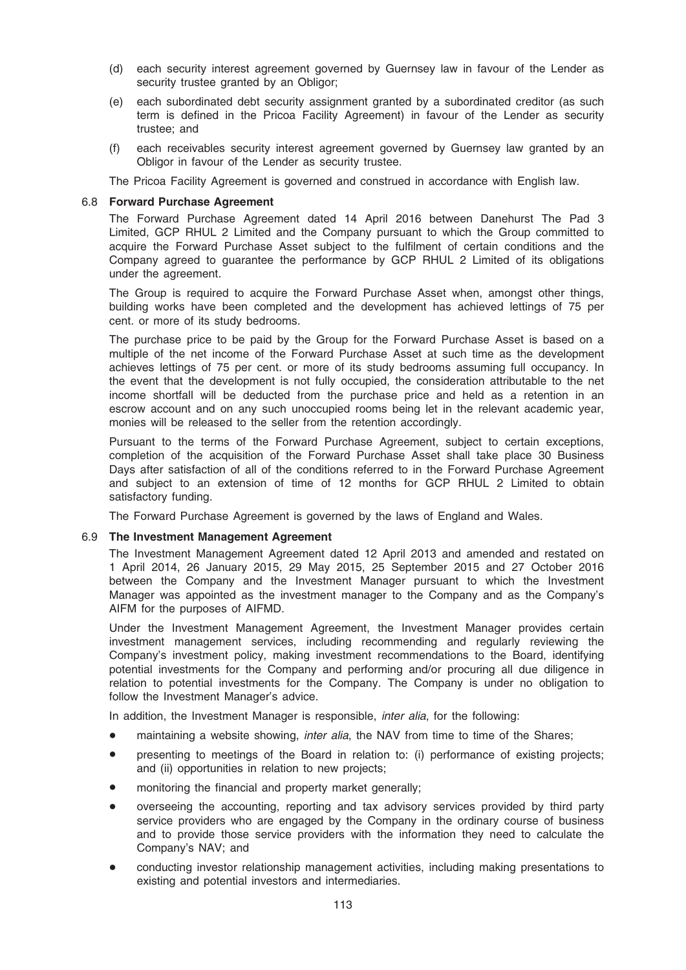- (d) each security interest agreement governed by Guernsey law in favour of the Lender as security trustee granted by an Obligor;
- (e) each subordinated debt security assignment granted by a subordinated creditor (as such term is defined in the Pricoa Facility Agreement) in favour of the Lender as security trustee; and
- (f) each receivables security interest agreement governed by Guernsey law granted by an Obligor in favour of the Lender as security trustee.

The Pricoa Facility Agreement is governed and construed in accordance with English law.

#### 6.8 Forward Purchase Agreement

The Forward Purchase Agreement dated 14 April 2016 between Danehurst The Pad 3 Limited, GCP RHUL 2 Limited and the Company pursuant to which the Group committed to acquire the Forward Purchase Asset subject to the fulfilment of certain conditions and the Company agreed to guarantee the performance by GCP RHUL 2 Limited of its obligations under the agreement.

The Group is required to acquire the Forward Purchase Asset when, amongst other things, building works have been completed and the development has achieved lettings of 75 per cent. or more of its study bedrooms.

The purchase price to be paid by the Group for the Forward Purchase Asset is based on a multiple of the net income of the Forward Purchase Asset at such time as the development achieves lettings of 75 per cent. or more of its study bedrooms assuming full occupancy. In the event that the development is not fully occupied, the consideration attributable to the net income shortfall will be deducted from the purchase price and held as a retention in an escrow account and on any such unoccupied rooms being let in the relevant academic year, monies will be released to the seller from the retention accordingly.

Pursuant to the terms of the Forward Purchase Agreement, subject to certain exceptions, completion of the acquisition of the Forward Purchase Asset shall take place 30 Business Days after satisfaction of all of the conditions referred to in the Forward Purchase Agreement and subject to an extension of time of 12 months for GCP RHUL 2 Limited to obtain satisfactory funding.

The Forward Purchase Agreement is governed by the laws of England and Wales.

#### 6.9 The Investment Management Agreement

The Investment Management Agreement dated 12 April 2013 and amended and restated on 1 April 2014, 26 January 2015, 29 May 2015, 25 September 2015 and 27 October 2016 between the Company and the Investment Manager pursuant to which the Investment Manager was appointed as the investment manager to the Company and as the Company's AIFM for the purposes of AIFMD.

Under the Investment Management Agreement, the Investment Manager provides certain investment management services, including recommending and regularly reviewing the Company's investment policy, making investment recommendations to the Board, identifying potential investments for the Company and performing and/or procuring all due diligence in relation to potential investments for the Company. The Company is under no obligation to follow the Investment Manager's advice.

In addition, the Investment Manager is responsible, *inter alia*, for the following:

- maintaining a website showing, *inter alia*, the NAV from time to time of the Shares;
- presenting to meetings of the Board in relation to: (i) performance of existing projects; and (ii) opportunities in relation to new projects;
- monitoring the financial and property market generally;
- overseeing the accounting, reporting and tax advisory services provided by third party service providers who are engaged by the Company in the ordinary course of business and to provide those service providers with the information they need to calculate the Company's NAV; and
- conducting investor relationship management activities, including making presentations to existing and potential investors and intermediaries.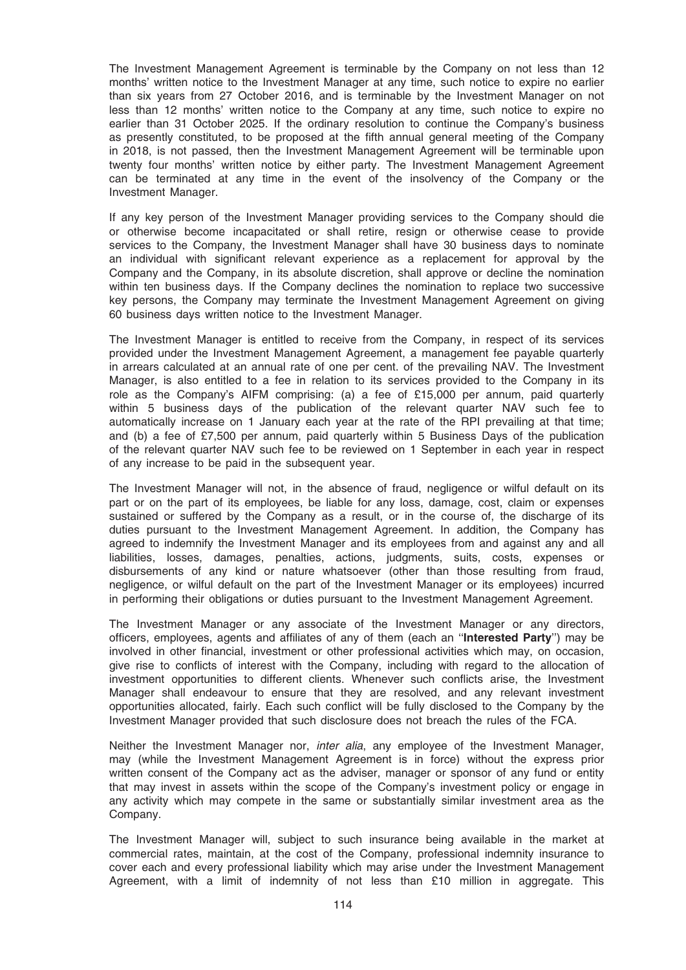The Investment Management Agreement is terminable by the Company on not less than 12 months' written notice to the Investment Manager at any time, such notice to expire no earlier than six years from 27 October 2016, and is terminable by the Investment Manager on not less than 12 months' written notice to the Company at any time, such notice to expire no earlier than 31 October 2025. If the ordinary resolution to continue the Company's business as presently constituted, to be proposed at the fifth annual general meeting of the Company in 2018, is not passed, then the Investment Management Agreement will be terminable upon twenty four months' written notice by either party. The Investment Management Agreement can be terminated at any time in the event of the insolvency of the Company or the Investment Manager.

If any key person of the Investment Manager providing services to the Company should die or otherwise become incapacitated or shall retire, resign or otherwise cease to provide services to the Company, the Investment Manager shall have 30 business days to nominate an individual with significant relevant experience as a replacement for approval by the Company and the Company, in its absolute discretion, shall approve or decline the nomination within ten business days. If the Company declines the nomination to replace two successive key persons, the Company may terminate the Investment Management Agreement on giving 60 business days written notice to the Investment Manager.

The Investment Manager is entitled to receive from the Company, in respect of its services provided under the Investment Management Agreement, a management fee payable quarterly in arrears calculated at an annual rate of one per cent. of the prevailing NAV. The Investment Manager, is also entitled to a fee in relation to its services provided to the Company in its role as the Company's AIFM comprising: (a) a fee of £15,000 per annum, paid quarterly within 5 business days of the publication of the relevant quarter NAV such fee to automatically increase on 1 January each year at the rate of the RPI prevailing at that time; and (b) a fee of £7,500 per annum, paid quarterly within 5 Business Days of the publication of the relevant quarter NAV such fee to be reviewed on 1 September in each year in respect of any increase to be paid in the subsequent year.

The Investment Manager will not, in the absence of fraud, negligence or wilful default on its part or on the part of its employees, be liable for any loss, damage, cost, claim or expenses sustained or suffered by the Company as a result, or in the course of, the discharge of its duties pursuant to the Investment Management Agreement. In addition, the Company has agreed to indemnify the Investment Manager and its employees from and against any and all liabilities, losses, damages, penalties, actions, judgments, suits, costs, expenses or disbursements of any kind or nature whatsoever (other than those resulting from fraud, negligence, or wilful default on the part of the Investment Manager or its employees) incurred in performing their obligations or duties pursuant to the Investment Management Agreement.

The Investment Manager or any associate of the Investment Manager or any directors, officers, employees, agents and affiliates of any of them (each an ''Interested Party'') may be involved in other financial, investment or other professional activities which may, on occasion, give rise to conflicts of interest with the Company, including with regard to the allocation of investment opportunities to different clients. Whenever such conflicts arise, the Investment Manager shall endeavour to ensure that they are resolved, and any relevant investment opportunities allocated, fairly. Each such conflict will be fully disclosed to the Company by the Investment Manager provided that such disclosure does not breach the rules of the FCA.

Neither the Investment Manager nor, *inter alia*, any employee of the Investment Manager, may (while the Investment Management Agreement is in force) without the express prior written consent of the Company act as the adviser, manager or sponsor of any fund or entity that may invest in assets within the scope of the Company's investment policy or engage in any activity which may compete in the same or substantially similar investment area as the Company.

The Investment Manager will, subject to such insurance being available in the market at commercial rates, maintain, at the cost of the Company, professional indemnity insurance to cover each and every professional liability which may arise under the Investment Management Agreement, with a limit of indemnity of not less than £10 million in aggregate. This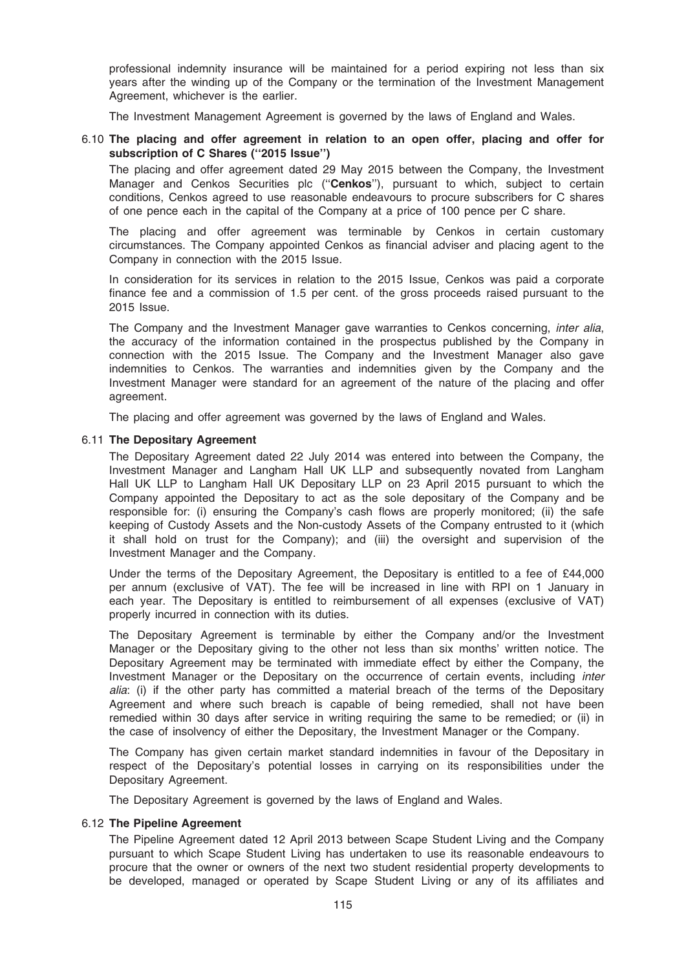professional indemnity insurance will be maintained for a period expiring not less than six years after the winding up of the Company or the termination of the Investment Management Agreement, whichever is the earlier.

The Investment Management Agreement is governed by the laws of England and Wales.

## 6.10 The placing and offer agreement in relation to an open offer, placing and offer for subscription of C Shares (''2015 Issue'')

The placing and offer agreement dated 29 May 2015 between the Company, the Investment Manager and Cenkos Securities plc (''Cenkos''), pursuant to which, subject to certain conditions, Cenkos agreed to use reasonable endeavours to procure subscribers for C shares of one pence each in the capital of the Company at a price of 100 pence per C share.

The placing and offer agreement was terminable by Cenkos in certain customary circumstances. The Company appointed Cenkos as financial adviser and placing agent to the Company in connection with the 2015 Issue.

In consideration for its services in relation to the 2015 Issue, Cenkos was paid a corporate finance fee and a commission of 1.5 per cent. of the gross proceeds raised pursuant to the 2015 Issue.

The Company and the Investment Manager gave warranties to Cenkos concerning, inter alia, the accuracy of the information contained in the prospectus published by the Company in connection with the 2015 Issue. The Company and the Investment Manager also gave indemnities to Cenkos. The warranties and indemnities given by the Company and the Investment Manager were standard for an agreement of the nature of the placing and offer agreement.

The placing and offer agreement was governed by the laws of England and Wales.

#### 6.11 The Depositary Agreement

The Depositary Agreement dated 22 July 2014 was entered into between the Company, the Investment Manager and Langham Hall UK LLP and subsequently novated from Langham Hall UK LLP to Langham Hall UK Depositary LLP on 23 April 2015 pursuant to which the Company appointed the Depositary to act as the sole depositary of the Company and be responsible for: (i) ensuring the Company's cash flows are properly monitored; (ii) the safe keeping of Custody Assets and the Non-custody Assets of the Company entrusted to it (which it shall hold on trust for the Company); and (iii) the oversight and supervision of the Investment Manager and the Company.

Under the terms of the Depositary Agreement, the Depositary is entitled to a fee of £44,000 per annum (exclusive of VAT). The fee will be increased in line with RPI on 1 January in each year. The Depositary is entitled to reimbursement of all expenses (exclusive of VAT) properly incurred in connection with its duties.

The Depositary Agreement is terminable by either the Company and/or the Investment Manager or the Depositary giving to the other not less than six months' written notice. The Depositary Agreement may be terminated with immediate effect by either the Company, the Investment Manager or the Depositary on the occurrence of certain events, including inter alia: (i) if the other party has committed a material breach of the terms of the Depositary Agreement and where such breach is capable of being remedied, shall not have been remedied within 30 days after service in writing requiring the same to be remedied; or (ii) in the case of insolvency of either the Depositary, the Investment Manager or the Company.

The Company has given certain market standard indemnities in favour of the Depositary in respect of the Depositary's potential losses in carrying on its responsibilities under the Depositary Agreement.

The Depositary Agreement is governed by the laws of England and Wales.

#### 6.12 The Pipeline Agreement

The Pipeline Agreement dated 12 April 2013 between Scape Student Living and the Company pursuant to which Scape Student Living has undertaken to use its reasonable endeavours to procure that the owner or owners of the next two student residential property developments to be developed, managed or operated by Scape Student Living or any of its affiliates and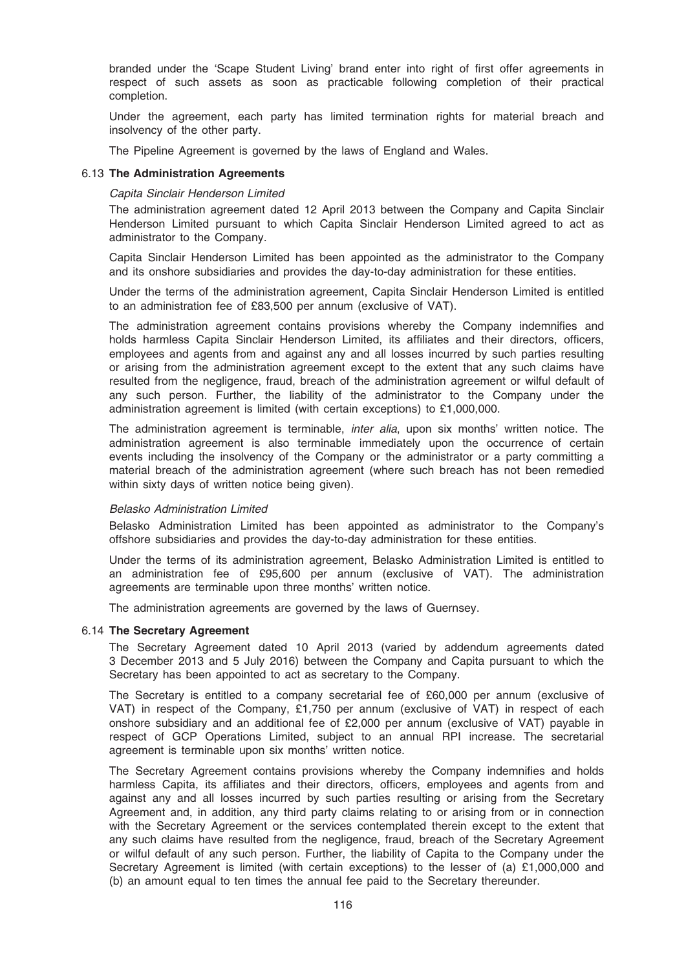branded under the 'Scape Student Living' brand enter into right of first offer agreements in respect of such assets as soon as practicable following completion of their practical completion.

Under the agreement, each party has limited termination rights for material breach and insolvency of the other party.

The Pipeline Agreement is governed by the laws of England and Wales.

#### 6.13 The Administration Agreements

#### Capita Sinclair Henderson Limited

The administration agreement dated 12 April 2013 between the Company and Capita Sinclair Henderson Limited pursuant to which Capita Sinclair Henderson Limited agreed to act as administrator to the Company.

Capita Sinclair Henderson Limited has been appointed as the administrator to the Company and its onshore subsidiaries and provides the day-to-day administration for these entities.

Under the terms of the administration agreement, Capita Sinclair Henderson Limited is entitled to an administration fee of £83,500 per annum (exclusive of VAT).

The administration agreement contains provisions whereby the Company indemnifies and holds harmless Capita Sinclair Henderson Limited, its affiliates and their directors, officers, employees and agents from and against any and all losses incurred by such parties resulting or arising from the administration agreement except to the extent that any such claims have resulted from the negligence, fraud, breach of the administration agreement or wilful default of any such person. Further, the liability of the administrator to the Company under the administration agreement is limited (with certain exceptions) to £1,000,000.

The administration agreement is terminable, inter alia, upon six months' written notice. The administration agreement is also terminable immediately upon the occurrence of certain events including the insolvency of the Company or the administrator or a party committing a material breach of the administration agreement (where such breach has not been remedied within sixty days of written notice being given).

#### Belasko Administration Limited

Belasko Administration Limited has been appointed as administrator to the Company's offshore subsidiaries and provides the day-to-day administration for these entities.

Under the terms of its administration agreement, Belasko Administration Limited is entitled to an administration fee of £95,600 per annum (exclusive of VAT). The administration agreements are terminable upon three months' written notice.

The administration agreements are governed by the laws of Guernsey.

## 6.14 The Secretary Agreement

The Secretary Agreement dated 10 April 2013 (varied by addendum agreements dated 3 December 2013 and 5 July 2016) between the Company and Capita pursuant to which the Secretary has been appointed to act as secretary to the Company.

The Secretary is entitled to a company secretarial fee of £60,000 per annum (exclusive of VAT) in respect of the Company, £1,750 per annum (exclusive of VAT) in respect of each onshore subsidiary and an additional fee of £2,000 per annum (exclusive of VAT) payable in respect of GCP Operations Limited, subject to an annual RPI increase. The secretarial agreement is terminable upon six months' written notice.

The Secretary Agreement contains provisions whereby the Company indemnifies and holds harmless Capita, its affiliates and their directors, officers, employees and agents from and against any and all losses incurred by such parties resulting or arising from the Secretary Agreement and, in addition, any third party claims relating to or arising from or in connection with the Secretary Agreement or the services contemplated therein except to the extent that any such claims have resulted from the negligence, fraud, breach of the Secretary Agreement or wilful default of any such person. Further, the liability of Capita to the Company under the Secretary Agreement is limited (with certain exceptions) to the lesser of (a) £1,000,000 and (b) an amount equal to ten times the annual fee paid to the Secretary thereunder.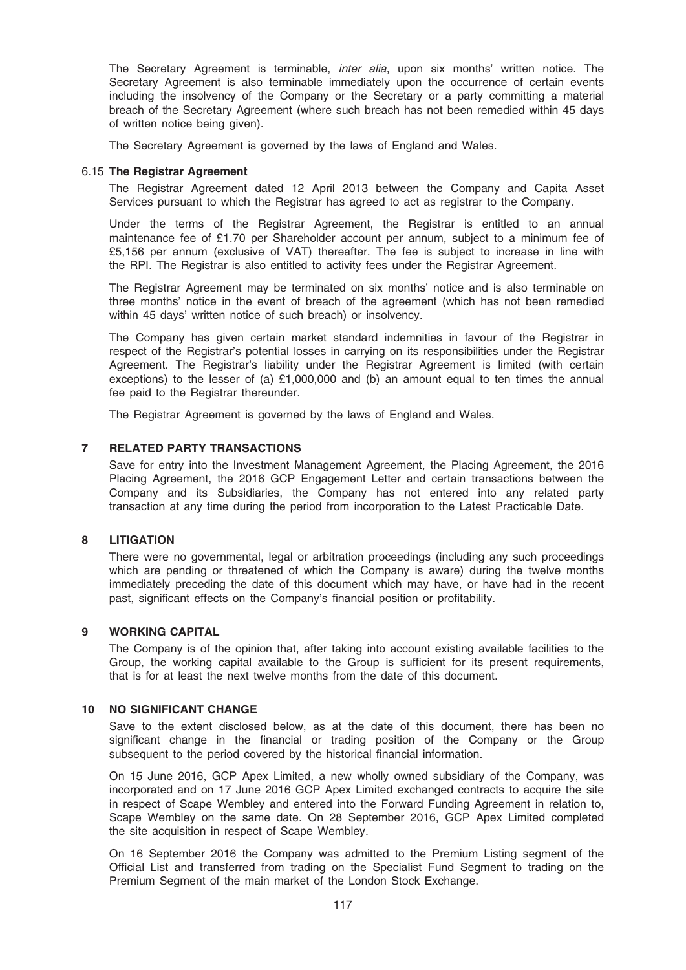The Secretary Agreement is terminable, inter alia, upon six months' written notice. The Secretary Agreement is also terminable immediately upon the occurrence of certain events including the insolvency of the Company or the Secretary or a party committing a material breach of the Secretary Agreement (where such breach has not been remedied within 45 days of written notice being given).

The Secretary Agreement is governed by the laws of England and Wales.

#### 6.15 The Registrar Agreement

The Registrar Agreement dated 12 April 2013 between the Company and Capita Asset Services pursuant to which the Registrar has agreed to act as registrar to the Company.

Under the terms of the Registrar Agreement, the Registrar is entitled to an annual maintenance fee of £1.70 per Shareholder account per annum, subject to a minimum fee of £5,156 per annum (exclusive of VAT) thereafter. The fee is subject to increase in line with the RPI. The Registrar is also entitled to activity fees under the Registrar Agreement.

The Registrar Agreement may be terminated on six months' notice and is also terminable on three months' notice in the event of breach of the agreement (which has not been remedied within 45 days' written notice of such breach) or insolvency.

The Company has given certain market standard indemnities in favour of the Registrar in respect of the Registrar's potential losses in carrying on its responsibilities under the Registrar Agreement. The Registrar's liability under the Registrar Agreement is limited (with certain exceptions) to the lesser of (a)  $£1,000,000$  and (b) an amount equal to ten times the annual fee paid to the Registrar thereunder.

The Registrar Agreement is governed by the laws of England and Wales.

## 7 RELATED PARTY TRANSACTIONS

Save for entry into the Investment Management Agreement, the Placing Agreement, the 2016 Placing Agreement, the 2016 GCP Engagement Letter and certain transactions between the Company and its Subsidiaries, the Company has not entered into any related party transaction at any time during the period from incorporation to the Latest Practicable Date.

#### 8 LITIGATION

There were no governmental, legal or arbitration proceedings (including any such proceedings which are pending or threatened of which the Company is aware) during the twelve months immediately preceding the date of this document which may have, or have had in the recent past, significant effects on the Company's financial position or profitability.

#### 9 WORKING CAPITAL

The Company is of the opinion that, after taking into account existing available facilities to the Group, the working capital available to the Group is sufficient for its present requirements, that is for at least the next twelve months from the date of this document.

#### 10 NO SIGNIFICANT CHANGE

Save to the extent disclosed below, as at the date of this document, there has been no significant change in the financial or trading position of the Company or the Group subsequent to the period covered by the historical financial information.

On 15 June 2016, GCP Apex Limited, a new wholly owned subsidiary of the Company, was incorporated and on 17 June 2016 GCP Apex Limited exchanged contracts to acquire the site in respect of Scape Wembley and entered into the Forward Funding Agreement in relation to, Scape Wembley on the same date. On 28 September 2016, GCP Apex Limited completed the site acquisition in respect of Scape Wembley.

On 16 September 2016 the Company was admitted to the Premium Listing segment of the Official List and transferred from trading on the Specialist Fund Segment to trading on the Premium Segment of the main market of the London Stock Exchange.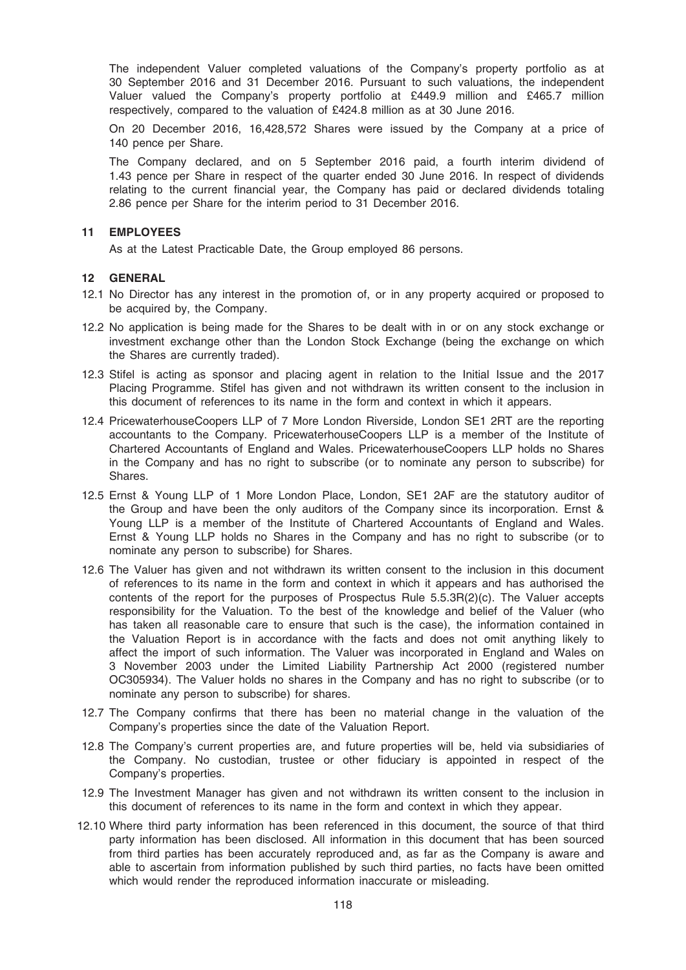The independent Valuer completed valuations of the Company's property portfolio as at 30 September 2016 and 31 December 2016. Pursuant to such valuations, the independent Valuer valued the Company's property portfolio at £449.9 million and £465.7 million respectively, compared to the valuation of £424.8 million as at 30 June 2016.

On 20 December 2016, 16,428,572 Shares were issued by the Company at a price of 140 pence per Share.

The Company declared, and on 5 September 2016 paid, a fourth interim dividend of 1.43 pence per Share in respect of the quarter ended 30 June 2016. In respect of dividends relating to the current financial year, the Company has paid or declared dividends totaling 2.86 pence per Share for the interim period to 31 December 2016.

### 11 EMPLOYEES

As at the Latest Practicable Date, the Group employed 86 persons.

#### 12 GENERAL

- 12.1 No Director has any interest in the promotion of, or in any property acquired or proposed to be acquired by, the Company.
- 12.2 No application is being made for the Shares to be dealt with in or on any stock exchange or investment exchange other than the London Stock Exchange (being the exchange on which the Shares are currently traded).
- 12.3 Stifel is acting as sponsor and placing agent in relation to the Initial Issue and the 2017 Placing Programme. Stifel has given and not withdrawn its written consent to the inclusion in this document of references to its name in the form and context in which it appears.
- 12.4 PricewaterhouseCoopers LLP of 7 More London Riverside, London SE1 2RT are the reporting accountants to the Company. PricewaterhouseCoopers LLP is a member of the Institute of Chartered Accountants of England and Wales. PricewaterhouseCoopers LLP holds no Shares in the Company and has no right to subscribe (or to nominate any person to subscribe) for Shares.
- 12.5 Ernst & Young LLP of 1 More London Place, London, SE1 2AF are the statutory auditor of the Group and have been the only auditors of the Company since its incorporation. Ernst & Young LLP is a member of the Institute of Chartered Accountants of England and Wales. Ernst & Young LLP holds no Shares in the Company and has no right to subscribe (or to nominate any person to subscribe) for Shares.
- 12.6 The Valuer has given and not withdrawn its written consent to the inclusion in this document of references to its name in the form and context in which it appears and has authorised the contents of the report for the purposes of Prospectus Rule 5.5.3R(2)(c). The Valuer accepts responsibility for the Valuation. To the best of the knowledge and belief of the Valuer (who has taken all reasonable care to ensure that such is the case), the information contained in the Valuation Report is in accordance with the facts and does not omit anything likely to affect the import of such information. The Valuer was incorporated in England and Wales on 3 November 2003 under the Limited Liability Partnership Act 2000 (registered number OC305934). The Valuer holds no shares in the Company and has no right to subscribe (or to nominate any person to subscribe) for shares.
- 12.7 The Company confirms that there has been no material change in the valuation of the Company's properties since the date of the Valuation Report.
- 12.8 The Company's current properties are, and future properties will be, held via subsidiaries of the Company. No custodian, trustee or other fiduciary is appointed in respect of the Company's properties.
- 12.9 The Investment Manager has given and not withdrawn its written consent to the inclusion in this document of references to its name in the form and context in which they appear.
- 12.10 Where third party information has been referenced in this document, the source of that third party information has been disclosed. All information in this document that has been sourced from third parties has been accurately reproduced and, as far as the Company is aware and able to ascertain from information published by such third parties, no facts have been omitted which would render the reproduced information inaccurate or misleading.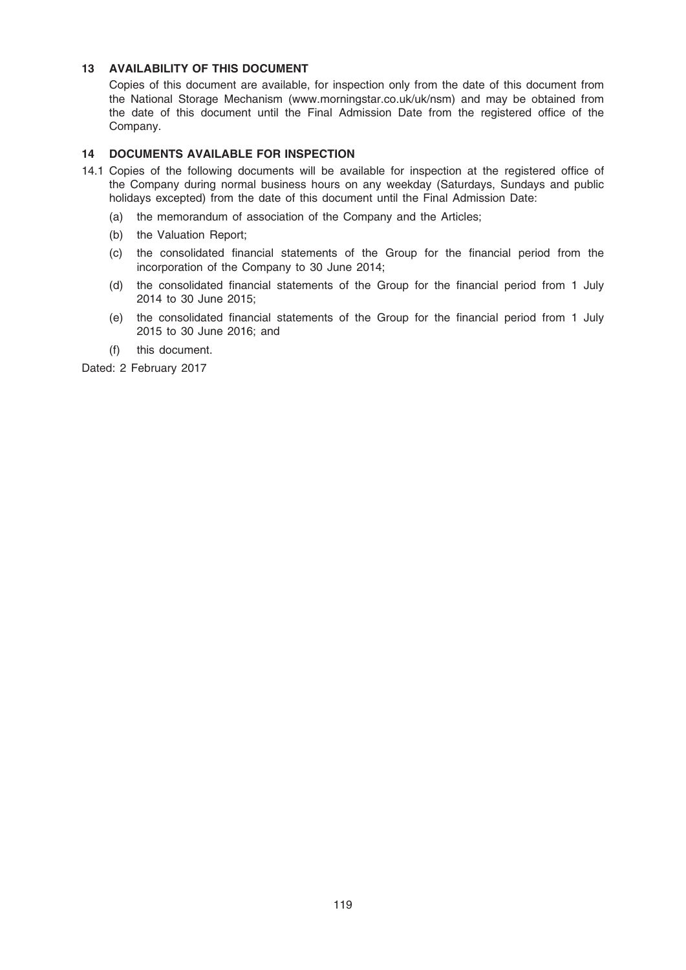## 13 AVAILABILITY OF THIS DOCUMENT

Copies of this document are available, for inspection only from the date of this document from the National Storage Mechanism (www.morningstar.co.uk/uk/nsm) and may be obtained from the date of this document until the Final Admission Date from the registered office of the Company.

## 14 DOCUMENTS AVAILABLE FOR INSPECTION

- 14.1 Copies of the following documents will be available for inspection at the registered office of the Company during normal business hours on any weekday (Saturdays, Sundays and public holidays excepted) from the date of this document until the Final Admission Date:
	- (a) the memorandum of association of the Company and the Articles;
	- (b) the Valuation Report;
	- (c) the consolidated financial statements of the Group for the financial period from the incorporation of the Company to 30 June 2014;
	- (d) the consolidated financial statements of the Group for the financial period from 1 July 2014 to 30 June 2015;
	- (e) the consolidated financial statements of the Group for the financial period from 1 July 2015 to 30 June 2016; and
	- (f) this document.

Dated: 2 February 2017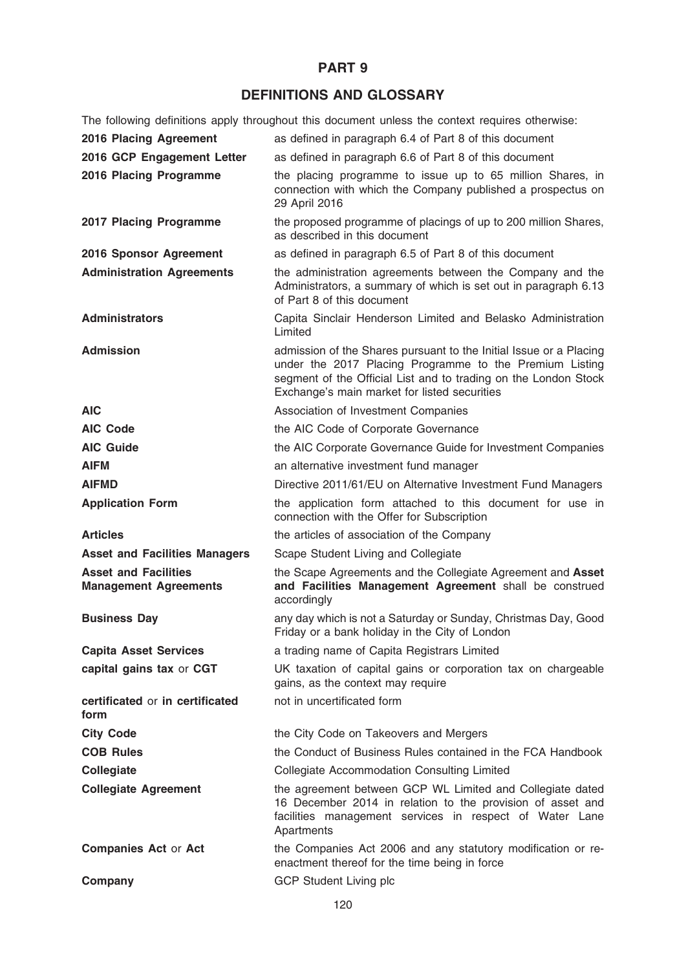## PART 9

# DEFINITIONS AND GLOSSARY

The following definitions apply throughout this document unless the context requires otherwise:

| 2016 Placing Agreement                                      | as defined in paragraph 6.4 of Part 8 of this document                                                                                                                                                                                           |
|-------------------------------------------------------------|--------------------------------------------------------------------------------------------------------------------------------------------------------------------------------------------------------------------------------------------------|
| 2016 GCP Engagement Letter                                  | as defined in paragraph 6.6 of Part 8 of this document                                                                                                                                                                                           |
| 2016 Placing Programme                                      | the placing programme to issue up to 65 million Shares, in<br>connection with which the Company published a prospectus on<br>29 April 2016                                                                                                       |
| 2017 Placing Programme                                      | the proposed programme of placings of up to 200 million Shares,<br>as described in this document                                                                                                                                                 |
| 2016 Sponsor Agreement                                      | as defined in paragraph 6.5 of Part 8 of this document                                                                                                                                                                                           |
| <b>Administration Agreements</b>                            | the administration agreements between the Company and the<br>Administrators, a summary of which is set out in paragraph 6.13<br>of Part 8 of this document                                                                                       |
| <b>Administrators</b>                                       | Capita Sinclair Henderson Limited and Belasko Administration<br>Limited                                                                                                                                                                          |
| <b>Admission</b>                                            | admission of the Shares pursuant to the Initial Issue or a Placing<br>under the 2017 Placing Programme to the Premium Listing<br>segment of the Official List and to trading on the London Stock<br>Exchange's main market for listed securities |
| <b>AIC</b>                                                  | Association of Investment Companies                                                                                                                                                                                                              |
| <b>AIC Code</b>                                             | the AIC Code of Corporate Governance                                                                                                                                                                                                             |
| <b>AIC Guide</b>                                            | the AIC Corporate Governance Guide for Investment Companies                                                                                                                                                                                      |
| <b>AIFM</b>                                                 | an alternative investment fund manager                                                                                                                                                                                                           |
| <b>AIFMD</b>                                                | Directive 2011/61/EU on Alternative Investment Fund Managers                                                                                                                                                                                     |
| <b>Application Form</b>                                     | the application form attached to this document for use in<br>connection with the Offer for Subscription                                                                                                                                          |
| <b>Articles</b>                                             | the articles of association of the Company                                                                                                                                                                                                       |
| <b>Asset and Facilities Managers</b>                        | Scape Student Living and Collegiate                                                                                                                                                                                                              |
| <b>Asset and Facilities</b><br><b>Management Agreements</b> | the Scape Agreements and the Collegiate Agreement and Asset<br>and Facilities Management Agreement shall be construed<br>accordingly                                                                                                             |
| <b>Business Day</b>                                         | any day which is not a Saturday or Sunday, Christmas Day, Good<br>Friday or a bank holiday in the City of London                                                                                                                                 |
| <b>Capita Asset Services</b>                                | a trading name of Capita Registrars Limited                                                                                                                                                                                                      |
| capital gains tax or CGT                                    | UK taxation of capital gains or corporation tax on chargeable<br>gains, as the context may require                                                                                                                                               |
| certificated or in certificated<br>form                     | not in uncertificated form                                                                                                                                                                                                                       |
| <b>City Code</b>                                            | the City Code on Takeovers and Mergers                                                                                                                                                                                                           |
| <b>COB Rules</b>                                            | the Conduct of Business Rules contained in the FCA Handbook                                                                                                                                                                                      |
| Collegiate                                                  | <b>Collegiate Accommodation Consulting Limited</b>                                                                                                                                                                                               |
| <b>Collegiate Agreement</b>                                 | the agreement between GCP WL Limited and Collegiate dated<br>16 December 2014 in relation to the provision of asset and<br>facilities management services in respect of Water Lane<br>Apartments                                                 |
| <b>Companies Act or Act</b>                                 | the Companies Act 2006 and any statutory modification or re-<br>enactment thereof for the time being in force                                                                                                                                    |
| Company                                                     | <b>GCP Student Living plc</b>                                                                                                                                                                                                                    |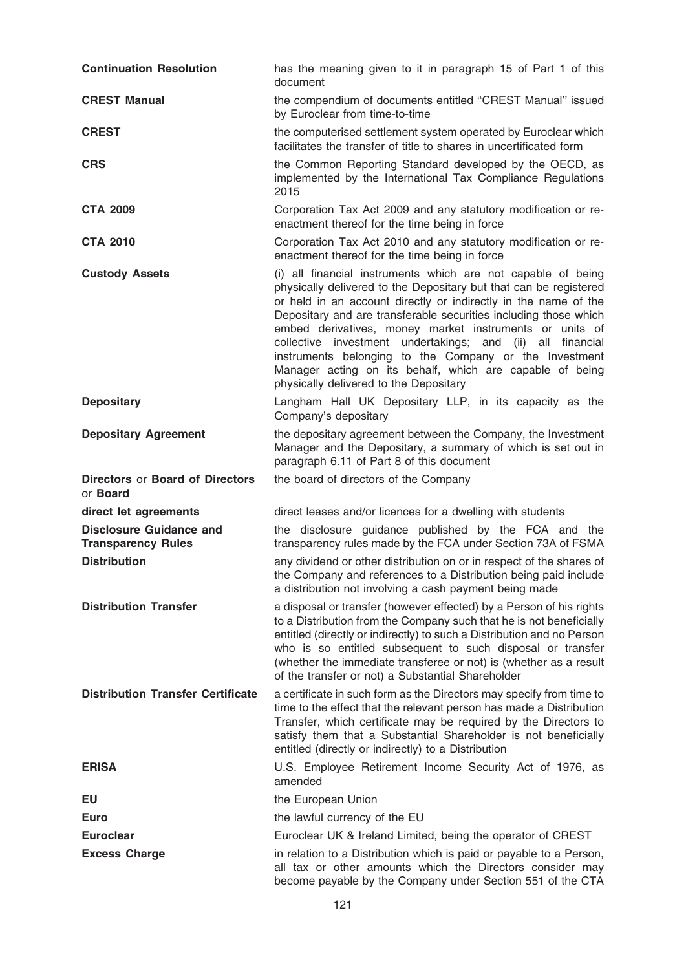| <b>Continuation Resolution</b>                              | has the meaning given to it in paragraph 15 of Part 1 of this<br>document                                                                                                                                                                                                                                                                                                                                                                                                                                                                                         |
|-------------------------------------------------------------|-------------------------------------------------------------------------------------------------------------------------------------------------------------------------------------------------------------------------------------------------------------------------------------------------------------------------------------------------------------------------------------------------------------------------------------------------------------------------------------------------------------------------------------------------------------------|
| <b>CREST Manual</b>                                         | the compendium of documents entitled "CREST Manual" issued<br>by Euroclear from time-to-time                                                                                                                                                                                                                                                                                                                                                                                                                                                                      |
| <b>CREST</b>                                                | the computerised settlement system operated by Euroclear which<br>facilitates the transfer of title to shares in uncertificated form                                                                                                                                                                                                                                                                                                                                                                                                                              |
| <b>CRS</b>                                                  | the Common Reporting Standard developed by the OECD, as<br>implemented by the International Tax Compliance Regulations<br>2015                                                                                                                                                                                                                                                                                                                                                                                                                                    |
| <b>CTA 2009</b>                                             | Corporation Tax Act 2009 and any statutory modification or re-<br>enactment thereof for the time being in force                                                                                                                                                                                                                                                                                                                                                                                                                                                   |
| <b>CTA 2010</b>                                             | Corporation Tax Act 2010 and any statutory modification or re-<br>enactment thereof for the time being in force                                                                                                                                                                                                                                                                                                                                                                                                                                                   |
| <b>Custody Assets</b>                                       | (i) all financial instruments which are not capable of being<br>physically delivered to the Depositary but that can be registered<br>or held in an account directly or indirectly in the name of the<br>Depositary and are transferable securities including those which<br>embed derivatives, money market instruments or units of<br>collective investment undertakings; and (ii) all financial<br>instruments belonging to the Company or the Investment<br>Manager acting on its behalf, which are capable of being<br>physically delivered to the Depositary |
| <b>Depositary</b>                                           | Langham Hall UK Depositary LLP, in its capacity as the<br>Company's depositary                                                                                                                                                                                                                                                                                                                                                                                                                                                                                    |
| <b>Depositary Agreement</b>                                 | the depositary agreement between the Company, the Investment<br>Manager and the Depositary, a summary of which is set out in<br>paragraph 6.11 of Part 8 of this document                                                                                                                                                                                                                                                                                                                                                                                         |
| <b>Directors or Board of Directors</b><br>or <b>Board</b>   | the board of directors of the Company                                                                                                                                                                                                                                                                                                                                                                                                                                                                                                                             |
| direct let agreements                                       | direct leases and/or licences for a dwelling with students                                                                                                                                                                                                                                                                                                                                                                                                                                                                                                        |
| <b>Disclosure Guidance and</b><br><b>Transparency Rules</b> | the disclosure guidance published by the FCA and the<br>transparency rules made by the FCA under Section 73A of FSMA                                                                                                                                                                                                                                                                                                                                                                                                                                              |
| <b>Distribution</b>                                         | any dividend or other distribution on or in respect of the shares of<br>the Company and references to a Distribution being paid include<br>a distribution not involving a cash payment being made                                                                                                                                                                                                                                                                                                                                                                 |
| <b>Distribution Transfer</b>                                | a disposal or transfer (however effected) by a Person of his rights<br>to a Distribution from the Company such that he is not beneficially<br>entitled (directly or indirectly) to such a Distribution and no Person<br>who is so entitled subsequent to such disposal or transfer<br>(whether the immediate transferee or not) is (whether as a result<br>of the transfer or not) a Substantial Shareholder                                                                                                                                                      |
| <b>Distribution Transfer Certificate</b>                    | a certificate in such form as the Directors may specify from time to<br>time to the effect that the relevant person has made a Distribution<br>Transfer, which certificate may be required by the Directors to<br>satisfy them that a Substantial Shareholder is not beneficially<br>entitled (directly or indirectly) to a Distribution                                                                                                                                                                                                                          |
| <b>ERISA</b>                                                | U.S. Employee Retirement Income Security Act of 1976, as<br>amended                                                                                                                                                                                                                                                                                                                                                                                                                                                                                               |
| EU                                                          | the European Union                                                                                                                                                                                                                                                                                                                                                                                                                                                                                                                                                |
| <b>Euro</b>                                                 | the lawful currency of the EU                                                                                                                                                                                                                                                                                                                                                                                                                                                                                                                                     |
| <b>Euroclear</b>                                            | Euroclear UK & Ireland Limited, being the operator of CREST                                                                                                                                                                                                                                                                                                                                                                                                                                                                                                       |
| <b>Excess Charge</b>                                        | in relation to a Distribution which is paid or payable to a Person,<br>all tax or other amounts which the Directors consider may<br>become payable by the Company under Section 551 of the CTA                                                                                                                                                                                                                                                                                                                                                                    |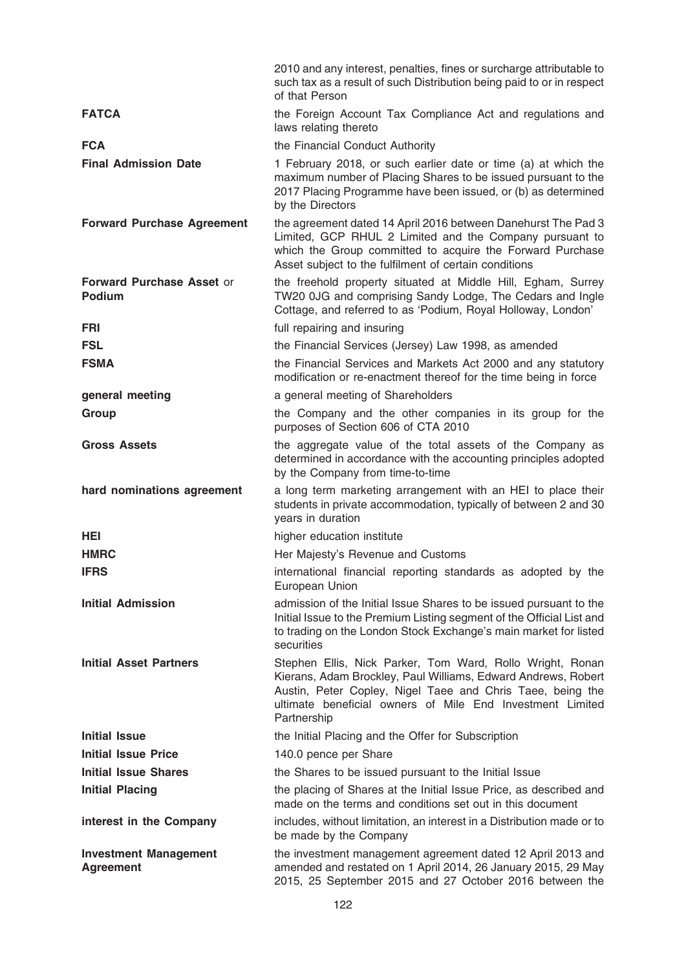|                                                  | 2010 and any interest, penalties, fines or surcharge attributable to<br>such tax as a result of such Distribution being paid to or in respect<br>of that Person                                                                                                      |
|--------------------------------------------------|----------------------------------------------------------------------------------------------------------------------------------------------------------------------------------------------------------------------------------------------------------------------|
| <b>FATCA</b>                                     | the Foreign Account Tax Compliance Act and regulations and<br>laws relating thereto                                                                                                                                                                                  |
| <b>FCA</b>                                       | the Financial Conduct Authority                                                                                                                                                                                                                                      |
| <b>Final Admission Date</b>                      | 1 February 2018, or such earlier date or time (a) at which the<br>maximum number of Placing Shares to be issued pursuant to the<br>2017 Placing Programme have been issued, or (b) as determined<br>by the Directors                                                 |
| <b>Forward Purchase Agreement</b>                | the agreement dated 14 April 2016 between Danehurst The Pad 3<br>Limited, GCP RHUL 2 Limited and the Company pursuant to<br>which the Group committed to acquire the Forward Purchase<br>Asset subject to the fulfilment of certain conditions                       |
| <b>Forward Purchase Asset or</b><br>Podium       | the freehold property situated at Middle Hill, Egham, Surrey<br>TW20 0JG and comprising Sandy Lodge, The Cedars and Ingle<br>Cottage, and referred to as 'Podium, Royal Holloway, London'                                                                            |
| FRI                                              | full repairing and insuring                                                                                                                                                                                                                                          |
| <b>FSL</b>                                       | the Financial Services (Jersey) Law 1998, as amended                                                                                                                                                                                                                 |
| <b>FSMA</b>                                      | the Financial Services and Markets Act 2000 and any statutory<br>modification or re-enactment thereof for the time being in force                                                                                                                                    |
| general meeting                                  | a general meeting of Shareholders                                                                                                                                                                                                                                    |
| Group                                            | the Company and the other companies in its group for the<br>purposes of Section 606 of CTA 2010                                                                                                                                                                      |
| <b>Gross Assets</b>                              | the aggregate value of the total assets of the Company as<br>determined in accordance with the accounting principles adopted<br>by the Company from time-to-time                                                                                                     |
| hard nominations agreement                       | a long term marketing arrangement with an HEI to place their<br>students in private accommodation, typically of between 2 and 30<br>years in duration                                                                                                                |
| <b>HEI</b>                                       | higher education institute                                                                                                                                                                                                                                           |
| <b>HMRC</b>                                      | Her Majesty's Revenue and Customs                                                                                                                                                                                                                                    |
| <b>IFRS</b>                                      | international financial reporting standards as adopted by the<br>European Union                                                                                                                                                                                      |
| <b>Initial Admission</b>                         | admission of the Initial Issue Shares to be issued pursuant to the<br>Initial Issue to the Premium Listing segment of the Official List and<br>to trading on the London Stock Exchange's main market for listed<br>securities                                        |
| <b>Initial Asset Partners</b>                    | Stephen Ellis, Nick Parker, Tom Ward, Rollo Wright, Ronan<br>Kierans, Adam Brockley, Paul Williams, Edward Andrews, Robert<br>Austin, Peter Copley, Nigel Taee and Chris Taee, being the<br>ultimate beneficial owners of Mile End Investment Limited<br>Partnership |
| <b>Initial Issue</b>                             | the Initial Placing and the Offer for Subscription                                                                                                                                                                                                                   |
| <b>Initial Issue Price</b>                       | 140.0 pence per Share                                                                                                                                                                                                                                                |
| <b>Initial Issue Shares</b>                      | the Shares to be issued pursuant to the Initial Issue                                                                                                                                                                                                                |
| <b>Initial Placing</b>                           | the placing of Shares at the Initial Issue Price, as described and<br>made on the terms and conditions set out in this document                                                                                                                                      |
| interest in the Company                          | includes, without limitation, an interest in a Distribution made or to<br>be made by the Company                                                                                                                                                                     |
| <b>Investment Management</b><br><b>Agreement</b> | the investment management agreement dated 12 April 2013 and<br>amended and restated on 1 April 2014, 26 January 2015, 29 May<br>2015, 25 September 2015 and 27 October 2016 between the                                                                              |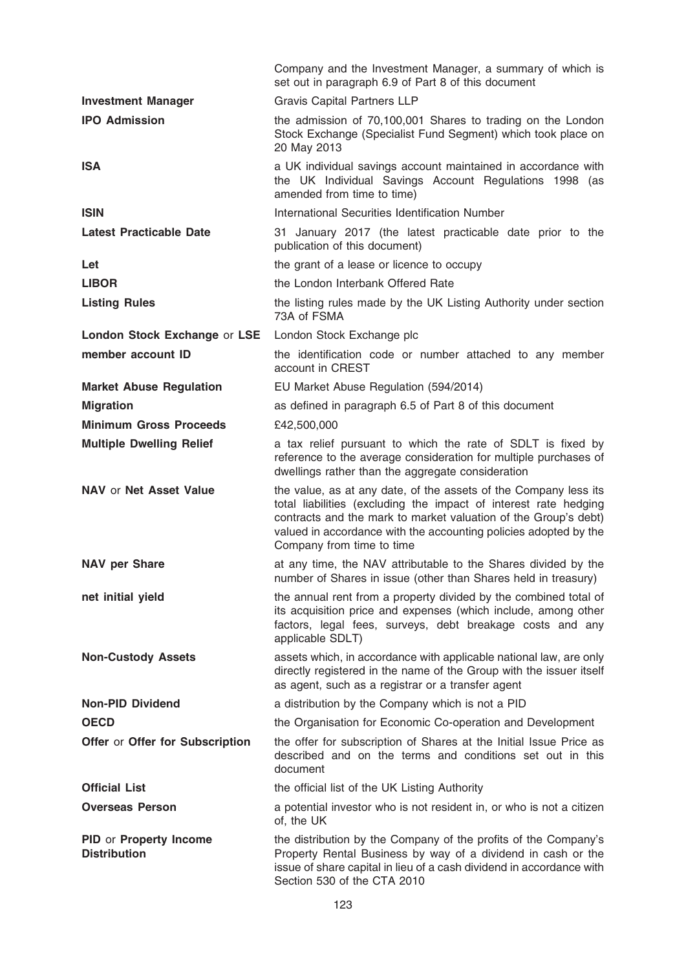|                                               | Company and the Investment Manager, a summary of which is<br>set out in paragraph 6.9 of Part 8 of this document                                                                                                                                                                                         |
|-----------------------------------------------|----------------------------------------------------------------------------------------------------------------------------------------------------------------------------------------------------------------------------------------------------------------------------------------------------------|
| <b>Investment Manager</b>                     | <b>Gravis Capital Partners LLP</b>                                                                                                                                                                                                                                                                       |
| <b>IPO Admission</b>                          | the admission of 70,100,001 Shares to trading on the London<br>Stock Exchange (Specialist Fund Segment) which took place on<br>20 May 2013                                                                                                                                                               |
| <b>ISA</b>                                    | a UK individual savings account maintained in accordance with<br>the UK Individual Savings Account Regulations 1998 (as<br>amended from time to time)                                                                                                                                                    |
| <b>ISIN</b>                                   | International Securities Identification Number                                                                                                                                                                                                                                                           |
| <b>Latest Practicable Date</b>                | 31 January 2017 (the latest practicable date prior to the<br>publication of this document)                                                                                                                                                                                                               |
| Let                                           | the grant of a lease or licence to occupy                                                                                                                                                                                                                                                                |
| <b>LIBOR</b>                                  | the London Interbank Offered Rate                                                                                                                                                                                                                                                                        |
| <b>Listing Rules</b>                          | the listing rules made by the UK Listing Authority under section<br>73A of FSMA                                                                                                                                                                                                                          |
| London Stock Exchange or LSE                  | London Stock Exchange plc                                                                                                                                                                                                                                                                                |
| member account ID                             | the identification code or number attached to any member<br>account in CREST                                                                                                                                                                                                                             |
| <b>Market Abuse Regulation</b>                | EU Market Abuse Regulation (594/2014)                                                                                                                                                                                                                                                                    |
| <b>Migration</b>                              | as defined in paragraph 6.5 of Part 8 of this document                                                                                                                                                                                                                                                   |
| <b>Minimum Gross Proceeds</b>                 | £42,500,000                                                                                                                                                                                                                                                                                              |
| <b>Multiple Dwelling Relief</b>               | a tax relief pursuant to which the rate of SDLT is fixed by<br>reference to the average consideration for multiple purchases of<br>dwellings rather than the aggregate consideration                                                                                                                     |
| <b>NAV or Net Asset Value</b>                 | the value, as at any date, of the assets of the Company less its<br>total liabilities (excluding the impact of interest rate hedging<br>contracts and the mark to market valuation of the Group's debt)<br>valued in accordance with the accounting policies adopted by the<br>Company from time to time |
| <b>NAV per Share</b>                          | at any time, the NAV attributable to the Shares divided by the<br>number of Shares in issue (other than Shares held in treasury)                                                                                                                                                                         |
| net initial yield                             | the annual rent from a property divided by the combined total of<br>its acquisition price and expenses (which include, among other<br>factors, legal fees, surveys, debt breakage costs and any<br>applicable SDLT)                                                                                      |
| <b>Non-Custody Assets</b>                     | assets which, in accordance with applicable national law, are only<br>directly registered in the name of the Group with the issuer itself<br>as agent, such as a registrar or a transfer agent                                                                                                           |
| <b>Non-PID Dividend</b>                       | a distribution by the Company which is not a PID                                                                                                                                                                                                                                                         |
| <b>OECD</b>                                   | the Organisation for Economic Co-operation and Development                                                                                                                                                                                                                                               |
| Offer or Offer for Subscription               | the offer for subscription of Shares at the Initial Issue Price as<br>described and on the terms and conditions set out in this<br>document                                                                                                                                                              |
| <b>Official List</b>                          | the official list of the UK Listing Authority                                                                                                                                                                                                                                                            |
| <b>Overseas Person</b>                        | a potential investor who is not resident in, or who is not a citizen<br>of, the UK                                                                                                                                                                                                                       |
| PID or Property Income<br><b>Distribution</b> | the distribution by the Company of the profits of the Company's<br>Property Rental Business by way of a dividend in cash or the<br>issue of share capital in lieu of a cash dividend in accordance with<br>Section 530 of the CTA 2010                                                                   |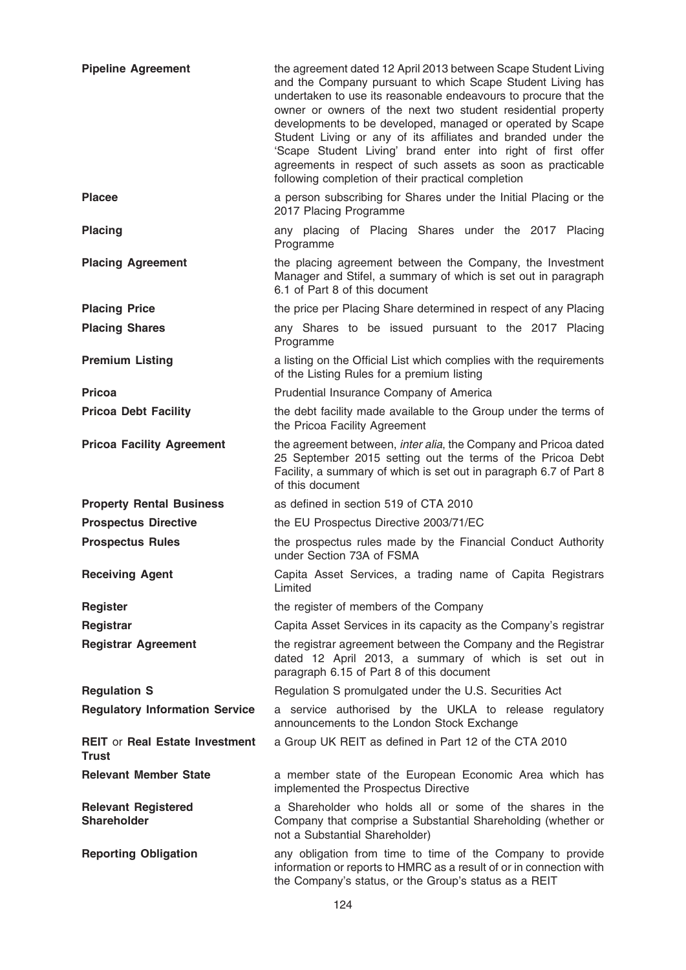| <b>Pipeline Agreement</b>                             | the agreement dated 12 April 2013 between Scape Student Living<br>and the Company pursuant to which Scape Student Living has<br>undertaken to use its reasonable endeavours to procure that the<br>owner or owners of the next two student residential property<br>developments to be developed, managed or operated by Scape<br>Student Living or any of its affiliates and branded under the<br>'Scape Student Living' brand enter into right of first offer<br>agreements in respect of such assets as soon as practicable<br>following completion of their practical completion |
|-------------------------------------------------------|-------------------------------------------------------------------------------------------------------------------------------------------------------------------------------------------------------------------------------------------------------------------------------------------------------------------------------------------------------------------------------------------------------------------------------------------------------------------------------------------------------------------------------------------------------------------------------------|
| <b>Placee</b>                                         | a person subscribing for Shares under the Initial Placing or the<br>2017 Placing Programme                                                                                                                                                                                                                                                                                                                                                                                                                                                                                          |
| <b>Placing</b>                                        | any placing of Placing Shares under the 2017 Placing<br>Programme                                                                                                                                                                                                                                                                                                                                                                                                                                                                                                                   |
| <b>Placing Agreement</b>                              | the placing agreement between the Company, the Investment<br>Manager and Stifel, a summary of which is set out in paragraph<br>6.1 of Part 8 of this document                                                                                                                                                                                                                                                                                                                                                                                                                       |
| <b>Placing Price</b>                                  | the price per Placing Share determined in respect of any Placing                                                                                                                                                                                                                                                                                                                                                                                                                                                                                                                    |
| <b>Placing Shares</b>                                 | any Shares to be issued pursuant to the 2017 Placing<br>Programme                                                                                                                                                                                                                                                                                                                                                                                                                                                                                                                   |
| <b>Premium Listing</b>                                | a listing on the Official List which complies with the requirements<br>of the Listing Rules for a premium listing                                                                                                                                                                                                                                                                                                                                                                                                                                                                   |
| <b>Pricoa</b>                                         | Prudential Insurance Company of America                                                                                                                                                                                                                                                                                                                                                                                                                                                                                                                                             |
| <b>Pricoa Debt Facility</b>                           | the debt facility made available to the Group under the terms of<br>the Pricoa Facility Agreement                                                                                                                                                                                                                                                                                                                                                                                                                                                                                   |
| <b>Pricoa Facility Agreement</b>                      | the agreement between, inter alia, the Company and Pricoa dated<br>25 September 2015 setting out the terms of the Pricoa Debt<br>Facility, a summary of which is set out in paragraph 6.7 of Part 8<br>of this document                                                                                                                                                                                                                                                                                                                                                             |
| <b>Property Rental Business</b>                       | as defined in section 519 of CTA 2010                                                                                                                                                                                                                                                                                                                                                                                                                                                                                                                                               |
| <b>Prospectus Directive</b>                           | the EU Prospectus Directive 2003/71/EC                                                                                                                                                                                                                                                                                                                                                                                                                                                                                                                                              |
| <b>Prospectus Rules</b>                               | the prospectus rules made by the Financial Conduct Authority<br>under Section 73A of FSMA                                                                                                                                                                                                                                                                                                                                                                                                                                                                                           |
| <b>Receiving Agent</b>                                | Capita Asset Services, a trading name of Capita Registrars<br>Limited                                                                                                                                                                                                                                                                                                                                                                                                                                                                                                               |
| <b>Register</b>                                       | the register of members of the Company                                                                                                                                                                                                                                                                                                                                                                                                                                                                                                                                              |
| Registrar                                             | Capita Asset Services in its capacity as the Company's registrar                                                                                                                                                                                                                                                                                                                                                                                                                                                                                                                    |
| <b>Registrar Agreement</b>                            | the registrar agreement between the Company and the Registrar<br>dated 12 April 2013, a summary of which is set out in<br>paragraph 6.15 of Part 8 of this document                                                                                                                                                                                                                                                                                                                                                                                                                 |
| <b>Regulation S</b>                                   | Regulation S promulgated under the U.S. Securities Act                                                                                                                                                                                                                                                                                                                                                                                                                                                                                                                              |
| <b>Regulatory Information Service</b>                 | a service authorised by the UKLA to release regulatory<br>announcements to the London Stock Exchange                                                                                                                                                                                                                                                                                                                                                                                                                                                                                |
| <b>REIT or Real Estate Investment</b><br><b>Trust</b> | a Group UK REIT as defined in Part 12 of the CTA 2010                                                                                                                                                                                                                                                                                                                                                                                                                                                                                                                               |
| <b>Relevant Member State</b>                          | a member state of the European Economic Area which has<br>implemented the Prospectus Directive                                                                                                                                                                                                                                                                                                                                                                                                                                                                                      |
| <b>Relevant Registered</b><br><b>Shareholder</b>      | a Shareholder who holds all or some of the shares in the<br>Company that comprise a Substantial Shareholding (whether or<br>not a Substantial Shareholder)                                                                                                                                                                                                                                                                                                                                                                                                                          |
| <b>Reporting Obligation</b>                           | any obligation from time to time of the Company to provide<br>information or reports to HMRC as a result of or in connection with<br>the Company's status, or the Group's status as a REIT                                                                                                                                                                                                                                                                                                                                                                                          |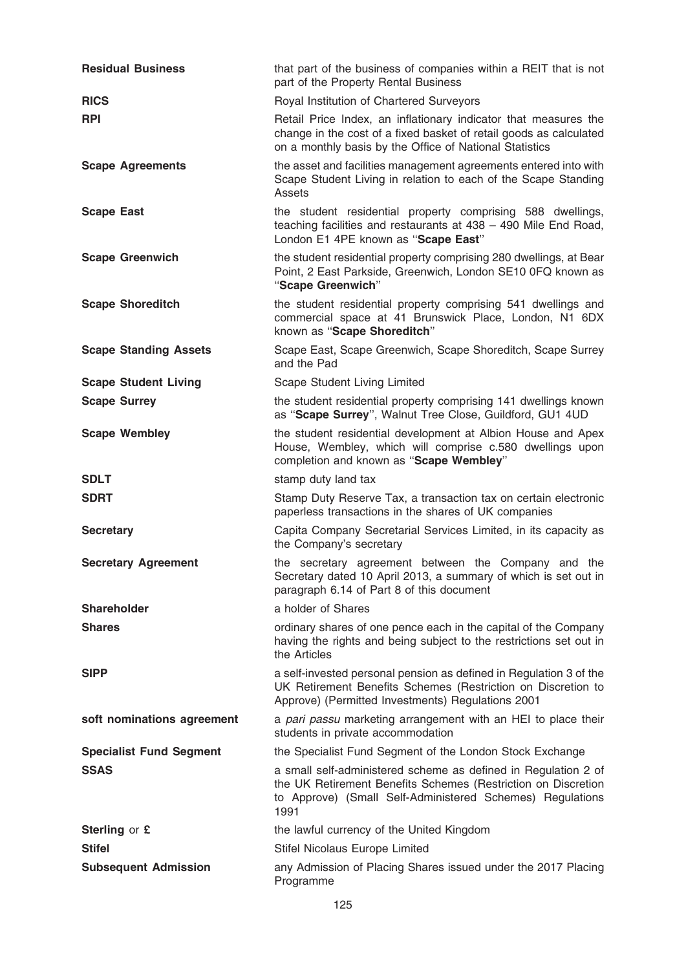| <b>Residual Business</b>       | that part of the business of companies within a REIT that is not<br>part of the Property Rental Business                                                                                             |
|--------------------------------|------------------------------------------------------------------------------------------------------------------------------------------------------------------------------------------------------|
| <b>RICS</b>                    | Royal Institution of Chartered Surveyors                                                                                                                                                             |
| <b>RPI</b>                     | Retail Price Index, an inflationary indicator that measures the<br>change in the cost of a fixed basket of retail goods as calculated<br>on a monthly basis by the Office of National Statistics     |
| <b>Scape Agreements</b>        | the asset and facilities management agreements entered into with<br>Scape Student Living in relation to each of the Scape Standing<br>Assets                                                         |
| <b>Scape East</b>              | the student residential property comprising 588 dwellings,<br>teaching facilities and restaurants at 438 - 490 Mile End Road,<br>London E1 4PE known as "Scape East"                                 |
| <b>Scape Greenwich</b>         | the student residential property comprising 280 dwellings, at Bear<br>Point, 2 East Parkside, Greenwich, London SE10 0FQ known as<br>"Scape Greenwich"                                               |
| <b>Scape Shoreditch</b>        | the student residential property comprising 541 dwellings and<br>commercial space at 41 Brunswick Place, London, N1 6DX<br>known as "Scape Shoreditch"                                               |
| <b>Scape Standing Assets</b>   | Scape East, Scape Greenwich, Scape Shoreditch, Scape Surrey<br>and the Pad                                                                                                                           |
| <b>Scape Student Living</b>    | Scape Student Living Limited                                                                                                                                                                         |
| <b>Scape Surrey</b>            | the student residential property comprising 141 dwellings known<br>as "Scape Surrey", Walnut Tree Close, Guildford, GU1 4UD                                                                          |
| <b>Scape Wembley</b>           | the student residential development at Albion House and Apex<br>House, Wembley, which will comprise c.580 dwellings upon<br>completion and known as "Scape Wembley"                                  |
| <b>SDLT</b>                    | stamp duty land tax                                                                                                                                                                                  |
| <b>SDRT</b>                    | Stamp Duty Reserve Tax, a transaction tax on certain electronic<br>paperless transactions in the shares of UK companies                                                                              |
|                                |                                                                                                                                                                                                      |
| <b>Secretary</b>               | Capita Company Secretarial Services Limited, in its capacity as<br>the Company's secretary                                                                                                           |
| <b>Secretary Agreement</b>     | the secretary agreement between the Company and the<br>Secretary dated 10 April 2013, a summary of which is set out in<br>paragraph 6.14 of Part 8 of this document                                  |
| <b>Shareholder</b>             | a holder of Shares                                                                                                                                                                                   |
| <b>Shares</b>                  | ordinary shares of one pence each in the capital of the Company<br>having the rights and being subject to the restrictions set out in<br>the Articles                                                |
| <b>SIPP</b>                    | a self-invested personal pension as defined in Regulation 3 of the<br>UK Retirement Benefits Schemes (Restriction on Discretion to<br>Approve) (Permitted Investments) Regulations 2001              |
| soft nominations agreement     | a pari passu marketing arrangement with an HEI to place their<br>students in private accommodation                                                                                                   |
| <b>Specialist Fund Segment</b> | the Specialist Fund Segment of the London Stock Exchange                                                                                                                                             |
| <b>SSAS</b>                    | a small self-administered scheme as defined in Regulation 2 of<br>the UK Retirement Benefits Schemes (Restriction on Discretion<br>to Approve) (Small Self-Administered Schemes) Regulations<br>1991 |
| Sterling or £                  | the lawful currency of the United Kingdom                                                                                                                                                            |
| <b>Stifel</b>                  | Stifel Nicolaus Europe Limited                                                                                                                                                                       |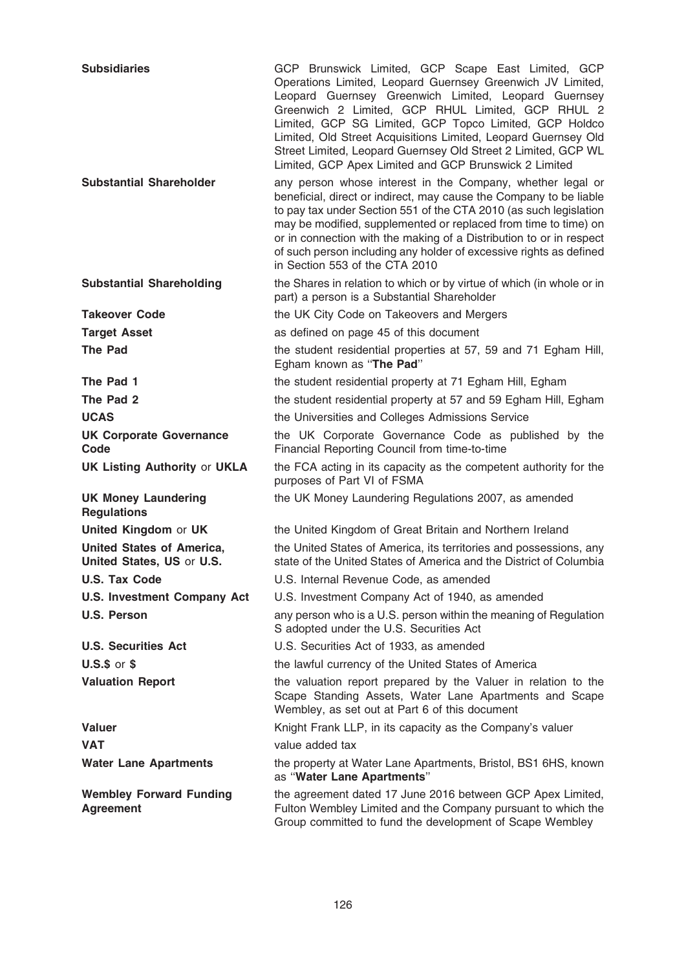| <b>Subsidiaries</b>                                           | GCP Brunswick Limited, GCP Scape East Limited, GCP<br>Operations Limited, Leopard Guernsey Greenwich JV Limited,<br>Leopard Guernsey Greenwich Limited, Leopard Guernsey<br>Greenwich 2 Limited, GCP RHUL Limited, GCP RHUL 2<br>Limited, GCP SG Limited, GCP Topco Limited, GCP Holdco<br>Limited, Old Street Acquisitions Limited, Leopard Guernsey Old<br>Street Limited, Leopard Guernsey Old Street 2 Limited, GCP WL<br>Limited, GCP Apex Limited and GCP Brunswick 2 Limited |
|---------------------------------------------------------------|-------------------------------------------------------------------------------------------------------------------------------------------------------------------------------------------------------------------------------------------------------------------------------------------------------------------------------------------------------------------------------------------------------------------------------------------------------------------------------------|
| <b>Substantial Shareholder</b>                                | any person whose interest in the Company, whether legal or<br>beneficial, direct or indirect, may cause the Company to be liable<br>to pay tax under Section 551 of the CTA 2010 (as such legislation<br>may be modified, supplemented or replaced from time to time) on<br>or in connection with the making of a Distribution to or in respect<br>of such person including any holder of excessive rights as defined<br>in Section 553 of the CTA 2010                             |
| <b>Substantial Shareholding</b>                               | the Shares in relation to which or by virtue of which (in whole or in<br>part) a person is a Substantial Shareholder                                                                                                                                                                                                                                                                                                                                                                |
| <b>Takeover Code</b>                                          | the UK City Code on Takeovers and Mergers                                                                                                                                                                                                                                                                                                                                                                                                                                           |
| <b>Target Asset</b>                                           | as defined on page 45 of this document                                                                                                                                                                                                                                                                                                                                                                                                                                              |
| <b>The Pad</b>                                                | the student residential properties at 57, 59 and 71 Egham Hill,<br>Egham known as "The Pad"                                                                                                                                                                                                                                                                                                                                                                                         |
| The Pad 1                                                     | the student residential property at 71 Egham Hill, Egham                                                                                                                                                                                                                                                                                                                                                                                                                            |
| The Pad 2                                                     | the student residential property at 57 and 59 Egham Hill, Egham                                                                                                                                                                                                                                                                                                                                                                                                                     |
| <b>UCAS</b>                                                   | the Universities and Colleges Admissions Service                                                                                                                                                                                                                                                                                                                                                                                                                                    |
| <b>UK Corporate Governance</b><br>Code                        | the UK Corporate Governance Code as published by the<br>Financial Reporting Council from time-to-time                                                                                                                                                                                                                                                                                                                                                                               |
| <b>UK Listing Authority or UKLA</b>                           | the FCA acting in its capacity as the competent authority for the<br>purposes of Part VI of FSMA                                                                                                                                                                                                                                                                                                                                                                                    |
| <b>UK Money Laundering</b><br><b>Regulations</b>              | the UK Money Laundering Regulations 2007, as amended                                                                                                                                                                                                                                                                                                                                                                                                                                |
| United Kingdom or UK                                          | the United Kingdom of Great Britain and Northern Ireland                                                                                                                                                                                                                                                                                                                                                                                                                            |
| <b>United States of America,</b><br>United States, US or U.S. | the United States of America, its territories and possessions, any<br>state of the United States of America and the District of Columbia                                                                                                                                                                                                                                                                                                                                            |
| <b>U.S. Tax Code</b>                                          | U.S. Internal Revenue Code, as amended                                                                                                                                                                                                                                                                                                                                                                                                                                              |
| <b>U.S. Investment Company Act</b>                            | U.S. Investment Company Act of 1940, as amended                                                                                                                                                                                                                                                                                                                                                                                                                                     |
| <b>U.S. Person</b>                                            | any person who is a U.S. person within the meaning of Regulation<br>S adopted under the U.S. Securities Act                                                                                                                                                                                                                                                                                                                                                                         |
| <b>U.S. Securities Act</b>                                    | U.S. Securities Act of 1933, as amended                                                                                                                                                                                                                                                                                                                                                                                                                                             |
| $U.S.\$ \$ or \$                                              | the lawful currency of the United States of America                                                                                                                                                                                                                                                                                                                                                                                                                                 |
| <b>Valuation Report</b>                                       | the valuation report prepared by the Valuer in relation to the<br>Scape Standing Assets, Water Lane Apartments and Scape<br>Wembley, as set out at Part 6 of this document                                                                                                                                                                                                                                                                                                          |
| <b>Valuer</b>                                                 | Knight Frank LLP, in its capacity as the Company's valuer                                                                                                                                                                                                                                                                                                                                                                                                                           |
| <b>VAT</b>                                                    | value added tax                                                                                                                                                                                                                                                                                                                                                                                                                                                                     |
| <b>Water Lane Apartments</b>                                  | the property at Water Lane Apartments, Bristol, BS1 6HS, known<br>as "Water Lane Apartments"                                                                                                                                                                                                                                                                                                                                                                                        |
| <b>Wembley Forward Funding</b><br><b>Agreement</b>            | the agreement dated 17 June 2016 between GCP Apex Limited,<br>Fulton Wembley Limited and the Company pursuant to which the<br>Group committed to fund the development of Scape Wembley                                                                                                                                                                                                                                                                                              |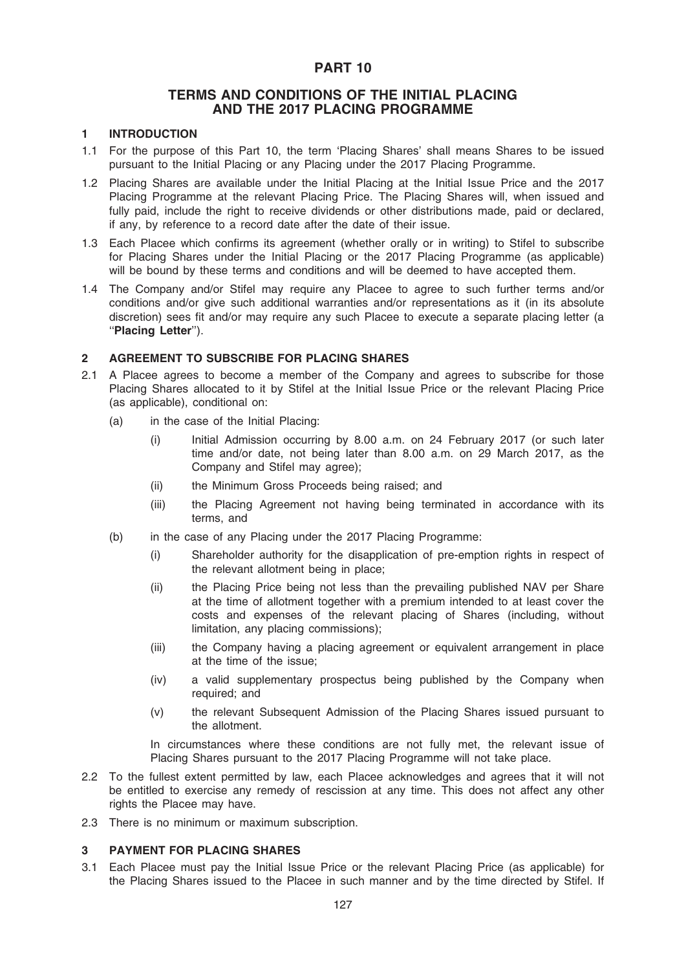## PART 10

## TERMS AND CONDITIONS OF THE INITIAL PLACING AND THE 2017 PLACING PROGRAMME

## 1 INTRODUCTION

- 1.1 For the purpose of this Part 10, the term 'Placing Shares' shall means Shares to be issued pursuant to the Initial Placing or any Placing under the 2017 Placing Programme.
- 1.2 Placing Shares are available under the Initial Placing at the Initial Issue Price and the 2017 Placing Programme at the relevant Placing Price. The Placing Shares will, when issued and fully paid, include the right to receive dividends or other distributions made, paid or declared, if any, by reference to a record date after the date of their issue.
- 1.3 Each Placee which confirms its agreement (whether orally or in writing) to Stifel to subscribe for Placing Shares under the Initial Placing or the 2017 Placing Programme (as applicable) will be bound by these terms and conditions and will be deemed to have accepted them.
- 1.4 The Company and/or Stifel may require any Placee to agree to such further terms and/or conditions and/or give such additional warranties and/or representations as it (in its absolute discretion) sees fit and/or may require any such Placee to execute a separate placing letter (a ''Placing Letter'').

## 2 AGREEMENT TO SUBSCRIBE FOR PLACING SHARES

- 2.1 A Placee agrees to become a member of the Company and agrees to subscribe for those Placing Shares allocated to it by Stifel at the Initial Issue Price or the relevant Placing Price (as applicable), conditional on:
	- (a) in the case of the Initial Placing:
		- (i) Initial Admission occurring by 8.00 a.m. on 24 February 2017 (or such later time and/or date, not being later than 8.00 a.m. on 29 March 2017, as the Company and Stifel may agree);
		- (ii) the Minimum Gross Proceeds being raised; and
		- (iii) the Placing Agreement not having being terminated in accordance with its terms, and
	- (b) in the case of any Placing under the 2017 Placing Programme:
		- (i) Shareholder authority for the disapplication of pre-emption rights in respect of the relevant allotment being in place;
		- (ii) the Placing Price being not less than the prevailing published NAV per Share at the time of allotment together with a premium intended to at least cover the costs and expenses of the relevant placing of Shares (including, without limitation, any placing commissions);
		- (iii) the Company having a placing agreement or equivalent arrangement in place at the time of the issue;
		- (iv) a valid supplementary prospectus being published by the Company when required; and
		- (v) the relevant Subsequent Admission of the Placing Shares issued pursuant to the allotment.

In circumstances where these conditions are not fully met, the relevant issue of Placing Shares pursuant to the 2017 Placing Programme will not take place.

- 2.2 To the fullest extent permitted by law, each Placee acknowledges and agrees that it will not be entitled to exercise any remedy of rescission at any time. This does not affect any other rights the Placee may have.
- 2.3 There is no minimum or maximum subscription.

## 3 PAYMENT FOR PLACING SHARES

3.1 Each Placee must pay the Initial Issue Price or the relevant Placing Price (as applicable) for the Placing Shares issued to the Placee in such manner and by the time directed by Stifel. If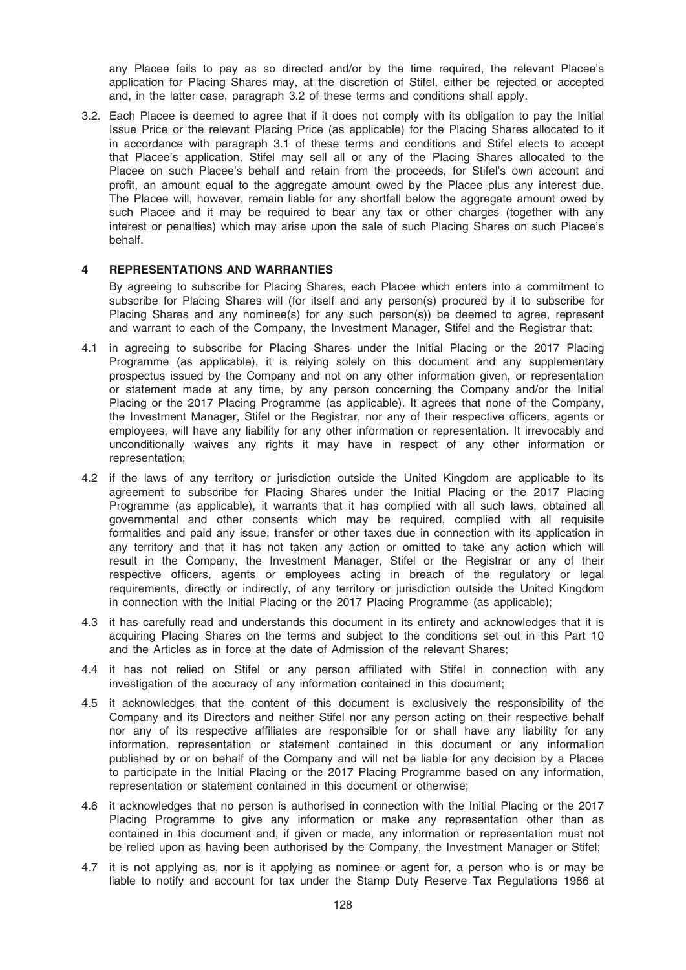any Placee fails to pay as so directed and/or by the time required, the relevant Placee's application for Placing Shares may, at the discretion of Stifel, either be rejected or accepted and, in the latter case, paragraph 3.2 of these terms and conditions shall apply.

3.2. Each Placee is deemed to agree that if it does not comply with its obligation to pay the Initial Issue Price or the relevant Placing Price (as applicable) for the Placing Shares allocated to it in accordance with paragraph 3.1 of these terms and conditions and Stifel elects to accept that Placee's application, Stifel may sell all or any of the Placing Shares allocated to the Placee on such Placee's behalf and retain from the proceeds, for Stifel's own account and profit, an amount equal to the aggregate amount owed by the Placee plus any interest due. The Placee will, however, remain liable for any shortfall below the aggregate amount owed by such Placee and it may be required to bear any tax or other charges (together with any interest or penalties) which may arise upon the sale of such Placing Shares on such Placee's behalf.

#### 4 REPRESENTATIONS AND WARRANTIES

By agreeing to subscribe for Placing Shares, each Placee which enters into a commitment to subscribe for Placing Shares will (for itself and any person(s) procured by it to subscribe for Placing Shares and any nominee(s) for any such person(s)) be deemed to agree, represent and warrant to each of the Company, the Investment Manager, Stifel and the Registrar that:

- 4.1 in agreeing to subscribe for Placing Shares under the Initial Placing or the 2017 Placing Programme (as applicable), it is relying solely on this document and any supplementary prospectus issued by the Company and not on any other information given, or representation or statement made at any time, by any person concerning the Company and/or the Initial Placing or the 2017 Placing Programme (as applicable). It agrees that none of the Company, the Investment Manager, Stifel or the Registrar, nor any of their respective officers, agents or employees, will have any liability for any other information or representation. It irrevocably and unconditionally waives any rights it may have in respect of any other information or representation;
- 4.2 if the laws of any territory or jurisdiction outside the United Kingdom are applicable to its agreement to subscribe for Placing Shares under the Initial Placing or the 2017 Placing Programme (as applicable), it warrants that it has complied with all such laws, obtained all governmental and other consents which may be required, complied with all requisite formalities and paid any issue, transfer or other taxes due in connection with its application in any territory and that it has not taken any action or omitted to take any action which will result in the Company, the Investment Manager, Stifel or the Registrar or any of their respective officers, agents or employees acting in breach of the regulatory or legal requirements, directly or indirectly, of any territory or jurisdiction outside the United Kingdom in connection with the Initial Placing or the 2017 Placing Programme (as applicable);
- 4.3 it has carefully read and understands this document in its entirety and acknowledges that it is acquiring Placing Shares on the terms and subject to the conditions set out in this Part 10 and the Articles as in force at the date of Admission of the relevant Shares;
- 4.4 it has not relied on Stifel or any person affiliated with Stifel in connection with any investigation of the accuracy of any information contained in this document;
- 4.5 it acknowledges that the content of this document is exclusively the responsibility of the Company and its Directors and neither Stifel nor any person acting on their respective behalf nor any of its respective affiliates are responsible for or shall have any liability for any information, representation or statement contained in this document or any information published by or on behalf of the Company and will not be liable for any decision by a Placee to participate in the Initial Placing or the 2017 Placing Programme based on any information, representation or statement contained in this document or otherwise;
- 4.6 it acknowledges that no person is authorised in connection with the Initial Placing or the 2017 Placing Programme to give any information or make any representation other than as contained in this document and, if given or made, any information or representation must not be relied upon as having been authorised by the Company, the Investment Manager or Stifel;
- 4.7 it is not applying as, nor is it applying as nominee or agent for, a person who is or may be liable to notify and account for tax under the Stamp Duty Reserve Tax Regulations 1986 at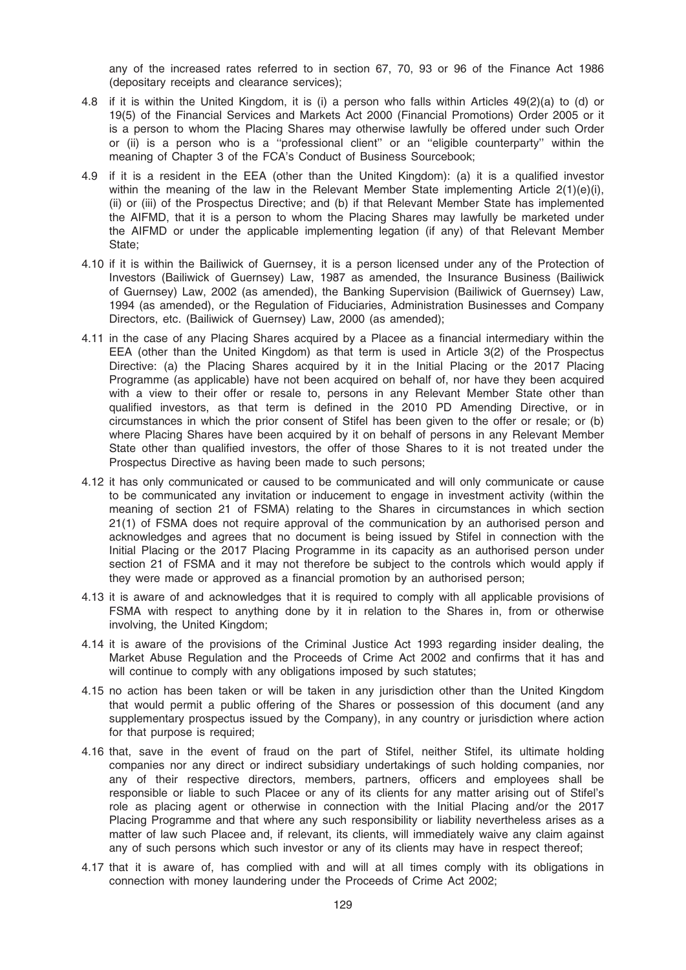any of the increased rates referred to in section 67, 70, 93 or 96 of the Finance Act 1986 (depositary receipts and clearance services);

- 4.8 if it is within the United Kingdom, it is (i) a person who falls within Articles 49(2)(a) to (d) or 19(5) of the Financial Services and Markets Act 2000 (Financial Promotions) Order 2005 or it is a person to whom the Placing Shares may otherwise lawfully be offered under such Order or (ii) is a person who is a ''professional client'' or an ''eligible counterparty'' within the meaning of Chapter 3 of the FCA's Conduct of Business Sourcebook;
- 4.9 if it is a resident in the EEA (other than the United Kingdom): (a) it is a qualified investor within the meaning of the law in the Relevant Member State implementing Article 2(1)(e)(i), (ii) or (iii) of the Prospectus Directive; and (b) if that Relevant Member State has implemented the AIFMD, that it is a person to whom the Placing Shares may lawfully be marketed under the AIFMD or under the applicable implementing legation (if any) of that Relevant Member State;
- 4.10 if it is within the Bailiwick of Guernsey, it is a person licensed under any of the Protection of Investors (Bailiwick of Guernsey) Law, 1987 as amended, the Insurance Business (Bailiwick of Guernsey) Law, 2002 (as amended), the Banking Supervision (Bailiwick of Guernsey) Law, 1994 (as amended), or the Regulation of Fiduciaries, Administration Businesses and Company Directors, etc. (Bailiwick of Guernsey) Law, 2000 (as amended);
- 4.11 in the case of any Placing Shares acquired by a Placee as a financial intermediary within the EEA (other than the United Kingdom) as that term is used in Article 3(2) of the Prospectus Directive: (a) the Placing Shares acquired by it in the Initial Placing or the 2017 Placing Programme (as applicable) have not been acquired on behalf of, nor have they been acquired with a view to their offer or resale to, persons in any Relevant Member State other than qualified investors, as that term is defined in the 2010 PD Amending Directive, or in circumstances in which the prior consent of Stifel has been given to the offer or resale; or (b) where Placing Shares have been acquired by it on behalf of persons in any Relevant Member State other than qualified investors, the offer of those Shares to it is not treated under the Prospectus Directive as having been made to such persons;
- 4.12 it has only communicated or caused to be communicated and will only communicate or cause to be communicated any invitation or inducement to engage in investment activity (within the meaning of section 21 of FSMA) relating to the Shares in circumstances in which section 21(1) of FSMA does not require approval of the communication by an authorised person and acknowledges and agrees that no document is being issued by Stifel in connection with the Initial Placing or the 2017 Placing Programme in its capacity as an authorised person under section 21 of FSMA and it may not therefore be subject to the controls which would apply if they were made or approved as a financial promotion by an authorised person;
- 4.13 it is aware of and acknowledges that it is required to comply with all applicable provisions of FSMA with respect to anything done by it in relation to the Shares in, from or otherwise involving, the United Kingdom;
- 4.14 it is aware of the provisions of the Criminal Justice Act 1993 regarding insider dealing, the Market Abuse Regulation and the Proceeds of Crime Act 2002 and confirms that it has and will continue to comply with any obligations imposed by such statutes:
- 4.15 no action has been taken or will be taken in any jurisdiction other than the United Kingdom that would permit a public offering of the Shares or possession of this document (and any supplementary prospectus issued by the Company), in any country or jurisdiction where action for that purpose is required;
- 4.16 that, save in the event of fraud on the part of Stifel, neither Stifel, its ultimate holding companies nor any direct or indirect subsidiary undertakings of such holding companies, nor any of their respective directors, members, partners, officers and employees shall be responsible or liable to such Placee or any of its clients for any matter arising out of Stifel's role as placing agent or otherwise in connection with the Initial Placing and/or the 2017 Placing Programme and that where any such responsibility or liability nevertheless arises as a matter of law such Placee and, if relevant, its clients, will immediately waive any claim against any of such persons which such investor or any of its clients may have in respect thereof;
- 4.17 that it is aware of, has complied with and will at all times comply with its obligations in connection with money laundering under the Proceeds of Crime Act 2002;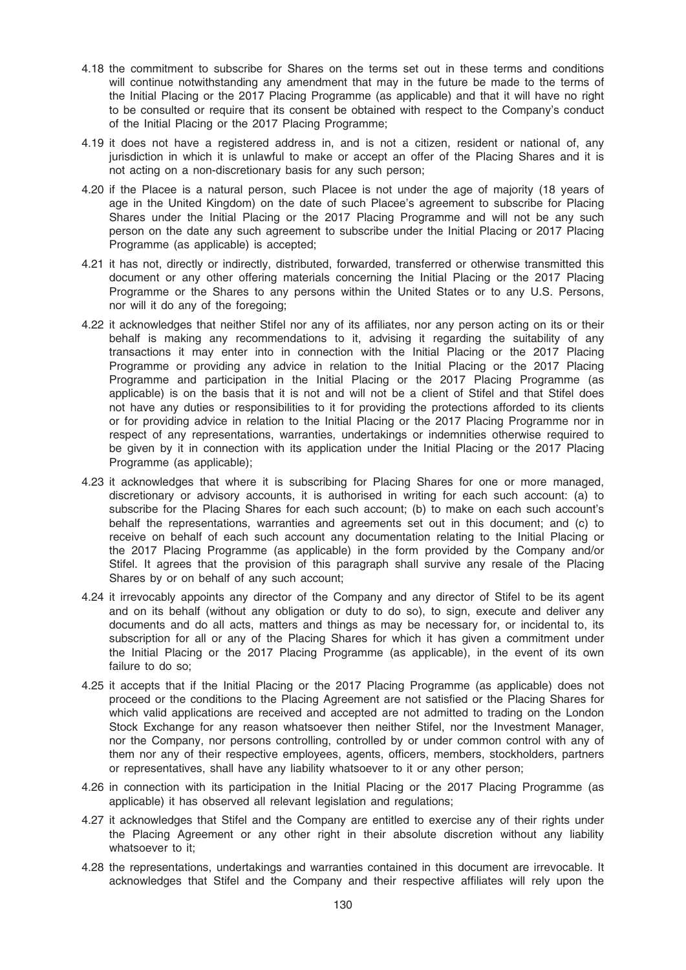- 4.18 the commitment to subscribe for Shares on the terms set out in these terms and conditions will continue notwithstanding any amendment that may in the future be made to the terms of the Initial Placing or the 2017 Placing Programme (as applicable) and that it will have no right to be consulted or require that its consent be obtained with respect to the Company's conduct of the Initial Placing or the 2017 Placing Programme;
- 4.19 it does not have a registered address in, and is not a citizen, resident or national of, any jurisdiction in which it is unlawful to make or accept an offer of the Placing Shares and it is not acting on a non-discretionary basis for any such person;
- 4.20 if the Placee is a natural person, such Placee is not under the age of majority (18 years of age in the United Kingdom) on the date of such Placee's agreement to subscribe for Placing Shares under the Initial Placing or the 2017 Placing Programme and will not be any such person on the date any such agreement to subscribe under the Initial Placing or 2017 Placing Programme (as applicable) is accepted;
- 4.21 it has not, directly or indirectly, distributed, forwarded, transferred or otherwise transmitted this document or any other offering materials concerning the Initial Placing or the 2017 Placing Programme or the Shares to any persons within the United States or to any U.S. Persons, nor will it do any of the foregoing;
- 4.22 it acknowledges that neither Stifel nor any of its affiliates, nor any person acting on its or their behalf is making any recommendations to it, advising it regarding the suitability of any transactions it may enter into in connection with the Initial Placing or the 2017 Placing Programme or providing any advice in relation to the Initial Placing or the 2017 Placing Programme and participation in the Initial Placing or the 2017 Placing Programme (as applicable) is on the basis that it is not and will not be a client of Stifel and that Stifel does not have any duties or responsibilities to it for providing the protections afforded to its clients or for providing advice in relation to the Initial Placing or the 2017 Placing Programme nor in respect of any representations, warranties, undertakings or indemnities otherwise required to be given by it in connection with its application under the Initial Placing or the 2017 Placing Programme (as applicable);
- 4.23 it acknowledges that where it is subscribing for Placing Shares for one or more managed, discretionary or advisory accounts, it is authorised in writing for each such account: (a) to subscribe for the Placing Shares for each such account; (b) to make on each such account's behalf the representations, warranties and agreements set out in this document; and (c) to receive on behalf of each such account any documentation relating to the Initial Placing or the 2017 Placing Programme (as applicable) in the form provided by the Company and/or Stifel. It agrees that the provision of this paragraph shall survive any resale of the Placing Shares by or on behalf of any such account;
- 4.24 it irrevocably appoints any director of the Company and any director of Stifel to be its agent and on its behalf (without any obligation or duty to do so), to sign, execute and deliver any documents and do all acts, matters and things as may be necessary for, or incidental to, its subscription for all or any of the Placing Shares for which it has given a commitment under the Initial Placing or the 2017 Placing Programme (as applicable), in the event of its own failure to do so;
- 4.25 it accepts that if the Initial Placing or the 2017 Placing Programme (as applicable) does not proceed or the conditions to the Placing Agreement are not satisfied or the Placing Shares for which valid applications are received and accepted are not admitted to trading on the London Stock Exchange for any reason whatsoever then neither Stifel, nor the Investment Manager, nor the Company, nor persons controlling, controlled by or under common control with any of them nor any of their respective employees, agents, officers, members, stockholders, partners or representatives, shall have any liability whatsoever to it or any other person;
- 4.26 in connection with its participation in the Initial Placing or the 2017 Placing Programme (as applicable) it has observed all relevant legislation and regulations;
- 4.27 it acknowledges that Stifel and the Company are entitled to exercise any of their rights under the Placing Agreement or any other right in their absolute discretion without any liability whatsoever to it:
- 4.28 the representations, undertakings and warranties contained in this document are irrevocable. It acknowledges that Stifel and the Company and their respective affiliates will rely upon the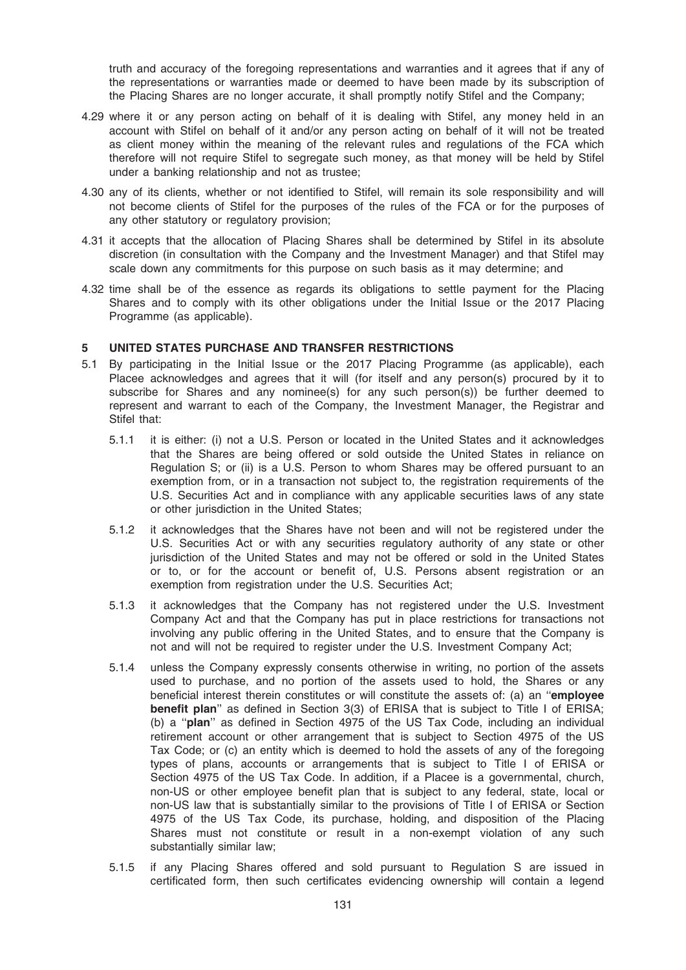truth and accuracy of the foregoing representations and warranties and it agrees that if any of the representations or warranties made or deemed to have been made by its subscription of the Placing Shares are no longer accurate, it shall promptly notify Stifel and the Company;

- 4.29 where it or any person acting on behalf of it is dealing with Stifel, any money held in an account with Stifel on behalf of it and/or any person acting on behalf of it will not be treated as client money within the meaning of the relevant rules and regulations of the FCA which therefore will not require Stifel to segregate such money, as that money will be held by Stifel under a banking relationship and not as trustee;
- 4.30 any of its clients, whether or not identified to Stifel, will remain its sole responsibility and will not become clients of Stifel for the purposes of the rules of the FCA or for the purposes of any other statutory or regulatory provision;
- 4.31 it accepts that the allocation of Placing Shares shall be determined by Stifel in its absolute discretion (in consultation with the Company and the Investment Manager) and that Stifel may scale down any commitments for this purpose on such basis as it may determine; and
- 4.32 time shall be of the essence as regards its obligations to settle payment for the Placing Shares and to comply with its other obligations under the Initial Issue or the 2017 Placing Programme (as applicable).

## 5 UNITED STATES PURCHASE AND TRANSFER RESTRICTIONS

- 5.1 By participating in the Initial Issue or the 2017 Placing Programme (as applicable), each Placee acknowledges and agrees that it will (for itself and any person(s) procured by it to subscribe for Shares and any nominee(s) for any such person(s)) be further deemed to represent and warrant to each of the Company, the Investment Manager, the Registrar and Stifel that:
	- 5.1.1 it is either: (i) not a U.S. Person or located in the United States and it acknowledges that the Shares are being offered or sold outside the United States in reliance on Regulation S; or (ii) is a U.S. Person to whom Shares may be offered pursuant to an exemption from, or in a transaction not subject to, the registration requirements of the U.S. Securities Act and in compliance with any applicable securities laws of any state or other jurisdiction in the United States;
	- 5.1.2 it acknowledges that the Shares have not been and will not be registered under the U.S. Securities Act or with any securities regulatory authority of any state or other jurisdiction of the United States and may not be offered or sold in the United States or to, or for the account or benefit of, U.S. Persons absent registration or an exemption from registration under the U.S. Securities Act;
	- 5.1.3 it acknowledges that the Company has not registered under the U.S. Investment Company Act and that the Company has put in place restrictions for transactions not involving any public offering in the United States, and to ensure that the Company is not and will not be required to register under the U.S. Investment Company Act;
	- 5.1.4 unless the Company expressly consents otherwise in writing, no portion of the assets used to purchase, and no portion of the assets used to hold, the Shares or any beneficial interest therein constitutes or will constitute the assets of: (a) an ''employee benefit plan" as defined in Section 3(3) of ERISA that is subject to Title I of ERISA; (b) a ''plan'' as defined in Section 4975 of the US Tax Code, including an individual retirement account or other arrangement that is subject to Section 4975 of the US Tax Code; or (c) an entity which is deemed to hold the assets of any of the foregoing types of plans, accounts or arrangements that is subject to Title I of ERISA or Section 4975 of the US Tax Code. In addition, if a Placee is a governmental, church, non-US or other employee benefit plan that is subject to any federal, state, local or non-US law that is substantially similar to the provisions of Title I of ERISA or Section 4975 of the US Tax Code, its purchase, holding, and disposition of the Placing Shares must not constitute or result in a non-exempt violation of any such substantially similar law;
	- 5.1.5 if any Placing Shares offered and sold pursuant to Regulation S are issued in certificated form, then such certificates evidencing ownership will contain a legend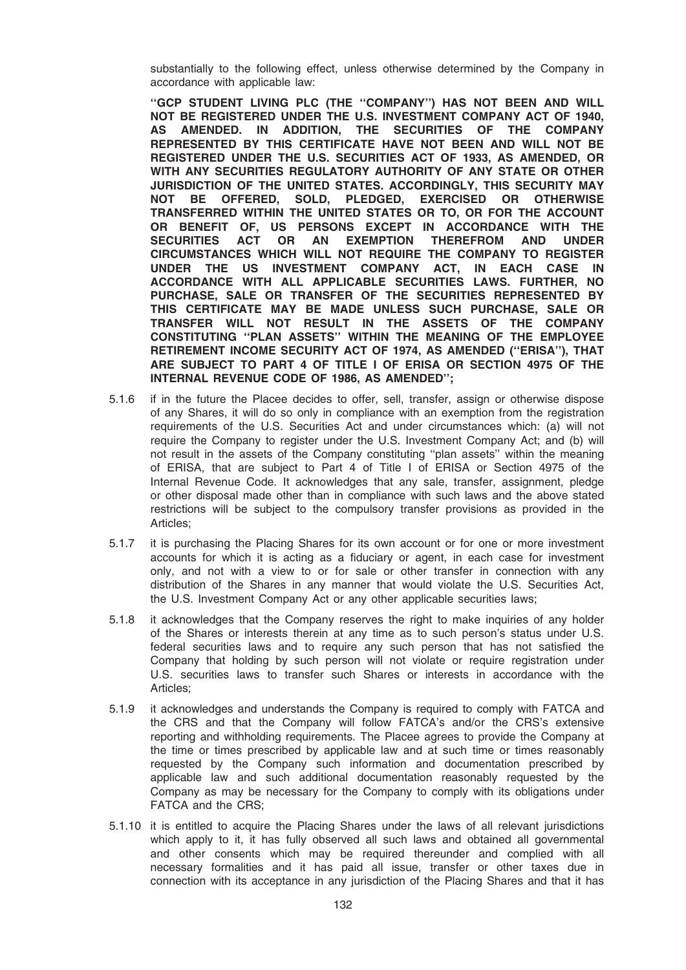substantially to the following effect, unless otherwise determined by the Company in accordance with applicable law:

''GCP STUDENT LIVING PLC (THE ''COMPANY'') HAS NOT BEEN AND WILL NOT BE REGISTERED UNDER THE U.S. INVESTMENT COMPANY ACT OF 1940, AS AMENDED. IN ADDITION, THE SECURITIES OF THE COMPANY REPRESENTED BY THIS CERTIFICATE HAVE NOT BEEN AND WILL NOT BE REGISTERED UNDER THE U.S. SECURITIES ACT OF 1933, AS AMENDED, OR WITH ANY SECURITIES REGULATORY AUTHORITY OF ANY STATE OR OTHER JURISDICTION OF THE UNITED STATES. ACCORDINGLY, THIS SECURITY MAY NOT BE OFFERED, SOLD, PLEDGED, EXERCISED OR OTHERWISE TRANSFERRED WITHIN THE UNITED STATES OR TO, OR FOR THE ACCOUNT OR BENEFIT OF, US PERSONS EXCEPT IN ACCORDANCE WITH THE SECURITIES ACT OR AN EXEMPTION THEREFROM AND UNDER CIRCUMSTANCES WHICH WILL NOT REQUIRE THE COMPANY TO REGISTER UNDER THE US INVESTMENT COMPANY ACT, IN EACH CASE IN ACCORDANCE WITH ALL APPLICABLE SECURITIES LAWS. FURTHER, NO PURCHASE, SALE OR TRANSFER OF THE SECURITIES REPRESENTED BY THIS CERTIFICATE MAY BE MADE UNLESS SUCH PURCHASE, SALE OR TRANSFER WILL NOT RESULT IN THE ASSETS OF THE COMPANY CONSTITUTING ''PLAN ASSETS'' WITHIN THE MEANING OF THE EMPLOYEE RETIREMENT INCOME SECURITY ACT OF 1974, AS AMENDED (''ERISA''), THAT ARE SUBJECT TO PART 4 OF TITLE I OF ERISA OR SECTION 4975 OF THE INTERNAL REVENUE CODE OF 1986, AS AMENDED'';

- 5.1.6 if in the future the Placee decides to offer, sell, transfer, assign or otherwise dispose of any Shares, it will do so only in compliance with an exemption from the registration requirements of the U.S. Securities Act and under circumstances which: (a) will not require the Company to register under the U.S. Investment Company Act; and (b) will not result in the assets of the Company constituting ''plan assets'' within the meaning of ERISA, that are subject to Part 4 of Title I of ERISA or Section 4975 of the Internal Revenue Code. It acknowledges that any sale, transfer, assignment, pledge or other disposal made other than in compliance with such laws and the above stated restrictions will be subject to the compulsory transfer provisions as provided in the Articles;
- 5.1.7 it is purchasing the Placing Shares for its own account or for one or more investment accounts for which it is acting as a fiduciary or agent, in each case for investment only, and not with a view to or for sale or other transfer in connection with any distribution of the Shares in any manner that would violate the U.S. Securities Act, the U.S. Investment Company Act or any other applicable securities laws;
- 5.1.8 it acknowledges that the Company reserves the right to make inquiries of any holder of the Shares or interests therein at any time as to such person's status under U.S. federal securities laws and to require any such person that has not satisfied the Company that holding by such person will not violate or require registration under U.S. securities laws to transfer such Shares or interests in accordance with the Articles;
- 5.1.9 it acknowledges and understands the Company is required to comply with FATCA and the CRS and that the Company will follow FATCA's and/or the CRS's extensive reporting and withholding requirements. The Placee agrees to provide the Company at the time or times prescribed by applicable law and at such time or times reasonably requested by the Company such information and documentation prescribed by applicable law and such additional documentation reasonably requested by the Company as may be necessary for the Company to comply with its obligations under FATCA and the CRS;
- 5.1.10 it is entitled to acquire the Placing Shares under the laws of all relevant jurisdictions which apply to it, it has fully observed all such laws and obtained all governmental and other consents which may be required thereunder and complied with all necessary formalities and it has paid all issue, transfer or other taxes due in connection with its acceptance in any jurisdiction of the Placing Shares and that it has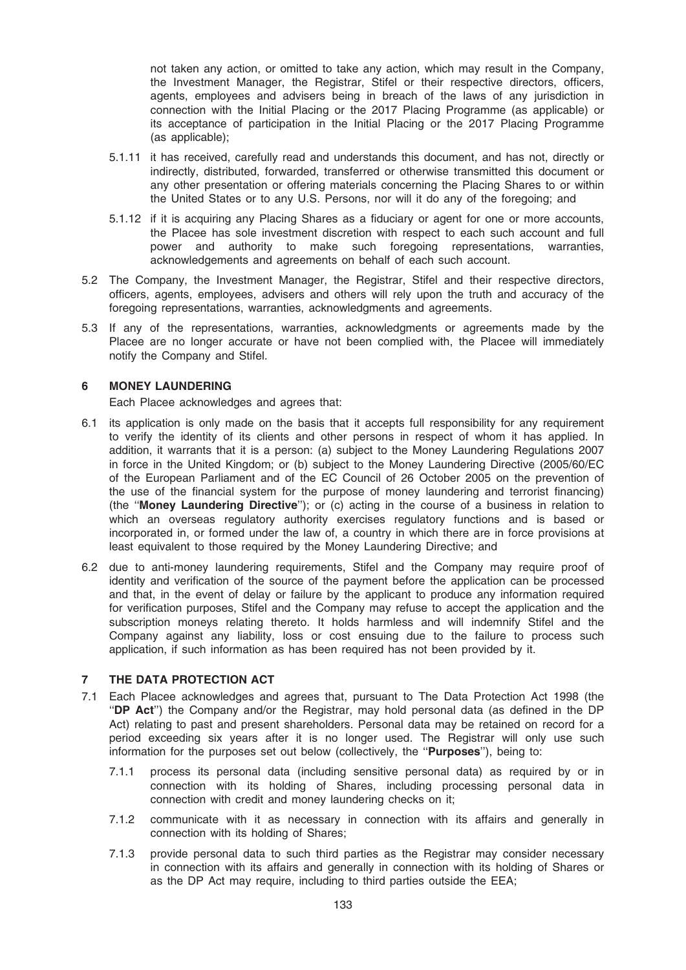not taken any action, or omitted to take any action, which may result in the Company, the Investment Manager, the Registrar, Stifel or their respective directors, officers, agents, employees and advisers being in breach of the laws of any jurisdiction in connection with the Initial Placing or the 2017 Placing Programme (as applicable) or its acceptance of participation in the Initial Placing or the 2017 Placing Programme (as applicable);

- 5.1.11 it has received, carefully read and understands this document, and has not, directly or indirectly, distributed, forwarded, transferred or otherwise transmitted this document or any other presentation or offering materials concerning the Placing Shares to or within the United States or to any U.S. Persons, nor will it do any of the foregoing; and
- 5.1.12 if it is acquiring any Placing Shares as a fiduciary or agent for one or more accounts, the Placee has sole investment discretion with respect to each such account and full power and authority to make such foregoing representations, warranties, acknowledgements and agreements on behalf of each such account.
- 5.2 The Company, the Investment Manager, the Registrar, Stifel and their respective directors, officers, agents, employees, advisers and others will rely upon the truth and accuracy of the foregoing representations, warranties, acknowledgments and agreements.
- 5.3 If any of the representations, warranties, acknowledgments or agreements made by the Placee are no longer accurate or have not been complied with, the Placee will immediately notify the Company and Stifel.

#### 6 MONEY LAUNDERING

Each Placee acknowledges and agrees that:

- 6.1 its application is only made on the basis that it accepts full responsibility for any requirement to verify the identity of its clients and other persons in respect of whom it has applied. In addition, it warrants that it is a person: (a) subject to the Money Laundering Regulations 2007 in force in the United Kingdom; or (b) subject to the Money Laundering Directive (2005/60/EC of the European Parliament and of the EC Council of 26 October 2005 on the prevention of the use of the financial system for the purpose of money laundering and terrorist financing) (the "Money Laundering Directive"); or (c) acting in the course of a business in relation to which an overseas regulatory authority exercises regulatory functions and is based or incorporated in, or formed under the law of, a country in which there are in force provisions at least equivalent to those required by the Money Laundering Directive; and
- 6.2 due to anti-money laundering requirements, Stifel and the Company may require proof of identity and verification of the source of the payment before the application can be processed and that, in the event of delay or failure by the applicant to produce any information required for verification purposes, Stifel and the Company may refuse to accept the application and the subscription moneys relating thereto. It holds harmless and will indemnify Stifel and the Company against any liability, loss or cost ensuing due to the failure to process such application, if such information as has been required has not been provided by it.

## 7 THE DATA PROTECTION ACT

- 7.1 Each Placee acknowledges and agrees that, pursuant to The Data Protection Act 1998 (the ''DP Act'') the Company and/or the Registrar, may hold personal data (as defined in the DP Act) relating to past and present shareholders. Personal data may be retained on record for a period exceeding six years after it is no longer used. The Registrar will only use such information for the purposes set out below (collectively, the ''Purposes''), being to:
	- 7.1.1 process its personal data (including sensitive personal data) as required by or in connection with its holding of Shares, including processing personal data in connection with credit and money laundering checks on it;
	- 7.1.2 communicate with it as necessary in connection with its affairs and generally in connection with its holding of Shares;
	- 7.1.3 provide personal data to such third parties as the Registrar may consider necessary in connection with its affairs and generally in connection with its holding of Shares or as the DP Act may require, including to third parties outside the EEA;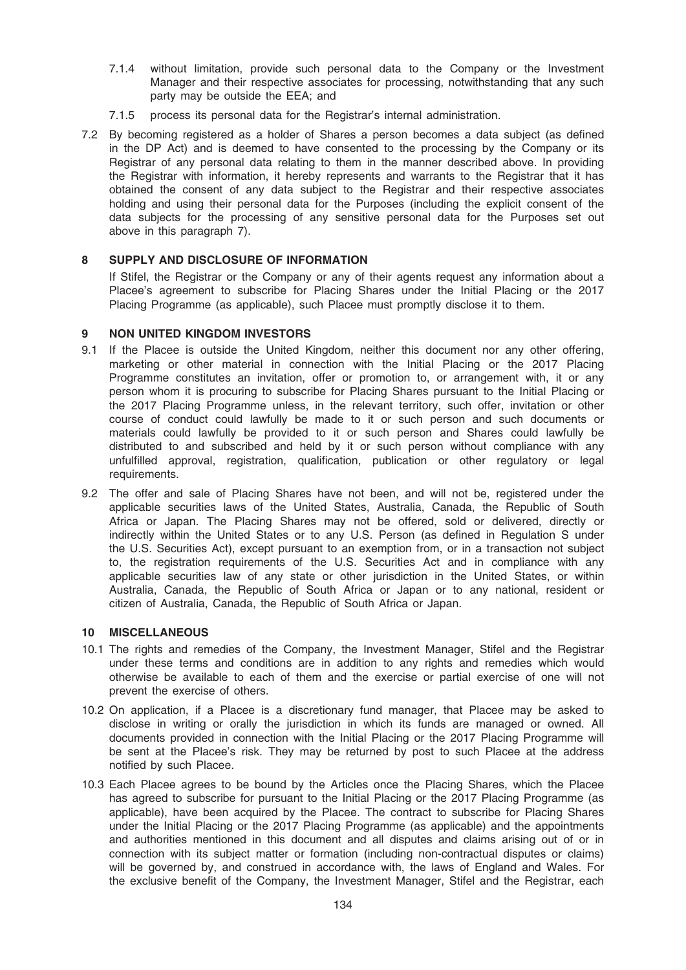- 7.1.4 without limitation, provide such personal data to the Company or the Investment Manager and their respective associates for processing, notwithstanding that any such party may be outside the EEA; and
- 7.1.5 process its personal data for the Registrar's internal administration.
- 7.2 By becoming registered as a holder of Shares a person becomes a data subject (as defined in the DP Act) and is deemed to have consented to the processing by the Company or its Registrar of any personal data relating to them in the manner described above. In providing the Registrar with information, it hereby represents and warrants to the Registrar that it has obtained the consent of any data subject to the Registrar and their respective associates holding and using their personal data for the Purposes (including the explicit consent of the data subjects for the processing of any sensitive personal data for the Purposes set out above in this paragraph 7).

## 8 SUPPLY AND DISCLOSURE OF INFORMATION

If Stifel, the Registrar or the Company or any of their agents request any information about a Placee's agreement to subscribe for Placing Shares under the Initial Placing or the 2017 Placing Programme (as applicable), such Placee must promptly disclose it to them.

#### 9 NON UNITED KINGDOM INVESTORS

- 9.1 If the Placee is outside the United Kingdom, neither this document nor any other offering, marketing or other material in connection with the Initial Placing or the 2017 Placing Programme constitutes an invitation, offer or promotion to, or arrangement with, it or any person whom it is procuring to subscribe for Placing Shares pursuant to the Initial Placing or the 2017 Placing Programme unless, in the relevant territory, such offer, invitation or other course of conduct could lawfully be made to it or such person and such documents or materials could lawfully be provided to it or such person and Shares could lawfully be distributed to and subscribed and held by it or such person without compliance with any unfulfilled approval, registration, qualification, publication or other regulatory or legal requirements.
- 9.2 The offer and sale of Placing Shares have not been, and will not be, registered under the applicable securities laws of the United States, Australia, Canada, the Republic of South Africa or Japan. The Placing Shares may not be offered, sold or delivered, directly or indirectly within the United States or to any U.S. Person (as defined in Regulation S under the U.S. Securities Act), except pursuant to an exemption from, or in a transaction not subject to, the registration requirements of the U.S. Securities Act and in compliance with any applicable securities law of any state or other jurisdiction in the United States, or within Australia, Canada, the Republic of South Africa or Japan or to any national, resident or citizen of Australia, Canada, the Republic of South Africa or Japan.

## 10 MISCELLANEOUS

- 10.1 The rights and remedies of the Company, the Investment Manager, Stifel and the Registrar under these terms and conditions are in addition to any rights and remedies which would otherwise be available to each of them and the exercise or partial exercise of one will not prevent the exercise of others.
- 10.2 On application, if a Placee is a discretionary fund manager, that Placee may be asked to disclose in writing or orally the jurisdiction in which its funds are managed or owned. All documents provided in connection with the Initial Placing or the 2017 Placing Programme will be sent at the Placee's risk. They may be returned by post to such Placee at the address notified by such Placee.
- 10.3 Each Placee agrees to be bound by the Articles once the Placing Shares, which the Placee has agreed to subscribe for pursuant to the Initial Placing or the 2017 Placing Programme (as applicable), have been acquired by the Placee. The contract to subscribe for Placing Shares under the Initial Placing or the 2017 Placing Programme (as applicable) and the appointments and authorities mentioned in this document and all disputes and claims arising out of or in connection with its subject matter or formation (including non-contractual disputes or claims) will be governed by, and construed in accordance with, the laws of England and Wales. For the exclusive benefit of the Company, the Investment Manager, Stifel and the Registrar, each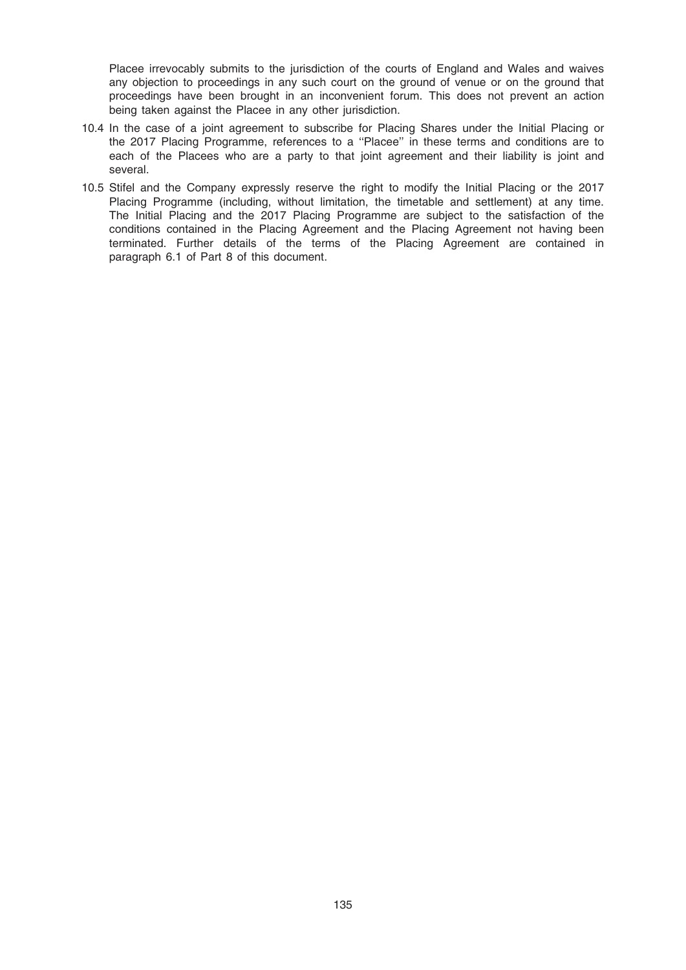Placee irrevocably submits to the jurisdiction of the courts of England and Wales and waives any objection to proceedings in any such court on the ground of venue or on the ground that proceedings have been brought in an inconvenient forum. This does not prevent an action being taken against the Placee in any other jurisdiction.

- 10.4 In the case of a joint agreement to subscribe for Placing Shares under the Initial Placing or the 2017 Placing Programme, references to a ''Placee'' in these terms and conditions are to each of the Placees who are a party to that joint agreement and their liability is joint and several.
- 10.5 Stifel and the Company expressly reserve the right to modify the Initial Placing or the 2017 Placing Programme (including, without limitation, the timetable and settlement) at any time. The Initial Placing and the 2017 Placing Programme are subject to the satisfaction of the conditions contained in the Placing Agreement and the Placing Agreement not having been terminated. Further details of the terms of the Placing Agreement are contained in paragraph 6.1 of Part 8 of this document.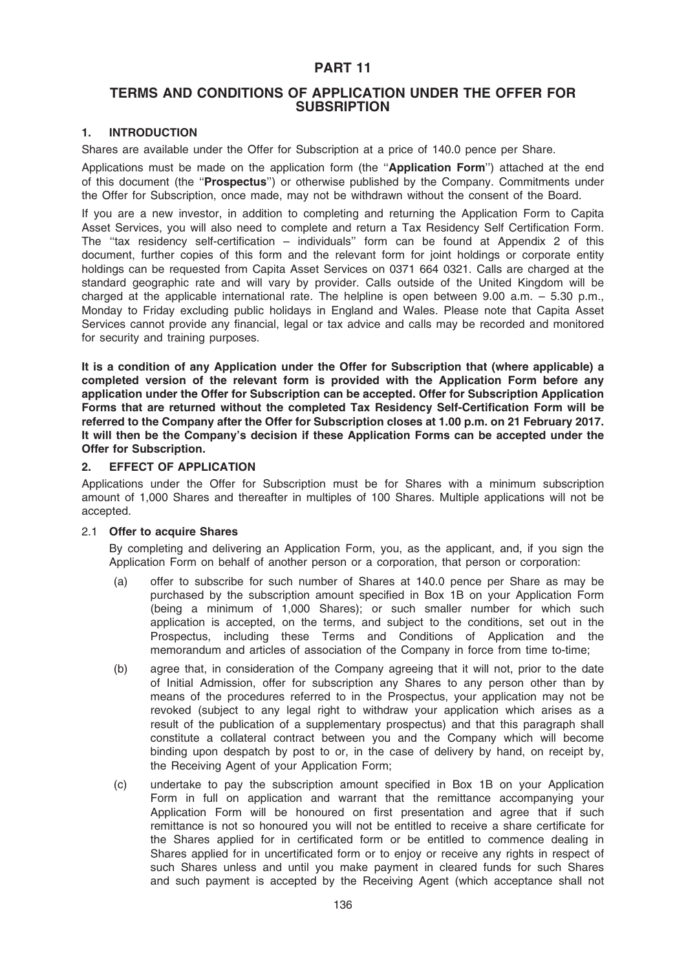## PART 11

## TERMS AND CONDITIONS OF APPLICATION UNDER THE OFFER FOR **SUBSRIPTION**

## 1. INTRODUCTION

Shares are available under the Offer for Subscription at a price of 140.0 pence per Share.

Applications must be made on the application form (the "Application Form") attached at the end of this document (the "Prospectus") or otherwise published by the Company. Commitments under the Offer for Subscription, once made, may not be withdrawn without the consent of the Board.

If you are a new investor, in addition to completing and returning the Application Form to Capita Asset Services, you will also need to complete and return a Tax Residency Self Certification Form. The ''tax residency self-certification – individuals'' form can be found at Appendix 2 of this document, further copies of this form and the relevant form for joint holdings or corporate entity holdings can be requested from Capita Asset Services on 0371 664 0321. Calls are charged at the standard geographic rate and will vary by provider. Calls outside of the United Kingdom will be charged at the applicable international rate. The helpline is open between 9.00 a.m. – 5.30 p.m., Monday to Friday excluding public holidays in England and Wales. Please note that Capita Asset Services cannot provide any financial, legal or tax advice and calls may be recorded and monitored for security and training purposes.

It is a condition of any Application under the Offer for Subscription that (where applicable) a completed version of the relevant form is provided with the Application Form before any application under the Offer for Subscription can be accepted. Offer for Subscription Application Forms that are returned without the completed Tax Residency Self-Certification Form will be referred to the Company after the Offer for Subscription closes at 1.00 p.m. on 21 February 2017. It will then be the Company's decision if these Application Forms can be accepted under the Offer for Subscription.

## 2. EFFECT OF APPLICATION

Applications under the Offer for Subscription must be for Shares with a minimum subscription amount of 1,000 Shares and thereafter in multiples of 100 Shares. Multiple applications will not be accepted.

#### 2.1 Offer to acquire Shares

By completing and delivering an Application Form, you, as the applicant, and, if you sign the Application Form on behalf of another person or a corporation, that person or corporation:

- (a) offer to subscribe for such number of Shares at 140.0 pence per Share as may be purchased by the subscription amount specified in Box 1B on your Application Form (being a minimum of 1,000 Shares); or such smaller number for which such application is accepted, on the terms, and subject to the conditions, set out in the Prospectus, including these Terms and Conditions of Application and the memorandum and articles of association of the Company in force from time to-time;
- (b) agree that, in consideration of the Company agreeing that it will not, prior to the date of Initial Admission, offer for subscription any Shares to any person other than by means of the procedures referred to in the Prospectus, your application may not be revoked (subject to any legal right to withdraw your application which arises as a result of the publication of a supplementary prospectus) and that this paragraph shall constitute a collateral contract between you and the Company which will become binding upon despatch by post to or, in the case of delivery by hand, on receipt by, the Receiving Agent of your Application Form;
- (c) undertake to pay the subscription amount specified in Box 1B on your Application Form in full on application and warrant that the remittance accompanying your Application Form will be honoured on first presentation and agree that if such remittance is not so honoured you will not be entitled to receive a share certificate for the Shares applied for in certificated form or be entitled to commence dealing in Shares applied for in uncertificated form or to enjoy or receive any rights in respect of such Shares unless and until you make payment in cleared funds for such Shares and such payment is accepted by the Receiving Agent (which acceptance shall not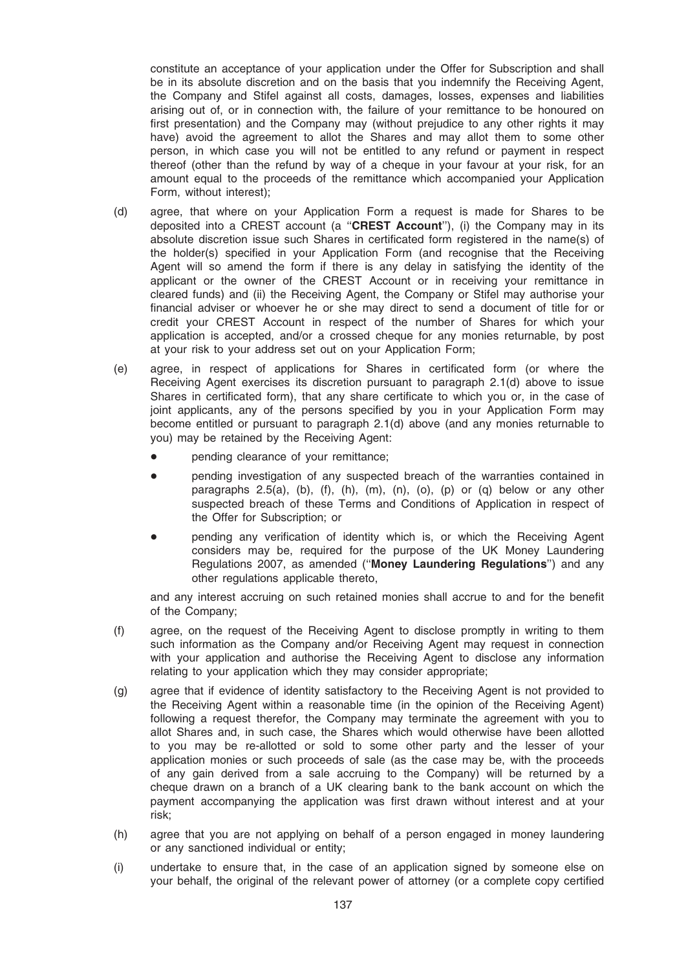constitute an acceptance of your application under the Offer for Subscription and shall be in its absolute discretion and on the basis that you indemnify the Receiving Agent, the Company and Stifel against all costs, damages, losses, expenses and liabilities arising out of, or in connection with, the failure of your remittance to be honoured on first presentation) and the Company may (without prejudice to any other rights it may have) avoid the agreement to allot the Shares and may allot them to some other person, in which case you will not be entitled to any refund or payment in respect thereof (other than the refund by way of a cheque in your favour at your risk, for an amount equal to the proceeds of the remittance which accompanied your Application Form, without interest);

- (d) agree, that where on your Application Form a request is made for Shares to be deposited into a CREST account (a "CREST Account"), (i) the Company may in its absolute discretion issue such Shares in certificated form registered in the name(s) of the holder(s) specified in your Application Form (and recognise that the Receiving Agent will so amend the form if there is any delay in satisfying the identity of the applicant or the owner of the CREST Account or in receiving your remittance in cleared funds) and (ii) the Receiving Agent, the Company or Stifel may authorise your financial adviser or whoever he or she may direct to send a document of title for or credit your CREST Account in respect of the number of Shares for which your application is accepted, and/or a crossed cheque for any monies returnable, by post at your risk to your address set out on your Application Form;
- (e) agree, in respect of applications for Shares in certificated form (or where the Receiving Agent exercises its discretion pursuant to paragraph 2.1(d) above to issue Shares in certificated form), that any share certificate to which you or, in the case of joint applicants, any of the persons specified by you in your Application Form may become entitled or pursuant to paragraph 2.1(d) above (and any monies returnable to you) may be retained by the Receiving Agent:
	- pending clearance of your remittance;
	- pending investigation of any suspected breach of the warranties contained in paragraphs 2.5(a), (b), (f), (h), (m), (n), (o), (p) or (q) below or any other suspected breach of these Terms and Conditions of Application in respect of the Offer for Subscription; or
	- pending any verification of identity which is, or which the Receiving Agent considers may be, required for the purpose of the UK Money Laundering Regulations 2007, as amended ("Money Laundering Regulations") and any other regulations applicable thereto,

and any interest accruing on such retained monies shall accrue to and for the benefit of the Company;

- (f) agree, on the request of the Receiving Agent to disclose promptly in writing to them such information as the Company and/or Receiving Agent may request in connection with your application and authorise the Receiving Agent to disclose any information relating to your application which they may consider appropriate;
- (g) agree that if evidence of identity satisfactory to the Receiving Agent is not provided to the Receiving Agent within a reasonable time (in the opinion of the Receiving Agent) following a request therefor, the Company may terminate the agreement with you to allot Shares and, in such case, the Shares which would otherwise have been allotted to you may be re-allotted or sold to some other party and the lesser of your application monies or such proceeds of sale (as the case may be, with the proceeds of any gain derived from a sale accruing to the Company) will be returned by a cheque drawn on a branch of a UK clearing bank to the bank account on which the payment accompanying the application was first drawn without interest and at your risk;
- (h) agree that you are not applying on behalf of a person engaged in money laundering or any sanctioned individual or entity;
- (i) undertake to ensure that, in the case of an application signed by someone else on your behalf, the original of the relevant power of attorney (or a complete copy certified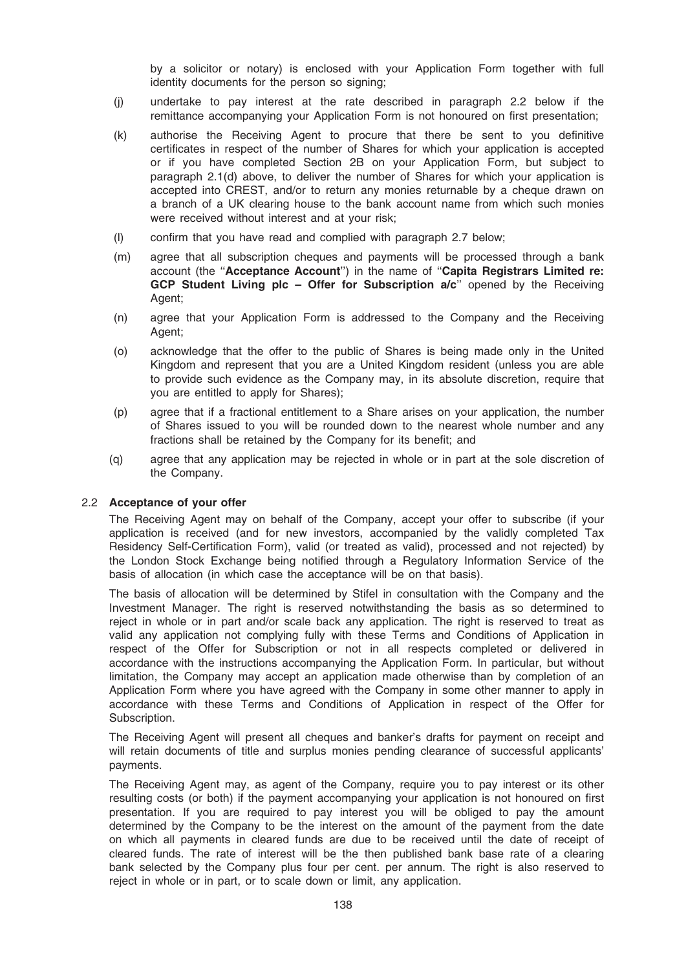by a solicitor or notary) is enclosed with your Application Form together with full identity documents for the person so signing;

- (j) undertake to pay interest at the rate described in paragraph 2.2 below if the remittance accompanying your Application Form is not honoured on first presentation;
- (k) authorise the Receiving Agent to procure that there be sent to you definitive certificates in respect of the number of Shares for which your application is accepted or if you have completed Section 2B on your Application Form, but subject to paragraph 2.1(d) above, to deliver the number of Shares for which your application is accepted into CREST, and/or to return any monies returnable by a cheque drawn on a branch of a UK clearing house to the bank account name from which such monies were received without interest and at your risk;
- (l) confirm that you have read and complied with paragraph 2.7 below;
- (m) agree that all subscription cheques and payments will be processed through a bank account (the ''Acceptance Account'') in the name of ''Capita Registrars Limited re: GCP Student Living plc - Offer for Subscription a/c" opened by the Receiving Agent:
- (n) agree that your Application Form is addressed to the Company and the Receiving Agent;
- (o) acknowledge that the offer to the public of Shares is being made only in the United Kingdom and represent that you are a United Kingdom resident (unless you are able to provide such evidence as the Company may, in its absolute discretion, require that you are entitled to apply for Shares);
- (p) agree that if a fractional entitlement to a Share arises on your application, the number of Shares issued to you will be rounded down to the nearest whole number and any fractions shall be retained by the Company for its benefit; and
- (q) agree that any application may be rejected in whole or in part at the sole discretion of the Company.

#### 2.2 Acceptance of your offer

The Receiving Agent may on behalf of the Company, accept your offer to subscribe (if your application is received (and for new investors, accompanied by the validly completed Tax Residency Self-Certification Form), valid (or treated as valid), processed and not rejected) by the London Stock Exchange being notified through a Regulatory Information Service of the basis of allocation (in which case the acceptance will be on that basis).

The basis of allocation will be determined by Stifel in consultation with the Company and the Investment Manager. The right is reserved notwithstanding the basis as so determined to reject in whole or in part and/or scale back any application. The right is reserved to treat as valid any application not complying fully with these Terms and Conditions of Application in respect of the Offer for Subscription or not in all respects completed or delivered in accordance with the instructions accompanying the Application Form. In particular, but without limitation, the Company may accept an application made otherwise than by completion of an Application Form where you have agreed with the Company in some other manner to apply in accordance with these Terms and Conditions of Application in respect of the Offer for Subscription.

The Receiving Agent will present all cheques and banker's drafts for payment on receipt and will retain documents of title and surplus monies pending clearance of successful applicants' payments.

The Receiving Agent may, as agent of the Company, require you to pay interest or its other resulting costs (or both) if the payment accompanying your application is not honoured on first presentation. If you are required to pay interest you will be obliged to pay the amount determined by the Company to be the interest on the amount of the payment from the date on which all payments in cleared funds are due to be received until the date of receipt of cleared funds. The rate of interest will be the then published bank base rate of a clearing bank selected by the Company plus four per cent. per annum. The right is also reserved to reject in whole or in part, or to scale down or limit, any application.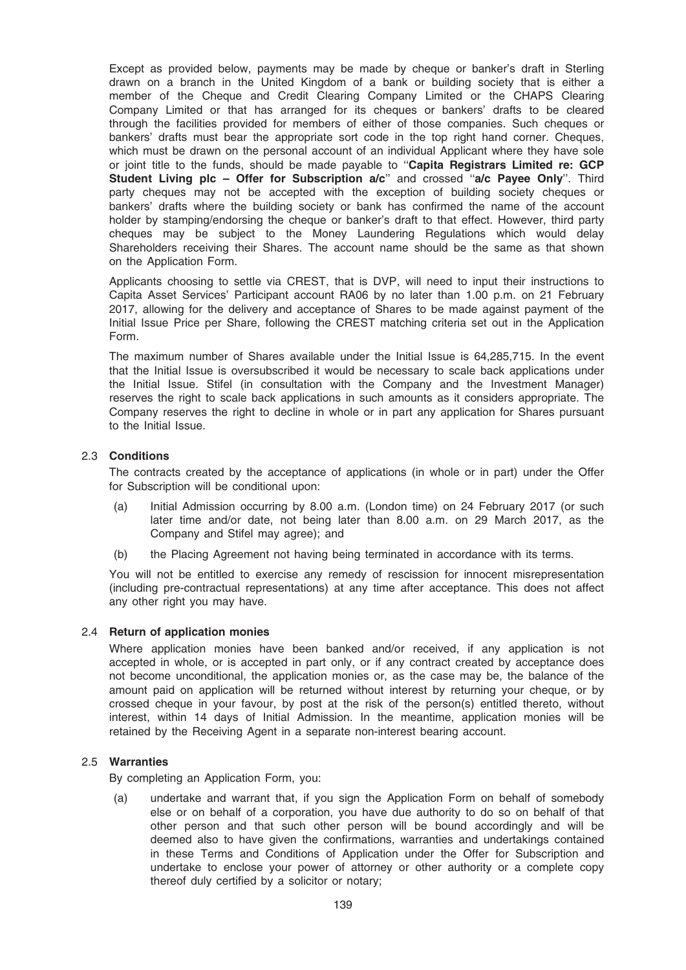Except as provided below, payments may be made by cheque or banker's draft in Sterling drawn on a branch in the United Kingdom of a bank or building society that is either a member of the Cheque and Credit Clearing Company Limited or the CHAPS Clearing Company Limited or that has arranged for its cheques or bankers' drafts to be cleared through the facilities provided for members of either of those companies. Such cheques or bankers' drafts must bear the appropriate sort code in the top right hand corner. Cheques, which must be drawn on the personal account of an individual Applicant where they have sole or joint title to the funds, should be made payable to "Capita Registrars Limited re: GCP Student Living plc - Offer for Subscription a/c" and crossed "a/c Payee Only". Third party cheques may not be accepted with the exception of building society cheques or bankers' drafts where the building society or bank has confirmed the name of the account holder by stamping/endorsing the cheque or banker's draft to that effect. However, third party cheques may be subject to the Money Laundering Regulations which would delay Shareholders receiving their Shares. The account name should be the same as that shown on the Application Form.

Applicants choosing to settle via CREST, that is DVP, will need to input their instructions to Capita Asset Services' Participant account RA06 by no later than 1.00 p.m. on 21 February 2017, allowing for the delivery and acceptance of Shares to be made against payment of the Initial Issue Price per Share, following the CREST matching criteria set out in the Application Form.

The maximum number of Shares available under the Initial Issue is 64,285,715. In the event that the Initial Issue is oversubscribed it would be necessary to scale back applications under the Initial Issue. Stifel (in consultation with the Company and the Investment Manager) reserves the right to scale back applications in such amounts as it considers appropriate. The Company reserves the right to decline in whole or in part any application for Shares pursuant to the Initial Issue.

## 2.3 Conditions

The contracts created by the acceptance of applications (in whole or in part) under the Offer for Subscription will be conditional upon:

- (a) Initial Admission occurring by 8.00 a.m. (London time) on 24 February 2017 (or such later time and/or date, not being later than 8.00 a.m. on 29 March 2017, as the Company and Stifel may agree); and
- (b) the Placing Agreement not having being terminated in accordance with its terms.

You will not be entitled to exercise any remedy of rescission for innocent misrepresentation (including pre-contractual representations) at any time after acceptance. This does not affect any other right you may have.

#### 2.4 Return of application monies

Where application monies have been banked and/or received, if any application is not accepted in whole, or is accepted in part only, or if any contract created by acceptance does not become unconditional, the application monies or, as the case may be, the balance of the amount paid on application will be returned without interest by returning your cheque, or by crossed cheque in your favour, by post at the risk of the person(s) entitled thereto, without interest, within 14 days of Initial Admission. In the meantime, application monies will be retained by the Receiving Agent in a separate non-interest bearing account.

#### 2.5 Warranties

By completing an Application Form, you:

(a) undertake and warrant that, if you sign the Application Form on behalf of somebody else or on behalf of a corporation, you have due authority to do so on behalf of that other person and that such other person will be bound accordingly and will be deemed also to have given the confirmations, warranties and undertakings contained in these Terms and Conditions of Application under the Offer for Subscription and undertake to enclose your power of attorney or other authority or a complete copy thereof duly certified by a solicitor or notary;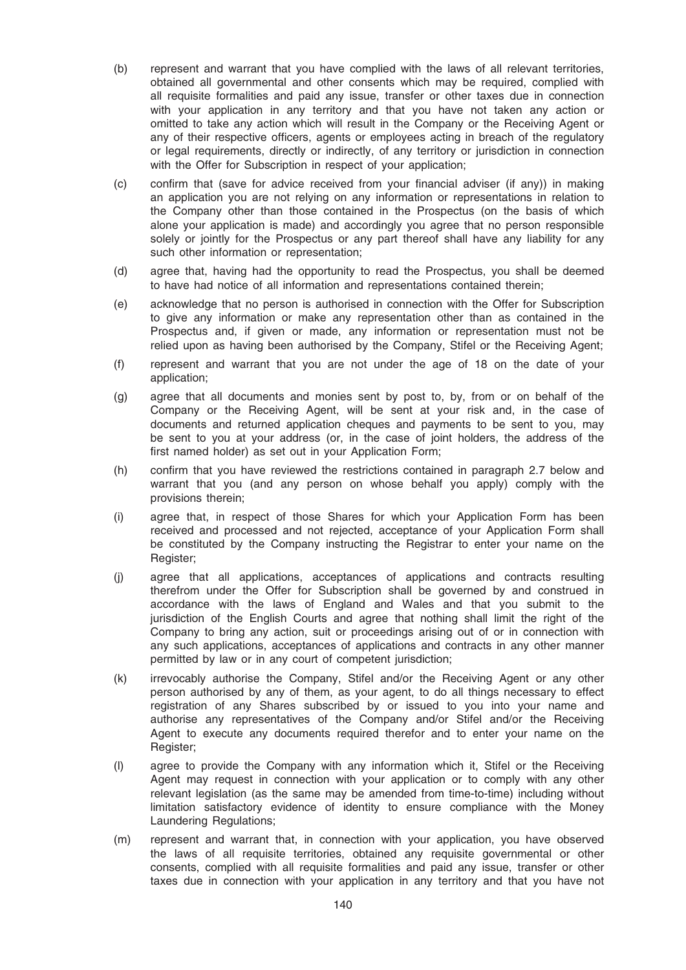- (b) represent and warrant that you have complied with the laws of all relevant territories, obtained all governmental and other consents which may be required, complied with all requisite formalities and paid any issue, transfer or other taxes due in connection with your application in any territory and that you have not taken any action or omitted to take any action which will result in the Company or the Receiving Agent or any of their respective officers, agents or employees acting in breach of the regulatory or legal requirements, directly or indirectly, of any territory or jurisdiction in connection with the Offer for Subscription in respect of your application;
- (c) confirm that (save for advice received from your financial adviser (if any)) in making an application you are not relying on any information or representations in relation to the Company other than those contained in the Prospectus (on the basis of which alone your application is made) and accordingly you agree that no person responsible solely or jointly for the Prospectus or any part thereof shall have any liability for any such other information or representation;
- (d) agree that, having had the opportunity to read the Prospectus, you shall be deemed to have had notice of all information and representations contained therein;
- (e) acknowledge that no person is authorised in connection with the Offer for Subscription to give any information or make any representation other than as contained in the Prospectus and, if given or made, any information or representation must not be relied upon as having been authorised by the Company, Stifel or the Receiving Agent;
- (f) represent and warrant that you are not under the age of 18 on the date of your application;
- (g) agree that all documents and monies sent by post to, by, from or on behalf of the Company or the Receiving Agent, will be sent at your risk and, in the case of documents and returned application cheques and payments to be sent to you, may be sent to you at your address (or, in the case of joint holders, the address of the first named holder) as set out in your Application Form;
- (h) confirm that you have reviewed the restrictions contained in paragraph 2.7 below and warrant that you (and any person on whose behalf you apply) comply with the provisions therein;
- (i) agree that, in respect of those Shares for which your Application Form has been received and processed and not rejected, acceptance of your Application Form shall be constituted by the Company instructing the Registrar to enter your name on the Register;
- (j) agree that all applications, acceptances of applications and contracts resulting therefrom under the Offer for Subscription shall be governed by and construed in accordance with the laws of England and Wales and that you submit to the jurisdiction of the English Courts and agree that nothing shall limit the right of the Company to bring any action, suit or proceedings arising out of or in connection with any such applications, acceptances of applications and contracts in any other manner permitted by law or in any court of competent jurisdiction;
- (k) irrevocably authorise the Company, Stifel and/or the Receiving Agent or any other person authorised by any of them, as your agent, to do all things necessary to effect registration of any Shares subscribed by or issued to you into your name and authorise any representatives of the Company and/or Stifel and/or the Receiving Agent to execute any documents required therefor and to enter your name on the Register;
- (l) agree to provide the Company with any information which it, Stifel or the Receiving Agent may request in connection with your application or to comply with any other relevant legislation (as the same may be amended from time-to-time) including without limitation satisfactory evidence of identity to ensure compliance with the Money Laundering Regulations;
- (m) represent and warrant that, in connection with your application, you have observed the laws of all requisite territories, obtained any requisite governmental or other consents, complied with all requisite formalities and paid any issue, transfer or other taxes due in connection with your application in any territory and that you have not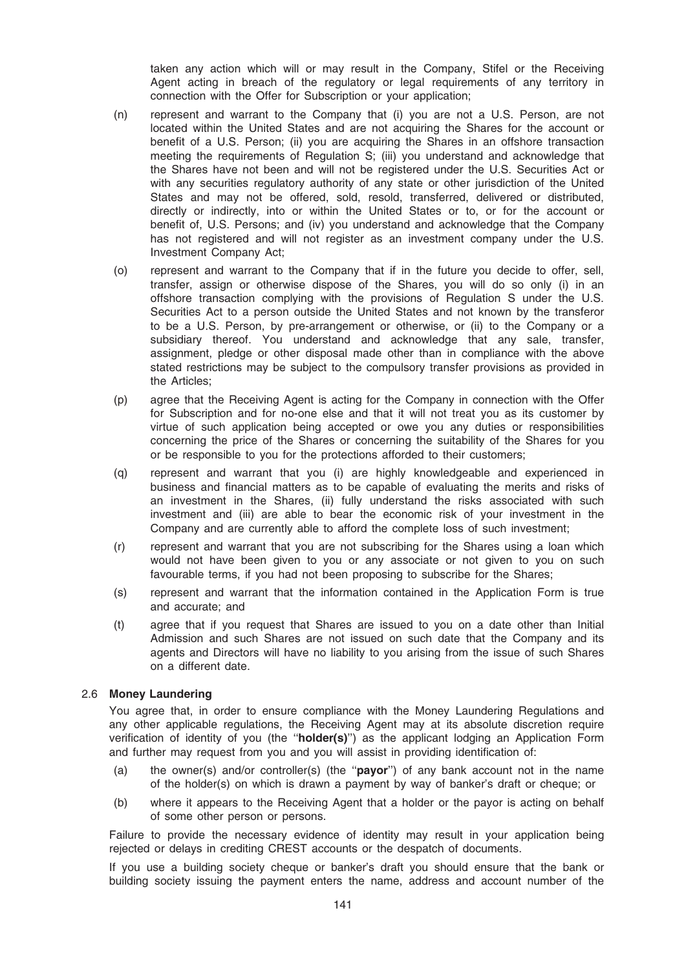taken any action which will or may result in the Company, Stifel or the Receiving Agent acting in breach of the regulatory or legal requirements of any territory in connection with the Offer for Subscription or your application;

- (n) represent and warrant to the Company that (i) you are not a U.S. Person, are not located within the United States and are not acquiring the Shares for the account or benefit of a U.S. Person; (ii) you are acquiring the Shares in an offshore transaction meeting the requirements of Regulation S; (iii) you understand and acknowledge that the Shares have not been and will not be registered under the U.S. Securities Act or with any securities regulatory authority of any state or other jurisdiction of the United States and may not be offered, sold, resold, transferred, delivered or distributed, directly or indirectly, into or within the United States or to, or for the account or benefit of, U.S. Persons; and (iv) you understand and acknowledge that the Company has not registered and will not register as an investment company under the U.S. Investment Company Act;
- (o) represent and warrant to the Company that if in the future you decide to offer, sell, transfer, assign or otherwise dispose of the Shares, you will do so only (i) in an offshore transaction complying with the provisions of Regulation S under the U.S. Securities Act to a person outside the United States and not known by the transferor to be a U.S. Person, by pre-arrangement or otherwise, or (ii) to the Company or a subsidiary thereof. You understand and acknowledge that any sale, transfer, assignment, pledge or other disposal made other than in compliance with the above stated restrictions may be subject to the compulsory transfer provisions as provided in the Articles;
- (p) agree that the Receiving Agent is acting for the Company in connection with the Offer for Subscription and for no-one else and that it will not treat you as its customer by virtue of such application being accepted or owe you any duties or responsibilities concerning the price of the Shares or concerning the suitability of the Shares for you or be responsible to you for the protections afforded to their customers;
- (q) represent and warrant that you (i) are highly knowledgeable and experienced in business and financial matters as to be capable of evaluating the merits and risks of an investment in the Shares, (ii) fully understand the risks associated with such investment and (iii) are able to bear the economic risk of your investment in the Company and are currently able to afford the complete loss of such investment;
- (r) represent and warrant that you are not subscribing for the Shares using a loan which would not have been given to you or any associate or not given to you on such favourable terms, if you had not been proposing to subscribe for the Shares;
- (s) represent and warrant that the information contained in the Application Form is true and accurate; and
- (t) agree that if you request that Shares are issued to you on a date other than Initial Admission and such Shares are not issued on such date that the Company and its agents and Directors will have no liability to you arising from the issue of such Shares on a different date.

## 2.6 Money Laundering

You agree that, in order to ensure compliance with the Money Laundering Regulations and any other applicable regulations, the Receiving Agent may at its absolute discretion require verification of identity of you (the "holder(s)") as the applicant lodging an Application Form and further may request from you and you will assist in providing identification of:

- (a) the owner(s) and/or controller(s) (the ''payor'') of any bank account not in the name of the holder(s) on which is drawn a payment by way of banker's draft or cheque; or
- (b) where it appears to the Receiving Agent that a holder or the payor is acting on behalf of some other person or persons.

Failure to provide the necessary evidence of identity may result in your application being rejected or delays in crediting CREST accounts or the despatch of documents.

If you use a building society cheque or banker's draft you should ensure that the bank or building society issuing the payment enters the name, address and account number of the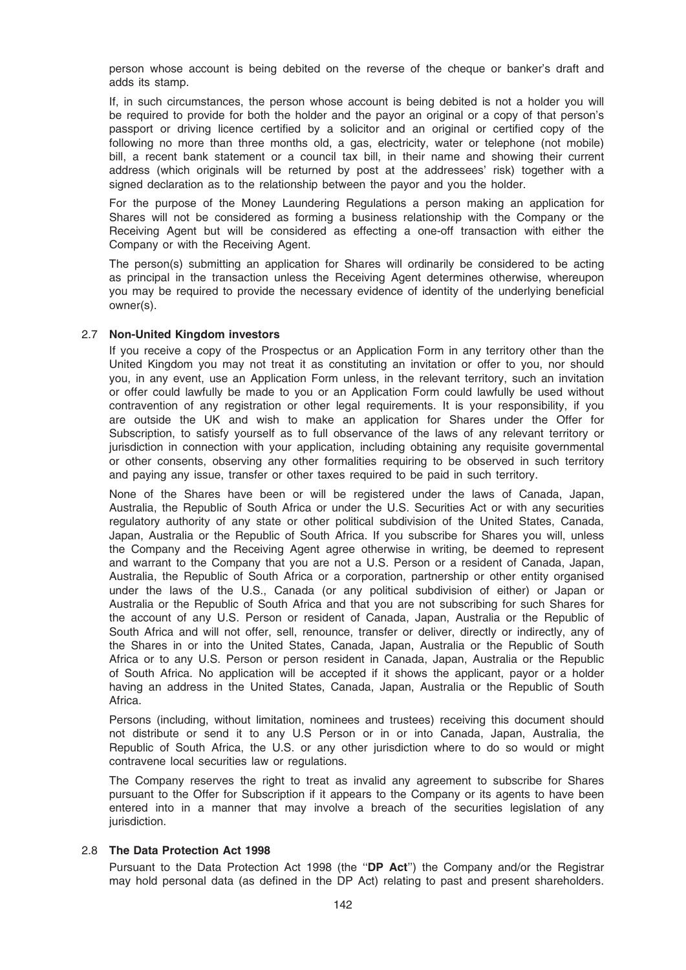person whose account is being debited on the reverse of the cheque or banker's draft and adds its stamp.

If, in such circumstances, the person whose account is being debited is not a holder you will be required to provide for both the holder and the payor an original or a copy of that person's passport or driving licence certified by a solicitor and an original or certified copy of the following no more than three months old, a gas, electricity, water or telephone (not mobile) bill, a recent bank statement or a council tax bill, in their name and showing their current address (which originals will be returned by post at the addressees' risk) together with a signed declaration as to the relationship between the payor and you the holder.

For the purpose of the Money Laundering Regulations a person making an application for Shares will not be considered as forming a business relationship with the Company or the Receiving Agent but will be considered as effecting a one-off transaction with either the Company or with the Receiving Agent.

The person(s) submitting an application for Shares will ordinarily be considered to be acting as principal in the transaction unless the Receiving Agent determines otherwise, whereupon you may be required to provide the necessary evidence of identity of the underlying beneficial owner(s).

### 2.7 Non-United Kingdom investors

If you receive a copy of the Prospectus or an Application Form in any territory other than the United Kingdom you may not treat it as constituting an invitation or offer to you, nor should you, in any event, use an Application Form unless, in the relevant territory, such an invitation or offer could lawfully be made to you or an Application Form could lawfully be used without contravention of any registration or other legal requirements. It is your responsibility, if you are outside the UK and wish to make an application for Shares under the Offer for Subscription, to satisfy yourself as to full observance of the laws of any relevant territory or jurisdiction in connection with your application, including obtaining any requisite governmental or other consents, observing any other formalities requiring to be observed in such territory and paying any issue, transfer or other taxes required to be paid in such territory.

None of the Shares have been or will be registered under the laws of Canada, Japan, Australia, the Republic of South Africa or under the U.S. Securities Act or with any securities regulatory authority of any state or other political subdivision of the United States, Canada, Japan, Australia or the Republic of South Africa. If you subscribe for Shares you will, unless the Company and the Receiving Agent agree otherwise in writing, be deemed to represent and warrant to the Company that you are not a U.S. Person or a resident of Canada, Japan, Australia, the Republic of South Africa or a corporation, partnership or other entity organised under the laws of the U.S., Canada (or any political subdivision of either) or Japan or Australia or the Republic of South Africa and that you are not subscribing for such Shares for the account of any U.S. Person or resident of Canada, Japan, Australia or the Republic of South Africa and will not offer, sell, renounce, transfer or deliver, directly or indirectly, any of the Shares in or into the United States, Canada, Japan, Australia or the Republic of South Africa or to any U.S. Person or person resident in Canada, Japan, Australia or the Republic of South Africa. No application will be accepted if it shows the applicant, payor or a holder having an address in the United States, Canada, Japan, Australia or the Republic of South Africa.

Persons (including, without limitation, nominees and trustees) receiving this document should not distribute or send it to any U.S Person or in or into Canada, Japan, Australia, the Republic of South Africa, the U.S. or any other jurisdiction where to do so would or might contravene local securities law or regulations.

The Company reserves the right to treat as invalid any agreement to subscribe for Shares pursuant to the Offer for Subscription if it appears to the Company or its agents to have been entered into in a manner that may involve a breach of the securities legislation of any jurisdiction.

#### 2.8 The Data Protection Act 1998

Pursuant to the Data Protection Act 1998 (the "DP Act") the Company and/or the Registrar may hold personal data (as defined in the DP Act) relating to past and present shareholders.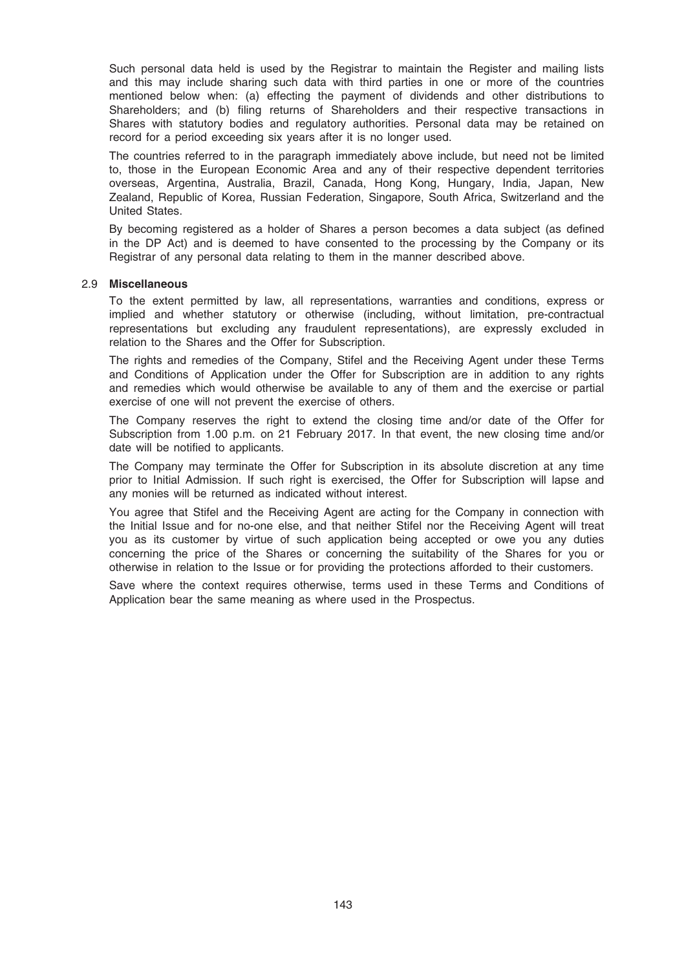Such personal data held is used by the Registrar to maintain the Register and mailing lists and this may include sharing such data with third parties in one or more of the countries mentioned below when: (a) effecting the payment of dividends and other distributions to Shareholders; and (b) filing returns of Shareholders and their respective transactions in Shares with statutory bodies and regulatory authorities. Personal data may be retained on record for a period exceeding six years after it is no longer used.

The countries referred to in the paragraph immediately above include, but need not be limited to, those in the European Economic Area and any of their respective dependent territories overseas, Argentina, Australia, Brazil, Canada, Hong Kong, Hungary, India, Japan, New Zealand, Republic of Korea, Russian Federation, Singapore, South Africa, Switzerland and the United States.

By becoming registered as a holder of Shares a person becomes a data subject (as defined in the DP Act) and is deemed to have consented to the processing by the Company or its Registrar of any personal data relating to them in the manner described above.

#### 2.9 Miscellaneous

To the extent permitted by law, all representations, warranties and conditions, express or implied and whether statutory or otherwise (including, without limitation, pre-contractual representations but excluding any fraudulent representations), are expressly excluded in relation to the Shares and the Offer for Subscription.

The rights and remedies of the Company, Stifel and the Receiving Agent under these Terms and Conditions of Application under the Offer for Subscription are in addition to any rights and remedies which would otherwise be available to any of them and the exercise or partial exercise of one will not prevent the exercise of others.

The Company reserves the right to extend the closing time and/or date of the Offer for Subscription from 1.00 p.m. on 21 February 2017. In that event, the new closing time and/or date will be notified to applicants.

The Company may terminate the Offer for Subscription in its absolute discretion at any time prior to Initial Admission. If such right is exercised, the Offer for Subscription will lapse and any monies will be returned as indicated without interest.

You agree that Stifel and the Receiving Agent are acting for the Company in connection with the Initial Issue and for no-one else, and that neither Stifel nor the Receiving Agent will treat you as its customer by virtue of such application being accepted or owe you any duties concerning the price of the Shares or concerning the suitability of the Shares for you or otherwise in relation to the Issue or for providing the protections afforded to their customers.

Save where the context requires otherwise, terms used in these Terms and Conditions of Application bear the same meaning as where used in the Prospectus.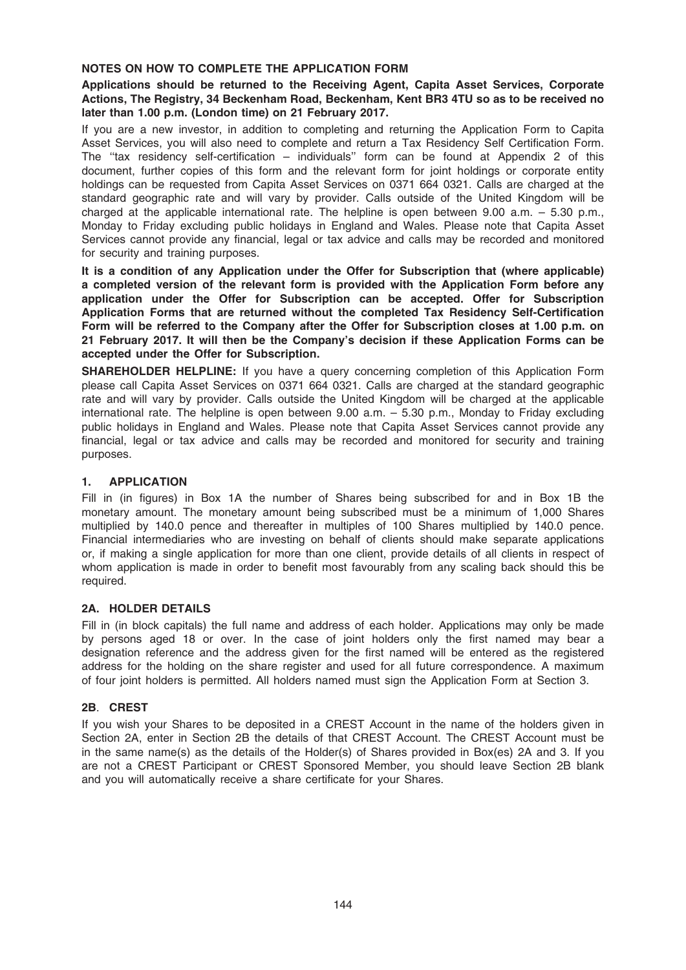## NOTES ON HOW TO COMPLETE THE APPLICATION FORM

## Applications should be returned to the Receiving Agent, Capita Asset Services, Corporate Actions, The Registry, 34 Beckenham Road, Beckenham, Kent BR3 4TU so as to be received no later than 1.00 p.m. (London time) on 21 February 2017.

If you are a new investor, in addition to completing and returning the Application Form to Capita Asset Services, you will also need to complete and return a Tax Residency Self Certification Form. The ''tax residency self-certification – individuals'' form can be found at Appendix 2 of this document, further copies of this form and the relevant form for joint holdings or corporate entity holdings can be requested from Capita Asset Services on 0371 664 0321. Calls are charged at the standard geographic rate and will vary by provider. Calls outside of the United Kingdom will be charged at the applicable international rate. The helpline is open between 9.00 a.m. – 5.30 p.m., Monday to Friday excluding public holidays in England and Wales. Please note that Capita Asset Services cannot provide any financial, legal or tax advice and calls may be recorded and monitored for security and training purposes.

It is a condition of any Application under the Offer for Subscription that (where applicable) a completed version of the relevant form is provided with the Application Form before any application under the Offer for Subscription can be accepted. Offer for Subscription Application Forms that are returned without the completed Tax Residency Self-Certification Form will be referred to the Company after the Offer for Subscription closes at 1.00 p.m. on 21 February 2017. It will then be the Company's decision if these Application Forms can be accepted under the Offer for Subscription.

SHAREHOLDER HELPLINE: If you have a query concerning completion of this Application Form please call Capita Asset Services on 0371 664 0321. Calls are charged at the standard geographic rate and will vary by provider. Calls outside the United Kingdom will be charged at the applicable international rate. The helpline is open between 9.00 a.m. – 5.30 p.m., Monday to Friday excluding public holidays in England and Wales. Please note that Capita Asset Services cannot provide any financial, legal or tax advice and calls may be recorded and monitored for security and training purposes.

## 1. APPLICATION

Fill in (in figures) in Box 1A the number of Shares being subscribed for and in Box 1B the monetary amount. The monetary amount being subscribed must be a minimum of 1,000 Shares multiplied by 140.0 pence and thereafter in multiples of 100 Shares multiplied by 140.0 pence. Financial intermediaries who are investing on behalf of clients should make separate applications or, if making a single application for more than one client, provide details of all clients in respect of whom application is made in order to benefit most favourably from any scaling back should this be required.

## 2A. HOLDER DETAILS

Fill in (in block capitals) the full name and address of each holder. Applications may only be made by persons aged 18 or over. In the case of joint holders only the first named may bear a designation reference and the address given for the first named will be entered as the registered address for the holding on the share register and used for all future correspondence. A maximum of four joint holders is permitted. All holders named must sign the Application Form at Section 3.

## 2B. CREST

If you wish your Shares to be deposited in a CREST Account in the name of the holders given in Section 2A, enter in Section 2B the details of that CREST Account. The CREST Account must be in the same name(s) as the details of the Holder(s) of Shares provided in Box(es) 2A and 3. If you are not a CREST Participant or CREST Sponsored Member, you should leave Section 2B blank and you will automatically receive a share certificate for your Shares.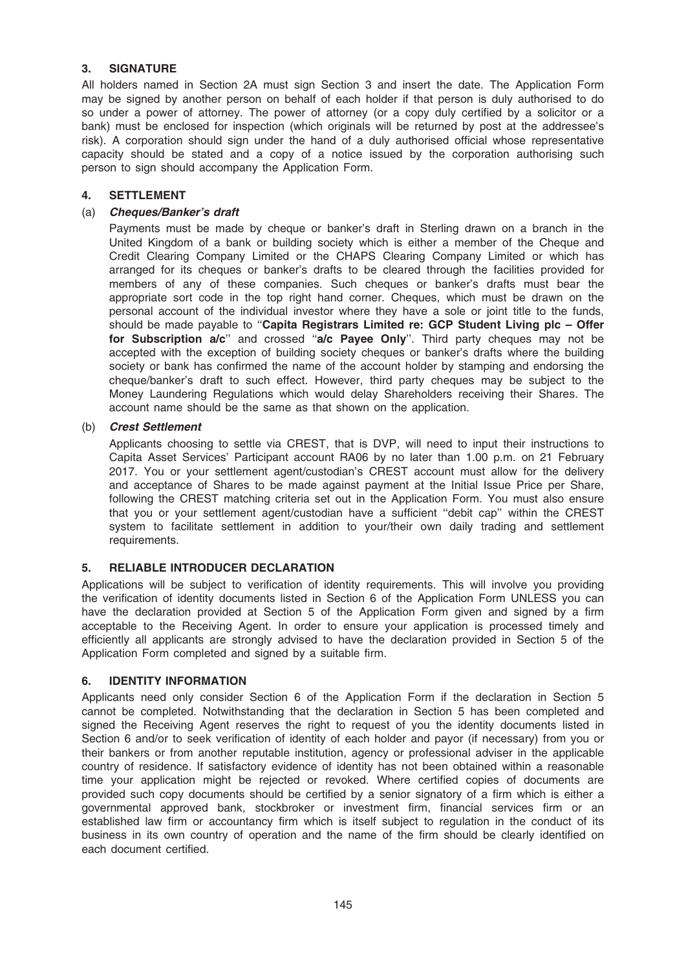# 3. SIGNATURE

All holders named in Section 2A must sign Section 3 and insert the date. The Application Form may be signed by another person on behalf of each holder if that person is duly authorised to do so under a power of attorney. The power of attorney (or a copy duly certified by a solicitor or a bank) must be enclosed for inspection (which originals will be returned by post at the addressee's risk). A corporation should sign under the hand of a duly authorised official whose representative capacity should be stated and a copy of a notice issued by the corporation authorising such person to sign should accompany the Application Form.

# 4. SETTLEMENT

# (a) Cheques/Banker's draft

Payments must be made by cheque or banker's draft in Sterling drawn on a branch in the United Kingdom of a bank or building society which is either a member of the Cheque and Credit Clearing Company Limited or the CHAPS Clearing Company Limited or which has arranged for its cheques or banker's drafts to be cleared through the facilities provided for members of any of these companies. Such cheques or banker's drafts must bear the appropriate sort code in the top right hand corner. Cheques, which must be drawn on the personal account of the individual investor where they have a sole or joint title to the funds, should be made payable to "Capita Registrars Limited re: GCP Student Living plc - Offer for Subscription  $a/c$ " and crossed " $a/c$  Payee Only". Third party cheques may not be accepted with the exception of building society cheques or banker's drafts where the building society or bank has confirmed the name of the account holder by stamping and endorsing the cheque/banker's draft to such effect. However, third party cheques may be subject to the Money Laundering Regulations which would delay Shareholders receiving their Shares. The account name should be the same as that shown on the application.

# (b) Crest Settlement

Applicants choosing to settle via CREST, that is DVP, will need to input their instructions to Capita Asset Services' Participant account RA06 by no later than 1.00 p.m. on 21 February 2017. You or your settlement agent/custodian's CREST account must allow for the delivery and acceptance of Shares to be made against payment at the Initial Issue Price per Share, following the CREST matching criteria set out in the Application Form. You must also ensure that you or your settlement agent/custodian have a sufficient ''debit cap'' within the CREST system to facilitate settlement in addition to your/their own daily trading and settlement requirements.

# 5. RELIABLE INTRODUCER DECLARATION

Applications will be subject to verification of identity requirements. This will involve you providing the verification of identity documents listed in Section 6 of the Application Form UNLESS you can have the declaration provided at Section 5 of the Application Form given and signed by a firm acceptable to the Receiving Agent. In order to ensure your application is processed timely and efficiently all applicants are strongly advised to have the declaration provided in Section 5 of the Application Form completed and signed by a suitable firm.

# 6. IDENTITY INFORMATION

Applicants need only consider Section 6 of the Application Form if the declaration in Section 5 cannot be completed. Notwithstanding that the declaration in Section 5 has been completed and signed the Receiving Agent reserves the right to request of you the identity documents listed in Section 6 and/or to seek verification of identity of each holder and payor (if necessary) from you or their bankers or from another reputable institution, agency or professional adviser in the applicable country of residence. If satisfactory evidence of identity has not been obtained within a reasonable time your application might be rejected or revoked. Where certified copies of documents are provided such copy documents should be certified by a senior signatory of a firm which is either a governmental approved bank, stockbroker or investment firm, financial services firm or an established law firm or accountancy firm which is itself subject to regulation in the conduct of its business in its own country of operation and the name of the firm should be clearly identified on each document certified.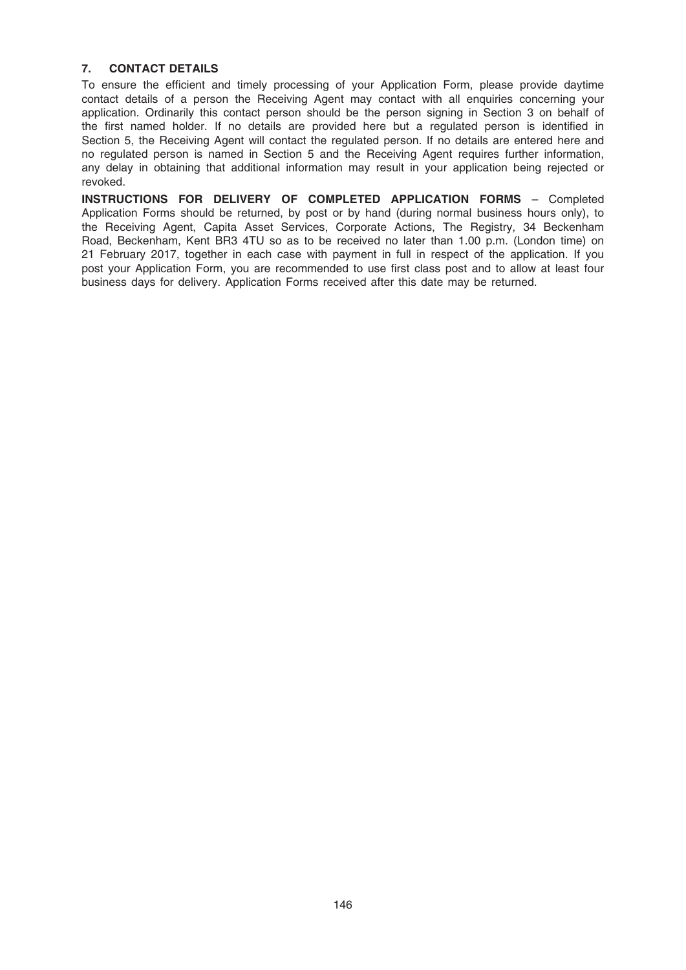# 7. CONTACT DETAILS

To ensure the efficient and timely processing of your Application Form, please provide daytime contact details of a person the Receiving Agent may contact with all enquiries concerning your application. Ordinarily this contact person should be the person signing in Section 3 on behalf of the first named holder. If no details are provided here but a regulated person is identified in Section 5, the Receiving Agent will contact the regulated person. If no details are entered here and no regulated person is named in Section 5 and the Receiving Agent requires further information, any delay in obtaining that additional information may result in your application being rejected or revoked.

INSTRUCTIONS FOR DELIVERY OF COMPLETED APPLICATION FORMS – Completed Application Forms should be returned, by post or by hand (during normal business hours only), to the Receiving Agent, Capita Asset Services, Corporate Actions, The Registry, 34 Beckenham Road, Beckenham, Kent BR3 4TU so as to be received no later than 1.00 p.m. (London time) on 21 February 2017, together in each case with payment in full in respect of the application. If you post your Application Form, you are recommended to use first class post and to allow at least four business days for delivery. Application Forms received after this date may be returned.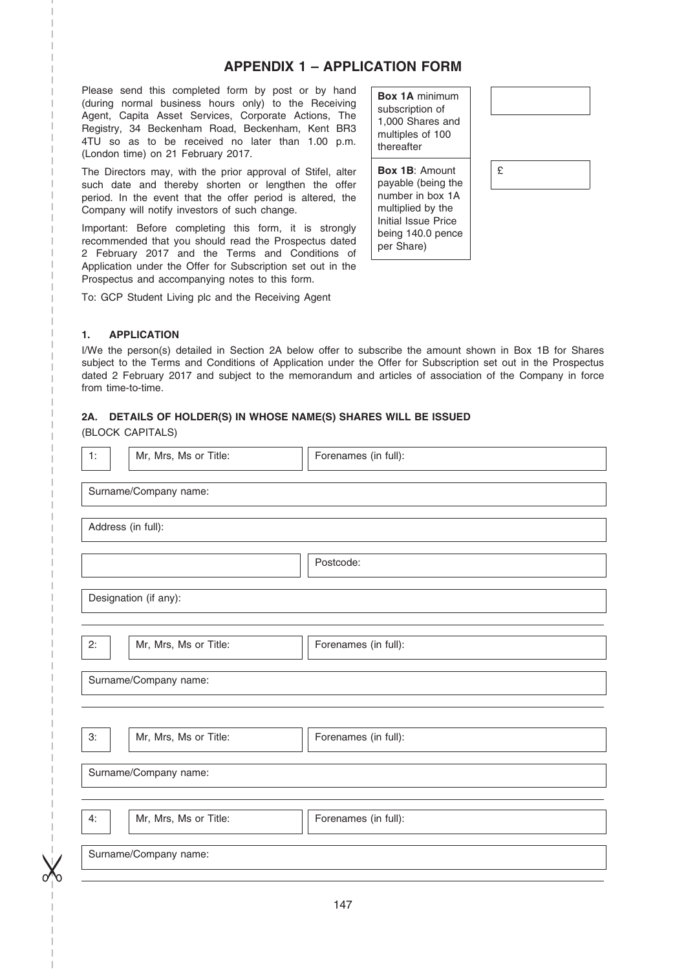# APPENDIX 1 – APPLICATION FORM

Please send this completed form by post or by hand (during normal business hours only) to the Receiving Agent, Capita Asset Services, Corporate Actions, The Registry, 34 Beckenham Road, Beckenham, Kent BR3 4TU so as to be received no later than 1.00 p.m. (London time) on 21 February 2017.

The Directors may, with the prior approval of Stifel, alter such date and thereby shorten or lengthen the offer period. In the event that the offer period is altered, the Company will notify investors of such change.

Important: Before completing this form, it is strongly recommended that you should read the Prospectus dated 2 February 2017 and the Terms and Conditions of Application under the Offer for Subscription set out in the Prospectus and accompanying notes to this form.

To: GCP Student Living plc and the Receiving Agent

Box 1A minimum subscription of 1,000 Shares and multiples of 100 thereafter

Box 1B: Amount payable (being the number in box 1A multiplied by the Initial Issue Price being 140.0 pence per Share)



## 1. APPLICATION

I/We the person(s) detailed in Section 2A below offer to subscribe the amount shown in Box 1B for Shares subject to the Terms and Conditions of Application under the Offer for Subscription set out in the Prospectus dated 2 February 2017 and subject to the memorandum and articles of association of the Company in force from time-to-time.

## 2A. DETAILS OF HOLDER(S) IN WHOSE NAME(S) SHARES WILL BE ISSUED

(BLOCK CAPITALS)

–––––––––––––––––––––––––– ––––––––––––––––––––––––––––– –––––––––––––––––––––––––––––

 $\chi$ 

–

| 1:                 | Mr, Mrs, Ms or Title: | Forenames (in full): |  |  |  |
|--------------------|-----------------------|----------------------|--|--|--|
|                    | Surname/Company name: |                      |  |  |  |
| Address (in full): |                       |                      |  |  |  |
|                    |                       | Postcode:            |  |  |  |
|                    | Designation (if any): |                      |  |  |  |
| 2:                 | Mr, Mrs, Ms or Title: | Forenames (in full): |  |  |  |
|                    | Surname/Company name: |                      |  |  |  |
|                    |                       |                      |  |  |  |
| 3:                 | Mr, Mrs, Ms or Title: | Forenames (in full): |  |  |  |
|                    | Surname/Company name: |                      |  |  |  |
|                    |                       |                      |  |  |  |
| 4:                 | Mr, Mrs, Ms or Title: | Forenames (in full): |  |  |  |
|                    | Surname/Company name: |                      |  |  |  |
|                    |                       |                      |  |  |  |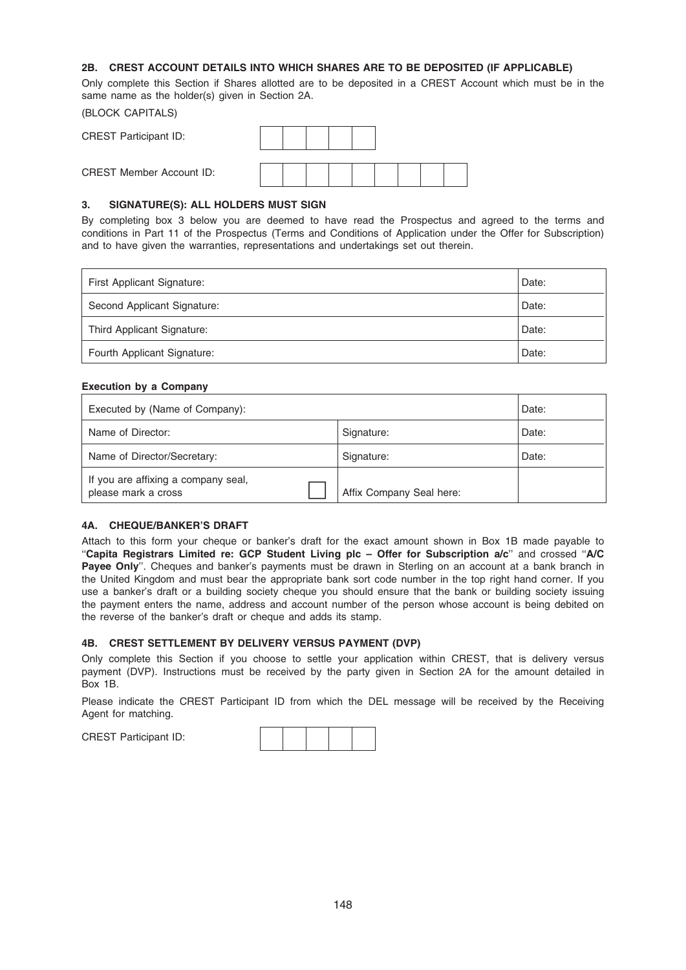## 2B. CREST ACCOUNT DETAILS INTO WHICH SHARES ARE TO BE DEPOSITED (IF APPLICABLE)

Only complete this Section if Shares allotted are to be deposited in a CREST Account which must be in the same name as the holder(s) given in Section 2A.

# (BLOCK CAPITALS) CREST Participant ID:

CREST Member Account ID:

## 3. SIGNATURE(S): ALL HOLDERS MUST SIGN

By completing box 3 below you are deemed to have read the Prospectus and agreed to the terms and conditions in Part 11 of the Prospectus (Terms and Conditions of Application under the Offer for Subscription) and to have given the warranties, representations and undertakings set out therein.

| First Applicant Signature:  | Date: |
|-----------------------------|-------|
| Second Applicant Signature: | Date: |
| Third Applicant Signature:  | Date: |
| Fourth Applicant Signature: | Date: |

## Execution by a Company

| Executed by (Name of Company):                             | Date:                    |       |
|------------------------------------------------------------|--------------------------|-------|
| Name of Director:                                          | Signature:               | Date: |
| Name of Director/Secretary:                                | Signature:               | Date: |
| If you are affixing a company seal,<br>please mark a cross | Affix Company Seal here: |       |

## 4A. CHEQUE/BANKER'S DRAFT

Attach to this form your cheque or banker's draft for the exact amount shown in Box 1B made payable to "Capita Registrars Limited re: GCP Student Living plc - Offer for Subscription a/c" and crossed "A/C Payee Only". Cheques and banker's payments must be drawn in Sterling on an account at a bank branch in the United Kingdom and must bear the appropriate bank sort code number in the top right hand corner. If you use a banker's draft or a building society cheque you should ensure that the bank or building society issuing the payment enters the name, address and account number of the person whose account is being debited on the reverse of the banker's draft or cheque and adds its stamp.

## 4B. CREST SETTLEMENT BY DELIVERY VERSUS PAYMENT (DVP)

Only complete this Section if you choose to settle your application within CREST, that is delivery versus payment (DVP). Instructions must be received by the party given in Section 2A for the amount detailed in Box 1B.

Please indicate the CREST Participant ID from which the DEL message will be received by the Receiving Agent for matching.

CREST Participant ID: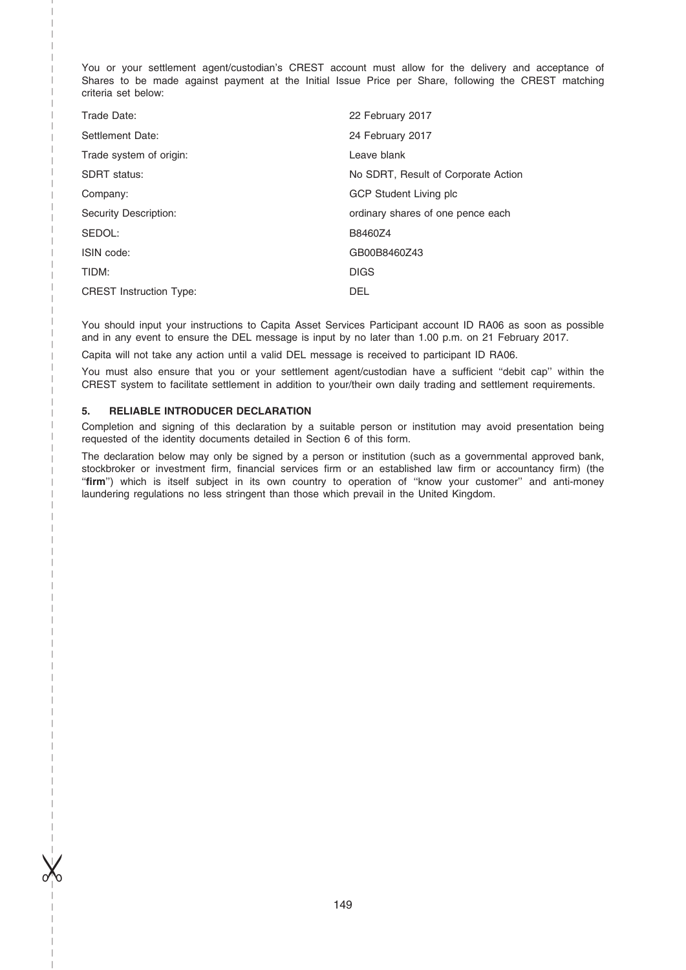You or your settlement agent/custodian's CREST account must allow for the delivery and acceptance of Shares to be made against payment at the Initial Issue Price per Share, following the CREST matching criteria set below:

| Trade Date:                    | 22 February 2017                    |
|--------------------------------|-------------------------------------|
| Settlement Date:               | 24 February 2017                    |
| Trade system of origin:        | Leave blank                         |
| <b>SDRT</b> status:            | No SDRT, Result of Corporate Action |
| Company:                       | GCP Student Living plc              |
| Security Description:          | ordinary shares of one pence each   |
| SEDOL:                         | B8460Z4                             |
| ISIN code:                     | GB00B8460Z43                        |
| TIDM:                          | <b>DIGS</b>                         |
| <b>CREST Instruction Type:</b> | <b>DEL</b>                          |

You should input your instructions to Capita Asset Services Participant account ID RA06 as soon as possible and in any event to ensure the DEL message is input by no later than 1.00 p.m. on 21 February 2017.

Capita will not take any action until a valid DEL message is received to participant ID RA06.

You must also ensure that you or your settlement agent/custodian have a sufficient ''debit cap'' within the CREST system to facilitate settlement in addition to your/their own daily trading and settlement requirements.

### 5. RELIABLE INTRODUCER DECLARATION

–––––––––––––––––––––––––– ––––––––––––––––––––––––––––– –––––––––––––––––––––––––––––

 $\chi$ 

–

Completion and signing of this declaration by a suitable person or institution may avoid presentation being requested of the identity documents detailed in Section 6 of this form.

The declaration below may only be signed by a person or institution (such as a governmental approved bank, stockbroker or investment firm, financial services firm or an established law firm or accountancy firm) (the ''firm'') which is itself subject in its own country to operation of ''know your customer'' and anti-money laundering regulations no less stringent than those which prevail in the United Kingdom.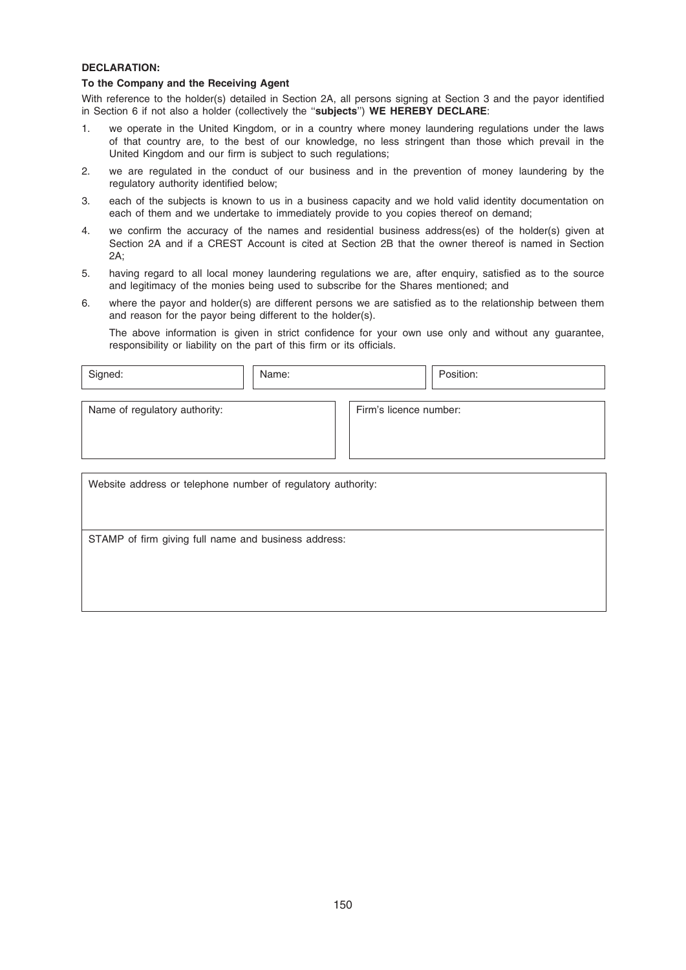## DECLARATION:

#### To the Company and the Receiving Agent

With reference to the holder(s) detailed in Section 2A, all persons signing at Section 3 and the payor identified in Section 6 if not also a holder (collectively the ''subjects'') WE HEREBY DECLARE:

- 1. we operate in the United Kingdom, or in a country where money laundering regulations under the laws of that country are, to the best of our knowledge, no less stringent than those which prevail in the United Kingdom and our firm is subject to such regulations;
- 2. we are regulated in the conduct of our business and in the prevention of money laundering by the regulatory authority identified below;
- 3. each of the subjects is known to us in a business capacity and we hold valid identity documentation on each of them and we undertake to immediately provide to you copies thereof on demand;
- 4. we confirm the accuracy of the names and residential business address(es) of the holder(s) given at Section 2A and if a CREST Account is cited at Section 2B that the owner thereof is named in Section  $2A$ :
- 5. having regard to all local money laundering regulations we are, after enquiry, satisfied as to the source and legitimacy of the monies being used to subscribe for the Shares mentioned; and
- 6. where the payor and holder(s) are different persons we are satisfied as to the relationship between them and reason for the payor being different to the holder(s).

The above information is given in strict confidence for your own use only and without any guarantee, responsibility or liability on the part of this firm or its officials.

| Signed:                                                      | Name: |                        | Position: |  |
|--------------------------------------------------------------|-------|------------------------|-----------|--|
| Name of regulatory authority:                                |       | Firm's licence number: |           |  |
| Website address or telephone number of regulatory authority: |       |                        |           |  |

STAMP of firm giving full name and business address: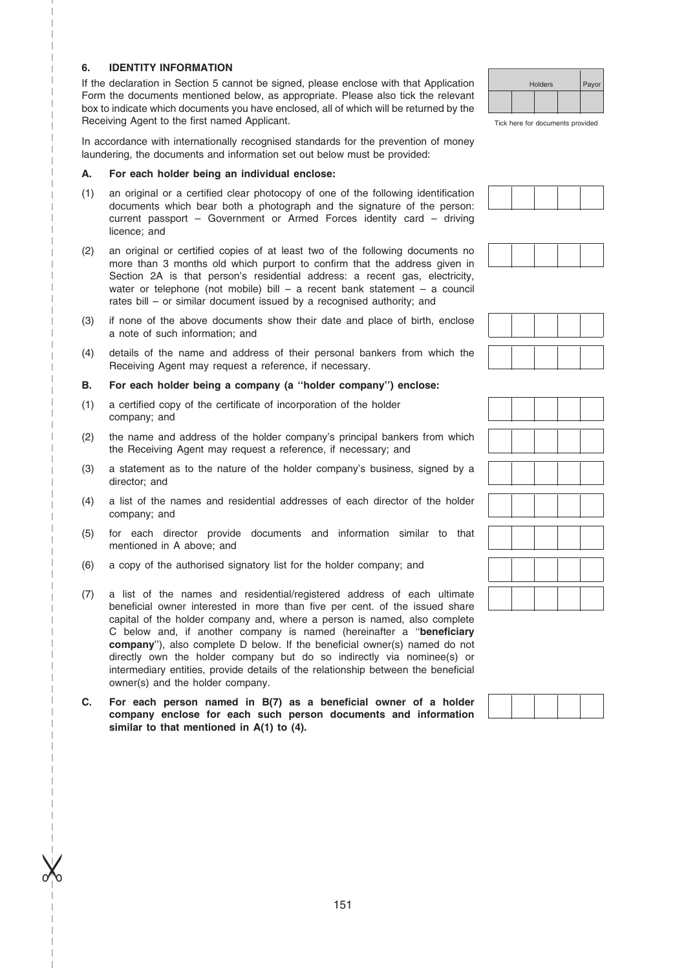## 6. IDENTITY INFORMATION

–––––––––––––––––––––––––– ––––––––––––––––––––––––––––– –––––––––––––––––––––––––––––

 $\chi$ 

–

If the declaration in Section 5 cannot be signed, please enclose with that Application Form the documents mentioned below, as appropriate. Please also tick the relevant box to indicate which documents you have enclosed, all of which will be returned by the Receiving Agent to the first named Applicant.

In accordance with internationally recognised standards for the prevention of money laundering, the documents and information set out below must be provided:

#### A. For each holder being an individual enclose:

- (1) an original or a certified clear photocopy of one of the following identification documents which bear both a photograph and the signature of the person: current passport – Government or Armed Forces identity card – driving licence; and
- (2) an original or certified copies of at least two of the following documents no more than 3 months old which purport to confirm that the address given in Section 2A is that person's residential address: a recent gas, electricity, water or telephone (not mobile) bill – a recent bank statement – a council rates bill – or similar document issued by a recognised authority; and
- (3) if none of the above documents show their date and place of birth, enclose a note of such information; and
- (4) details of the name and address of their personal bankers from which the Receiving Agent may request a reference, if necessary.

## B. For each holder being a company (a ''holder company'') enclose:

- (1) a certified copy of the certificate of incorporation of the holder company; and
- (2) the name and address of the holder company's principal bankers from which the Receiving Agent may request a reference, if necessary; and
- (3) a statement as to the nature of the holder company's business, signed by a director; and
- (4) a list of the names and residential addresses of each director of the holder company; and
- (5) for each director provide documents and information similar to that mentioned in A above; and
- (6) a copy of the authorised signatory list for the holder company; and
- (7) a list of the names and residential/registered address of each ultimate beneficial owner interested in more than five per cent. of the issued share capital of the holder company and, where a person is named, also complete C below and, if another company is named (hereinafter a ''beneficiary company''), also complete D below. If the beneficial owner(s) named do not directly own the holder company but do so indirectly via nominee(s) or intermediary entities, provide details of the relationship between the beneficial owner(s) and the holder company.
- C. For each person named in B(7) as a beneficial owner of a holder company enclose for each such person documents and information similar to that mentioned in A(1) to (4).



Tick here for documents provided





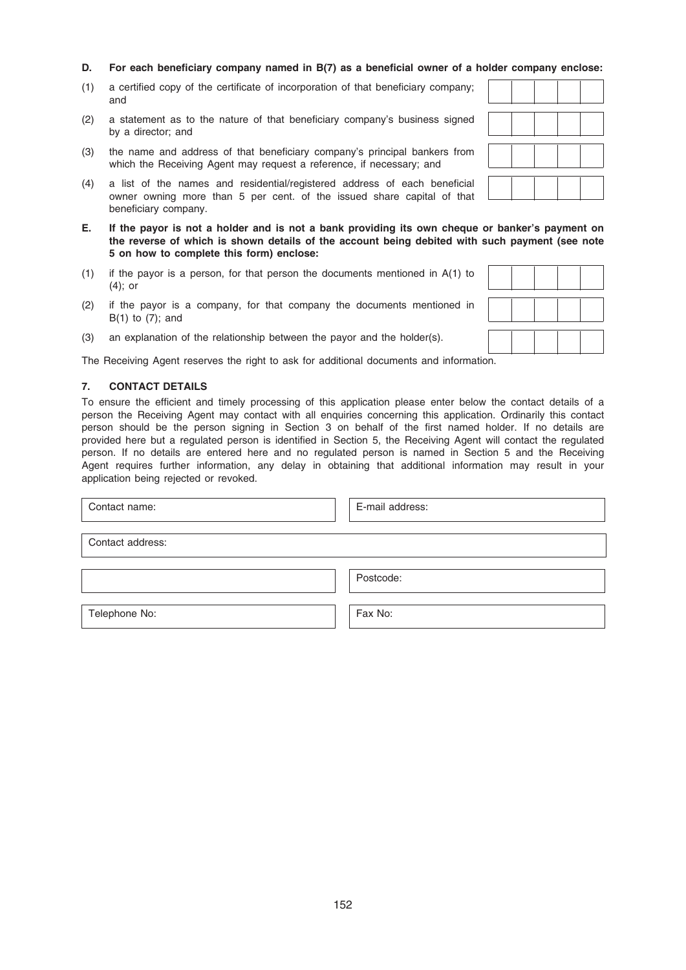- D. For each beneficiary company named in B(7) as a beneficial owner of a holder company enclose:
- (1) a certified copy of the certificate of incorporation of that beneficiary company; and
- (2) a statement as to the nature of that beneficiary company's business signed by a director; and
- (3) the name and address of that beneficiary company's principal bankers from which the Receiving Agent may request a reference, if necessary; and
- (4) a list of the names and residential/registered address of each beneficial owner owning more than 5 per cent. of the issued share capital of that beneficiary company.
- E. If the payor is not a holder and is not a bank providing its own cheque or banker's payment on the reverse of which is shown details of the account being debited with such payment (see note 5 on how to complete this form) enclose:
- (1) if the payor is a person, for that person the documents mentioned in A(1) to (4); or
- (2) if the payor is a company, for that company the documents mentioned in B(1) to (7); and
- (3) an explanation of the relationship between the payor and the holder(s).

The Receiving Agent reserves the right to ask for additional documents and information.

### 7. CONTACT DETAILS

To ensure the efficient and timely processing of this application please enter below the contact details of a person the Receiving Agent may contact with all enquiries concerning this application. Ordinarily this contact person should be the person signing in Section 3 on behalf of the first named holder. If no details are provided here but a regulated person is identified in Section 5, the Receiving Agent will contact the regulated person. If no details are entered here and no regulated person is named in Section 5 and the Receiving Agent requires further information, any delay in obtaining that additional information may result in your application being rejected or revoked.

| Contact name:    | E-mail address: |
|------------------|-----------------|
| Contact address: |                 |
|                  | Postcode:       |
| Telephone No:    | Fax No:         |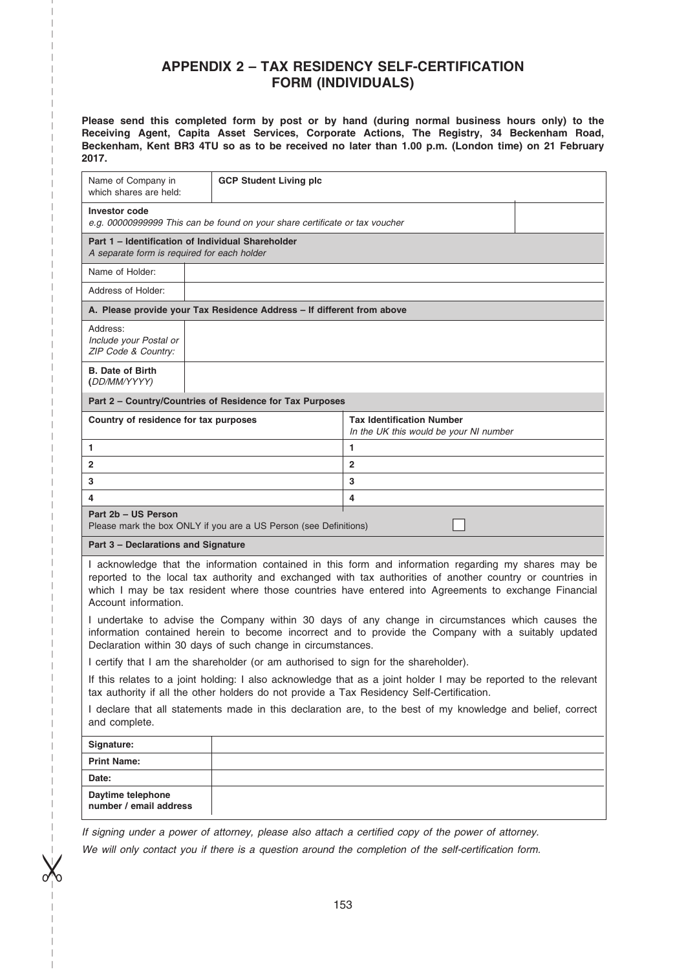# APPENDIX 2 – TAX RESIDENCY SELF-CERTIFICATION FORM (INDIVIDUALS)

Please send this completed form by post or by hand (during normal business hours only) to the Receiving Agent, Capita Asset Services, Corporate Actions, The Registry, 34 Beckenham Road, Beckenham, Kent BR3 4TU so as to be received no later than 1.00 p.m. (London time) on 21 February 2017.

| Name of Company in<br>which shares are held:                                                                                 | <b>GCP Student Living plc</b>                                                       |                                                                                                                                                                                                                                                                                                                           |  |  |
|------------------------------------------------------------------------------------------------------------------------------|-------------------------------------------------------------------------------------|---------------------------------------------------------------------------------------------------------------------------------------------------------------------------------------------------------------------------------------------------------------------------------------------------------------------------|--|--|
| <b>Investor code</b><br>e.g. 00000999999 This can be found on your share certificate or tax voucher                          |                                                                                     |                                                                                                                                                                                                                                                                                                                           |  |  |
| Part 1 - Identification of Individual Shareholder<br>A separate form is required for each holder                             |                                                                                     |                                                                                                                                                                                                                                                                                                                           |  |  |
| Name of Holder:                                                                                                              |                                                                                     |                                                                                                                                                                                                                                                                                                                           |  |  |
| Address of Holder:                                                                                                           |                                                                                     |                                                                                                                                                                                                                                                                                                                           |  |  |
|                                                                                                                              | A. Please provide your Tax Residence Address - If different from above              |                                                                                                                                                                                                                                                                                                                           |  |  |
| Address:<br>Include your Postal or<br>ZIP Code & Country:                                                                    |                                                                                     |                                                                                                                                                                                                                                                                                                                           |  |  |
| <b>B. Date of Birth</b><br>(DD/MM/YYYY)                                                                                      |                                                                                     |                                                                                                                                                                                                                                                                                                                           |  |  |
|                                                                                                                              | Part 2 - Country/Countries of Residence for Tax Purposes                            |                                                                                                                                                                                                                                                                                                                           |  |  |
| Country of residence for tax purposes                                                                                        |                                                                                     | <b>Tax Identification Number</b><br>In the UK this would be your NI number                                                                                                                                                                                                                                                |  |  |
| 1.                                                                                                                           |                                                                                     | 1                                                                                                                                                                                                                                                                                                                         |  |  |
| 2                                                                                                                            |                                                                                     | $\overline{2}$                                                                                                                                                                                                                                                                                                            |  |  |
| 3                                                                                                                            |                                                                                     | 3                                                                                                                                                                                                                                                                                                                         |  |  |
| 4                                                                                                                            |                                                                                     | 4                                                                                                                                                                                                                                                                                                                         |  |  |
| Part 2b - US Person                                                                                                          | Please mark the box ONLY if you are a US Person (see Definitions)                   |                                                                                                                                                                                                                                                                                                                           |  |  |
| Part 3 - Declarations and Signature                                                                                          |                                                                                     |                                                                                                                                                                                                                                                                                                                           |  |  |
| Account information.                                                                                                         |                                                                                     | I acknowledge that the information contained in this form and information regarding my shares may be<br>reported to the local tax authority and exchanged with tax authorities of another country or countries in<br>which I may be tax resident where those countries have entered into Agreements to exchange Financial |  |  |
|                                                                                                                              | Declaration within 30 days of such change in circumstances.                         | I undertake to advise the Company within 30 days of any change in circumstances which causes the<br>information contained herein to become incorrect and to provide the Company with a suitably updated                                                                                                                   |  |  |
|                                                                                                                              | I certify that I am the shareholder (or am authorised to sign for the shareholder). |                                                                                                                                                                                                                                                                                                                           |  |  |
|                                                                                                                              |                                                                                     | If this relates to a joint holding: I also acknowledge that as a joint holder I may be reported to the relevant<br>tax authority if all the other holders do not provide a Tax Residency Self-Certification.                                                                                                              |  |  |
| I declare that all statements made in this declaration are, to the best of my knowledge and belief, correct<br>and complete. |                                                                                     |                                                                                                                                                                                                                                                                                                                           |  |  |
| Signature:                                                                                                                   |                                                                                     |                                                                                                                                                                                                                                                                                                                           |  |  |
| <b>Print Name:</b>                                                                                                           |                                                                                     |                                                                                                                                                                                                                                                                                                                           |  |  |
| Date:                                                                                                                        |                                                                                     |                                                                                                                                                                                                                                                                                                                           |  |  |
| Daytime telephone<br>number / email address                                                                                  |                                                                                     |                                                                                                                                                                                                                                                                                                                           |  |  |
|                                                                                                                              |                                                                                     | If signing under a power of attorney, please also attach a certified copy of the power of attorney.                                                                                                                                                                                                                       |  |  |

–––––––––––––––––––––––––– ––––––––––––––––––––––––––––– –––––––––––––––––––––––––––––

 $\chi$ 

–

We will only contact you if there is a question around the completion of the self-certification form.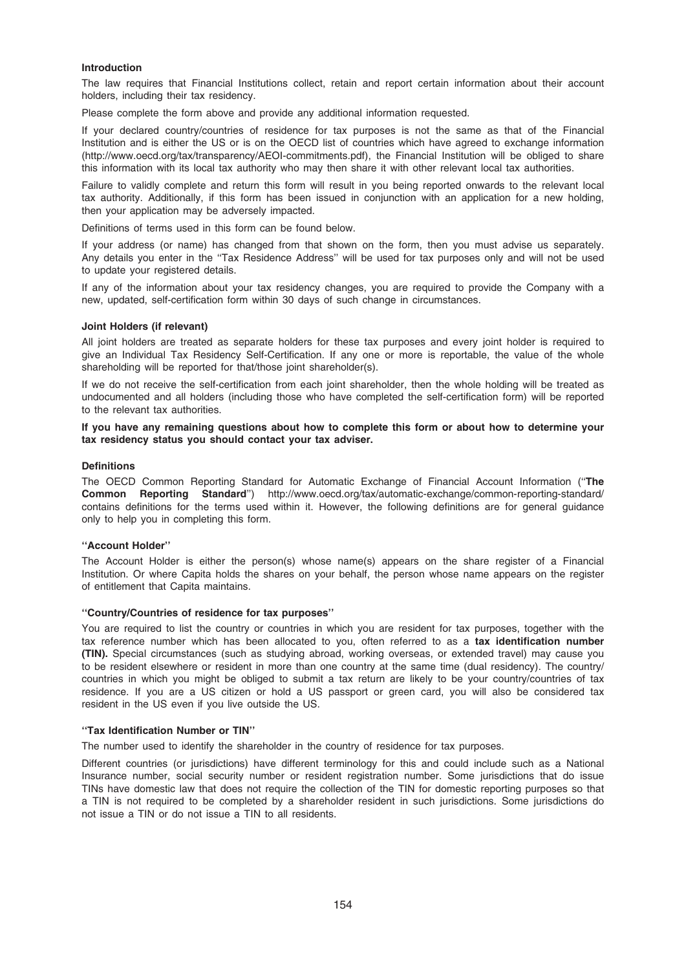### Introduction

The law requires that Financial Institutions collect, retain and report certain information about their account holders, including their tax residency.

Please complete the form above and provide any additional information requested.

If your declared country/countries of residence for tax purposes is not the same as that of the Financial Institution and is either the US or is on the OECD list of countries which have agreed to exchange information (http://www.oecd.org/tax/transparency/AEOI-commitments.pdf), the Financial Institution will be obliged to share this information with its local tax authority who may then share it with other relevant local tax authorities.

Failure to validly complete and return this form will result in you being reported onwards to the relevant local tax authority. Additionally, if this form has been issued in conjunction with an application for a new holding, then your application may be adversely impacted.

Definitions of terms used in this form can be found below.

If your address (or name) has changed from that shown on the form, then you must advise us separately. Any details you enter in the ''Tax Residence Address'' will be used for tax purposes only and will not be used to update your registered details.

If any of the information about your tax residency changes, you are required to provide the Company with a new, updated, self-certification form within 30 days of such change in circumstances.

#### Joint Holders (if relevant)

All joint holders are treated as separate holders for these tax purposes and every joint holder is required to give an Individual Tax Residency Self-Certification. If any one or more is reportable, the value of the whole shareholding will be reported for that/those joint shareholder(s).

If we do not receive the self-certification from each joint shareholder, then the whole holding will be treated as undocumented and all holders (including those who have completed the self-certification form) will be reported to the relevant tax authorities.

#### If you have any remaining questions about how to complete this form or about how to determine your tax residency status you should contact your tax adviser.

#### **Definitions**

The OECD Common Reporting Standard for Automatic Exchange of Financial Account Information (''The Common Reporting Standard'') http://www.oecd.org/tax/automatic-exchange/common-reporting-standard/ contains definitions for the terms used within it. However, the following definitions are for general guidance only to help you in completing this form.

#### ''Account Holder''

The Account Holder is either the person(s) whose name(s) appears on the share register of a Financial Institution. Or where Capita holds the shares on your behalf, the person whose name appears on the register of entitlement that Capita maintains.

#### ''Country/Countries of residence for tax purposes''

You are required to list the country or countries in which you are resident for tax purposes, together with the tax reference number which has been allocated to you, often referred to as a tax identification number (TIN). Special circumstances (such as studying abroad, working overseas, or extended travel) may cause you to be resident elsewhere or resident in more than one country at the same time (dual residency). The country/ countries in which you might be obliged to submit a tax return are likely to be your country/countries of tax residence. If you are a US citizen or hold a US passport or green card, you will also be considered tax resident in the US even if you live outside the US.

#### ''Tax Identification Number or TIN''

The number used to identify the shareholder in the country of residence for tax purposes.

Different countries (or jurisdictions) have different terminology for this and could include such as a National Insurance number, social security number or resident registration number. Some jurisdictions that do issue TINs have domestic law that does not require the collection of the TIN for domestic reporting purposes so that a TIN is not required to be completed by a shareholder resident in such jurisdictions. Some jurisdictions do not issue a TIN or do not issue a TIN to all residents.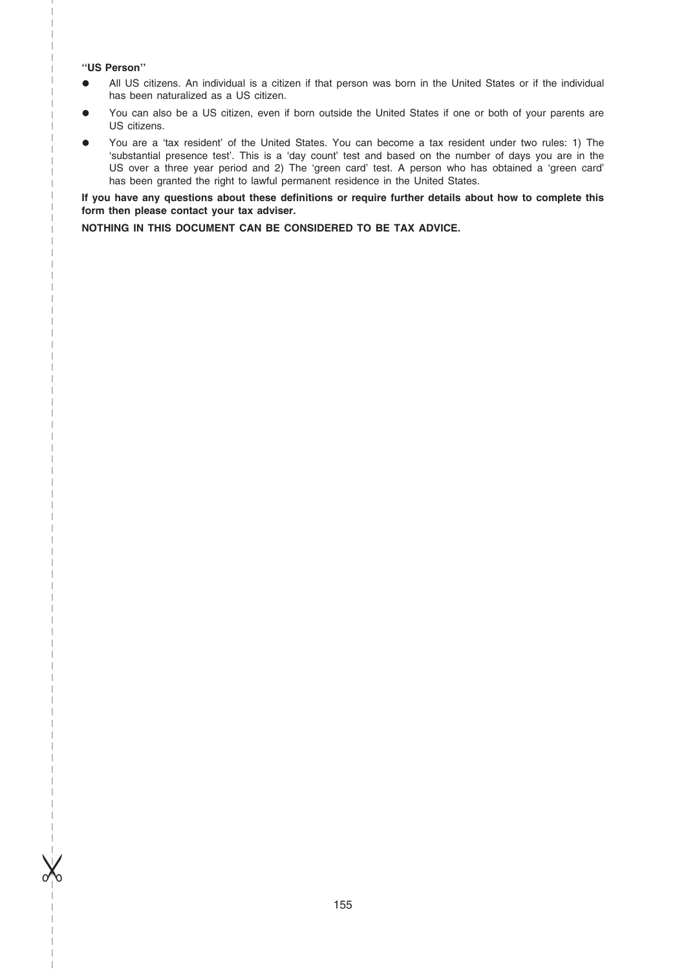#### ''US Person''

–

–––––––––––––––––––––––––– ––––––––––––––––––––––––––––– –––––––––––––––––––––––––––––

 $\chi$ 

- All US citizens. An individual is a citizen if that person was born in the United States or if the individual has been naturalized as a US citizen.
- You can also be a US citizen, even if born outside the United States if one or both of your parents are US citizens.
- You are a 'tax resident' of the United States. You can become a tax resident under two rules: 1) The 'substantial presence test'. This is a 'day count' test and based on the number of days you are in the US over a three year period and 2) The 'green card' test. A person who has obtained a 'green card' has been granted the right to lawful permanent residence in the United States.

If you have any questions about these definitions or require further details about how to complete this form then please contact your tax adviser.

NOTHING IN THIS DOCUMENT CAN BE CONSIDERED TO BE TAX ADVICE.